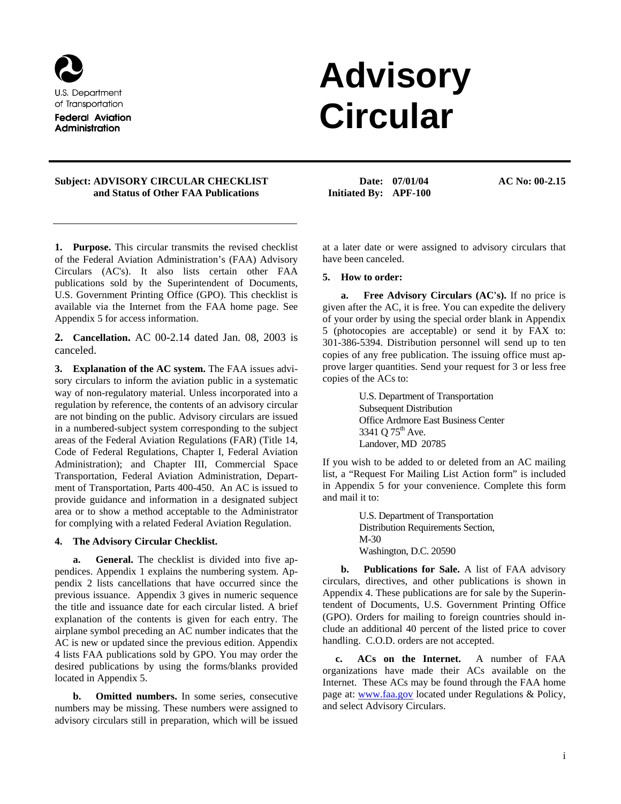

**Federal Aviation** Administration

## **Subject: ADVISORY CIRCULAR CHECKLIST and Status of Other FAA Publications**

**1. Purpose.** This circular transmits the revised checklist of the Federal Aviation Administration's (FAA) Advisory Circulars (AC's). It also lists certain other FAA publications sold by the Superintendent of Documents, U.S. Government Printing Office (GPO). This checklist is available via the Internet from the FAA home page. See Appendix 5 for access information.

**2. Cancellation.** AC 00-2.14 dated Jan. 08, 2003 is canceled.

**3. Explanation of the AC system.** The FAA issues advisory circulars to inform the aviation public in a systematic way of non-regulatory material. Unless incorporated into a regulation by reference, the contents of an advisory circular are not binding on the public. Advisory circulars are issued in a numbered-subject system corresponding to the subject areas of the Federal Aviation Regulations (FAR) (Title 14, Code of Federal Regulations, Chapter I, Federal Aviation Administration); and Chapter III, Commercial Space Transportation, Federal Aviation Administration, Department of Transportation, Parts 400-450. An AC is issued to provide guidance and information in a designated subject area or to show a method acceptable to the Administrator for complying with a related Federal Aviation Regulation.

#### **4. The Advisory Circular Checklist.**

**a. General.** The checklist is divided into five appendices. Appendix 1 explains the numbering system. Appendix 2 lists cancellations that have occurred since the previous issuance. Appendix 3 gives in numeric sequence the title and issuance date for each circular listed. A brief explanation of the contents is given for each entry. The airplane symbol preceding an AC number indicates that the AC is new or updated since the previous edition. Appendix 4 lists FAA publications sold by GPO. You may order the desired publications by using the forms/blanks provided located in Appendix 5.

**b.** Omitted numbers. In some series, consecutive numbers may be missing. These numbers were assigned to advisory circulars still in preparation, which will be issued

# **Advisory Circular**

 **Date: 07/01/04 Initiated By: APF-100**  **AC No: 00-2.15** 

at a later date or were assigned to advisory circulars that have been canceled.

#### **5. How to order:**

**a. Free Advisory Circulars (AC's).** If no price is given after the AC, it is free. You can expedite the delivery of your order by using the special order blank in Appendix 5 (photocopies are acceptable) or send it by FAX to: 301-386-5394. Distribution personnel will send up to ten copies of any free publication. The issuing office must approve larger quantities. Send your request for 3 or less free copies of the ACs to:

> U.S. Department of Transportation Subsequent Distribution Office Ardmore East Business Center 3341 O 75<sup>th</sup> Ave. Landover, MD 20785

If you wish to be added to or deleted from an AC mailing list, a "Request For Mailing List Action form" is included in Appendix 5 for your convenience. Complete this form and mail it to:

> U.S. Department of Transportation Distribution Requirements Section, M-30 Washington, D.C. 20590

**b. Publications for Sale.** A list of FAA advisory circulars, directives, and other publications is shown in Appendix 4. These publications are for sale by the Superintendent of Documents, U.S. Government Printing Office (GPO). Orders for mailing to foreign countries should include an additional 40 percent of the listed price to cover handling. C.O.D. orders are not accepted.

 **c. ACs on the Internet.** A number of FAA organizations have made their ACs available on the Internet. These ACs may be found through the FAA home page at: www.faa.gov located under Regulations & Policy, and select Advisory Circulars.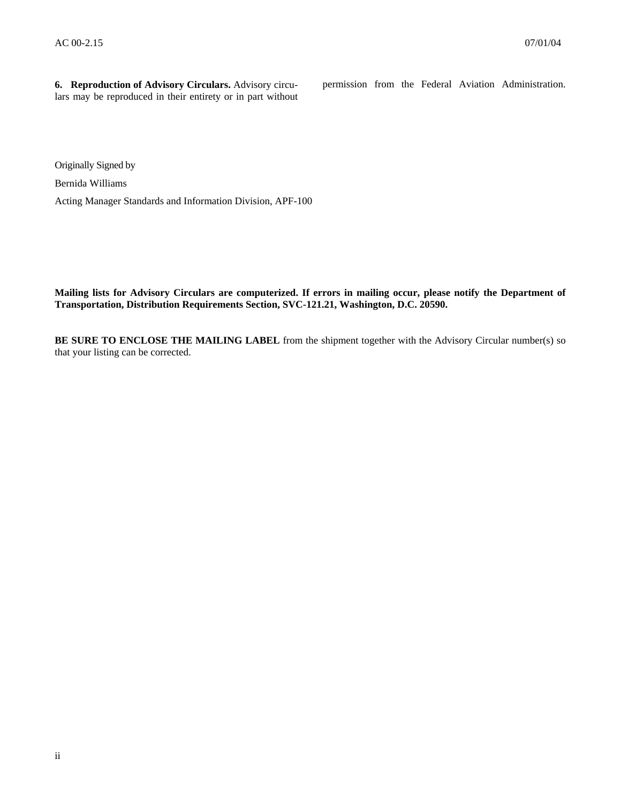**6. Reproduction of Advisory Circulars.** Advisory circulars may be reproduced in their entirety or in part without permission from the Federal Aviation Administration.

Originally Signed by

Bernida Williams

Acting Manager Standards and Information Division, APF-100

**Mailing lists for Advisory Circulars are computerized. If errors in mailing occur, please notify the Department of Transportation, Distribution Requirements Section, SVC-121.21, Washington, D.C. 20590.** 

**BE SURE TO ENCLOSE THE MAILING LABEL** from the shipment together with the Advisory Circular number(s) so that your listing can be corrected.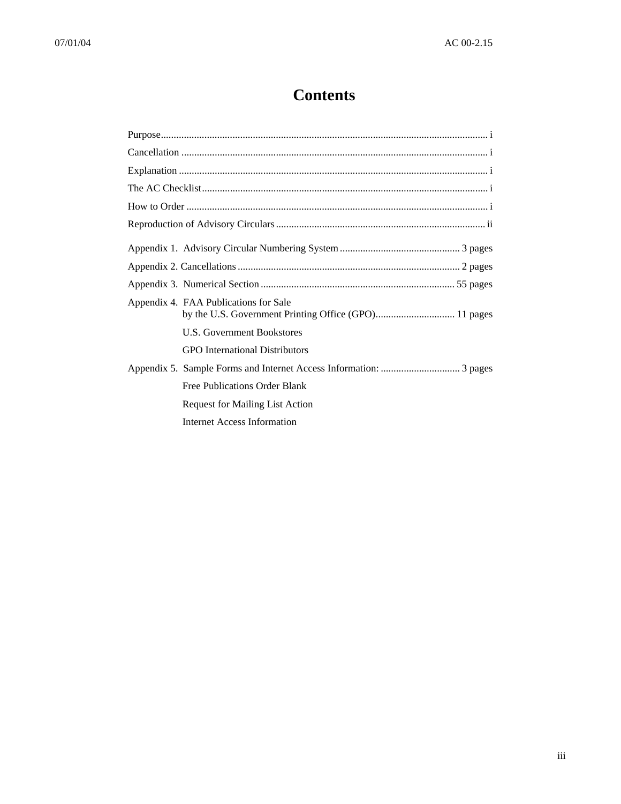# **Contents**

|  | Appendix 4. FAA Publications for Sale  |  |  |  |
|--|----------------------------------------|--|--|--|
|  | <b>U.S. Government Bookstores</b>      |  |  |  |
|  | <b>GPO</b> International Distributors  |  |  |  |
|  |                                        |  |  |  |
|  | <b>Free Publications Order Blank</b>   |  |  |  |
|  | <b>Request for Mailing List Action</b> |  |  |  |
|  | Internet Access Information            |  |  |  |
|  |                                        |  |  |  |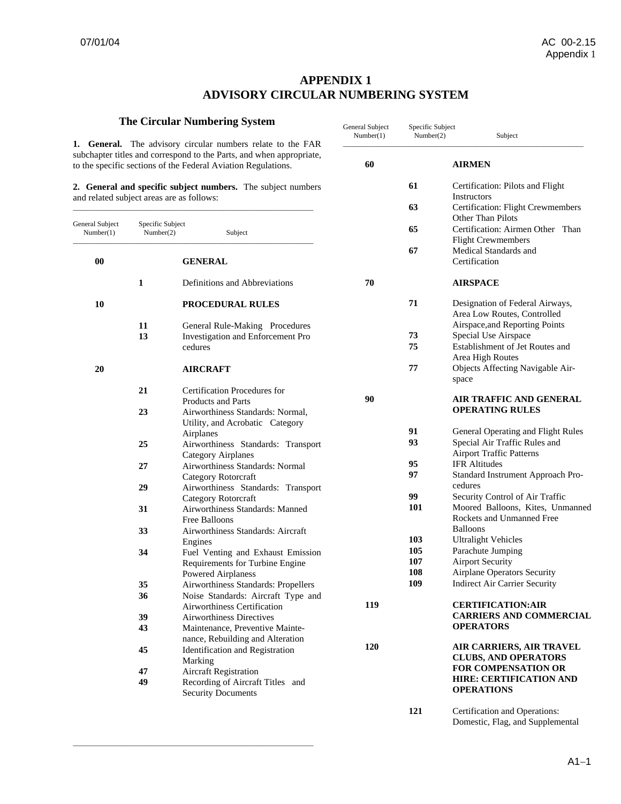## **APPENDIX 1 ADVISORY CIRCULAR NUMBERING SYSTEM**

General Subject Specific Subject

Number(1) Number(2) Subject

**60 AIRMEN** 

\_\_\_\_\_\_\_\_\_\_\_\_\_\_\_\_\_\_\_\_\_\_\_\_\_\_\_\_\_\_\_\_\_\_\_\_\_\_\_\_\_\_\_\_\_\_\_\_\_\_\_\_\_\_\_\_\_\_\_\_\_\_\_\_\_\_\_

## **The Circular Numbering System**

**1. General.** The advisory circular numbers relate to the FAR subchapter titles and correspond to the Parts, and when appropriate, to the specific sections of the Federal Aviation Regulations.

| 2. General and specific subject numbers. The subject numbers |  |
|--------------------------------------------------------------|--|
| and related subject areas are as follows:                    |  |

\_\_\_\_\_\_\_\_\_\_\_\_\_\_\_\_\_\_\_\_\_\_\_\_\_\_\_\_\_\_\_\_\_\_\_\_\_\_\_\_\_\_\_\_\_\_\_\_\_\_\_\_\_\_\_\_\_\_\_\_\_\_\_\_\_\_\_

| General Subject<br>Number(1) | Specific Subject<br>Number(2) | Subject                             |     | 65  | Other Than Pi<br>Certification:                       |
|------------------------------|-------------------------------|-------------------------------------|-----|-----|-------------------------------------------------------|
| 00                           |                               | <b>GENERAL</b>                      |     | 67  | Flight Crewm<br><b>Medical Stand</b><br>Certification |
|                              | $\mathbf{1}$                  | Definitions and Abbreviations       | 70  |     | <b>AIRSPACE</b>                                       |
|                              |                               |                                     |     |     |                                                       |
| 10                           |                               | <b>PROCEDURAL RULES</b>             |     | 71  | Designation of<br>Area Low Rou                        |
|                              | 11                            | General Rule-Making Procedures      |     |     | Airspace, and 1                                       |
|                              | 13                            | Investigation and Enforcement Pro   |     | 73  | Special Use A                                         |
|                              |                               | cedures                             |     | 75  | Establishment                                         |
| 20                           |                               | <b>AIRCRAFT</b>                     |     | 77  | Area High Ro<br>Objects Affect                        |
|                              |                               |                                     |     |     | space                                                 |
|                              | 21                            | Certification Procedures for        |     |     |                                                       |
|                              |                               | <b>Products and Parts</b>           | 90  |     | <b>AIR TRAFFI</b>                                     |
|                              | 23                            | Airworthiness Standards: Normal,    |     |     | <b>OPERATING</b>                                      |
|                              |                               | Utility, and Acrobatic Category     |     |     |                                                       |
|                              |                               | Airplanes                           |     | 91  | General Opera                                         |
|                              | 25                            | Airworthiness Standards: Transport  |     | 93  | Special Air Tr                                        |
|                              |                               |                                     |     |     | Airport Traffic                                       |
|                              |                               | Category Airplanes                  |     | 95  | <b>IFR</b> Altitudes                                  |
|                              | 27                            | Airworthiness Standards: Normal     |     | 97  | <b>Standard Instr</b>                                 |
|                              |                               | Category Rotorcraft                 |     |     | cedures                                               |
|                              | 29                            | Airworthiness Standards: Transport  |     | 99  | Security Contr                                        |
|                              |                               | <b>Category Rotorcraft</b>          |     | 101 | Moored Ballo                                          |
|                              | 31                            | Airworthiness Standards: Manned     |     |     | Rockets and U                                         |
|                              |                               | Free Balloons                       |     |     | <b>Balloons</b>                                       |
|                              | 33                            | Airworthiness Standards: Aircraft   |     |     |                                                       |
|                              |                               | Engines                             |     | 103 | Ultralight Veh                                        |
|                              | 34                            | Fuel Venting and Exhaust Emission   |     | 105 | Parachute Jum                                         |
|                              |                               | Requirements for Turbine Engine     |     | 107 | Airport Securi                                        |
|                              |                               | <b>Powered Airplaness</b>           |     | 108 | Airplane Oper                                         |
|                              | 35                            | Airworthiness Standards: Propellers |     | 109 | Indirect Air C                                        |
|                              | 36                            | Noise Standards: Aircraft Type and  |     |     |                                                       |
|                              |                               | Airworthiness Certification         | 119 |     | <b>CERTIFICA</b>                                      |
|                              | 39                            | <b>Airworthiness Directives</b>     |     |     | <b>CARRIERS</b>                                       |
|                              | 43                            | Maintenance, Preventive Mainte-     |     |     | <b>OPERATOR</b>                                       |
|                              |                               | nance, Rebuilding and Alteration    |     |     |                                                       |
|                              | 45                            | Identification and Registration     | 120 |     | <b>AIR CARRIE</b>                                     |
|                              |                               | Marking                             |     |     | <b>CLUBS, ANI</b>                                     |
|                              | 47                            | <b>Aircraft Registration</b>        |     |     | <b>FOR COMPI</b>                                      |
|                              | 49                            | Recording of Aircraft Titles and    |     |     | <b>HIRE: CERT</b>                                     |
|                              |                               |                                     |     |     | <b>OPERATION</b>                                      |

|     | 61  | Certification: Pilots and Flight<br>Instructors                                                  |
|-----|-----|--------------------------------------------------------------------------------------------------|
|     | 63  | <b>Certification: Flight Crewmembers</b><br>Other Than Pilots                                    |
|     | 65  | Certification: Airmen Other<br>Than<br><b>Flight Crewmembers</b>                                 |
|     | 67  | Medical Standards and<br>Certification                                                           |
| 70  |     | <b>AIRSPACE</b>                                                                                  |
|     | 71  | Designation of Federal Airways,<br>Area Low Routes, Controlled<br>Airspace, and Reporting Points |
|     | 73  | Special Use Airspace                                                                             |
|     | 75  | Establishment of Jet Routes and                                                                  |
|     |     | Area High Routes                                                                                 |
|     | 77  | Objects Affecting Navigable Air-<br>space                                                        |
| 90  |     | AIR TRAFFIC AND GENERAL<br><b>OPERATING RULES</b>                                                |
|     | 91  | General Operating and Flight Rules                                                               |
|     | 93  | Special Air Traffic Rules and                                                                    |
|     |     | <b>Airport Traffic Patterns</b>                                                                  |
|     | 95  | <b>IFR Altitudes</b>                                                                             |
|     | 97  | Standard Instrument Approach Pro-                                                                |
|     |     | cedures                                                                                          |
|     | 99  | Security Control of Air Traffic                                                                  |
|     | 101 | Moored Balloons, Kites, Unmanned<br>Rockets and Unmanned Free<br><b>Balloons</b>                 |
|     | 103 | <b>Ultralight Vehicles</b>                                                                       |
|     | 105 | Parachute Jumping                                                                                |
|     | 107 | <b>Airport Security</b>                                                                          |
|     | 108 | <b>Airplane Operators Security</b>                                                               |
|     | 109 | <b>Indirect Air Carrier Security</b>                                                             |
| 119 |     | <b>CERTIFICATION:AIR</b><br><b>CARRIERS AND COMMERCIAL</b><br><b>OPERATORS</b>                   |
| 120 |     | AIR CARRIERS, AIR TRAVEL                                                                         |

## **CLUBS, AND OPERATORS FOR COMPENSATION OR HIRE: CERTIFICATION AND OPERATIONS**

**121** Certification and Operations: Domestic, Flag, and Supplemental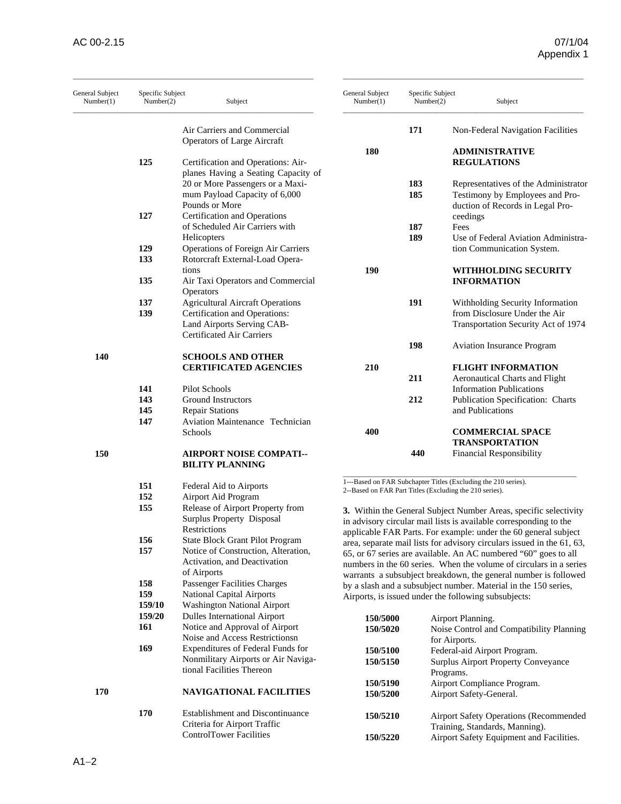| General Subject<br>Number(1) | Specific Subject<br>Number(2) | Subject                                                             | General Subject<br>Number(1) | Specific Subject<br>Number(2) | Subject                                                                                                                               |
|------------------------------|-------------------------------|---------------------------------------------------------------------|------------------------------|-------------------------------|---------------------------------------------------------------------------------------------------------------------------------------|
|                              |                               | Air Carriers and Commercial                                         |                              | 171                           | Non-Federal Navigation Facilities                                                                                                     |
|                              |                               | <b>Operators of Large Aircraft</b>                                  |                              |                               |                                                                                                                                       |
|                              | 125                           | Certification and Operations: Air-                                  | 180                          |                               | <b>ADMINISTRATIVE</b><br><b>REGULATIONS</b>                                                                                           |
|                              |                               | planes Having a Seating Capacity of                                 |                              |                               |                                                                                                                                       |
|                              |                               | 20 or More Passengers or a Maxi-                                    |                              | 183                           | Representatives of the Administrator                                                                                                  |
|                              |                               | mum Payload Capacity of 6,000                                       |                              | 185                           | Testimony by Employees and Pro-                                                                                                       |
|                              |                               | Pounds or More                                                      |                              |                               | duction of Records in Legal Pro-                                                                                                      |
|                              | 127                           | Certification and Operations                                        |                              |                               | ceedings                                                                                                                              |
|                              |                               | of Scheduled Air Carriers with                                      |                              | 187                           | Fees                                                                                                                                  |
|                              | 129                           | Helicopters<br>Operations of Foreign Air Carriers                   |                              | 189                           | Use of Federal Aviation Administra-<br>tion Communication System.                                                                     |
|                              | 133                           | Rotorcraft External-Load Opera-                                     |                              |                               |                                                                                                                                       |
|                              |                               | tions                                                               | <b>190</b>                   |                               | WITHHOLDING SECURITY                                                                                                                  |
|                              | 135                           | Air Taxi Operators and Commercial                                   |                              |                               | <b>INFORMATION</b>                                                                                                                    |
|                              |                               | Operators                                                           |                              |                               |                                                                                                                                       |
|                              | 137                           | <b>Agricultural Aircraft Operations</b>                             |                              | 191                           | Withholding Security Information                                                                                                      |
|                              | 139                           | Certification and Operations:                                       |                              |                               | from Disclosure Under the Air                                                                                                         |
|                              |                               | Land Airports Serving CAB-<br>Certificated Air Carriers             |                              |                               | Transportation Security Act of 1974                                                                                                   |
|                              |                               |                                                                     |                              | 198                           | <b>Aviation Insurance Program</b>                                                                                                     |
| 140                          |                               | <b>SCHOOLS AND OTHER</b>                                            |                              |                               |                                                                                                                                       |
|                              |                               | <b>CERTIFICATED AGENCIES</b>                                        | 210                          |                               | <b>FLIGHT INFORMATION</b>                                                                                                             |
|                              |                               |                                                                     |                              | 211                           | Aeronautical Charts and Flight                                                                                                        |
|                              | 141                           | <b>Pilot Schools</b>                                                |                              |                               | <b>Information Publications</b>                                                                                                       |
|                              | 143                           | Ground Instructors                                                  |                              | 212                           | Publication Specification: Charts                                                                                                     |
|                              | 145                           | <b>Repair Stations</b>                                              |                              |                               | and Publications                                                                                                                      |
|                              | 147                           | <b>Aviation Maintenance Technician</b><br>Schools                   | 400                          |                               | <b>COMMERCIAL SPACE</b><br><b>TRANSPORTATION</b>                                                                                      |
| 150                          |                               | <b>AIRPORT NOISE COMPATI--</b><br><b>BILITY PLANNING</b>            |                              | 440                           | <b>Financial Responsibility</b>                                                                                                       |
|                              | 151                           | Federal Aid to Airports                                             |                              |                               | 1---Based on FAR Subchapter Titles (Excluding the 210 series).                                                                        |
|                              | 152                           | Airport Aid Program                                                 |                              |                               | 2--Based on FAR Part Titles (Excluding the 210 series).                                                                               |
|                              | 155                           | Release of Airport Property from                                    |                              |                               | 3. Within the General Subject Number Areas, specific selectivity                                                                      |
|                              |                               | <b>Surplus Property Disposal</b>                                    |                              |                               | in advisory circular mail lists is available corresponding to the                                                                     |
|                              |                               | Restrictions                                                        |                              |                               | applicable FAR Parts. For example: under the 60 general subject                                                                       |
|                              | 156                           | State Block Grant Pilot Program                                     |                              |                               | area, separate mail lists for advisory circulars issued in the 61, 63,                                                                |
|                              | 157                           | Notice of Construction, Alteration,<br>Activation, and Deactivation |                              |                               | 65, or 67 series are available. An AC numbered "60" goes to all                                                                       |
|                              |                               | of Airports                                                         |                              |                               | numbers in the 60 series. When the volume of circulars in a series<br>warrants a subsubject breakdown, the general number is followed |
|                              | 158                           | Passenger Facilities Charges                                        |                              |                               | by a slash and a subsubject number. Material in the 150 series,                                                                       |
|                              | 159                           | <b>National Capital Airports</b>                                    |                              |                               | Airports, is issued under the following subsubjects:                                                                                  |
|                              | 159/10                        | <b>Washington National Airport</b>                                  |                              |                               |                                                                                                                                       |
|                              | 159/20                        | <b>Dulles International Airport</b>                                 | 150/5000                     |                               | Airport Planning.                                                                                                                     |
|                              | 161                           | Notice and Approval of Airport                                      | 150/5020                     |                               | Noise Control and Compatibility Planning                                                                                              |
|                              | 169                           | Noise and Access Restrictionsn<br>Expenditures of Federal Funds for |                              |                               | for Airports.                                                                                                                         |
|                              |                               | Nonmilitary Airports or Air Naviga-                                 | 150/5100<br>150/5150         |                               | Federal-aid Airport Program.<br><b>Surplus Airport Property Conveyance</b>                                                            |
|                              |                               | tional Facilities Thereon                                           |                              |                               | Programs.                                                                                                                             |
|                              |                               |                                                                     | 150/5190                     |                               | Airport Compliance Program.                                                                                                           |
| 170                          |                               | NAVIGATIONAL FACILITIES                                             | 150/5200                     |                               | Airport Safety-General.                                                                                                               |
|                              | 170                           | <b>Establishment and Discontinuance</b>                             |                              |                               |                                                                                                                                       |
|                              |                               | Criteria for Airport Traffic                                        | 150/5210                     |                               | Airport Safety Operations (Recommended<br>Training, Standards, Manning).                                                              |
|                              |                               | <b>ControlTower Facilities</b>                                      | 150/5220                     |                               | Airport Safety Faunament and Facilities                                                                                               |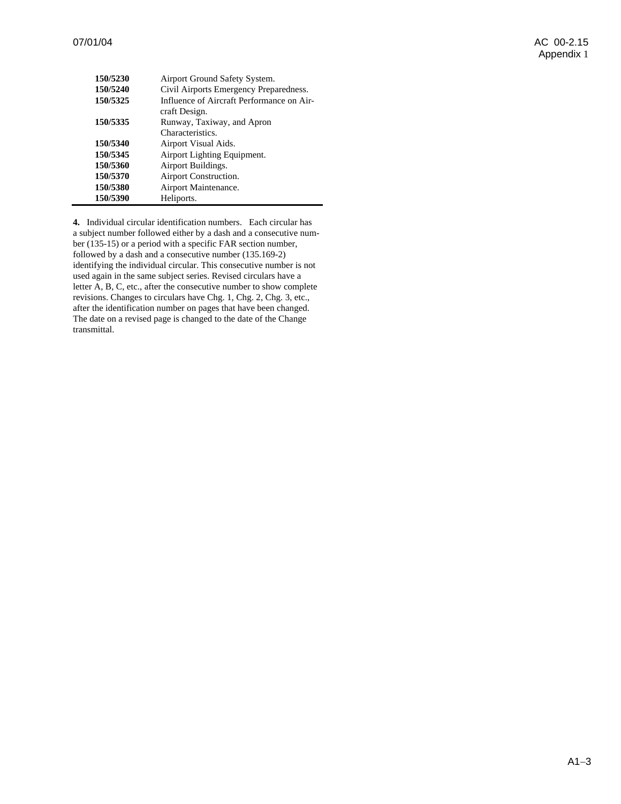| 150/5230 | Airport Ground Safety System.             |
|----------|-------------------------------------------|
| 150/5240 | Civil Airports Emergency Preparedness.    |
| 150/5325 | Influence of Aircraft Performance on Air- |
|          | craft Design.                             |
| 150/5335 | Runway, Taxiway, and Apron                |
|          | Characteristics.                          |
| 150/5340 | Airport Visual Aids.                      |
| 150/5345 | Airport Lighting Equipment.               |
| 150/5360 | Airport Buildings.                        |
| 150/5370 | Airport Construction.                     |
| 150/5380 | Airport Maintenance.                      |
| 150/5390 | Heliports.                                |

**4.** Individual circular identification numbers. Each circular has a subject number followed either by a dash and a consecutive number (135-15) or a period with a specific FAR section number, followed by a dash and a consecutive number (135.169-2) identifying the individual circular. This consecutive number is not used again in the same subject series. Revised circulars have a letter A, B, C, etc., after the consecutive number to show complete revisions. Changes to circulars have Chg. 1, Chg. 2, Chg. 3, etc., after the identification number on pages that have been changed. The date on a revised page is changed to the date of the Change transmittal.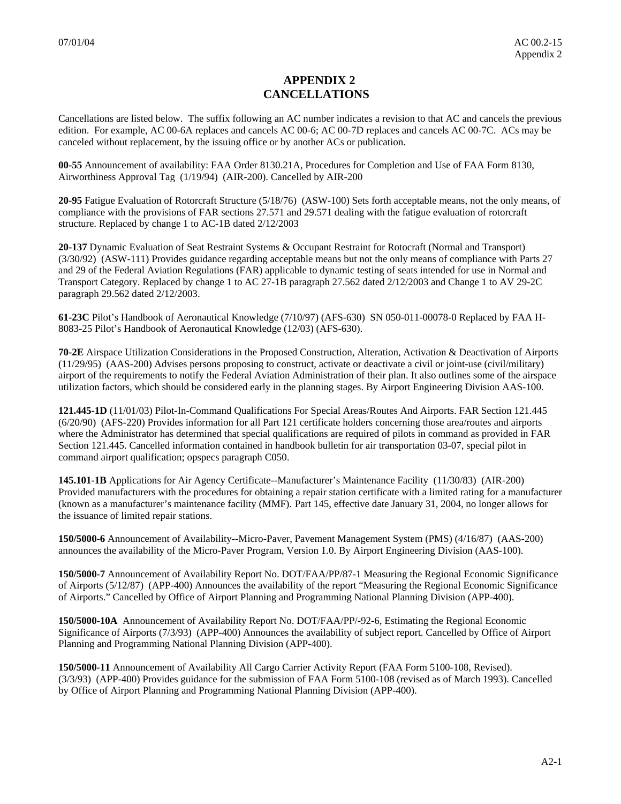## **APPENDIX 2 CANCELLATIONS**

Cancellations are listed below. The suffix following an AC number indicates a revision to that AC and cancels the previous edition. For example, AC 00-6A replaces and cancels AC 00-6; AC 00-7D replaces and cancels AC 00-7C. ACs may be canceled without replacement, by the issuing office or by another ACs or publication.

**00-55** Announcement of availability: FAA Order 8130.21A, Procedures for Completion and Use of FAA Form 8130, Airworthiness Approval Tag (1/19/94) (AIR-200). Cancelled by AIR-200

**20-95** Fatigue Evaluation of Rotorcraft Structure (5/18/76) (ASW-100) Sets forth acceptable means, not the only means, of compliance with the provisions of FAR sections 27.571 and 29.571 dealing with the fatigue evaluation of rotorcraft structure. Replaced by change 1 to AC-1B dated 2/12/2003

**20-137** Dynamic Evaluation of Seat Restraint Systems & Occupant Restraint for Rotocraft (Normal and Transport) (3/30/92) (ASW-111) Provides guidance regarding acceptable means but not the only means of compliance with Parts 27 and 29 of the Federal Aviation Regulations (FAR) applicable to dynamic testing of seats intended for use in Normal and Transport Category. Replaced by change 1 to AC 27-1B paragraph 27.562 dated 2/12/2003 and Change 1 to AV 29-2C paragraph 29.562 dated 2/12/2003.

**61-23C** Pilot's Handbook of Aeronautical Knowledge (7/10/97) (AFS-630) SN 050-011-00078-0 Replaced by FAA H-8083-25 Pilot's Handbook of Aeronautical Knowledge (12/03) (AFS-630).

**70-2E** Airspace Utilization Considerations in the Proposed Construction, Alteration, Activation & Deactivation of Airports (11/29/95) (AAS-200) Advises persons proposing to construct, activate or deactivate a civil or joint-use (civil/military) airport of the requirements to notify the Federal Aviation Administration of their plan. It also outlines some of the airspace utilization factors, which should be considered early in the planning stages. By Airport Engineering Division AAS-100.

**121.445-1D** (11/01/03) Pilot-In-Command Qualifications For Special Areas/Routes And Airports. FAR Section 121.445 (6/20/90) (AFS-220) Provides information for all Part 121 certificate holders concerning those area/routes and airports where the Administrator has determined that special qualifications are required of pilots in command as provided in FAR Section 121.445. Cancelled information contained in handbook bulletin for air transportation 03-07, special pilot in command airport qualification; opspecs paragraph C050.

**145.101-1B** Applications for Air Agency Certificate--Manufacturer's Maintenance Facility (11/30/83) (AIR-200) Provided manufacturers with the procedures for obtaining a repair station certificate with a limited rating for a manufacturer (known as a manufacturer's maintenance facility (MMF). Part 145, effective date January 31, 2004, no longer allows for the issuance of limited repair stations.

**150/5000-6** Announcement of Availability--Micro-Paver, Pavement Management System (PMS) (4/16/87) (AAS-200) announces the availability of the Micro-Paver Program, Version 1.0. By Airport Engineering Division (AAS-100).

**150/5000-7** Announcement of Availability Report No. DOT/FAA/PP/87-1 Measuring the Regional Economic Significance of Airports (5/12/87) (APP-400) Announces the availability of the report "Measuring the Regional Economic Significance of Airports." Cancelled by Office of Airport Planning and Programming National Planning Division (APP-400).

**150/5000-10A** Announcement of Availability Report No. DOT/FAA/PP/-92-6, Estimating the Regional Economic Significance of Airports (7/3/93) (APP-400) Announces the availability of subject report. Cancelled by Office of Airport Planning and Programming National Planning Division (APP-400).

**150/5000-11** Announcement of Availability All Cargo Carrier Activity Report (FAA Form 5100-108, Revised). (3/3/93) (APP-400) Provides guidance for the submission of FAA Form 5100-108 (revised as of March 1993). Cancelled by Office of Airport Planning and Programming National Planning Division (APP-400).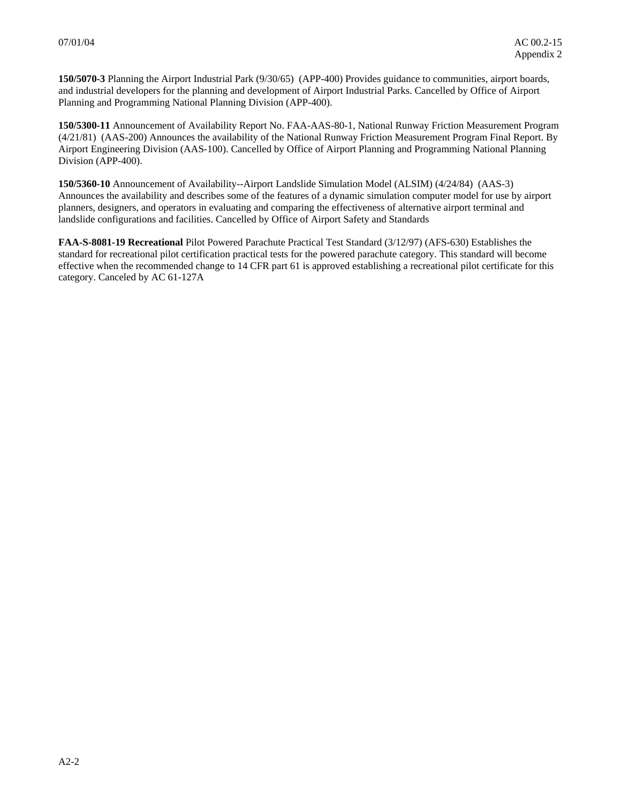**150/5070-3** Planning the Airport Industrial Park (9/30/65) (APP-400) Provides guidance to communities, airport boards, and industrial developers for the planning and development of Airport Industrial Parks. Cancelled by Office of Airport Planning and Programming National Planning Division (APP-400).

**150/5300-11** Announcement of Availability Report No. FAA-AAS-80-1, National Runway Friction Measurement Program (4/21/81) (AAS-200) Announces the availability of the National Runway Friction Measurement Program Final Report. By Airport Engineering Division (AAS-100). Cancelled by Office of Airport Planning and Programming National Planning Division (APP-400).

**150/5360-10** Announcement of Availability--Airport Landslide Simulation Model (ALSIM) (4/24/84) (AAS-3) Announces the availability and describes some of the features of a dynamic simulation computer model for use by airport planners, designers, and operators in evaluating and comparing the effectiveness of alternative airport terminal and landslide configurations and facilities. Cancelled by Office of Airport Safety and Standards

**FAA-S-8081-19 Recreational** Pilot Powered Parachute Practical Test Standard (3/12/97) (AFS-630) Establishes the standard for recreational pilot certification practical tests for the powered parachute category. This standard will become effective when the recommended change to 14 CFR part 61 is approved establishing a recreational pilot certificate for this category. Canceled by AC 61-127A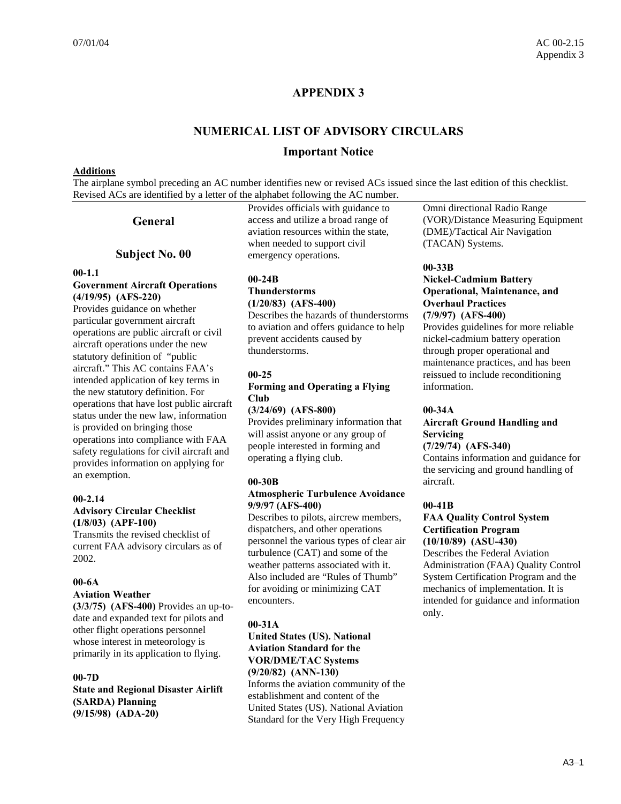## **APPENDIX 3**

## **NUMERICAL LIST OF ADVISORY CIRCULARS**

## **Important Notice**

#### **Additions**

The airplane symbol preceding an AC number identifies new or revised ACs issued since the last edition of this checklist. Revised ACs are identified by a letter of the alphabet following the AC number.

#### **General**

#### **Subject No. 00**

#### **00-1.1**

#### **Government Aircraft Operations (4/19/95) (AFS-220)**

Provides guidance on whether particular government aircraft operations are public aircraft or civil aircraft operations under the new statutory definition of "public aircraft." This AC contains FAA's intended application of key terms in the new statutory definition. For operations that have lost public aircraft status under the new law, information is provided on bringing those operations into compliance with FAA safety regulations for civil aircraft and provides information on applying for an exemption.

#### **00-2.14**

#### **Advisory Circular Checklist (1/8/03) (APF-100)**

Transmits the revised checklist of current FAA advisory circulars as of 2002.

#### **00-6A**

#### **Aviation Weather**

**(3/3/75) (AFS-400)** Provides an up-todate and expanded text for pilots and other flight operations personnel whose interest in meteorology is primarily in its application to flying.

#### **00-7D**

**State and Regional Disaster Airlift (SARDA) Planning (9/15/98) (ADA-20)** 

Provides officials with guidance to access and utilize a broad range of aviation resources within the state, when needed to support civil emergency operations.

## **00-24B**

#### **Thunderstorms (1/20/83) (AFS-400)**

Describes the hazards of thunderstorms to aviation and offers guidance to help prevent accidents caused by thunderstorms.

#### **00-25**

#### **Forming and Operating a Flying Club**

#### **(3/24/69) (AFS-800)**

Provides preliminary information that will assist anyone or any group of people interested in forming and operating a flying club.

#### **00-30B**

#### **Atmospheric Turbulence Avoidance 9/9/97 (AFS-400)**

Describes to pilots, aircrew members, dispatchers, and other operations personnel the various types of clear air turbulence (CAT) and some of the weather patterns associated with it. Also included are "Rules of Thumb" for avoiding or minimizing CAT encounters.

#### **00-31A**

## **United States (US). National Aviation Standard for the VOR/DME/TAC Systems (9/20/82) (ANN-130)**

Informs the aviation community of the establishment and content of the United States (US). National Aviation Standard for the Very High Frequency

Omni directional Radio Range (VOR)/Distance Measuring Equipment (DME)/Tactical Air Navigation (TACAN) Systems.

#### **00-33B**

#### **Nickel-Cadmium Battery Operational, Maintenance, and Overhaul Practices (7/9/97) (AFS-400)**

Provides guidelines for more reliable nickel-cadmium battery operation through proper operational and maintenance practices, and has been reissued to include reconditioning information.

#### **00-34A**

#### **Aircraft Ground Handling and Servicing**

## **(7/29/74) (AFS-340)**

Contains information and guidance for the servicing and ground handling of aircraft.

#### **00-41B**

## **FAA Quality Control System Certification Program (10/10/89) (ASU-430)**

Describes the Federal Aviation Administration (FAA) Quality Control System Certification Program and the mechanics of implementation. It is intended for guidance and information only.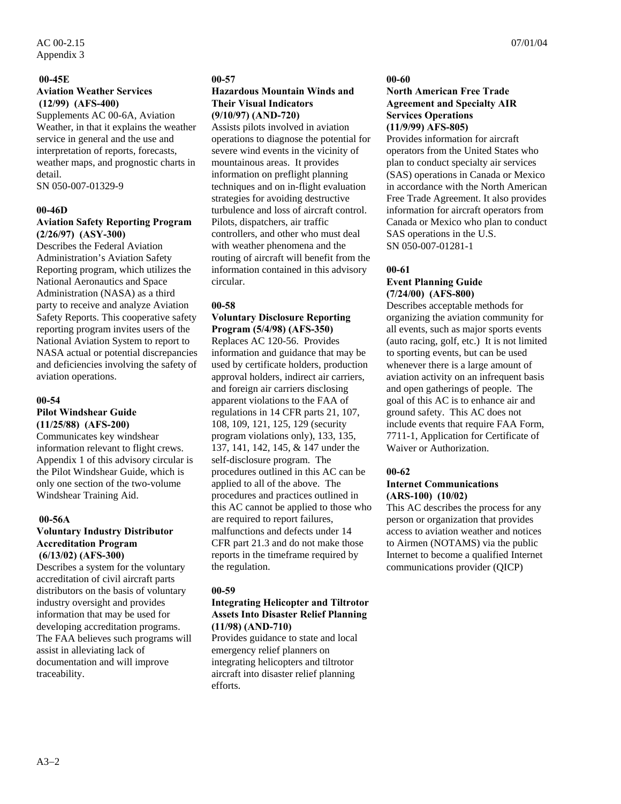#### **00-45E**

#### **Aviation Weather Services (12/99) (AFS-400)**

Supplements AC 00-6A, Aviation Weather, in that it explains the weather service in general and the use and interpretation of reports, forecasts, weather maps, and prognostic charts in detail.

SN 050-007-01329-9

#### **00-46D**

#### **Aviation Safety Reporting Program (2/26/97) (ASY-300)**

Describes the Federal Aviation Administration's Aviation Safety Reporting program, which utilizes the National Aeronautics and Space Administration (NASA) as a third party to receive and analyze Aviation Safety Reports. This cooperative safety reporting program invites users of the National Aviation System to report to NASA actual or potential discrepancies and deficiencies involving the safety of aviation operations.

#### **00-54**

#### **Pilot Windshear Guide (11/25/88) (AFS-200)**

Communicates key windshear information relevant to flight crews. Appendix 1 of this advisory circular is the Pilot Windshear Guide, which is only one section of the two-volume Windshear Training Aid.

#### **00-56A**

## **Voluntary Industry Distributor Accreditation Program (6/13/02) (AFS-300)**

Describes a system for the voluntary accreditation of civil aircraft parts distributors on the basis of voluntary industry oversight and provides information that may be used for developing accreditation programs. The FAA believes such programs will assist in alleviating lack of documentation and will improve traceability.

#### **00-57 Hazardous Mountain Winds and Their Visual Indicators (9/10/97) (AND-720)**

Assists pilots involved in aviation operations to diagnose the potential for severe wind events in the vicinity of mountainous areas. It provides information on preflight planning techniques and on in-flight evaluation strategies for avoiding destructive turbulence and loss of aircraft control. Pilots, dispatchers, air traffic controllers, and other who must deal with weather phenomena and the routing of aircraft will benefit from the information contained in this advisory circular.

#### **00-58**

#### **Voluntary Disclosure Reporting Program (5/4/98) (AFS-350)**

Replaces AC 120-56. Provides information and guidance that may be used by certificate holders, production approval holders, indirect air carriers, and foreign air carriers disclosing apparent violations to the FAA of regulations in 14 CFR parts 21, 107, 108, 109, 121, 125, 129 (security program violations only), 133, 135, 137, 141, 142, 145, & 147 under the self-disclosure program. The procedures outlined in this AC can be applied to all of the above. The procedures and practices outlined in this AC cannot be applied to those who are required to report failures, malfunctions and defects under 14 CFR part 21.3 and do not make those reports in the timeframe required by the regulation.

#### **00-59**

#### **Integrating Helicopter and Tiltrotor Assets Into Disaster Relief Planning (11/98) (AND-710)**

Provides guidance to state and local emergency relief planners on integrating helicopters and tiltrotor aircraft into disaster relief planning efforts.

#### **00-60**

#### **North American Free Trade Agreement and Specialty AIR Services Operations (11/9/99) AFS-805)**

Provides information for aircraft operators from the United States who plan to conduct specialty air services (SAS) operations in Canada or Mexico in accordance with the North American Free Trade Agreement. It also provides information for aircraft operators from Canada or Mexico who plan to conduct SAS operations in the U.S. SN 050-007-01281-1

#### **00-61**

#### **Event Planning Guide (7/24/00) (AFS-800)**

Describes acceptable methods for organizing the aviation community for all events, such as major sports events (auto racing, golf, etc.) It is not limited to sporting events, but can be used whenever there is a large amount of aviation activity on an infrequent basis and open gatherings of people. The goal of this AC is to enhance air and ground safety. This AC does not include events that require FAA Form, 7711-1, Application for Certificate of Waiver or Authorization.

#### **00-62**

#### **Internet Communications (ARS-100) (10/02)**

This AC describes the process for any person or organization that provides access to aviation weather and notices to Airmen (NOTAMS) via the public Internet to become a qualified Internet communications provider (QICP)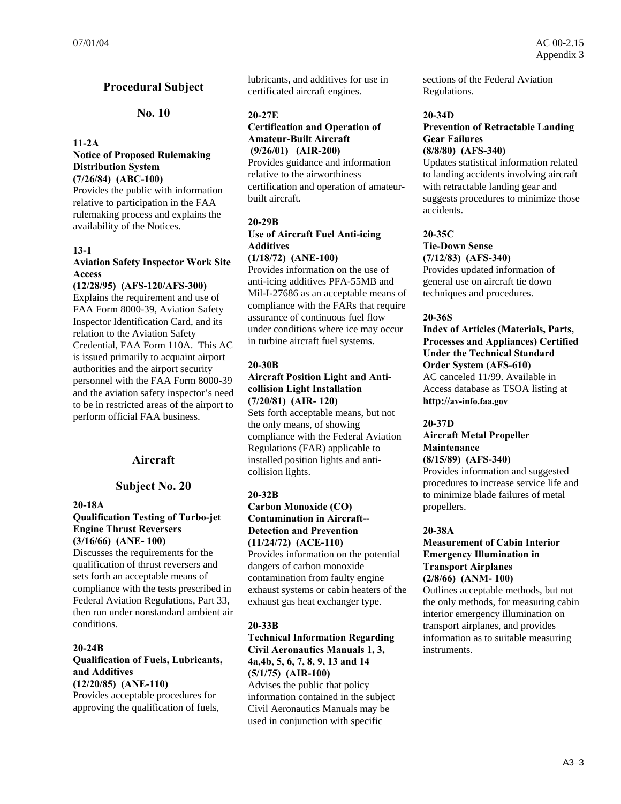**No. 10** 

## **11-2A**

#### **Notice of Proposed Rulemaking Distribution System (7/26/84) (ABC-100)**

Provides the public with information relative to participation in the FAA rulemaking process and explains the availability of the Notices.

#### **13-1**

#### **Aviation Safety Inspector Work Site Access**

#### **(12/28/95) (AFS-120/AFS-300)**

Explains the requirement and use of FAA Form 8000-39, Aviation Safety Inspector Identification Card, and its relation to the Aviation Safety Credential, FAA Form 110A. This AC is issued primarily to acquaint airport authorities and the airport security personnel with the FAA Form 8000-39 and the aviation safety inspector's need to be in restricted areas of the airport to perform official FAA business.

## **Aircraft**

#### **Subject No. 20**

## **20-18A**

## **Qualification Testing of Turbo-jet Engine Thrust Reversers (3/16/66) (ANE- 100)**

Discusses the requirements for the qualification of thrust reversers and sets forth an acceptable means of compliance with the tests prescribed in Federal Aviation Regulations, Part 33, then run under nonstandard ambient air conditions.

#### **20-24B**

## **Qualification of Fuels, Lubricants, and Additives (12/20/85) (ANE-110)**

Provides acceptable procedures for approving the qualification of fuels, lubricants, and additives for use in certificated aircraft engines.

## **20-27E Certification and Operation of**

#### **Amateur-Built Aircraft (9/26/01) (AIR-200)**

Provides guidance and information relative to the airworthiness certification and operation of amateurbuilt aircraft.

#### **20-29B**

#### **Use of Aircraft Fuel Anti-icing Additives (1/18/72) (ANE-100)**

Provides information on the use of anti-icing additives PFA-55MB and Mil-I-27686 as an acceptable means of compliance with the FARs that require assurance of continuous fuel flow under conditions where ice may occur in turbine aircraft fuel systems.

#### **20-30B**

#### **Aircraft Position Light and Anticollision Light Installation (7/20/81) (AIR- 120)**

Sets forth acceptable means, but not the only means, of showing compliance with the Federal Aviation Regulations (FAR) applicable to installed position lights and anticollision lights.

#### **20-32B**

## **Carbon Monoxide (CO) Contamination in Aircraft-- Detection and Prevention (11/24/72) (ACE-110)**  Provides information on the potential

dangers of carbon monoxide contamination from faulty engine exhaust systems or cabin heaters of the exhaust gas heat exchanger type.

#### **20-33B**

#### **Technical Information Regarding Civil Aeronautics Manuals 1, 3, 4a,4b, 5, 6, 7, 8, 9, 13 and 14 (5/1/75) (AIR-100)**

Advises the public that policy information contained in the subject Civil Aeronautics Manuals may be used in conjunction with specific

sections of the Federal Aviation Regulations.

## **20-34D**

#### **Prevention of Retractable Landing Gear Failures (8/8/80) (AFS-340)**

Updates statistical information related to landing accidents involving aircraft with retractable landing gear and suggests procedures to minimize those accidents.

#### **20-35C**

## **Tie-Down Sense**

**(7/12/83) (AFS-340)**  Provides updated information of general use on aircraft tie down techniques and procedures.

#### **20-36S**

#### **Index of Articles (Materials, Parts, Processes and Appliances) Certified Under the Technical Standard Order System (AFS-610)**  AC canceled 11/99. Available in Access database as TSOA listing at **http://av-info.faa.gov**

#### **20-37D**

#### **Aircraft Metal Propeller Maintenance (8/15/89) (AFS-340)**

Provides information and suggested procedures to increase service life and to minimize blade failures of metal propellers.

#### **20-38A**

#### **Measurement of Cabin Interior Emergency Illumination in Transport Airplanes (2/8/66) (ANM- 100)**

Outlines acceptable methods, but not the only methods, for measuring cabin interior emergency illumination on transport airplanes, and provides information as to suitable measuring instruments.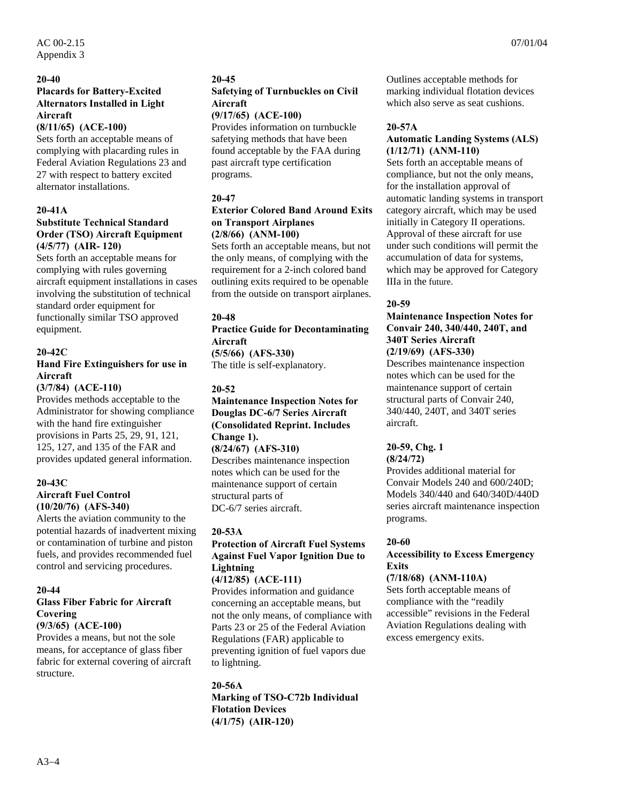#### **20-40**

## **Placards for Battery-Excited Alternators Installed in Light Aircraft**

**(8/11/65) (ACE-100)** 

Sets forth an acceptable means of complying with placarding rules in Federal Aviation Regulations 23 and 27 with respect to battery excited alternator installations.

#### **20-41A**

## **Substitute Technical Standard Order (TSO) Aircraft Equipment (4/5/77) (AIR- 120)**

Sets forth an acceptable means for complying with rules governing aircraft equipment installations in cases involving the substitution of technical standard order equipment for functionally similar TSO approved equipment.

#### **20-42C**

## **Hand Fire Extinguishers for use in Aircraft**

**(3/7/84) (ACE-110)**  Provides methods acceptable to the Administrator for showing compliance with the hand fire extinguisher provisions in Parts 25, 29, 91, 121, 125, 127, and 135 of the FAR and

provides updated general information.

## **20-43C Aircraft Fuel Control (10/20/76) (AFS-340)**

Alerts the aviation community to the potential hazards of inadvertent mixing or contamination of turbine and piston fuels, and provides recommended fuel control and servicing procedures.

#### **20-44**

#### **Glass Fiber Fabric for Aircraft Covering (9/3/65) (ACE-100)**

Provides a means, but not the sole means, for acceptance of glass fiber fabric for external covering of aircraft structure.

# **20-45**

## **Safetying of Turnbuckles on Civil Aircraft**

#### **(9/17/65) (ACE-100)**

Provides information on turnbuckle safetying methods that have been found acceptable by the FAA during past aircraft type certification programs.

#### **20-47**

#### **Exterior Colored Band Around Exits on Transport Airplanes (2/8/66) (ANM-100)**

Sets forth an acceptable means, but not the only means, of complying with the requirement for a 2-inch colored band outlining exits required to be openable from the outside on transport airplanes.

## **20-48**

**Practice Guide for Decontaminating Aircraft (5/5/66) (AFS-330)**  The title is self-explanatory.

#### **20-52**

#### **Maintenance Inspection Notes for Douglas DC-6/7 Series Aircraft (Consolidated Reprint. Includes Change 1). (8/24/67) (AFS-310)**

Describes maintenance inspection notes which can be used for the maintenance support of certain structural parts of DC-6/7 series aircraft.

#### **20-53A**

## **Protection of Aircraft Fuel Systems Against Fuel Vapor Ignition Due to Lightning**

**(4/12/85) (ACE-111)**  Provides information and guidance concerning an acceptable means, but not the only means, of compliance with Parts 23 or 25 of the Federal Aviation Regulations (FAR) applicable to preventing ignition of fuel vapors due to lightning.

# **20-56A**

**Marking of TSO-C72b Individual Flotation Devices (4/1/75) (AIR-120)** 

Outlines acceptable methods for marking individual flotation devices which also serve as seat cushions.

## **20-57A**

## **Automatic Landing Systems (ALS) (1/12/71) (ANM-110)**

Sets forth an acceptable means of compliance, but not the only means, for the installation approval of automatic landing systems in transport category aircraft, which may be used initially in Category II operations. Approval of these aircraft for use under such conditions will permit the accumulation of data for systems, which may be approved for Category IIIa in the future.

## **20-59**

#### **Maintenance Inspection Notes for Convair 240, 340/440, 240T, and 340T Series Aircraft (2/19/69) (AFS-330)**

Describes maintenance inspection notes which can be used for the maintenance support of certain structural parts of Convair 240, 340/440, 240T, and 340T series aircraft.

## **20-59, Chg. 1**

**(8/24/72)** 

Provides additional material for Convair Models 240 and 600/240D; Models 340/440 and 640/340D/440D series aircraft maintenance inspection programs.

#### **20-60**

#### **Accessibility to Excess Emergency Exits**

#### **(7/18/68) (ANM-110A)**

Sets forth acceptable means of compliance with the "readily accessible" revisions in the Federal Aviation Regulations dealing with excess emergency exits.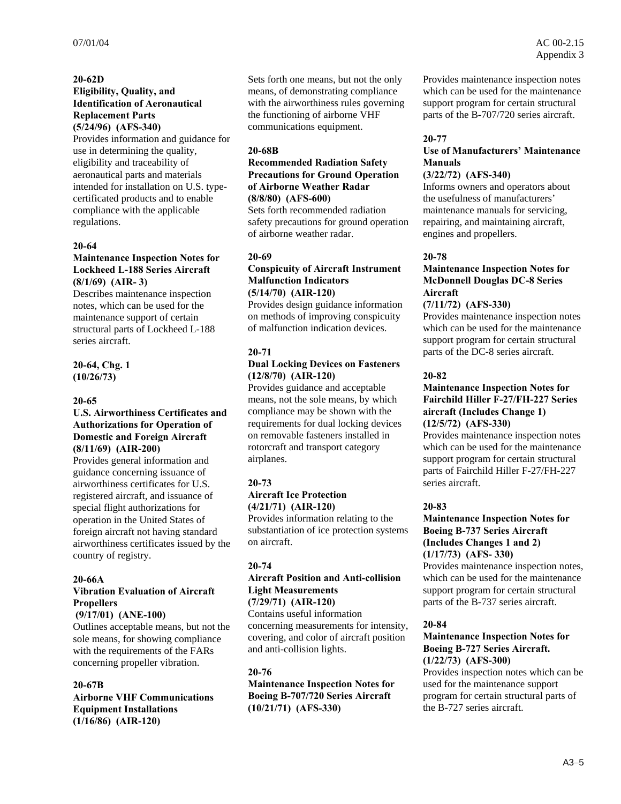#### **Eligibility, Quality, and Identification of Aeronautical Replacement Parts (5/24/96) (AFS-340)**

Provides information and guidance for use in determining the quality, eligibility and traceability of aeronautical parts and materials intended for installation on U.S. typecertificated products and to enable compliance with the applicable regulations.

#### **20-64**

## **Maintenance Inspection Notes for Lockheed L-188 Series Aircraft (8/1/69) (AIR- 3)**

Describes maintenance inspection notes, which can be used for the maintenance support of certain structural parts of Lockheed L-188 series aircraft.

#### **20-64, Chg. 1 (10/26/73)**

#### **20-65**

#### **U.S. Airworthiness Certificates and Authorizations for Operation of Domestic and Foreign Aircraft (8/11/69) (AIR-200)**

Provides general information and guidance concerning issuance of airworthiness certificates for U.S. registered aircraft, and issuance of special flight authorizations for operation in the United States of foreign aircraft not having standard airworthiness certificates issued by the country of registry.

#### **20-66A**

#### **Vibration Evaluation of Aircraft Propellers (9/17/01) (ANE-100)**

Outlines acceptable means, but not the sole means, for showing compliance with the requirements of the FARs concerning propeller vibration.

#### **20-67B**

**Airborne VHF Communications Equipment Installations (1/16/86) (AIR-120)** 

Sets forth one means, but not the only means, of demonstrating compliance with the airworthiness rules governing the functioning of airborne VHF communications equipment.

#### **20-68B**

#### **Recommended Radiation Safety Precautions for Ground Operation of Airborne Weather Radar (8/8/80) (AFS-600)**

Sets forth recommended radiation safety precautions for ground operation of airborne weather radar.

#### **20-69**

#### **Conspicuity of Aircraft Instrument Malfunction Indicators (5/14/70) (AIR-120)**

Provides design guidance information on methods of improving conspicuity of malfunction indication devices.

#### **20-71**

#### **Dual Locking Devices on Fasteners (12/8/70) (AIR-120)**

Provides guidance and acceptable means, not the sole means, by which compliance may be shown with the requirements for dual locking devices on removable fasteners installed in rotorcraft and transport category airplanes.

#### **20-73**

#### **Aircraft Ice Protection (4/21/71) (AIR-120)**

Provides information relating to the substantiation of ice protection systems on aircraft.

#### **20-74**

#### **Aircraft Position and Anti-collision Light Measurements (7/29/71) (AIR-120)**

Contains useful information concerning measurements for intensity, covering, and color of aircraft position and anti-collision lights.

#### **20-76**

**Maintenance Inspection Notes for Boeing B-707/720 Series Aircraft (10/21/71) (AFS-330)** 

Provides maintenance inspection notes which can be used for the maintenance support program for certain structural parts of the B-707/720 series aircraft.

#### **20-77**

## **Use of Manufacturers' Maintenance Manuals**

#### **(3/22/72) (AFS-340)**

Informs owners and operators about the usefulness of manufacturers' maintenance manuals for servicing, repairing, and maintaining aircraft, engines and propellers.

#### **20-78**

## **Maintenance Inspection Notes for McDonnell Douglas DC-8 Series Aircraft**

#### **(7/11/72) (AFS-330)**

Provides maintenance inspection notes which can be used for the maintenance support program for certain structural parts of the DC-8 series aircraft.

#### **20-82**

#### **Maintenance Inspection Notes for Fairchild Hiller F-27/FH-227 Series aircraft (Includes Change 1) (12/5/72) (AFS-330)**

Provides maintenance inspection notes which can be used for the maintenance support program for certain structural parts of Fairchild Hiller F-27/FH-227 series aircraft.

#### **20-83**

## **Maintenance Inspection Notes for Boeing B-737 Series Aircraft (Includes Changes 1 and 2) (1/17/73) (AFS- 330)**

Provides maintenance inspection notes, which can be used for the maintenance support program for certain structural parts of the B-737 series aircraft.

#### **20-84**

#### **Maintenance Inspection Notes for Boeing B-727 Series Aircraft. (1/22/73) (AFS-300)**

Provides inspection notes which can be used for the maintenance support program for certain structural parts of the B-727 series aircraft.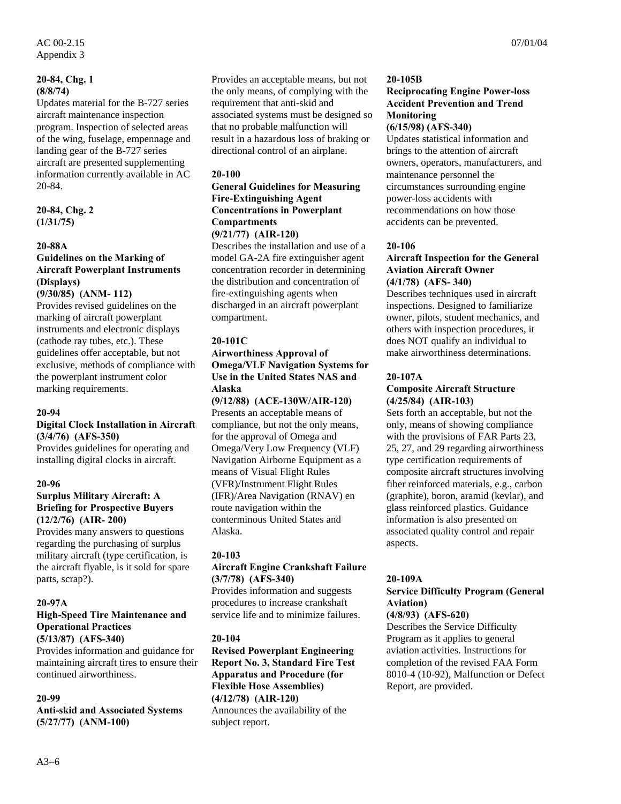#### **20-84, Chg. 1 (8/8/74)**

Updates material for the B-727 series aircraft maintenance inspection program. Inspection of selected areas of the wing, fuselage, empennage and landing gear of the B-727 series aircraft are presented supplementing information currently available in AC 20-84.

#### **20-84, Chg. 2 (1/31/75)**

#### **20-88A**

## **Guidelines on the Marking of Aircraft Powerplant Instruments (Displays)**

**(9/30/85) (ANM- 112)**  Provides revised guidelines on the marking of aircraft powerplant instruments and electronic displays (cathode ray tubes, etc.). These guidelines offer acceptable, but not exclusive, methods of compliance with the powerplant instrument color marking requirements.

#### **20-94**

## **Digital Clock Installation in Aircraft (3/4/76) (AFS-350)**

Provides guidelines for operating and installing digital clocks in aircraft.

#### **20-96**

#### **Surplus Military Aircraft: A Briefing for Prospective Buyers (12/2/76) (AIR- 200)**

Provides many answers to questions regarding the purchasing of surplus military aircraft (type certification, is the aircraft flyable, is it sold for spare parts, scrap?).

#### **20-97A**

#### **High-Speed Tire Maintenance and Operational Practices (5/13/87) (AFS-340)**

Provides information and guidance for maintaining aircraft tires to ensure their continued airworthiness.

#### **20-99**

**Anti-skid and Associated Systems (5/27/77) (ANM-100)** 

Provides an acceptable means, but not the only means, of complying with the requirement that anti-skid and associated systems must be designed so that no probable malfunction will result in a hazardous loss of braking or directional control of an airplane.

## **20-100**

#### **General Guidelines for Measuring Fire-Extinguishing Agent Concentrations in Powerplant Compartments (9/21/77) (AIR-120)**

Describes the installation and use of a model GA-2A fire extinguisher agent concentration recorder in determining the distribution and concentration of fire-extinguishing agents when discharged in an aircraft powerplant compartment.

## **20-101C**

## **Airworthiness Approval of Omega/VLF Navigation Systems for Use in the United States NAS and Alaska**

**(9/12/88) (ACE-130W/AIR-120)**  Presents an acceptable means of compliance, but not the only means, for the approval of Omega and Omega/Very Low Frequency (VLF) Navigation Airborne Equipment as a means of Visual Flight Rules (VFR)/Instrument Flight Rules (IFR)/Area Navigation (RNAV) en route navigation within the conterminous United States and Alaska.

#### **20-103**

## **Aircraft Engine Crankshaft Failure (3/7/78) (AFS-340)**

Provides information and suggests procedures to increase crankshaft service life and to minimize failures.

#### **20-104**

**Revised Powerplant Engineering Report No. 3, Standard Fire Test Apparatus and Procedure (for Flexible Hose Assemblies) (4/12/78) (AIR-120)**  Announces the availability of the subject report.

#### **20-105B**

## **Reciprocating Engine Power-loss Accident Prevention and Trend Monitoring**

## **(6/15/98) (AFS-340)**

Updates statistical information and brings to the attention of aircraft owners, operators, manufacturers, and maintenance personnel the circumstances surrounding engine power-loss accidents with recommendations on how those accidents can be prevented.

#### **20-106**

## **Aircraft Inspection for the General Aviation Aircraft Owner (4/1/78) (AFS- 340)**

Describes techniques used in aircraft inspections. Designed to familiarize owner, pilots, student mechanics, and others with inspection procedures, it does NOT qualify an individual to make airworthiness determinations.

#### **20-107A**

## **Composite Aircraft Structure (4/25/84) (AIR-103)**

Sets forth an acceptable, but not the only, means of showing compliance with the provisions of FAR Parts 23, 25, 27, and 29 regarding airworthiness type certification requirements of composite aircraft structures involving fiber reinforced materials, e.g., carbon (graphite), boron, aramid (kevlar), and glass reinforced plastics. Guidance information is also presented on associated quality control and repair aspects.

#### **20-109A**

## **Service Difficulty Program (General Aviation)**

## **(4/8/93) (AFS-620)**

Describes the Service Difficulty Program as it applies to general aviation activities. Instructions for completion of the revised FAA Form 8010-4 (10-92), Malfunction or Defect Report, are provided.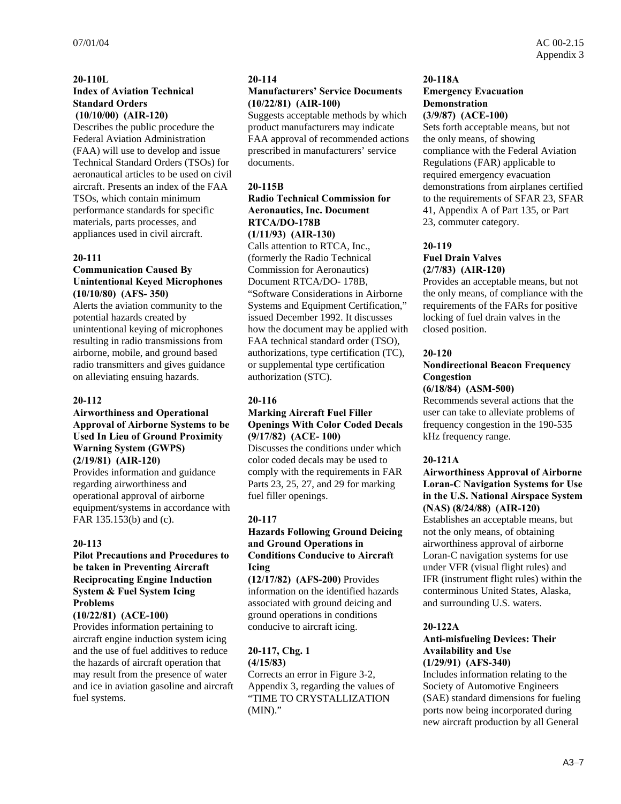#### **20-110L Index of Aviation Technical Standard Orders (10/10/00) (AIR-120)**

Describes the public procedure the Federal Aviation Administration (FAA) will use to develop and issue Technical Standard Orders (TSOs) for aeronautical articles to be used on civil aircraft. Presents an index of the FAA TSOs, which contain minimum performance standards for specific materials, parts processes, and appliances used in civil aircraft.

#### **20-111**

#### **Communication Caused By Unintentional Keyed Microphones (10/10/80) (AFS- 350)**

Alerts the aviation community to the potential hazards created by unintentional keying of microphones resulting in radio transmissions from airborne, mobile, and ground based radio transmitters and gives guidance on alleviating ensuing hazards.

#### **20-112**

#### **Airworthiness and Operational Approval of Airborne Systems to be Used In Lieu of Ground Proximity Warning System (GWPS) (2/19/81) (AIR-120)**

Provides information and guidance regarding airworthiness and operational approval of airborne equipment/systems in accordance with FAR 135.153(b) and (c).

#### **20-113**

#### **Pilot Precautions and Procedures to be taken in Preventing Aircraft Reciprocating Engine Induction System & Fuel System Icing Problems (10/22/81) (ACE-100)**

Provides information pertaining to aircraft engine induction system icing and the use of fuel additives to reduce the hazards of aircraft operation that may result from the presence of water and ice in aviation gasoline and aircraft fuel systems.

## **20-114**

## **Manufacturers' Service Documents (10/22/81) (AIR-100)**

Suggests acceptable methods by which product manufacturers may indicate FAA approval of recommended actions prescribed in manufacturers' service documents.

#### **20-115B**

#### **Radio Technical Commission for Aeronautics, Inc. Document RTCA/DO-178B (1/11/93) (AIR-130)**

Calls attention to RTCA, Inc., (formerly the Radio Technical Commission for Aeronautics) Document RTCA/DO- 178B,

"Software Considerations in Airborne Systems and Equipment Certification," issued December 1992. It discusses how the document may be applied with FAA technical standard order (TSO), authorizations, type certification (TC), or supplemental type certification authorization (STC).

## **20-116**

#### **Marking Aircraft Fuel Filler Openings With Color Coded Decals (9/17/82) (ACE- 100)**

Discusses the conditions under which color coded decals may be used to comply with the requirements in FAR Parts 23, 25, 27, and 29 for marking fuel filler openings.

#### **20-117**

#### **Hazards Following Ground Deicing and Ground Operations in Conditions Conducive to Aircraft Icing**

**(12/17/82) (AFS-200)** Provides information on the identified hazards associated with ground deicing and ground operations in conditions conducive to aircraft icing.

#### **20-117, Chg. 1 (4/15/83)**

Corrects an error in Figure 3-2, Appendix 3, regarding the values of "TIME TO CRYSTALLIZATION (MIN)."

#### **20-118A**

## **Emergency Evacuation Demonstration**

**(3/9/87) (ACE-100)**  Sets forth acceptable means, but not the only means, of showing compliance with the Federal Aviation Regulations (FAR) applicable to required emergency evacuation demonstrations from airplanes certified to the requirements of SFAR 23, SFAR 41, Appendix A of Part 135, or Part 23, commuter category.

#### **20-119**

#### **Fuel Drain Valves (2/7/83) (AIR-120)**

Provides an acceptable means, but not the only means, of compliance with the requirements of the FARs for positive locking of fuel drain valves in the closed position.

#### **20-120**

## **Nondirectional Beacon Frequency Congestion**

#### **(6/18/84) (ASM-500)**

Recommends several actions that the user can take to alleviate problems of frequency congestion in the 190-535 kHz frequency range.

#### **20-121A**

**Airworthiness Approval of Airborne Loran-C Navigation Systems for Use in the U.S. National Airspace System (NAS) (8/24/88) (AIR-120)**  Establishes an acceptable means, but not the only means, of obtaining airworthiness approval of airborne Loran-C navigation systems for use under VFR (visual flight rules) and IFR (instrument flight rules) within the conterminous United States, Alaska, and surrounding U.S. waters.

#### **20-122A**

#### **Anti-misfueling Devices: Their Availability and Use (1/29/91) (AFS-340)**

Includes information relating to the Society of Automotive Engineers (SAE) standard dimensions for fueling ports now being incorporated during new aircraft production by all General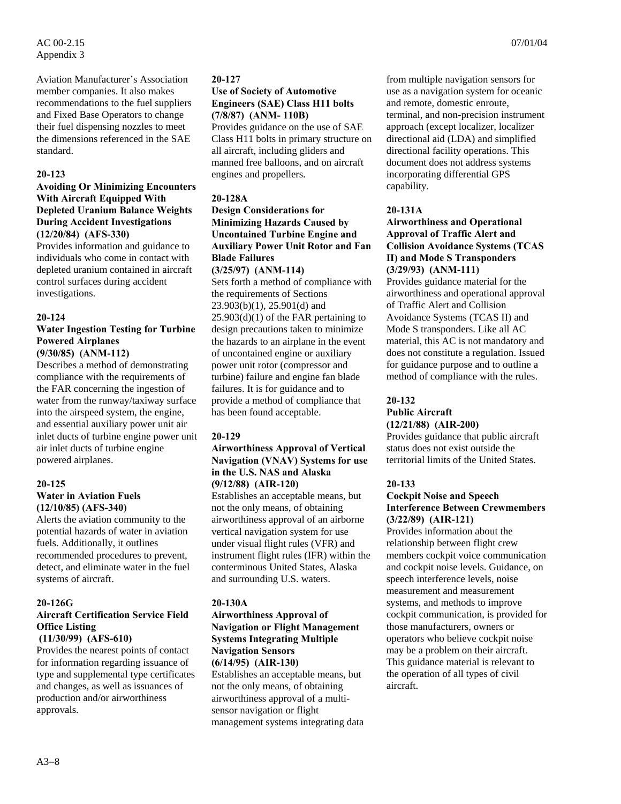Aviation Manufacturer's Association member companies. It also makes recommendations to the fuel suppliers and Fixed Base Operators to change their fuel dispensing nozzles to meet the dimensions referenced in the SAE standard.

#### **20-123**

#### **Avoiding Or Minimizing Encounters With Aircraft Equipped With Depleted Uranium Balance Weights During Accident Investigations (12/20/84) (AFS-330)**

Provides information and guidance to individuals who come in contact with depleted uranium contained in aircraft control surfaces during accident investigations.

#### **20-124**

#### **Water Ingestion Testing for Turbine Powered Airplanes (9/30/85) (ANM-112)**

Describes a method of demonstrating compliance with the requirements of the FAR concerning the ingestion of water from the runway/taxiway surface into the airspeed system, the engine, and essential auxiliary power unit air inlet ducts of turbine engine power unit air inlet ducts of turbine engine powered airplanes.

## **20-125**

#### **Water in Aviation Fuels (12/10/85) (AFS-340)**

Alerts the aviation community to the potential hazards of water in aviation fuels. Additionally, it outlines recommended procedures to prevent, detect, and eliminate water in the fuel systems of aircraft.

#### **20-126G**

## **Aircraft Certification Service Field Office Listing (11/30/99) (AFS-610)**

Provides the nearest points of contact for information regarding issuance of type and supplemental type certificates and changes, as well as issuances of production and/or airworthiness approvals.

#### **20-127**

#### **Use of Society of Automotive Engineers (SAE) Class H11 bolts (7/8/87) (ANM- 110B)**

Provides guidance on the use of SAE Class H11 bolts in primary structure on all aircraft, including gliders and manned free balloons, and on aircraft engines and propellers.

#### **20-128A**

#### **Design Considerations for Minimizing Hazards Caused by Uncontained Turbine Engine and Auxiliary Power Unit Rotor and Fan Blade Failures (3/25/97) (ANM-114)**  Sets forth a method of compliance with the requirements of Sections 23.903(b)(1), 25.901(d) and  $25.903(d)(1)$  of the FAR pertaining to design precautions taken to minimize the hazards to an airplane in the event of uncontained engine or auxiliary power unit rotor (compressor and turbine) failure and engine fan blade failures. It is for guidance and to provide a method of compliance that has been found acceptable.

#### **20-129**

#### **Airworthiness Approval of Vertical Navigation (VNAV) Systems for use in the U.S. NAS and Alaska (9/12/88) (AIR-120)**

Establishes an acceptable means, but not the only means, of obtaining airworthiness approval of an airborne vertical navigation system for use under visual flight rules (VFR) and instrument flight rules (IFR) within the conterminous United States, Alaska and surrounding U.S. waters.

#### **20-130A**

#### **Airworthiness Approval of Navigation or Flight Management Systems Integrating Multiple Navigation Sensors (6/14/95) (AIR-130)**

Establishes an acceptable means, but not the only means, of obtaining airworthiness approval of a multisensor navigation or flight management systems integrating data

from multiple navigation sensors for use as a navigation system for oceanic and remote, domestic enroute, terminal, and non-precision instrument approach (except localizer, localizer directional aid (LDA) and simplified directional facility operations. This document does not address systems incorporating differential GPS capability.

#### **20-131A**

#### **Airworthiness and Operational Approval of Traffic Alert and Collision Avoidance Systems (TCAS II) and Mode S Transponders (3/29/93) (ANM-111)**  Provides guidance material for the airworthiness and operational approval

of Traffic Alert and Collision Avoidance Systems (TCAS II) and Mode S transponders. Like all AC material, this AC is not mandatory and does not constitute a regulation. Issued for guidance purpose and to outline a method of compliance with the rules.

#### **20-132**

#### **Public Aircraft (12/21/88) (AIR-200)**

Provides guidance that public aircraft status does not exist outside the territorial limits of the United States.

#### **20-133**

#### **Cockpit Noise and Speech Interference Between Crewmembers (3/22/89) (AIR-121)**

Provides information about the relationship between flight crew members cockpit voice communication and cockpit noise levels. Guidance, on speech interference levels, noise measurement and measurement systems, and methods to improve cockpit communication, is provided for those manufacturers, owners or operators who believe cockpit noise may be a problem on their aircraft. This guidance material is relevant to the operation of all types of civil aircraft.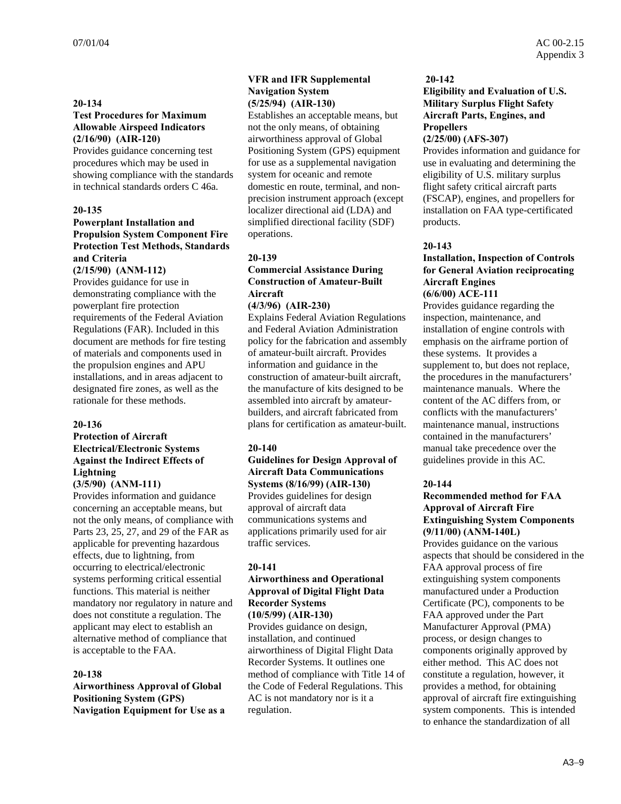#### **20-134**

## **Test Procedures for Maximum Allowable Airspeed Indicators (2/16/90) (AIR-120)**

Provides guidance concerning test procedures which may be used in showing compliance with the standards in technical standards orders C 46a.

#### **20-135**

## **Powerplant Installation and Propulsion System Component Fire Protection Test Methods, Standards and Criteria**

**(2/15/90) (ANM-112)**  Provides guidance for use in demonstrating compliance with the powerplant fire protection requirements of the Federal Aviation Regulations (FAR). Included in this document are methods for fire testing of materials and components used in the propulsion engines and APU installations, and in areas adjacent to designated fire zones, as well as the rationale for these methods.

#### **20-136**

## **Protection of Aircraft Electrical/Electronic Systems Against the Indirect Effects of Lightning**

**(3/5/90) (ANM-111)** 

Provides information and guidance concerning an acceptable means, but not the only means, of compliance with Parts 23, 25, 27, and 29 of the FAR as applicable for preventing hazardous effects, due to lightning, from occurring to electrical/electronic systems performing critical essential functions. This material is neither mandatory nor regulatory in nature and does not constitute a regulation. The applicant may elect to establish an alternative method of compliance that is acceptable to the FAA.

#### **20-138**

**Airworthiness Approval of Global Positioning System (GPS) Navigation Equipment for Use as a** 

## **VFR and IFR Supplemental Navigation System (5/25/94) (AIR-130)**

Establishes an acceptable means, but not the only means, of obtaining airworthiness approval of Global Positioning System (GPS) equipment for use as a supplemental navigation system for oceanic and remote domestic en route, terminal, and nonprecision instrument approach (except localizer directional aid (LDA) and simplified directional facility (SDF) operations.

#### **20-139**

## **Commercial Assistance During Construction of Amateur-Built Aircraft**

#### **(4/3/96) (AIR-230)**

Explains Federal Aviation Regulations and Federal Aviation Administration policy for the fabrication and assembly of amateur-built aircraft. Provides information and guidance in the construction of amateur-built aircraft, the manufacture of kits designed to be assembled into aircraft by amateurbuilders, and aircraft fabricated from plans for certification as amateur-built.

#### **20-140**

#### **Guidelines for Design Approval of Aircraft Data Communications Systems (8/16/99) (AIR-130)**

Provides guidelines for design approval of aircraft data communications systems and applications primarily used for air traffic services.

#### **20-141**

#### **Airworthiness and Operational Approval of Digital Flight Data Recorder Systems (10/5/99) (AIR-130)**

Provides guidance on design, installation, and continued airworthiness of Digital Flight Data Recorder Systems. It outlines one method of compliance with Title 14 of the Code of Federal Regulations. This AC is not mandatory nor is it a regulation.

#### **20-142**

## **Eligibility and Evaluation of U.S. Military Surplus Flight Safety Aircraft Parts, Engines, and Propellers**

## **(2/25/00) (AFS-307)**

Provides information and guidance for use in evaluating and determining the eligibility of U.S. military surplus flight safety critical aircraft parts (FSCAP), engines, and propellers for installation on FAA type-certificated products.

#### **20-143**

#### **Installation, Inspection of Controls for General Aviation reciprocating Aircraft Engines (6/6/00) ACE-111**

Provides guidance regarding the inspection, maintenance, and installation of engine controls with emphasis on the airframe portion of these systems. It provides a supplement to, but does not replace. the procedures in the manufacturers' maintenance manuals. Where the content of the AC differs from, or conflicts with the manufacturers' maintenance manual, instructions contained in the manufacturers' manual take precedence over the guidelines provide in this AC.

#### **20-144**

#### **Recommended method for FAA Approval of Aircraft Fire Extinguishing System Components (9/11/00) (ANM-140L)**

Provides guidance on the various aspects that should be considered in the FAA approval process of fire extinguishing system components manufactured under a Production Certificate (PC), components to be FAA approved under the Part Manufacturer Approval (PMA) process, or design changes to components originally approved by either method. This AC does not constitute a regulation, however, it provides a method, for obtaining approval of aircraft fire extinguishing system components. This is intended to enhance the standardization of all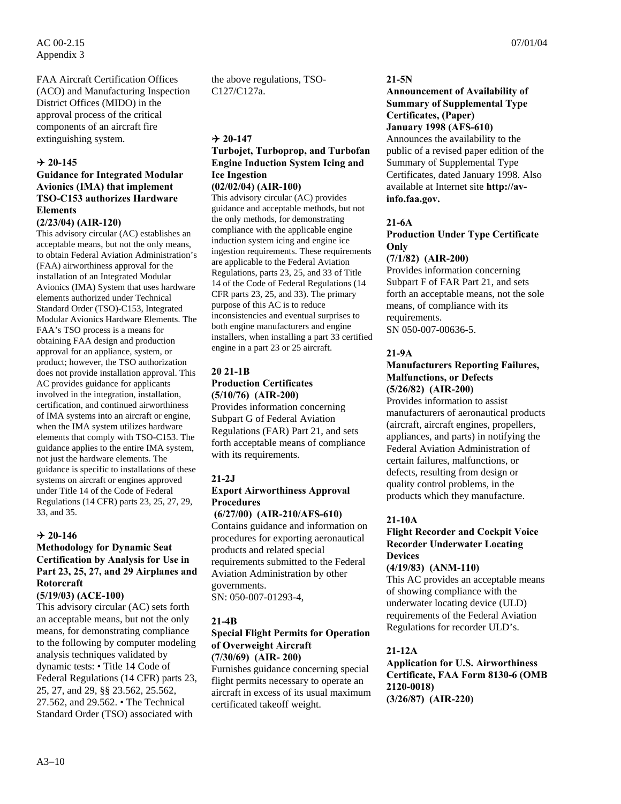FAA Aircraft Certification Offices (ACO) and Manufacturing Inspection District Offices (MIDO) in the approval process of the critical components of an aircraft fire extinguishing system.

#### $+ 20 - 145$

## **Guidance for Integrated Modular Avionics (IMA) that implement TSO-C153 authorizes Hardware Elements**

## **(2/23/04) (AIR-120)**

This advisory circular (AC) establishes an acceptable means, but not the only means, to obtain Federal Aviation Administration's (FAA) airworthiness approval for the installation of an Integrated Modular Avionics (IMA) System that uses hardware elements authorized under Technical Standard Order (TSO)-C153, Integrated Modular Avionics Hardware Elements. The FAA's TSO process is a means for obtaining FAA design and production approval for an appliance, system, or product; however, the TSO authorization does not provide installation approval. This AC provides guidance for applicants involved in the integration, installation, certification, and continued airworthiness of IMA systems into an aircraft or engine, when the IMA system utilizes hardware elements that comply with TSO-C153. The guidance applies to the entire IMA system, not just the hardware elements. The guidance is specific to installations of these systems on aircraft or engines approved under Title 14 of the Code of Federal Regulations (14 CFR) parts 23, 25, 27, 29, 33, and 35.

## $+20-146$

## **Methodology for Dynamic Seat Certification by Analysis for Use in Part 23, 25, 27, and 29 Airplanes and Rotorcraft**

**(5/19/03) (ACE-100)** 

This advisory circular (AC) sets forth an acceptable means, but not the only means, for demonstrating compliance to the following by computer modeling analysis techniques validated by dynamic tests: • Title 14 Code of Federal Regulations (14 CFR) parts 23, 25, 27, and 29, §§ 23.562, 25.562, 27.562, and 29.562. • The Technical Standard Order (TSO) associated with

the above regulations, TSO-C127/C127a.

## $+ 20 - 147$

#### **Turbojet, Turboprop, and Turbofan Engine Induction System Icing and Ice Ingestion (02/02/04) (AIR-100)**

This advisory circular (AC) provides guidance and acceptable methods, but not the only methods, for demonstrating compliance with the applicable engine induction system icing and engine ice ingestion requirements. These requirements are applicable to the Federal Aviation Regulations, parts 23, 25, and 33 of Title 14 of the Code of Federal Regulations (14 CFR parts 23, 25, and 33). The primary purpose of this AC is to reduce inconsistencies and eventual surprises to both engine manufacturers and engine installers, when installing a part 33 certified engine in a part 23 or 25 aircraft.

# **20 21-1B**

#### **Production Certificates (5/10/76) (AIR-200)**  Provides information concerning

Subpart G of Federal Aviation Regulations (FAR) Part 21, and sets forth acceptable means of compliance with its requirements.

## **21-2J**

#### **Export Airworthiness Approval Procedures**

 **(6/27/00) (AIR-210/AFS-610)**  Contains guidance and information on procedures for exporting aeronautical products and related special requirements submitted to the Federal Aviation Administration by other governments. SN: 050-007-01293-4,

#### **21-4B**

## **Special Flight Permits for Operation of Overweight Aircraft (7/30/69) (AIR- 200)**

Furnishes guidance concerning special flight permits necessary to operate an aircraft in excess of its usual maximum certificated takeoff weight.

#### **21-5N**

#### **Announcement of Availability of Summary of Supplemental Type Certificates, (Paper) January 1998 (AFS-610)**  Announces the availability to the

public of a revised paper edition of the Summary of Supplemental Type Certificates, dated January 1998. Also available at Internet site **http://avinfo.faa.gov.** 

#### **21-6A**

## **Production Under Type Certificate Only**

## **(7/1/82) (AIR-200)**

Provides information concerning Subpart F of FAR Part 21, and sets forth an acceptable means, not the sole means, of compliance with its requirements. SN 050-007-00636-5.

#### **21-9A**

#### **Manufacturers Reporting Failures, Malfunctions, or Defects (5/26/82) (AIR-200)**

Provides information to assist manufacturers of aeronautical products (aircraft, aircraft engines, propellers, appliances, and parts) in notifying the Federal Aviation Administration of certain failures, malfunctions, or defects, resulting from design or quality control problems, in the products which they manufacture.

#### **21-10A**

#### **Flight Recorder and Cockpit Voice Recorder Underwater Locating Devices**

#### **(4/19/83) (ANM-110)**

This AC provides an acceptable means of showing compliance with the underwater locating device (ULD) requirements of the Federal Aviation Regulations for recorder ULD's.

## **21-12A**

**Application for U.S. Airworthiness Certificate, FAA Form 8130-6 (OMB 2120-0018) (3/26/87) (AIR-220)**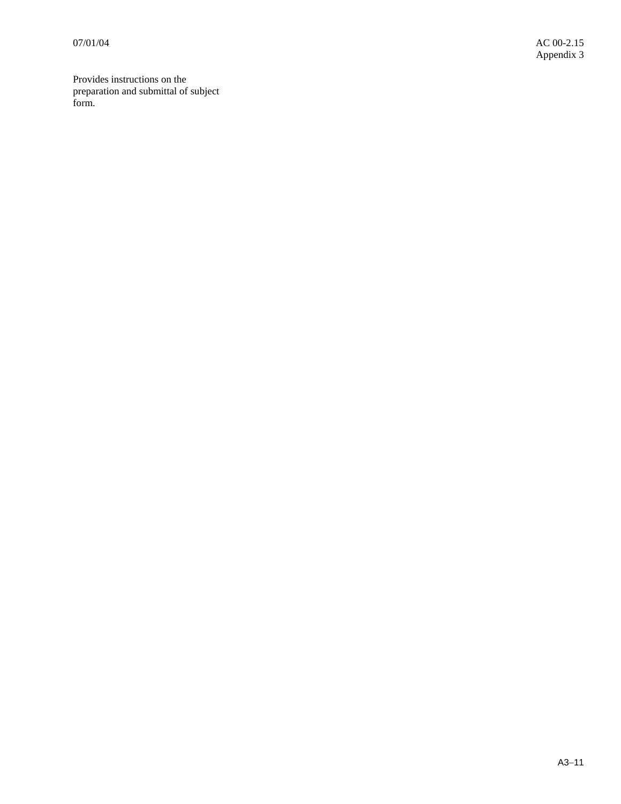Provides instructions on the preparation and submittal of subject form.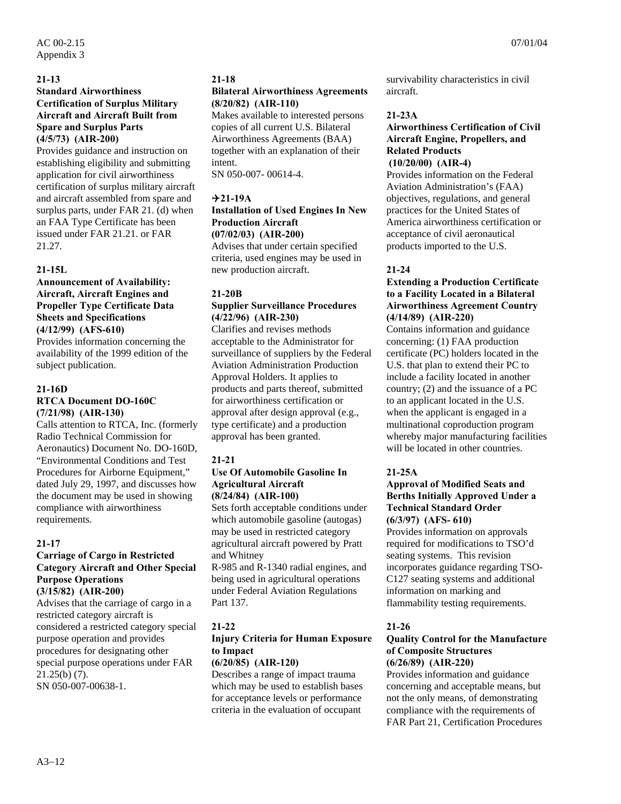#### **21-13**

## **Standard Airworthiness Certification of Surplus Military Aircraft and Aircraft Built from Spare and Surplus Parts (4/5/73) (AIR-200)**

Provides guidance and instruction on establishing eligibility and submitting application for civil airworthiness certification of surplus military aircraft and aircraft assembled from spare and surplus parts, under FAR 21. (d) when an FAA Type Certificate has been issued under FAR 21.21. or FAR 21.27.

#### **21-15L**

#### **Announcement of Availability: Aircraft, Aircraft Engines and Propeller Type Certificate Data Sheets and Specifications (4/12/99) (AFS-610)**

Provides information concerning the availability of the 1999 edition of the subject publication.

#### **21-16D**

## **RTCA Document DO-160C (7/21/98) (AIR-130)**

Calls attention to RTCA, Inc. (formerly Radio Technical Commission for Aeronautics) Document No. DO-160D, "Environmental Conditions and Test Procedures for Airborne Equipment," dated July 29, 1997, and discusses how the document may be used in showing compliance with airworthiness requirements.

#### **21-17**

## **Carriage of Cargo in Restricted Category Aircraft and Other Special Purpose Operations (3/15/82) (AIR-200)**

Advises that the carriage of cargo in a restricted category aircraft is considered a restricted category special purpose operation and provides procedures for designating other special purpose operations under FAR 21.25(b) (7).

SN 050-007-00638-1.

## **21-18**

## **Bilateral Airworthiness Agreements (8/20/82) (AIR-110)**

Makes available to interested persons copies of all current U.S. Bilateral Airworthiness Agreements (BAA) together with an explanation of their intent.

SN 050-007- 00614-4.

#### 4**21-19A**

#### **Installation of Used Engines In New Production Aircraft (07/02/03) (AIR-200)**

Advises that under certain specified criteria, used engines may be used in new production aircraft.

## **21-20B**

#### **Supplier Surveillance Procedures (4/22/96) (AIR-230)**

Clarifies and revises methods acceptable to the Administrator for surveillance of suppliers by the Federal Aviation Administration Production Approval Holders. It applies to products and parts thereof, submitted for airworthiness certification or approval after design approval (e.g., type certificate) and a production approval has been granted.

#### **21-21**

#### **Use Of Automobile Gasoline In Agricultural Aircraft (8/24/84) (AIR-100)**

Sets forth acceptable conditions under which automobile gasoline (autogas) may be used in restricted category agricultural aircraft powered by Pratt and Whitney

R-985 and R-1340 radial engines, and being used in agricultural operations under Federal Aviation Regulations Part 137.

#### **21-22**

## **Injury Criteria for Human Exposure to Impact**

## **(6/20/85) (AIR-120)**

Describes a range of impact trauma which may be used to establish bases for acceptance levels or performance criteria in the evaluation of occupant

survivability characteristics in civil aircraft.

#### **21-23A**

#### **Airworthiness Certification of Civil Aircraft Engine, Propellers, and Related Products (10/20/00) (AIR-4)**

Provides information on the Federal Aviation Administration's (FAA) objectives, regulations, and general practices for the United States of America airworthiness certification or acceptance of civil aeronautical products imported to the U.S.

#### **21-24**

#### **Extending a Production Certificate to a Facility Located in a Bilateral Airworthiness Agreement Country (4/14/89) (AIR-220)**

Contains information and guidance concerning: (1) FAA production certificate (PC) holders located in the U.S. that plan to extend their PC to include a facility located in another country; (2) and the issuance of a PC to an applicant located in the U.S. when the applicant is engaged in a multinational coproduction program whereby major manufacturing facilities will be located in other countries.

#### **21-25A**

#### **Approval of Modified Seats and Berths Initially Approved Under a Technical Standard Order (6/3/97) (AFS- 610)**

Provides information on approvals required for modifications to TSO'd seating systems. This revision incorporates guidance regarding TSO-C127 seating systems and additional information on marking and flammability testing requirements.

#### **21-26**

#### **Quality Control for the Manufacture of Composite Structures (6/26/89) (AIR-220)**

Provides information and guidance concerning and acceptable means, but not the only means, of demonstrating compliance with the requirements of FAR Part 21, Certification Procedures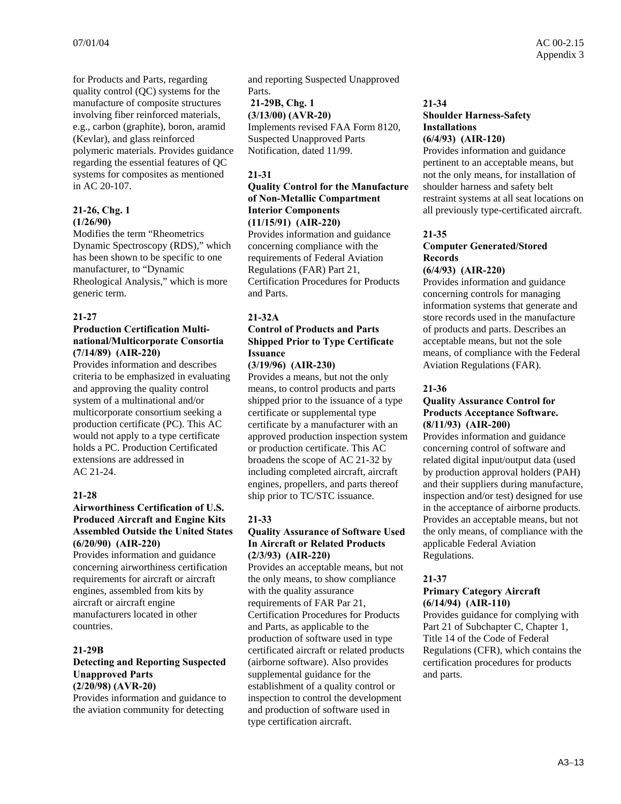for Products and Parts, regarding quality control (QC) systems for the manufacture of composite structures involving fiber reinforced materials, e.g., carbon (graphite), boron, aramid (Kevlar), and glass reinforced polymeric materials. Provides guidance regarding the essential features of QC systems for composites as mentioned in AC 20-107.

#### **21-26, Chg. 1 (1/26/90)**

Modifies the term "Rheometrics Dynamic Spectroscopy (RDS)," which has been shown to be specific to one manufacturer, to "Dynamic Rheological Analysis," which is more generic term.

#### **21-27**

#### **Production Certification Multinational/Multicorporate Consortia (7/14/89) (AIR-220)**

Provides information and describes criteria to be emphasized in evaluating and approving the quality control system of a multinational and/or multicorporate consortium seeking a production certificate (PC). This AC would not apply to a type certificate holds a PC. Production Certificated extensions are addressed in AC 21-24.

#### **21-28**

## **Airworthiness Certification of U.S. Produced Aircraft and Engine Kits Assembled Outside the United States (6/20/90) (AIR-220)**

Provides information and guidance concerning airworthiness certification requirements for aircraft or aircraft engines, assembled from kits by aircraft or aircraft engine manufacturers located in other countries.

#### **21-29B**

## **Detecting and Reporting Suspected Unapproved Parts (2/20/98) (AVR-20)**

Provides information and guidance to the aviation community for detecting

and reporting Suspected Unapproved Parts.  **21-29B, Chg. 1 (3/13/00) (AVR-20)**  Implements revised FAA Form 8120, Suspected Unapproved Parts Notification, dated 11/99.

#### **21-31**

#### **Quality Control for the Manufacture of Non-Metallic Compartment Interior Components (11/15/91) (AIR-220)**

Provides information and guidance concerning compliance with the requirements of Federal Aviation Regulations (FAR) Part 21, Certification Procedures for Products and Parts.

#### **21-32A**

## **Control of Products and Parts Shipped Prior to Type Certificate Issuance**

#### **(3/19/96) (AIR-230)**

Provides a means, but not the only means, to control products and parts shipped prior to the issuance of a type certificate or supplemental type certificate by a manufacturer with an approved production inspection system or production certificate. This AC broadens the scope of AC 21-32 by including completed aircraft, aircraft engines, propellers, and parts thereof ship prior to TC/STC issuance.

#### **21-33**

#### **Quality Assurance of Software Used In Aircraft or Related Products (2/3/93) (AIR-220)**

Provides an acceptable means, but not the only means, to show compliance with the quality assurance requirements of FAR Par 21, Certification Procedures for Products and Parts, as applicable to the production of software used in type certificated aircraft or related products (airborne software). Also provides supplemental guidance for the establishment of a quality control or inspection to control the development and production of software used in type certification aircraft.

 $A3-13$ 

#### **21-34 Shoulder Harness-Safety Installations (6/4/93) (AIR-120)**

Provides information and guidance pertinent to an acceptable means, but not the only means, for installation of shoulder harness and safety belt restraint systems at all seat locations on all previously type-certificated aircraft.

#### **21-35**

## **Computer Generated/Stored Records**

#### **(6/4/93) (AIR-220)**

Provides information and guidance concerning controls for managing information systems that generate and store records used in the manufacture of products and parts. Describes an acceptable means, but not the sole means, of compliance with the Federal Aviation Regulations (FAR).

#### **21-36**

#### **Quality Assurance Control for Products Acceptance Software. (8/11/93) (AIR-200)**

Provides information and guidance concerning control of software and related digital input/output data (used by production approval holders (PAH) and their suppliers during manufacture, inspection and/or test) designed for use in the acceptance of airborne products. Provides an acceptable means, but not the only means, of compliance with the applicable Federal Aviation Regulations.

#### **21-37**

#### **Primary Category Aircraft (6/14/94) (AIR-110)**

Provides guidance for complying with Part 21 of Subchapter C, Chapter 1, Title 14 of the Code of Federal Regulations (CFR), which contains the certification procedures for products and parts.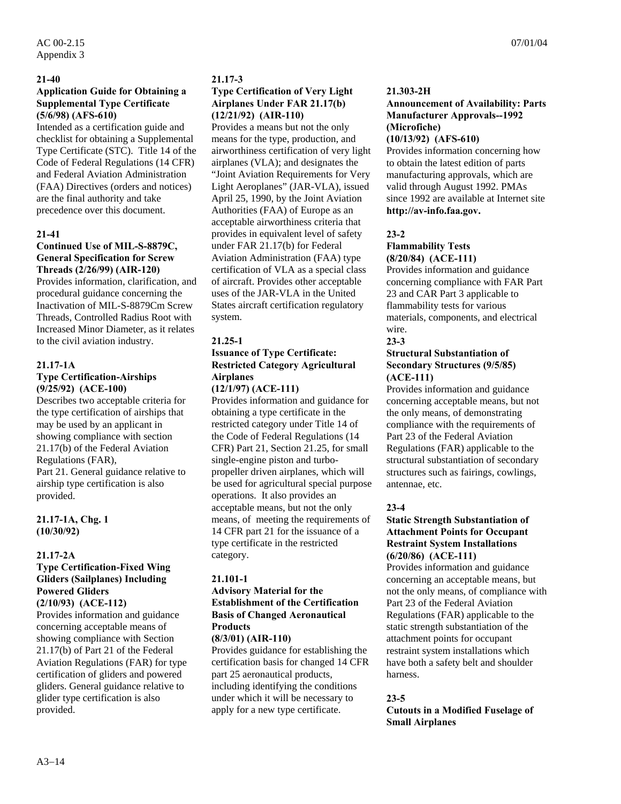#### **21-40**

## **Application Guide for Obtaining a Supplemental Type Certificate (5/6/98) (AFS-610)**

Intended as a certification guide and checklist for obtaining a Supplemental Type Certificate (STC). Title 14 of the Code of Federal Regulations (14 CFR) and Federal Aviation Administration (FAA) Directives (orders and notices) are the final authority and take precedence over this document.

## **21-41**

#### **Continued Use of MIL-S-8879C, General Specification for Screw Threads (2/26/99) (AIR-120)**

Provides information, clarification, and procedural guidance concerning the Inactivation of MIL-S-8879Cm Screw Threads, Controlled Radius Root with Increased Minor Diameter, as it relates to the civil aviation industry.

## **21.17-1A**

## **Type Certification-Airships (9/25/92) (ACE-100)**

Describes two acceptable criteria for the type certification of airships that may be used by an applicant in showing compliance with section 21.17(b) of the Federal Aviation Regulations (FAR), Part 21. General guidance relative to airship type certification is also provided.

**21.17-1A, Chg. 1 (10/30/92)** 

#### **21.17-2A**

#### **Type Certification-Fixed Wing Gliders (Sailplanes) Including Powered Gliders (2/10/93) (ACE-112)**

Provides information and guidance concerning acceptable means of showing compliance with Section 21.17(b) of Part 21 of the Federal Aviation Regulations (FAR) for type certification of gliders and powered gliders. General guidance relative to glider type certification is also provided.

#### **21.17-3**

#### **Type Certification of Very Light Airplanes Under FAR 21.17(b) (12/21/92) (AIR-110)**

Provides a means but not the only means for the type, production, and airworthiness certification of very light airplanes (VLA); and designates the "Joint Aviation Requirements for Very Light Aeroplanes" (JAR-VLA), issued April 25, 1990, by the Joint Aviation Authorities (FAA) of Europe as an acceptable airworthiness criteria that provides in equivalent level of safety under FAR 21.17(b) for Federal Aviation Administration (FAA) type certification of VLA as a special class of aircraft. Provides other acceptable uses of the JAR-VLA in the United States aircraft certification regulatory system.

#### **21.25-1**

## **Issuance of Type Certificate: Restricted Category Agricultural Airplanes**

**(12/1/97) (ACE-111)**  Provides information and guidance for obtaining a type certificate in the restricted category under Title 14 of the Code of Federal Regulations (14 CFR) Part 21, Section 21.25, for small single-engine piston and turbopropeller driven airplanes, which will be used for agricultural special purpose operations. It also provides an acceptable means, but not the only means, of meeting the requirements of 14 CFR part 21 for the issuance of a type certificate in the restricted category.

#### **21.101-1**

## **Advisory Material for the Establishment of the Certification Basis of Changed Aeronautical Products**

#### **(8/3/01) (AIR-110)**

Provides guidance for establishing the certification basis for changed 14 CFR part 25 aeronautical products, including identifying the conditions under which it will be necessary to apply for a new type certificate.

#### **21.303-2H**

#### **Announcement of Availability: Parts Manufacturer Approvals--1992 (Microfiche) (10/13/92) (AFS-610)**

Provides information concerning how to obtain the latest edition of parts manufacturing approvals, which are valid through August 1992. PMAs since 1992 are available at Internet site **http://av-info.faa.gov.** 

#### **23-2**

#### **Flammability Tests (8/20/84) (ACE-111)**

Provides information and guidance concerning compliance with FAR Part 23 and CAR Part 3 applicable to flammability tests for various materials, components, and electrical wire.

#### **23-3**

#### **Structural Substantiation of Secondary Structures (9/5/85) (ACE-111)**

Provides information and guidance concerning acceptable means, but not the only means, of demonstrating compliance with the requirements of Part 23 of the Federal Aviation Regulations (FAR) applicable to the structural substantiation of secondary structures such as fairings, cowlings, antennae, etc.

#### **23-4**

#### **Static Strength Substantiation of Attachment Points for Occupant Restraint System Installations (6/20/86) (ACE-111)**

Provides information and guidance concerning an acceptable means, but not the only means, of compliance with Part 23 of the Federal Aviation Regulations (FAR) applicable to the static strength substantiation of the attachment points for occupant restraint system installations which have both a safety belt and shoulder harness.

#### **23-5**

**Cutouts in a Modified Fuselage of Small Airplanes**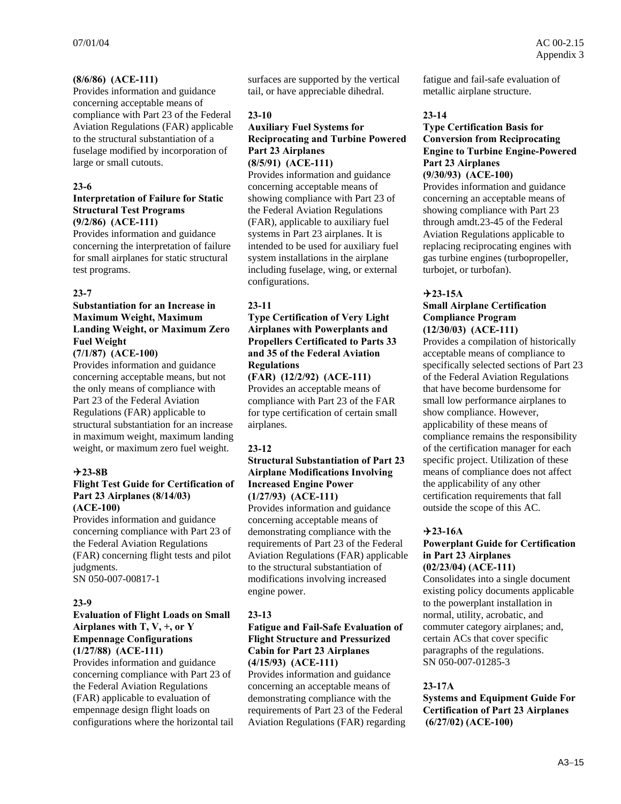#### **(8/6/86) (ACE-111)**

Provides information and guidance concerning acceptable means of compliance with Part 23 of the Federal Aviation Regulations (FAR) applicable to the structural substantiation of a fuselage modified by incorporation of large or small cutouts.

#### **23-6**

#### **Interpretation of Failure for Static Structural Test Programs (9/2/86) (ACE-111)**

Provides information and guidance concerning the interpretation of failure for small airplanes for static structural test programs.

#### **23-7**

## **Substantiation for an Increase in Maximum Weight, Maximum Landing Weight, or Maximum Zero Fuel Weight**

**(7/1/87) (ACE-100)** 

Provides information and guidance concerning acceptable means, but not the only means of compliance with Part 23 of the Federal Aviation Regulations (FAR) applicable to structural substantiation for an increase in maximum weight, maximum landing weight, or maximum zero fuel weight.

#### 4**23-8B**

## **Flight Test Guide for Certification of Part 23 Airplanes (8/14/03) (ACE-100)**

Provides information and guidance concerning compliance with Part 23 of the Federal Aviation Regulations (FAR) concerning flight tests and pilot judgments. SN 050-007-00817-1

#### **23-9**

#### **Evaluation of Flight Loads on Small Airplanes with T, V, +, or Y Empennage Configurations (1/27/88) (ACE-111)**

Provides information and guidance concerning compliance with Part 23 of the Federal Aviation Regulations (FAR) applicable to evaluation of empennage design flight loads on configurations where the horizontal tail surfaces are supported by the vertical tail, or have appreciable dihedral.

#### **23-10**

#### **Auxiliary Fuel Systems for Reciprocating and Turbine Powered Part 23 Airplanes (8/5/91) (ACE-111)**

Provides information and guidance concerning acceptable means of showing compliance with Part 23 of the Federal Aviation Regulations (FAR), applicable to auxiliary fuel systems in Part 23 airplanes. It is intended to be used for auxiliary fuel system installations in the airplane including fuselage, wing, or external configurations.

#### **23-11**

#### **Type Certification of Very Light Airplanes with Powerplants and Propellers Certificated to Parts 33 and 35 of the Federal Aviation Regulations**

**(FAR) (12/2/92) (ACE-111)**  Provides an acceptable means of compliance with Part 23 of the FAR for type certification of certain small airplanes.

#### **23-12**

#### **Structural Substantiation of Part 23 Airplane Modifications Involving Increased Engine Power (1/27/93) (ACE-111)**

Provides information and guidance concerning acceptable means of demonstrating compliance with the requirements of Part 23 of the Federal Aviation Regulations (FAR) applicable to the structural substantiation of modifications involving increased engine power.

#### **23-13**

#### **Fatigue and Fail-Safe Evaluation of Flight Structure and Pressurized Cabin for Part 23 Airplanes (4/15/93) (ACE-111)**

Provides information and guidance concerning an acceptable means of demonstrating compliance with the requirements of Part 23 of the Federal Aviation Regulations (FAR) regarding fatigue and fail-safe evaluation of metallic airplane structure.

#### **23-14**

#### **Type Certification Basis for Conversion from Reciprocating Engine to Turbine Engine-Powered Part 23 Airplanes (9/30/93) (ACE-100)**

Provides information and guidance concerning an acceptable means of showing compliance with Part 23 through amdt.23-45 of the Federal Aviation Regulations applicable to replacing reciprocating engines with gas turbine engines (turbopropeller, turbojet, or turbofan).

#### 4**23-15A**

#### **Small Airplane Certification Compliance Program (12/30/03) (ACE-111)**

Provides a compilation of historically acceptable means of compliance to specifically selected sections of Part 23 of the Federal Aviation Regulations that have become burdensome for small low performance airplanes to show compliance. However, applicability of these means of compliance remains the responsibility of the certification manager for each specific project. Utilization of these means of compliance does not affect the applicability of any other certification requirements that fall outside the scope of this AC.

#### $+23-16A$

#### **Powerplant Guide for Certification in Part 23 Airplanes (02/23/04) (ACE-111)**

Consolidates into a single document existing policy documents applicable to the powerplant installation in normal, utility, acrobatic, and commuter category airplanes; and, certain ACs that cover specific paragraphs of the regulations. SN 050-007-01285-3

#### **23-17A**

## **Systems and Equipment Guide For Certification of Part 23 Airplanes (6/27/02) (ACE-100)**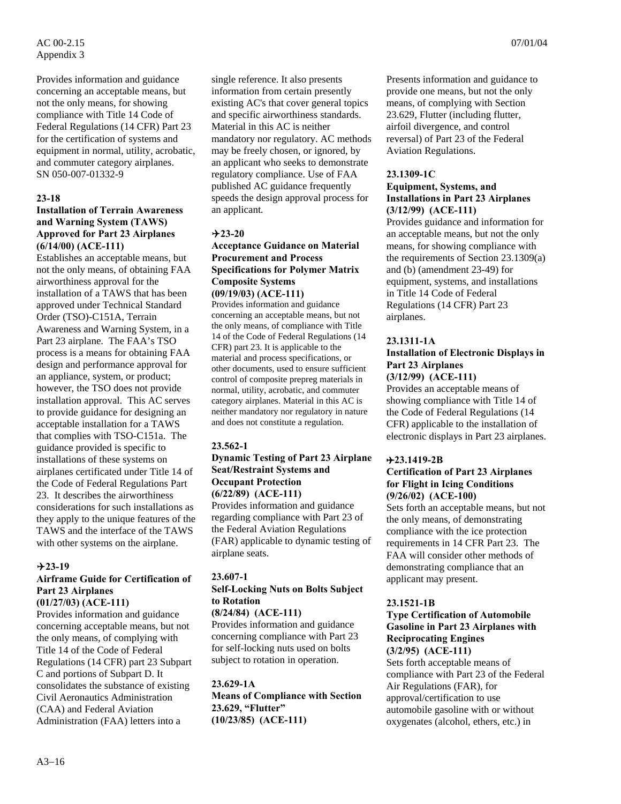Provides information and guidance concerning an acceptable means, but not the only means, for showing compliance with Title 14 Code of Federal Regulations (14 CFR) Part 23 for the certification of systems and equipment in normal, utility, acrobatic, and commuter category airplanes. SN 050-007-01332-9

## **23-18**

## **Installation of Terrain Awareness and Warning System (TAWS) Approved for Part 23 Airplanes (6/14/00) (ACE-111)**

Establishes an acceptable means, but not the only means, of obtaining FAA airworthiness approval for the installation of a TAWS that has been approved under Technical Standard Order (TSO)-C151A, Terrain Awareness and Warning System, in a Part 23 airplane. The FAA's TSO process is a means for obtaining FAA design and performance approval for an appliance, system, or product; however, the TSO does not provide installation approval. This AC serves to provide guidance for designing an acceptable installation for a TAWS that complies with TSO-C151a. The guidance provided is specific to installations of these systems on airplanes certificated under Title 14 of the Code of Federal Regulations Part 23. It describes the airworthiness considerations for such installations as they apply to the unique features of the TAWS and the interface of the TAWS with other systems on the airplane.

#### 4**23-19**

#### **Airframe Guide for Certification of Part 23 Airplanes (01/27/03) (ACE-111)**

Provides information and guidance concerning acceptable means, but not the only means, of complying with Title 14 of the Code of Federal Regulations (14 CFR) part 23 Subpart C and portions of Subpart D. It consolidates the substance of existing Civil Aeronautics Administration (CAA) and Federal Aviation Administration (FAA) letters into a

single reference. It also presents information from certain presently existing AC's that cover general topics and specific airworthiness standards. Material in this AC is neither mandatory nor regulatory. AC methods may be freely chosen, or ignored, by an applicant who seeks to demonstrate regulatory compliance. Use of FAA published AC guidance frequently speeds the design approval process for an applicant*.* 

## $+23-20$

#### **Acceptance Guidance on Material Procurement and Process Specifications for Polymer Matrix Composite Systems (09/19/03) (ACE-111)**

Provides information and guidance concerning an acceptable means, but not the only means, of compliance with Title 14 of the Code of Federal Regulations (14 CFR) part 23. It is applicable to the material and process specifications, or other documents, used to ensure sufficient control of composite prepreg materials in normal, utility, acrobatic, and commuter category airplanes. Material in this AC is neither mandatory nor regulatory in nature and does not constitute a regulation.

#### **23.562-1**

#### **Dynamic Testing of Part 23 Airplane Seat/Restraint Systems and Occupant Protection (6/22/89) (ACE-111)**

Provides information and guidance regarding compliance with Part 23 of the Federal Aviation Regulations (FAR) applicable to dynamic testing of airplane seats.

#### **23.607-1 Self-Locking Nuts on Bolts Subject to Rotation (8/24/84) (ACE-111)**

Provides information and guidance concerning compliance with Part 23 for self-locking nuts used on bolts subject to rotation in operation.

#### **23.629-1A Means of Compliance with Section 23.629, "Flutter" (10/23/85) (ACE-111)**

Presents information and guidance to provide one means, but not the only means, of complying with Section 23.629, Flutter (including flutter, airfoil divergence, and control reversal) of Part 23 of the Federal Aviation Regulations.

#### **23.1309-1C**

## **Equipment, Systems, and Installations in Part 23 Airplanes (3/12/99) (ACE-111)**

Provides guidance and information for an acceptable means, but not the only means, for showing compliance with the requirements of Section 23.1309(a) and (b) (amendment 23-49) for equipment, systems, and installations in Title 14 Code of Federal Regulations (14 CFR) Part 23 airplanes.

## **23.1311-1A**

## **Installation of Electronic Displays in Part 23 Airplanes (3/12/99) (ACE-111)**

Provides an acceptable means of showing compliance with Title 14 of the Code of Federal Regulations (14 CFR) applicable to the installation of electronic displays in Part 23 airplanes.

#### **23.1419-2B**

## **Certification of Part 23 Airplanes for Flight in Icing Conditions (9/26/02) (ACE-100)**

Sets forth an acceptable means, but not the only means, of demonstrating compliance with the ice protection requirements in 14 CFR Part 23. The FAA will consider other methods of demonstrating compliance that an applicant may present.

#### **23.1521-1B**

#### **Type Certification of Automobile Gasoline in Part 23 Airplanes with Reciprocating Engines (3/2/95) (ACE-111)**

Sets forth acceptable means of compliance with Part 23 of the Federal Air Regulations (FAR), for approval/certification to use automobile gasoline with or without oxygenates (alcohol, ethers, etc.) in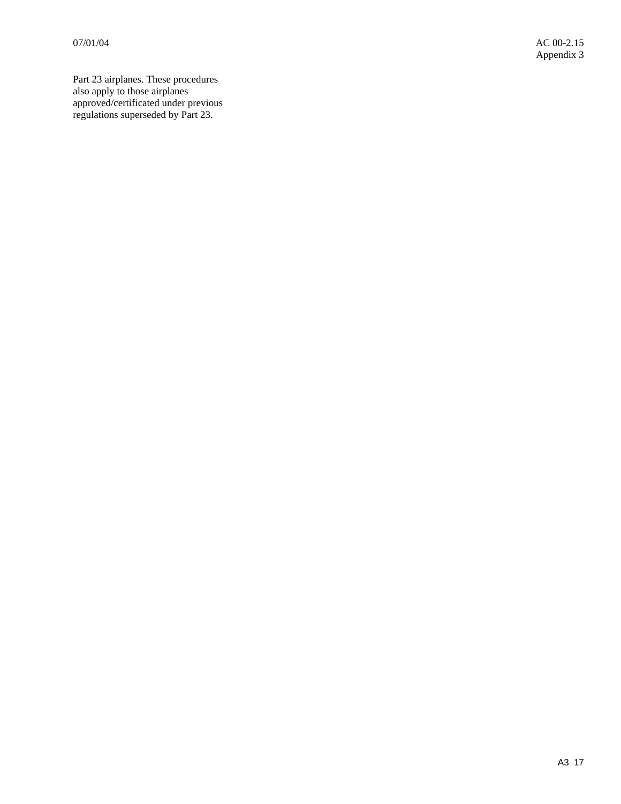Part 23 airplanes. These procedures also apply to those airplanes approved/certificated under previous regulations superseded by Part 23.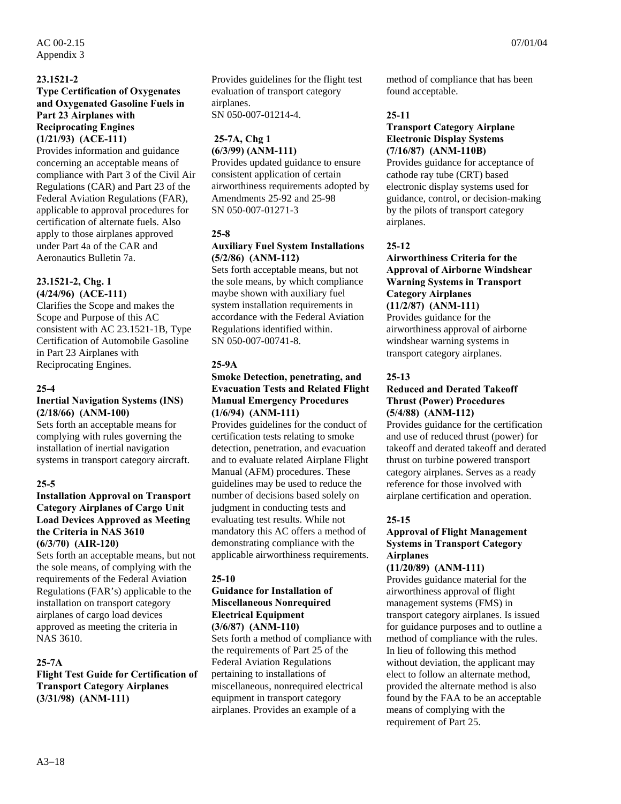#### **23.1521-2**

**Type Certification of Oxygenates and Oxygenated Gasoline Fuels in Part 23 Airplanes with Reciprocating Engines (1/21/93) (ACE-111)** 

Provides information and guidance concerning an acceptable means of compliance with Part 3 of the Civil Air Regulations (CAR) and Part 23 of the Federal Aviation Regulations (FAR), applicable to approval procedures for certification of alternate fuels. Also apply to those airplanes approved under Part 4a of the CAR and Aeronautics Bulletin 7a.

#### **23.1521-2, Chg. 1 (4/24/96) (ACE-111)**

Clarifies the Scope and makes the Scope and Purpose of this AC consistent with AC 23.1521-1B, Type Certification of Automobile Gasoline in Part 23 Airplanes with Reciprocating Engines.

#### **25-4**

#### **Inertial Navigation Systems (INS) (2/18/66) (ANM-100)**

Sets forth an acceptable means for complying with rules governing the installation of inertial navigation systems in transport category aircraft.

#### **25-5**

#### **Installation Approval on Transport Category Airplanes of Cargo Unit Load Devices Approved as Meeting the Criteria in NAS 3610 (6/3/70) (AIR-120)**

Sets forth an acceptable means, but not the sole means, of complying with the requirements of the Federal Aviation Regulations (FAR's) applicable to the installation on transport category airplanes of cargo load devices approved as meeting the criteria in NAS 3610.

#### **25-7A**

**Flight Test Guide for Certification of Transport Category Airplanes (3/31/98) (ANM-111)** 

Provides guidelines for the flight test evaluation of transport category airplanes. SN 050-007-01214-4.

## **25-7A, Chg 1 (6/3/99) (ANM-111)**

Provides updated guidance to ensure consistent application of certain airworthiness requirements adopted by Amendments 25-92 and 25-98 SN 050-007-01271-3

#### **25-8**

#### **Auxiliary Fuel System Installations (5/2/86) (ANM-112)**

Sets forth acceptable means, but not the sole means, by which compliance maybe shown with auxiliary fuel system installation requirements in accordance with the Federal Aviation Regulations identified within. SN 050-007-00741-8.

#### **25-9A**

#### **Smoke Detection, penetrating, and Evacuation Tests and Related Flight Manual Emergency Procedures (1/6/94) (ANM-111)**

Provides guidelines for the conduct of certification tests relating to smoke detection, penetration, and evacuation and to evaluate related Airplane Flight Manual (AFM) procedures. These guidelines may be used to reduce the number of decisions based solely on judgment in conducting tests and evaluating test results. While not mandatory this AC offers a method of demonstrating compliance with the applicable airworthiness requirements.

#### **25-10**

#### **Guidance for Installation of Miscellaneous Nonrequired Electrical Equipment (3/6/87) (ANM-110)**

Sets forth a method of compliance with the requirements of Part 25 of the Federal Aviation Regulations pertaining to installations of miscellaneous, nonrequired electrical equipment in transport category airplanes. Provides an example of a

method of compliance that has been found acceptable.

#### **25-11**

#### **Transport Category Airplane Electronic Display Systems (7/16/87) (ANM-110B)**

Provides guidance for acceptance of cathode ray tube (CRT) based electronic display systems used for guidance, control, or decision-making by the pilots of transport category airplanes.

#### **25-12**

**Airworthiness Criteria for the Approval of Airborne Windshear Warning Systems in Transport Category Airplanes (11/2/87) (ANM-111)**  Provides guidance for the airworthiness approval of airborne windshear warning systems in transport category airplanes.

#### **25-13**

## **Reduced and Derated Takeoff Thrust (Power) Procedures (5/4/88) (ANM-112)**

Provides guidance for the certification and use of reduced thrust (power) for takeoff and derated takeoff and derated thrust on turbine powered transport category airplanes. Serves as a ready reference for those involved with airplane certification and operation.

#### **25-15**

## **Approval of Flight Management Systems in Transport Category Airplanes**

**(11/20/89) (ANM-111)**  Provides guidance material for the airworthiness approval of flight management systems (FMS) in transport category airplanes. Is issued for guidance purposes and to outline a method of compliance with the rules. In lieu of following this method without deviation, the applicant may elect to follow an alternate method, provided the alternate method is also found by the FAA to be an acceptable means of complying with the requirement of Part 25.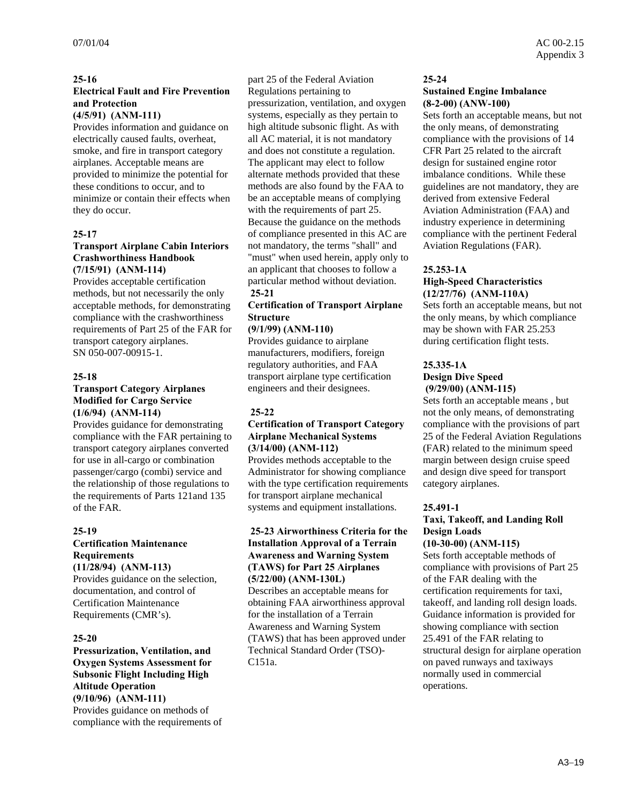#### **25-16**

## **Electrical Fault and Fire Prevention and Protection**

**(4/5/91) (ANM-111)** 

Provides information and guidance on electrically caused faults, overheat, smoke, and fire in transport category airplanes. Acceptable means are provided to minimize the potential for these conditions to occur, and to minimize or contain their effects when they do occur.

#### **25-17**

#### **Transport Airplane Cabin Interiors Crashworthiness Handbook (7/15/91) (ANM-114)**

Provides acceptable certification methods, but not necessarily the only acceptable methods, for demonstrating compliance with the crashworthiness requirements of Part 25 of the FAR for transport category airplanes. SN 050-007-00915-1.

#### **25-18**

#### **Transport Category Airplanes Modified for Cargo Service (1/6/94) (ANM-114)**

Provides guidance for demonstrating compliance with the FAR pertaining to transport category airplanes converted for use in all-cargo or combination passenger/cargo (combi) service and the relationship of those regulations to the requirements of Parts 121and 135 of the FAR.

#### **25-19**

## **Certification Maintenance Requirements**

**(11/28/94) (ANM-113)**  Provides guidance on the selection, documentation, and control of Certification Maintenance Requirements (CMR's).

#### **25-20**

**Pressurization, Ventilation, and Oxygen Systems Assessment for Subsonic Flight Including High Altitude Operation (9/10/96) (ANM-111)**  Provides guidance on methods of compliance with the requirements of part 25 of the Federal Aviation Regulations pertaining to pressurization, ventilation, and oxygen systems, especially as they pertain to high altitude subsonic flight. As with all AC material, it is not mandatory and does not constitute a regulation. The applicant may elect to follow alternate methods provided that these methods are also found by the FAA to be an acceptable means of complying with the requirements of part 25. Because the guidance on the methods of compliance presented in this AC are not mandatory, the terms "shall" and "must" when used herein, apply only to an applicant that chooses to follow a particular method without deviation.  **25-21** 

## **Certification of Transport Airplane Structure**

#### **(9/1/99) (ANM-110)**

Provides guidance to airplane manufacturers, modifiers, foreign regulatory authorities, and FAA transport airplane type certification engineers and their designees.

#### **25-22**

#### **Certification of Transport Category Airplane Mechanical Systems (3/14/00) (ANM-112)**

Provides methods acceptable to the Administrator for showing compliance with the type certification requirements for transport airplane mechanical systems and equipment installations.

#### **25-23 Airworthiness Criteria for the Installation Approval of a Terrain Awareness and Warning System (TAWS) for Part 25 Airplanes (5/22/00) (ANM-130L)**

Describes an acceptable means for obtaining FAA airworthiness approval for the installation of a Terrain Awareness and Warning System (TAWS) that has been approved under Technical Standard Order (TSO)- C151a.

## **25-24**

#### **Sustained Engine Imbalance (8-2-00) (ANW-100)**

Sets forth an acceptable means, but not the only means, of demonstrating compliance with the provisions of 14 CFR Part 25 related to the aircraft design for sustained engine rotor imbalance conditions. While these guidelines are not mandatory, they are derived from extensive Federal Aviation Administration (FAA) and industry experience in determining compliance with the pertinent Federal Aviation Regulations (FAR).

#### **25.253-1A High-Speed Characteristics (12/27/76) (ANM-110A)**

Sets forth an acceptable means, but not the only means, by which compliance may be shown with FAR 25.253 during certification flight tests.

#### **25.335-1A Design Dive Speed (9/29/00) (ANM-115)**

Sets forth an acceptable means , but not the only means, of demonstrating compliance with the provisions of part 25 of the Federal Aviation Regulations (FAR) related to the minimum speed margin between design cruise speed and design dive speed for transport category airplanes.

#### **25.491-1**

#### **Taxi, Takeoff, and Landing Roll Design Loads (10-30-00) (ANM-115)**

Sets forth acceptable methods of compliance with provisions of Part 25 of the FAR dealing with the certification requirements for taxi, takeoff, and landing roll design loads. Guidance information is provided for showing compliance with section 25.491 of the FAR relating to structural design for airplane operation on paved runways and taxiways normally used in commercial operations.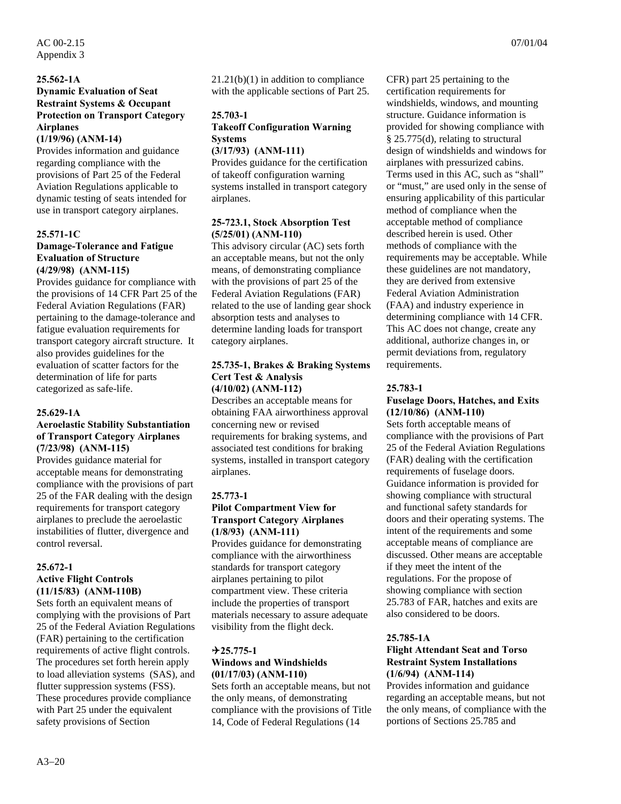#### **25.562-1A**

## **Dynamic Evaluation of Seat Restraint Systems & Occupant Protection on Transport Category Airplanes**

**(1/19/96) (ANM-14)**  Provides information and guidance regarding compliance with the provisions of Part 25 of the Federal Aviation Regulations applicable to dynamic testing of seats intended for

use in transport category airplanes.

#### **25.571-1C**

## **Damage-Tolerance and Fatigue Evaluation of Structure (4/29/98) (ANM-115)**

Provides guidance for compliance with the provisions of 14 CFR Part 25 of the Federal Aviation Regulations (FAR) pertaining to the damage-tolerance and fatigue evaluation requirements for transport category aircraft structure. It also provides guidelines for the evaluation of scatter factors for the determination of life for parts categorized as safe-life.

#### **25.629-1A**

#### **Aeroelastic Stability Substantiation of Transport Category Airplanes (7/23/98) (ANM-115)**

Provides guidance material for acceptable means for demonstrating compliance with the provisions of part 25 of the FAR dealing with the design requirements for transport category airplanes to preclude the aeroelastic instabilities of flutter, divergence and control reversal.

#### **25.672-1 Active Flight Controls (11/15/83) (ANM-110B)**

Sets forth an equivalent means of complying with the provisions of Part 25 of the Federal Aviation Regulations (FAR) pertaining to the certification requirements of active flight controls. The procedures set forth herein apply to load alleviation systems (SAS), and flutter suppression systems (FSS). These procedures provide compliance with Part 25 under the equivalent safety provisions of Section

 $21.21(b)(1)$  in addition to compliance with the applicable sections of Part 25.

## **25.703-1 Takeoff Configuration Warning Systems**

**(3/17/93) (ANM-111)** 

Provides guidance for the certification of takeoff configuration warning systems installed in transport category airplanes.

#### **25-723.1, Stock Absorption Test (5/25/01) (ANM-110)**

This advisory circular (AC) sets forth an acceptable means, but not the only means, of demonstrating compliance with the provisions of part 25 of the Federal Aviation Regulations (FAR) related to the use of landing gear shock absorption tests and analyses to determine landing loads for transport category airplanes.

#### **25.735-1, Brakes & Braking Systems Cert Test & Analysis (4/10/02) (ANM-112)**

Describes an acceptable means for obtaining FAA airworthiness approval concerning new or revised requirements for braking systems, and associated test conditions for braking systems, installed in transport category airplanes.

#### **25.773-1**

## **Pilot Compartment View for Transport Category Airplanes (1/8/93) (ANM-111)**

Provides guidance for demonstrating compliance with the airworthiness standards for transport category airplanes pertaining to pilot compartment view. These criteria include the properties of transport materials necessary to assure adequate visibility from the flight deck.

## 4**25.775-1 Windows and Windshields (01/17/03) (ANM-110)**

Sets forth an acceptable means, but not the only means, of demonstrating compliance with the provisions of Title 14, Code of Federal Regulations (14

CFR) part 25 pertaining to the certification requirements for windshields, windows, and mounting structure. Guidance information is provided for showing compliance with § 25.775(d), relating to structural design of windshields and windows for airplanes with pressurized cabins. Terms used in this AC, such as "shall" or "must," are used only in the sense of ensuring applicability of this particular method of compliance when the acceptable method of compliance described herein is used. Other methods of compliance with the requirements may be acceptable. While these guidelines are not mandatory, they are derived from extensive Federal Aviation Administration (FAA) and industry experience in determining compliance with 14 CFR. This AC does not change, create any additional, authorize changes in, or permit deviations from, regulatory requirements.

#### **25.783-1**

#### **Fuselage Doors, Hatches, and Exits (12/10/86) (ANM-110)**

Sets forth acceptable means of compliance with the provisions of Part 25 of the Federal Aviation Regulations (FAR) dealing with the certification requirements of fuselage doors. Guidance information is provided for showing compliance with structural and functional safety standards for doors and their operating systems. The intent of the requirements and some acceptable means of compliance are discussed. Other means are acceptable if they meet the intent of the regulations. For the propose of showing compliance with section 25.783 of FAR, hatches and exits are also considered to be doors.

#### **25.785-1A**

## **Flight Attendant Seat and Torso Restraint System Installations (1/6/94) (ANM-114)**

Provides information and guidance regarding an acceptable means, but not the only means, of compliance with the portions of Sections 25.785 and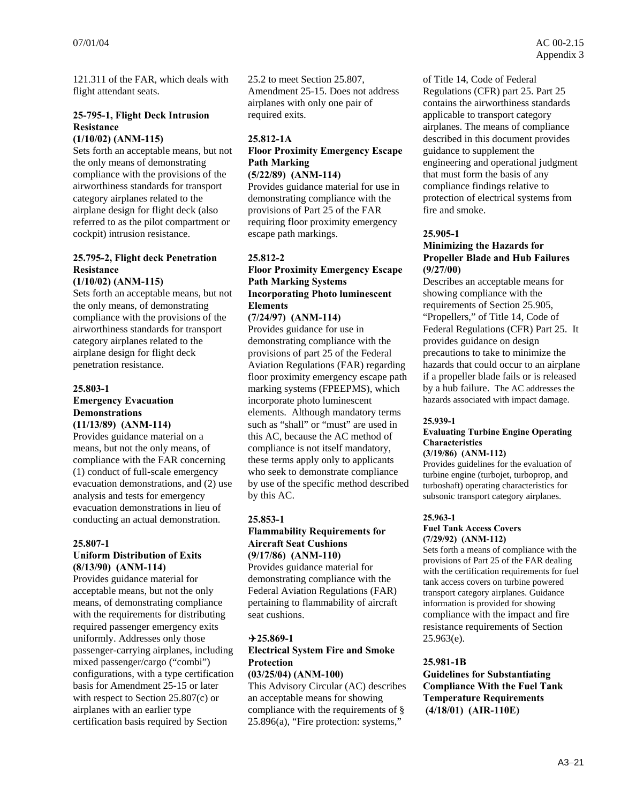121.311 of the FAR, which deals with flight attendant seats.

## **25-795-1, Flight Deck Intrusion Resistance**

**(1/10/02) (ANM-115)**  Sets forth an acceptable means, but not the only means of demonstrating compliance with the provisions of the airworthiness standards for transport category airplanes related to the airplane design for flight deck (also referred to as the pilot compartment or cockpit) intrusion resistance.

## **25.795-2, Flight deck Penetration Resistance**

**(1/10/02) (ANM-115)** 

Sets forth an acceptable means, but not the only means, of demonstrating compliance with the provisions of the airworthiness standards for transport category airplanes related to the airplane design for flight deck penetration resistance.

## **25.803-1**

#### **Emergency Evacuation Demonstrations (11/13/89) (ANM-114)**

Provides guidance material on a means, but not the only means, of compliance with the FAR concerning (1) conduct of full-scale emergency evacuation demonstrations, and (2) use analysis and tests for emergency evacuation demonstrations in lieu of conducting an actual demonstration.

#### **25.807-1**

## **Uniform Distribution of Exits (8/13/90) (ANM-114)**

Provides guidance material for acceptable means, but not the only means, of demonstrating compliance with the requirements for distributing required passenger emergency exits uniformly. Addresses only those passenger-carrying airplanes, including mixed passenger/cargo ("combi") configurations, with a type certification basis for Amendment 25-15 or later with respect to Section 25.807(c) or airplanes with an earlier type certification basis required by Section

25.2 to meet Section 25.807, Amendment 25-15. Does not address airplanes with only one pair of required exits.

#### **25.812-1A**

#### **Floor Proximity Emergency Escape Path Marking (5/22/89) (ANM-114)**

Provides guidance material for use in demonstrating compliance with the provisions of Part 25 of the FAR requiring floor proximity emergency escape path markings.

#### **25.812-2**

## **Floor Proximity Emergency Escape Path Marking Systems Incorporating Photo luminescent Elements**

## **(7/24/97) (ANM-114)**

Provides guidance for use in demonstrating compliance with the provisions of part 25 of the Federal Aviation Regulations (FAR) regarding floor proximity emergency escape path marking systems (FPEEPMS), which incorporate photo luminescent elements. Although mandatory terms such as "shall" or "must" are used in this AC, because the AC method of compliance is not itself mandatory, these terms apply only to applicants who seek to demonstrate compliance by use of the specific method described by this AC.

#### **25.853-1**

#### **Flammability Requirements for Aircraft Seat Cushions (9/17/86) (ANM-110)**

Provides guidance material for demonstrating compliance with the Federal Aviation Regulations (FAR) pertaining to flammability of aircraft seat cushions.

#### 4**25.869-1**

## **Electrical System Fire and Smoke Protection (03/25/04) (ANM-100)**

This Advisory Circular (AC) describes an acceptable means for showing compliance with the requirements of § 25.896(a), "Fire protection: systems,"

of Title 14, Code of Federal Regulations (CFR) part 25. Part 25 contains the airworthiness standards applicable to transport category airplanes. The means of compliance described in this document provides guidance to supplement the engineering and operational judgment that must form the basis of any compliance findings relative to protection of electrical systems from fire and smoke.

#### **25.905-1**

#### **Minimizing the Hazards for Propeller Blade and Hub Failures (9/27/00)**

Describes an acceptable means for showing compliance with the requirements of Section 25.905, "Propellers," of Title 14, Code of Federal Regulations (CFR) Part 25. It provides guidance on design precautions to take to minimize the hazards that could occur to an airplane if a propeller blade fails or is released by a hub failure. The AC addresses the hazards associated with impact damage.

#### **25.939-1**

## **Evaluating Turbine Engine Operating Characteristics**

**(3/19/86) (ANM-112)** 

Provides guidelines for the evaluation of turbine engine (turbojet, turboprop, and turboshaft) operating characteristics for subsonic transport category airplanes.

#### **25.963-1**

#### **Fuel Tank Access Covers (7/29/92) (ANM-112)**

Sets forth a means of compliance with the provisions of Part 25 of the FAR dealing with the certification requirements for fuel tank access covers on turbine powered transport category airplanes. Guidance information is provided for showing compliance with the impact and fire resistance requirements of Section 25.963(e).

#### **25.981-1B**

**Guidelines for Substantiating Compliance With the Fuel Tank Temperature Requirements (4/18/01) (AIR-110E)**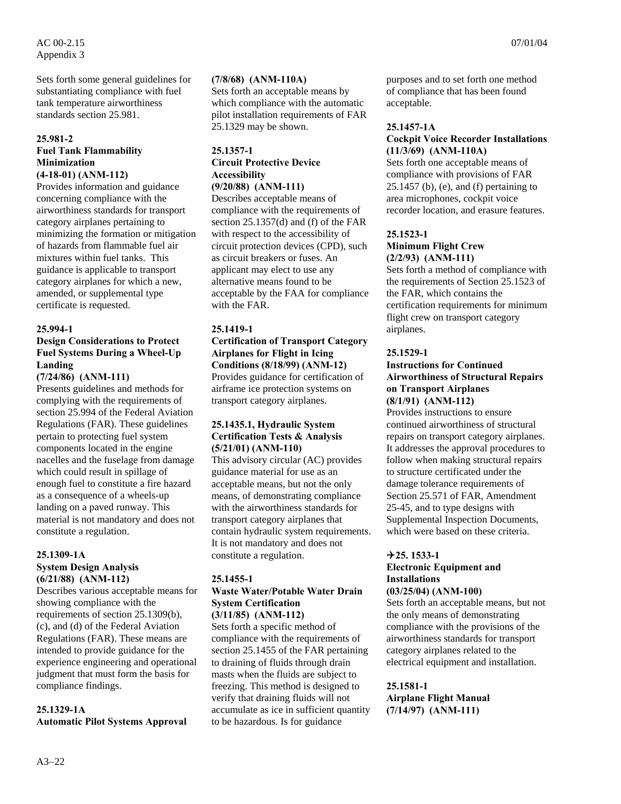Sets forth some general guidelines for substantiating compliance with fuel tank temperature airworthiness standards section 25.981.

#### **25.981-2**

## **Fuel Tank Flammability Minimization (4-18-01) (ANM-112)**

Provides information and guidance concerning compliance with the airworthiness standards for transport category airplanes pertaining to minimizing the formation or mitigation of hazards from flammable fuel air mixtures within fuel tanks. This guidance is applicable to transport category airplanes for which a new, amended, or supplemental type certificate is requested.

#### **25.994-1**

## **Design Considerations to Protect Fuel Systems During a Wheel-Up Landing**

## **(7/24/86) (ANM-111)**

Presents guidelines and methods for complying with the requirements of section 25.994 of the Federal Aviation Regulations (FAR). These guidelines pertain to protecting fuel system components located in the engine nacelles and the fuselage from damage which could result in spillage of enough fuel to constitute a fire hazard as a consequence of a wheels-up landing on a paved runway. This material is not mandatory and does not constitute a regulation.

#### **25.1309-1A System Design Analysis (6/21/88) (ANM-112)**

Describes various acceptable means for showing compliance with the requirements of section 25.1309(b), (c), and (d) of the Federal Aviation Regulations (FAR). These means are intended to provide guidance for the experience engineering and operational judgment that must form the basis for compliance findings.

## **25.1329-1A Automatic Pilot Systems Approval**

## **(7/8/68) (ANM-110A)**

Sets forth an acceptable means by which compliance with the automatic pilot installation requirements of FAR 25.1329 may be shown.

#### **25.1357-1 Circuit Protective Device Accessibility (9/20/88) (ANM-111)**

Describes acceptable means of compliance with the requirements of section 25.1357(d) and (f) of the FAR with respect to the accessibility of circuit protection devices (CPD), such as circuit breakers or fuses. An applicant may elect to use any alternative means found to be acceptable by the FAA for compliance with the FAR.

#### **25.1419-1**

**Certification of Transport Category Airplanes for Flight in Icing Conditions (8/18/99) (ANM-12)**  Provides guidance for certification of airframe ice protection systems on transport category airplanes.

## **25.1435.1, Hydraulic System Certification Tests & Analysis (5/21/01) (ANM-110)**

This advisory circular (AC) provides guidance material for use as an acceptable means, but not the only means, of demonstrating compliance with the airworthiness standards for transport category airplanes that contain hydraulic system requirements. It is not mandatory and does not constitute a regulation.

#### **25.1455-1 Waste Water/Potable Water Drain System Certification (3/11/85) (ANM-112)**

Sets forth a specific method of compliance with the requirements of section 25.1455 of the FAR pertaining to draining of fluids through drain masts when the fluids are subject to freezing. This method is designed to verify that draining fluids will not accumulate as ice in sufficient quantity to be hazardous. Is for guidance

purposes and to set forth one method of compliance that has been found acceptable.

## **25.1457-1A**

## **Cockpit Voice Recorder Installations (11/3/69) (ANM-110A)**

Sets forth one acceptable means of compliance with provisions of FAR  $25.1457$  (b), (e), and (f) pertaining to area microphones, cockpit voice recorder location, and erasure features.

#### **25.1523-1**

#### **Minimum Flight Crew (2/2/93) (ANM-111)**

Sets forth a method of compliance with the requirements of Section 25.1523 of the FAR, which contains the certification requirements for minimum flight crew on transport category airplanes.

#### **25.1529-1**

#### **Instructions for Continued Airworthiness of Structural Repairs on Transport Airplanes (8/1/91) (ANM-112)**

Provides instructions to ensure continued airworthiness of structural repairs on transport category airplanes. It addresses the approval procedures to follow when making structural repairs to structure certificated under the damage tolerance requirements of Section 25.571 of FAR, Amendment 25-45, and to type designs with Supplemental Inspection Documents, which were based on these criteria.

## 4**25. 1533-1**

## **Electronic Equipment and Installations (03/25/04) (ANM-100)**

Sets forth an acceptable means, but not the only means of demonstrating compliance with the provisions of the airworthiness standards for transport category airplanes related to the electrical equipment and installation.

## **25.1581-1 Airplane Flight Manual (7/14/97) (ANM-111)**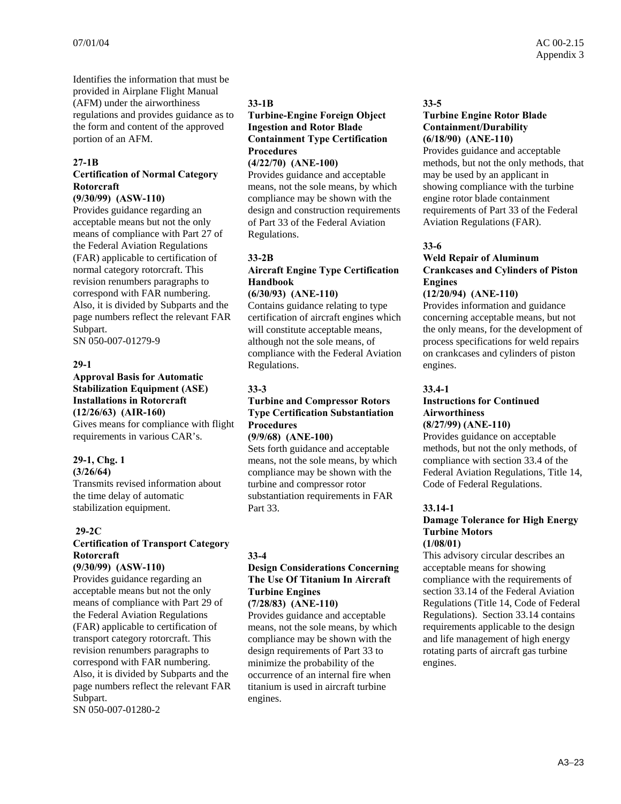Identifies the information that must be provided in Airplane Flight Manual (AFM) under the airworthiness regulations and provides guidance as to the form and content of the approved portion of an AFM.

#### **27-1B**

#### **Certification of Normal Category Rotorcraft**

#### **(9/30/99) (ASW-110)**

Provides guidance regarding an acceptable means but not the only means of compliance with Part 27 of the Federal Aviation Regulations (FAR) applicable to certification of normal category rotorcraft. This revision renumbers paragraphs to correspond with FAR numbering. Also, it is divided by Subparts and the page numbers reflect the relevant FAR Subpart.

SN 050-007-01279-9

#### **29-1**

## **Approval Basis for Automatic Stabilization Equipment (ASE) Installations in Rotorcraft (12/26/63) (AIR-160)**

Gives means for compliance with flight requirements in various CAR's.

## **29-1, Chg. 1**

**(3/26/64)** 

Transmits revised information about the time delay of automatic stabilization equipment.

#### **29-2C**

## **Certification of Transport Category Rotorcraft**

#### **(9/30/99) (ASW-110)**

Provides guidance regarding an acceptable means but not the only means of compliance with Part 29 of the Federal Aviation Regulations (FAR) applicable to certification of transport category rotorcraft. This revision renumbers paragraphs to correspond with FAR numbering. Also, it is divided by Subparts and the page numbers reflect the relevant FAR Subpart.

SN 050-007-01280-2

## **33-1B**

## **Turbine-Engine Foreign Object Ingestion and Rotor Blade Containment Type Certification Procedures**

## **(4/22/70) (ANE-100)**

Provides guidance and acceptable means, not the sole means, by which compliance may be shown with the design and construction requirements of Part 33 of the Federal Aviation Regulations.

#### **33-2B**

## **Aircraft Engine Type Certification Handbook**

#### **(6/30/93) (ANE-110)**

Contains guidance relating to type certification of aircraft engines which will constitute acceptable means, although not the sole means, of compliance with the Federal Aviation Regulations.

#### **33-3**

## **Turbine and Compressor Rotors Type Certification Substantiation Procedures**

**(9/9/68) (ANE-100)** 

Sets forth guidance and acceptable means, not the sole means, by which compliance may be shown with the turbine and compressor rotor substantiation requirements in FAR Part 33.

**33-4** 

#### **Design Considerations Concerning The Use Of Titanium In Aircraft Turbine Engines (7/28/83) (ANE-110)**

Provides guidance and acceptable means, not the sole means, by which compliance may be shown with the design requirements of Part 33 to minimize the probability of the occurrence of an internal fire when titanium is used in aircraft turbine engines.

#### **33-5**

#### **Turbine Engine Rotor Blade Containment/Durability (6/18/90) (ANE-110)**

Provides guidance and acceptable methods, but not the only methods, that may be used by an applicant in showing compliance with the turbine engine rotor blade containment requirements of Part 33 of the Federal Aviation Regulations (FAR).

#### **33-6**

## **Weld Repair of Aluminum Crankcases and Cylinders of Piston Engines**

## **(12/20/94) (ANE-110)**

Provides information and guidance concerning acceptable means, but not the only means, for the development of process specifications for weld repairs on crankcases and cylinders of piston engines.

#### **33.4-1**

#### **Instructions for Continued Airworthiness (8/27/99) (ANE-110)**

Provides guidance on acceptable methods, but not the only methods, of compliance with section 33.4 of the Federal Aviation Regulations, Title 14, Code of Federal Regulations.

#### **33.14-1**

#### **Damage Tolerance for High Energy Turbine Motors (1/08/01)**

This advisory circular describes an acceptable means for showing compliance with the requirements of section 33.14 of the Federal Aviation Regulations (Title 14, Code of Federal Regulations). Section 33.14 contains requirements applicable to the design and life management of high energy rotating parts of aircraft gas turbine engines.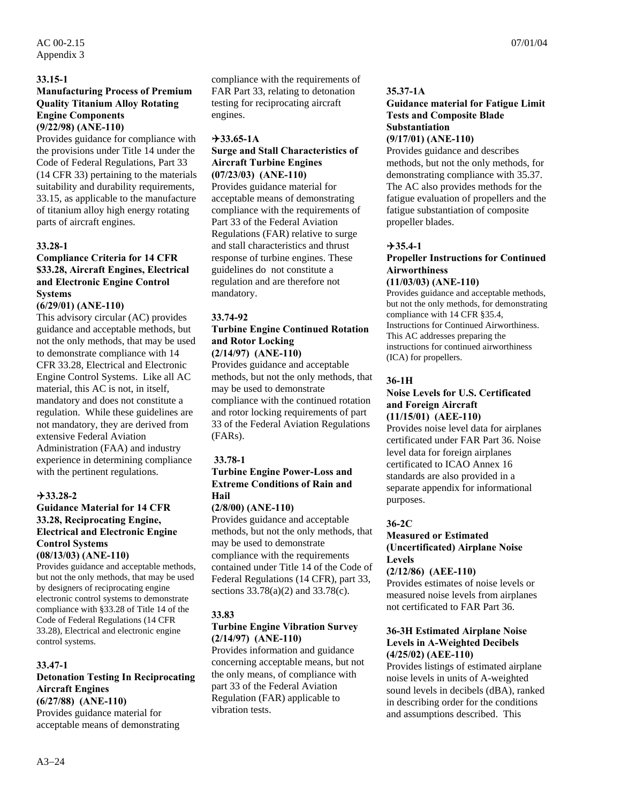#### **33.15-1**

#### **Manufacturing Process of Premium Quality Titanium Alloy Rotating Engine Components (9/22/98) (ANE-110)**

Provides guidance for compliance with the provisions under Title 14 under the Code of Federal Regulations, Part 33 (14 CFR 33) pertaining to the materials suitability and durability requirements, 33.15, as applicable to the manufacture of titanium alloy high energy rotating parts of aircraft engines.

#### **33.28-1**

## **Compliance Criteria for 14 CFR \$33.28, Aircraft Engines, Electrical and Electronic Engine Control Systems**

**(6/29/01) (ANE-110)** 

This advisory circular (AC) provides guidance and acceptable methods, but not the only methods, that may be used to demonstrate compliance with 14 CFR 33.28, Electrical and Electronic Engine Control Systems. Like all AC material, this AC is not, in itself, mandatory and does not constitute a regulation. While these guidelines are not mandatory, they are derived from extensive Federal Aviation Administration (FAA) and industry experience in determining compliance with the pertinent regulations.

#### 4**33.28-2**

## **Guidance Material for 14 CFR 33.28, Reciprocating Engine, Electrical and Electronic Engine Control Systems**

**(08/13/03) (ANE-110)** 

Provides guidance and acceptable methods, but not the only methods, that may be used by designers of reciprocating engine electronic control systems to demonstrate compliance with §33.28 of Title 14 of the Code of Federal Regulations (14 CFR 33.28), Electrical and electronic engine control systems.

#### **33.47-1**

#### **Detonation Testing In Reciprocating Aircraft Engines (6/27/88) (ANE-110)**

Provides guidance material for acceptable means of demonstrating compliance with the requirements of FAR Part 33, relating to detonation testing for reciprocating aircraft engines.

## 4**33.65-1A Surge and Stall Characteristics of**

## **Aircraft Turbine Engines (07/23/03) (ANE-110)**

Provides guidance material for acceptable means of demonstrating compliance with the requirements of Part 33 of the Federal Aviation Regulations (FAR) relative to surge and stall characteristics and thrust response of turbine engines. These guidelines do not constitute a regulation and are therefore not mandatory.

#### **33.74-92**

#### **Turbine Engine Continued Rotation and Rotor Locking (2/14/97) (ANE-110)**

Provides guidance and acceptable methods, but not the only methods, that may be used to demonstrate compliance with the continued rotation and rotor locking requirements of part 33 of the Federal Aviation Regulations (FARs).

#### **33.78-1**

## **Turbine Engine Power-Loss and Extreme Conditions of Rain and Hail**

## **(2/8/00) (ANE-110)**

Provides guidance and acceptable methods, but not the only methods, that may be used to demonstrate compliance with the requirements contained under Title 14 of the Code of Federal Regulations (14 CFR), part 33, sections 33.78(a)(2) and 33.78(c).

#### **33.83**

#### **Turbine Engine Vibration Survey (2/14/97) (ANE-110)**

Provides information and guidance concerning acceptable means, but not the only means, of compliance with part 33 of the Federal Aviation Regulation (FAR) applicable to vibration tests.

#### **35.37-1A**

## **Guidance material for Fatigue Limit Tests and Composite Blade Substantiation (9/17/01) (ANE-110)**

Provides guidance and describes methods, but not the only methods, for demonstrating compliance with 35.37. The AC also provides methods for the fatigue evaluation of propellers and the fatigue substantiation of composite propeller blades.

#### 4**35.4-1**

## **Propeller Instructions for Continued Airworthiness**

#### **(11/03/03) (ANE-110)**

Provides guidance and acceptable methods, but not the only methods, for demonstrating compliance with 14 CFR §35.4, Instructions for Continued Airworthiness. This AC addresses preparing the instructions for continued airworthiness (ICA) for propellers.

#### **36-1H**

#### **Noise Levels for U.S. Certificated and Foreign Aircraft (11/15/01) (AEE-110)**

Provides noise level data for airplanes certificated under FAR Part 36. Noise level data for foreign airplanes certificated to ICAO Annex 16 standards are also provided in a separate appendix for informational purposes.

#### **36-2C**

#### **Measured or Estimated (Uncertificated) Airplane Noise Levels**

#### **(2/12/86) (AEE-110)**

Provides estimates of noise levels or measured noise levels from airplanes not certificated to FAR Part 36.

#### **36-3H Estimated Airplane Noise Levels in A-Weighted Decibels (4/25/02) (AEE-110)**

Provides listings of estimated airplane noise levels in units of A-weighted sound levels in decibels (dBA), ranked in describing order for the conditions and assumptions described. This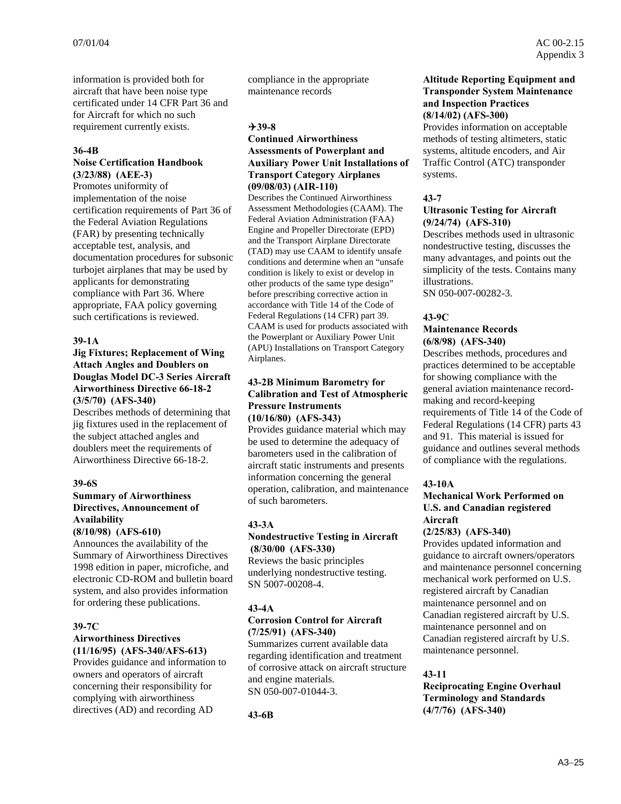information is provided both for aircraft that have been noise type certificated under 14 CFR Part 36 and for Aircraft for which no such requirement currently exists.

#### **36-4B**

#### **Noise Certification Handbook (3/23/88) (AEE-3)**

Promotes uniformity of implementation of the noise certification requirements of Part 36 of the Federal Aviation Regulations (FAR) by presenting technically acceptable test, analysis, and documentation procedures for subsonic turbojet airplanes that may be used by applicants for demonstrating compliance with Part 36. Where appropriate, FAA policy governing such certifications is reviewed.

#### **39-1A**

#### **Jig Fixtures; Replacement of Wing Attach Angles and Doublers on Douglas Model DC-3 Series Aircraft Airworthiness Directive 66-18-2 (3/5/70) (AFS-340)**

Describes methods of determining that jig fixtures used in the replacement of the subject attached angles and doublers meet the requirements of Airworthiness Directive 66-18-2.

#### **39-6S**

#### **Summary of Airworthiness Directives, Announcement of Availability**

**(8/10/98) (AFS-610)**  Announces the availability of the Summary of Airworthiness Directives 1998 edition in paper, microfiche, and electronic CD-ROM and bulletin board system, and also provides information for ordering these publications.

## **39-7C**

## **Airworthiness Directives (11/16/95) (AFS-340/AFS-613)**

Provides guidance and information to owners and operators of aircraft concerning their responsibility for complying with airworthiness directives (AD) and recording AD

compliance in the appropriate maintenance records

#### 4**39-8**

#### **Continued Airworthiness Assessments of Powerplant and Auxiliary Power Unit Installations of Transport Category Airplanes (09/08/03) (AIR-110)**

Describes the Continued Airworthiness Assessment Methodologies (CAAM). The Federal Aviation Administration (FAA) Engine and Propeller Directorate (EPD) and the Transport Airplane Directorate (TAD) may use CAAM to identify unsafe conditions and determine when an "unsafe condition is likely to exist or develop in other products of the same type design" before prescribing corrective action in accordance with Title 14 of the Code of Federal Regulations (14 CFR) part 39. CAAM is used for products associated with the Powerplant or Auxiliary Power Unit (APU) Installations on Transport Category Airplanes.

#### **43-2B Minimum Barometry for Calibration and Test of Atmospheric Pressure Instruments (10/16/80) (AFS-343)**

Provides guidance material which may be used to determine the adequacy of barometers used in the calibration of aircraft static instruments and presents information concerning the general operation, calibration, and maintenance of such barometers.

#### **43-3A**

#### **Nondestructive Testing in Aircraft (8/30/00 (AFS-330)**

Reviews the basic principles underlying nondestructive testing. SN 5007-00208-4.

#### **43-4A**

#### **Corrosion Control for Aircraft (7/25/91) (AFS-340)**

Summarizes current available data regarding identification and treatment of corrosive attack on aircraft structure and engine materials. SN 050-007-01044-3.

#### **Altitude Reporting Equipment and Transponder System Maintenance and Inspection Practices (8/14/02) (AFS-300)**

Provides information on acceptable methods of testing altimeters, static systems, altitude encoders, and Air Traffic Control (ATC) transponder systems.

## **43-7**

#### **Ultrasonic Testing for Aircraft (9/24/74) (AFS-310)**

Describes methods used in ultrasonic nondestructive testing, discusses the many advantages, and points out the simplicity of the tests. Contains many illustrations.

SN 050-007-00282-3.

#### **43-9C**

#### **Maintenance Records (6/8/98) (AFS-340)**

Describes methods, procedures and practices determined to be acceptable for showing compliance with the general aviation maintenance recordmaking and record-keeping requirements of Title 14 of the Code of Federal Regulations (14 CFR) parts 43 and 91. This material is issued for guidance and outlines several methods of compliance with the regulations.

#### **43-10A**

## **Mechanical Work Performed on U.S. and Canadian registered Aircraft**

#### **(2/25/83) (AFS-340)**

Provides updated information and guidance to aircraft owners/operators and maintenance personnel concerning mechanical work performed on U.S. registered aircraft by Canadian maintenance personnel and on Canadian registered aircraft by U.S. maintenance personnel and on Canadian registered aircraft by U.S. maintenance personnel.

#### **43-11**

**Reciprocating Engine Overhaul Terminology and Standards (4/7/76) (AFS-340)**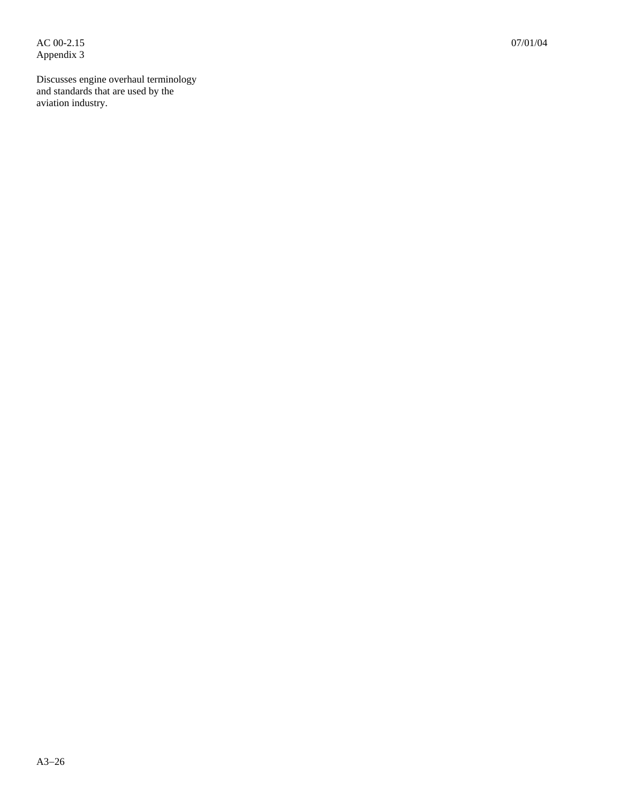$AC\ 00-2.15$  07/01/04 Appendix 3

Discusses engine overhaul terminology and standards that are used by the aviation industry.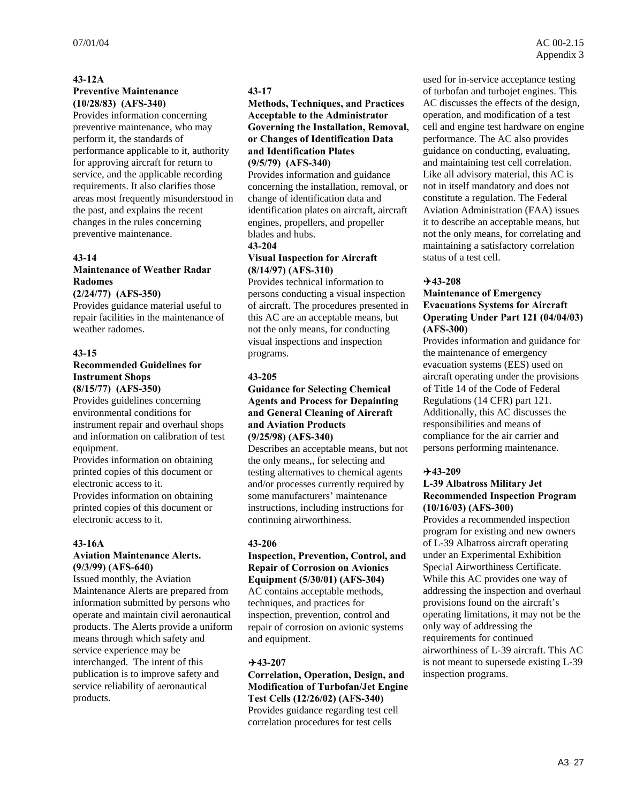Provides information concerning preventive maintenance, who may perform it, the standards of performance applicable to it, authority for approving aircraft for return to service, and the applicable recording requirements. It also clarifies those areas most frequently misunderstood in the past, and explains the recent changes in the rules concerning preventive maintenance.

#### **43-14 Maintenance of Weather Radar Radomes**

#### **(2/24/77) (AFS-350)**

Provides guidance material useful to repair facilities in the maintenance of weather radomes.

#### **43-15**

#### **Recommended Guidelines for Instrument Shops (8/15/77) (AFS-350)**

Provides guidelines concerning environmental conditions for instrument repair and overhaul shops and information on calibration of test equipment.

Provides information on obtaining printed copies of this document or electronic access to it. Provides information on obtaining printed copies of this document or electronic access to it.

#### **43-16A**

#### **Aviation Maintenance Alerts. (9/3/99) (AFS-640)**

Issued monthly, the Aviation Maintenance Alerts are prepared from information submitted by persons who operate and maintain civil aeronautical products. The Alerts provide a uniform means through which safety and service experience may be interchanged. The intent of this publication is to improve safety and service reliability of aeronautical products.

## **43-17**

#### **Methods, Techniques, and Practices Acceptable to the Administrator Governing the Installation, Removal, or Changes of Identification Data and Identification Plates (9/5/79) (AFS-340)**

Provides information and guidance concerning the installation, removal, or change of identification data and identification plates on aircraft, aircraft engines, propellers, and propeller blades and hubs.

## **43-204**

## **Visual Inspection for Aircraft (8/14/97) (AFS-310)**

Provides technical information to persons conducting a visual inspection of aircraft. The procedures presented in this AC are an acceptable means, but not the only means, for conducting visual inspections and inspection programs.

#### **43-205**

#### **Guidance for Selecting Chemical Agents and Process for Depainting and General Cleaning of Aircraft and Aviation Products (9/25/98) (AFS-340)**

Describes an acceptable means, but not the only means,, for selecting and testing alternatives to chemical agents and/or processes currently required by some manufacturers' maintenance instructions, including instructions for continuing airworthiness.

#### **43-206**

#### **Inspection, Prevention, Control, and Repair of Corrosion on Avionics Equipment (5/30/01) (AFS-304)**

AC contains acceptable methods, techniques, and practices for inspection, prevention, control and repair of corrosion on avionic systems and equipment.

#### 4**43-207**

#### **Correlation, Operation, Design, and Modification of Turbofan/Jet Engine Test Cells (12/26/02) (AFS-340)**

Provides guidance regarding test cell correlation procedures for test cells

used for in-service acceptance testing of turbofan and turbojet engines. This AC discusses the effects of the design, operation, and modification of a test cell and engine test hardware on engine performance. The AC also provides guidance on conducting, evaluating, and maintaining test cell correlation. Like all advisory material, this AC is not in itself mandatory and does not constitute a regulation. The Federal Aviation Administration (FAA) issues it to describe an acceptable means, but not the only means, for correlating and maintaining a satisfactory correlation status of a test cell.

#### $+43-208$

## **Maintenance of Emergency Evacuations Systems for Aircraft Operating Under Part 121 (04/04/03) (AFS-300)**

Provides information and guidance for the maintenance of emergency evacuation systems (EES) used on aircraft operating under the provisions of Title 14 of the Code of Federal Regulations (14 CFR) part 121. Additionally, this AC discusses the responsibilities and means of compliance for the air carrier and persons performing maintenance.

#### 4**43-209**

#### **L-39 Albatross Military Jet Recommended Inspection Program (10/16/03) (AFS-300)**

Provides a recommended inspection program for existing and new owners of L-39 Albatross aircraft operating under an Experimental Exhibition Special Airworthiness Certificate. While this AC provides one way of addressing the inspection and overhaul provisions found on the aircraft's operating limitations, it may not be the only way of addressing the requirements for continued airworthiness of L-39 aircraft. This AC is not meant to supersede existing L-39 inspection programs.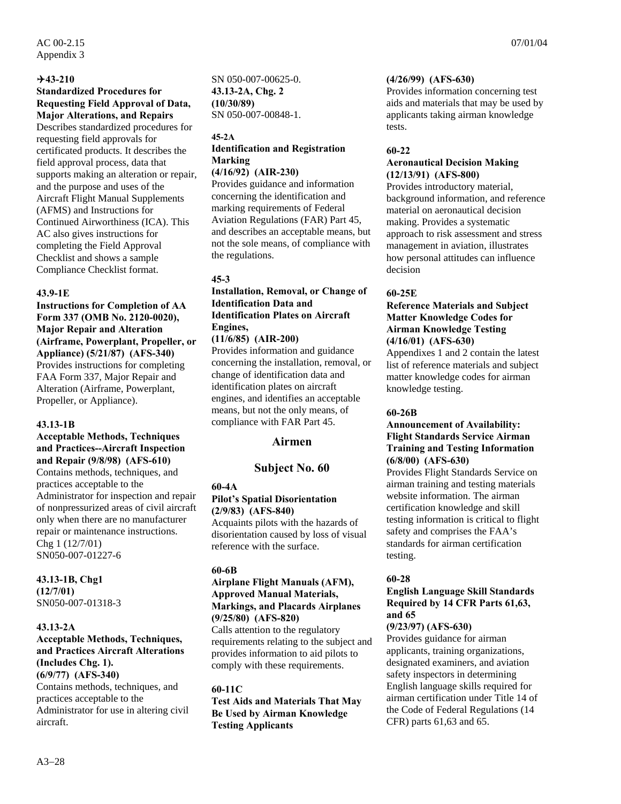#### $+43-210$

# **Standardized Procedures for Requesting Field Approval of Data,**

**Major Alterations, and Repairs**  Describes standardized procedures for requesting field approvals for certificated products. It describes the field approval process, data that supports making an alteration or repair, and the purpose and uses of the Aircraft Flight Manual Supplements (AFMS) and Instructions for Continued Airworthiness (ICA). This AC also gives instructions for completing the Field Approval Checklist and shows a sample Compliance Checklist format.

#### **43.9-1E**

**Instructions for Completion of AA Form 337 (OMB No. 2120-0020), Major Repair and Alteration (Airframe, Powerplant, Propeller, or Appliance) (5/21/87) (AFS-340)**  Provides instructions for completing FAA Form 337, Major Repair and Alteration (Airframe, Powerplant, Propeller, or Appliance).

#### **43.13-1B**

#### **Acceptable Methods, Techniques and Practices--Aircraft Inspection and Repair (9/8/98) (AFS-610)**

Contains methods, techniques, and practices acceptable to the Administrator for inspection and repair of nonpressurized areas of civil aircraft only when there are no manufacturer repair or maintenance instructions. Chg 1 (12/7/01) SN050-007-01227-6

**43.13-1B, Chg1 (12/7/01)**  SN050-007-01318-3

#### **43.13-2A**

**Acceptable Methods, Techniques, and Practices Aircraft Alterations (Includes Chg. 1). (6/9/77) (AFS-340)**  Contains methods, techniques, and practices acceptable to the Administrator for use in altering civil SN 050-007-00625-0. **43.13-2A, Chg. 2 (10/30/89)**  SN 050-007-00848-1.

## **45-2A Identification and Registration Marking**

#### **(4/16/92) (AIR-230)**

Provides guidance and information concerning the identification and marking requirements of Federal Aviation Regulations (FAR) Part 45, and describes an acceptable means, but not the sole means, of compliance with the regulations.

#### **45-3**

## **Installation, Removal, or Change of Identification Data and Identification Plates on Aircraft Engines,**

**(11/6/85) (AIR-200)**  Provides information and guidance concerning the installation, removal, or change of identification data and identification plates on aircraft engines, and identifies an acceptable means, but not the only means, of compliance with FAR Part 45.

## **Airmen**

#### **Subject No. 60**

#### **60-4A**

## **Pilot's Spatial Disorientation (2/9/83) (AFS-840)**

Acquaints pilots with the hazards of disorientation caused by loss of visual reference with the surface.

#### **60-6B**

#### **Airplane Flight Manuals (AFM), Approved Manual Materials, Markings, and Placards Airplanes (9/25/80) (AFS-820)**

Calls attention to the regulatory requirements relating to the subject and provides information to aid pilots to comply with these requirements.

# **60-11C**

#### **Test Aids and Materials That May Be Used by Airman Knowledge Testing Applicants**

#### **(4/26/99) (AFS-630)**

Provides information concerning test aids and materials that may be used by applicants taking airman knowledge tests.

#### **60-22**

#### **Aeronautical Decision Making (12/13/91) (AFS-800)**

Provides introductory material, background information, and reference material on aeronautical decision making. Provides a systematic approach to risk assessment and stress management in aviation, illustrates how personal attitudes can influence decision

#### **60-25E**

## **Reference Materials and Subject Matter Knowledge Codes for Airman Knowledge Testing (4/16/01) (AFS-630)**

Appendixes 1 and 2 contain the latest list of reference materials and subject matter knowledge codes for airman knowledge testing.

#### **60-26B**

## **Announcement of Availability: Flight Standards Service Airman Training and Testing Information (6/8/00) (AFS-630)**

Provides Flight Standards Service on airman training and testing materials website information. The airman certification knowledge and skill testing information is critical to flight safety and comprises the FAA's standards for airman certification testing.

#### **60-28**

## **English Language Skill Standards Required by 14 CFR Parts 61,63, and 65**

## **(9/23/97) (AFS-630)**

Provides guidance for airman applicants, training organizations, designated examiners, and aviation safety inspectors in determining English language skills required for airman certification under Title 14 of the Code of Federal Regulations (14 CFR) parts 61,63 and 65.

aircraft.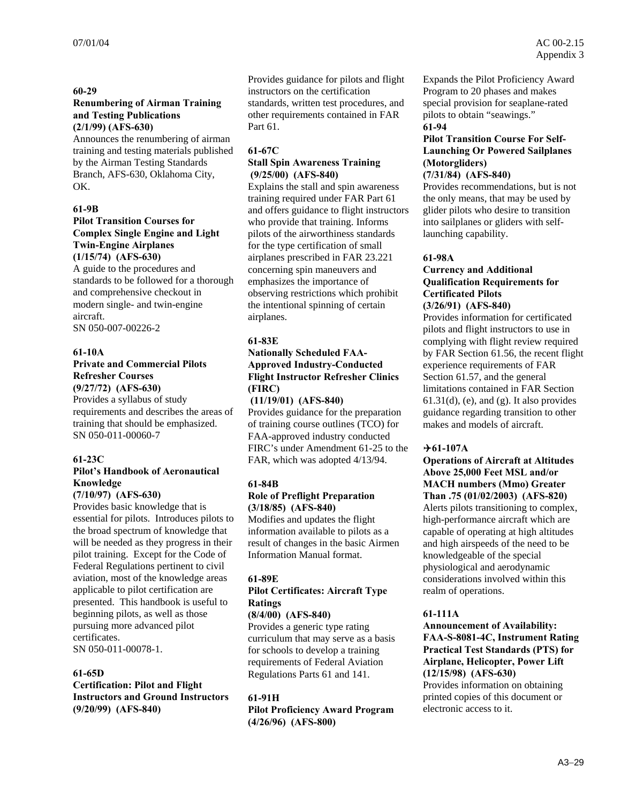# **60-29**

# **Renumbering of Airman Training and Testing Publications (2/1/99) (AFS-630)**

Announces the renumbering of airman training and testing materials published by the Airman Testing Standards Branch, AFS-630, Oklahoma City, OK.

## **61-9B**

## **Pilot Transition Courses for Complex Single Engine and Light Twin-Engine Airplanes (1/15/74) (AFS-630)**

A guide to the procedures and standards to be followed for a thorough and comprehensive checkout in modern single- and twin-engine aircraft.

SN 050-007-00226-2

## **61-10A Private and Commercial Pilots Refresher Courses**

**(9/27/72) (AFS-630)**  Provides a syllabus of study requirements and describes the areas of training that should be emphasized. SN 050-011-00060-7

# **61-23C**

# **Pilot's Handbook of Aeronautical Knowledge**

# **(7/10/97) (AFS-630)**

Provides basic knowledge that is essential for pilots. Introduces pilots to the broad spectrum of knowledge that will be needed as they progress in their pilot training. Except for the Code of Federal Regulations pertinent to civil aviation, most of the knowledge areas applicable to pilot certification are presented. This handbook is useful to beginning pilots, as well as those pursuing more advanced pilot certificates. SN 050-011-00078-1.

# **61-65D**

**Certification: Pilot and Flight Instructors and Ground Instructors (9/20/99) (AFS-840)** 

Provides guidance for pilots and flight instructors on the certification standards, written test procedures, and other requirements contained in FAR Part 61.

# **61-67C**

# **Stall Spin Awareness Training (9/25/00) (AFS-840)**

Explains the stall and spin awareness training required under FAR Part 61 and offers guidance to flight instructors who provide that training. Informs pilots of the airworthiness standards for the type certification of small airplanes prescribed in FAR 23.221 concerning spin maneuvers and emphasizes the importance of observing restrictions which prohibit the intentional spinning of certain airplanes.

# **61-83E**

# **Nationally Scheduled FAA-Approved Industry-Conducted Flight Instructor Refresher Clinics (FIRC)**

 **(11/19/01) (AFS-840)**  Provides guidance for the preparation of training course outlines (TCO) for FAA-approved industry conducted FIRC's under Amendment 61-25 to the FAR, which was adopted 4/13/94.

# **61-84B**

# **Role of Preflight Preparation (3/18/85) (AFS-840)**

Modifies and updates the flight information available to pilots as a result of changes in the basic Airmen Information Manual format.

### **61-89E**

# **Pilot Certificates: Aircraft Type Ratings**

**(8/4/00) (AFS-840)**  Provides a generic type rating

curriculum that may serve as a basis for schools to develop a training requirements of Federal Aviation Regulations Parts 61 and 141.

# **61-91H**

**Pilot Proficiency Award Program (4/26/96) (AFS-800)** 

Expands the Pilot Proficiency Award Program to 20 phases and makes special provision for seaplane-rated pilots to obtain "seawings." **61-94** 

## **Pilot Transition Course For Self-Launching Or Powered Sailplanes (Motorgliders) (7/31/84) (AFS-840)**

Provides recommendations, but is not the only means, that may be used by glider pilots who desire to transition into sailplanes or gliders with selflaunching capability.

## **61-98A**

## **Currency and Additional Qualification Requirements for Certificated Pilots (3/26/91) (AFS-840)**

Provides information for certificated pilots and flight instructors to use in complying with flight review required by FAR Section 61.56, the recent flight experience requirements of FAR Section 61.57, and the general limitations contained in FAR Section  $61.31(d)$ , (e), and (g). It also provides guidance regarding transition to other makes and models of aircraft.

## 4**61-107A**

**Operations of Aircraft at Altitudes Above 25,000 Feet MSL and/or MACH numbers (Mmo) Greater Than .75 (01/02/2003) (AFS-820)**  Alerts pilots transitioning to complex, high-performance aircraft which are capable of operating at high altitudes and high airspeeds of the need to be knowledgeable of the special physiological and aerodynamic considerations involved within this realm of operations.

### **61-111A**

**Announcement of Availability: FAA-S-8081-4C, Instrument Rating Practical Test Standards (PTS) for Airplane, Helicopter, Power Lift (12/15/98) (AFS-630)** 

Provides information on obtaining printed copies of this document or electronic access to it.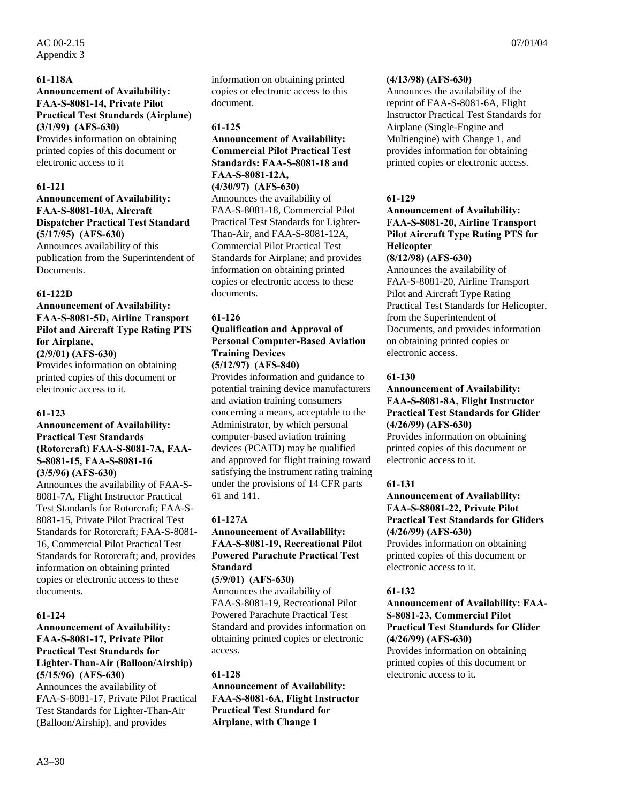## **61-118A**

**Announcement of Availability: FAA-S-8081-14, Private Pilot Practical Test Standards (Airplane) (3/1/99) (AFS-630)**  Provides information on obtaining printed copies of this document or electronic access to it

### **61-121**

# **Announcement of Availability: FAA-S-8081-10A, Aircraft Dispatcher Practical Test Standard (5/17/95) (AFS-630)**

Announces availability of this publication from the Superintendent of Documents.

## **61-122D**

## **Announcement of Availability: FAA-S-8081-5D, Airline Transport Pilot and Aircraft Type Rating PTS for Airplane, (2/9/01) (AFS-630)**

Provides information on obtaining printed copies of this document or electronic access to it.

### **61-123**

## **Announcement of Availability: Practical Test Standards (Rotorcraft) FAA-S-8081-7A, FAA-S-8081-15, FAA-S-8081-16 (3/5/96) (AFS-630)**

Announces the availability of FAA-S-8081-7A, Flight Instructor Practical Test Standards for Rotorcraft; FAA-S-8081-15, Private Pilot Practical Test Standards for Rotorcraft; FAA-S-8081- 16, Commercial Pilot Practical Test Standards for Rotorcraft; and, provides information on obtaining printed copies or electronic access to these documents.

### **61-124**

## **Announcement of Availability: FAA-S-8081-17, Private Pilot Practical Test Standards for Lighter-Than-Air (Balloon/Airship) (5/15/96) (AFS-630)**

Announces the availability of FAA-S-8081-17, Private Pilot Practical Test Standards for Lighter-Than-Air (Balloon/Airship), and provides

information on obtaining printed copies or electronic access to this document.

### **61-125**

# **Announcement of Availability: Commercial Pilot Practical Test Standards: FAA-S-8081-18 and FAA-S-8081-12A,**

**(4/30/97) (AFS-630)** 

Announces the availability of FAA-S-8081-18, Commercial Pilot Practical Test Standards for Lighter-Than-Air, and FAA-S-8081-12A, Commercial Pilot Practical Test Standards for Airplane; and provides information on obtaining printed copies or electronic access to these documents.

# **61-126**

## **Qualification and Approval of Personal Computer-Based Aviation Training Devices (5/12/97) (AFS-840)**

Provides information and guidance to potential training device manufacturers and aviation training consumers concerning a means, acceptable to the Administrator, by which personal computer-based aviation training devices (PCATD) may be qualified and approved for flight training toward satisfying the instrument rating training under the provisions of 14 CFR parts 61 and 141.

# **61-127A**

# **Announcement of Availability: FAA-S-8081-19, Recreational Pilot Powered Parachute Practical Test Standard**

### **(5/9/01) (AFS-630)**

Announces the availability of FAA-S-8081-19, Recreational Pilot Powered Parachute Practical Test Standard and provides information on obtaining printed copies or electronic access.

# **61-128**

**Announcement of Availability: FAA-S-8081-6A, Flight Instructor Practical Test Standard for Airplane, with Change 1**

#### **(4/13/98) (AFS-630)**

Announces the availability of the reprint of FAA-S-8081-6A, Flight Instructor Practical Test Standards for Airplane (Single-Engine and Multiengine) with Change 1, and provides information for obtaining printed copies or electronic access.

## **61-129**

## **Announcement of Availability: FAA-S-8081-20, Airline Transport Pilot Aircraft Type Rating PTS for Helicopter (8/12/98) (AFS-630)**

Announces the availability of FAA-S-8081-20, Airline Transport Pilot and Aircraft Type Rating Practical Test Standards for Helicopter, from the Superintendent of Documents, and provides information on obtaining printed copies or electronic access.

## **61-130**

## **Announcement of Availability: FAA-S-8081-8A, Flight Instructor Practical Test Standards for Glider (4/26/99) (AFS-630)**  Provides information on obtaining printed copies of this document or electronic access to it.

# **61-131**

# **Announcement of Availability: FAA-S-88081-22, Private Pilot Practical Test Standards for Gliders (4/26/99) (AFS-630)**  Provides information on obtaining

printed copies of this document or electronic access to it.

# **61-132**

# **Announcement of Availability: FAA-S-8081-23, Commercial Pilot Practical Test Standards for Glider (4/26/99) (AFS-630)**  Provides information on obtaining

printed copies of this document or electronic access to it.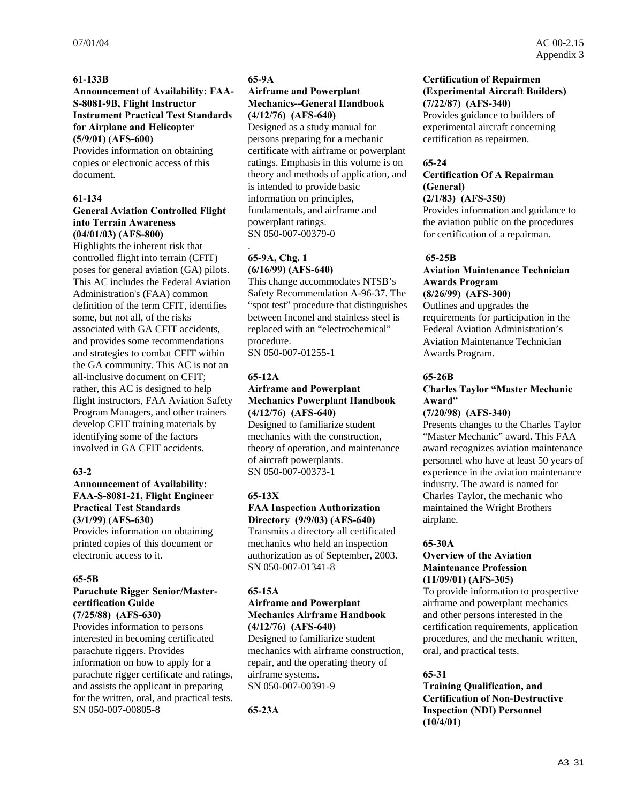## **61-133B**

## **Announcement of Availability: FAA-S-8081-9B, Flight Instructor Instrument Practical Test Standards for Airplane and Helicopter (5/9/01) (AFS-600)**

Provides information on obtaining copies or electronic access of this document.

## **61-134**

## **General Aviation Controlled Flight into Terrain Awareness (04/01/03) (AFS-800)**

Highlights the inherent risk that controlled flight into terrain (CFIT) poses for general aviation (GA) pilots. This AC includes the Federal Aviation Administration's (FAA) common definition of the term CFIT, identifies some, but not all, of the risks associated with GA CFIT accidents, and provides some recommendations and strategies to combat CFIT within the GA community. This AC is not an all-inclusive document on CFIT; rather, this AC is designed to help flight instructors, FAA Aviation Safety Program Managers, and other trainers develop CFIT training materials by identifying some of the factors involved in GA CFIT accidents.

### **63-2**

## **Announcement of Availability: FAA-S-8081-21, Flight Engineer Practical Test Standards (3/1/99) (AFS-630)**

Provides information on obtaining printed copies of this document or electronic access to it.

### **65-5B**

## **Parachute Rigger Senior/Mastercertification Guide (7/25/88) (AFS-630)**

Provides information to persons interested in becoming certificated parachute riggers. Provides information on how to apply for a parachute rigger certificate and ratings, and assists the applicant in preparing for the written, oral, and practical tests. SN 050-007-00805-8

## **65-9A**

## **Airframe and Powerplant Mechanics--General Handbook (4/12/76) (AFS-640)**

Designed as a study manual for persons preparing for a mechanic certificate with airframe or powerplant ratings. Emphasis in this volume is on theory and methods of application, and is intended to provide basic information on principles, fundamentals, and airframe and powerplant ratings. SN 050-007-00379-0

### **65-9A, Chg. 1 (6/16/99) (AFS-640)**

.

This change accommodates NTSB's Safety Recommendation A-96-37. The "spot test" procedure that distinguishes between Inconel and stainless steel is replaced with an "electrochemical" procedure. SN 050-007-01255-1

# **65-12A**

# **Airframe and Powerplant Mechanics Powerplant Handbook (4/12/76) (AFS-640)**

Designed to familiarize student mechanics with the construction, theory of operation, and maintenance of aircraft powerplants. SN 050-007-00373-1

#### **65-13X**

## **FAA Inspection Authorization Directory (9/9/03) (AFS-640)**

Transmits a directory all certificated mechanics who held an inspection authorization as of September, 2003. SN 050-007-01341-8

## **65-15A**

## **Airframe and Powerplant Mechanics Airframe Handbook (4/12/76) (AFS-640)**

Designed to familiarize student mechanics with airframe construction, repair, and the operating theory of airframe systems. SN 050-007-00391-9

**65-23A** 

#### **Certification of Repairmen (Experimental Aircraft Builders) (7/22/87) (AFS-340)**

Provides guidance to builders of experimental aircraft concerning certification as repairmen.

#### **65-24**

### **Certification Of A Repairman (General) (2/1/83) (AFS-350)**

Provides information and guidance to the aviation public on the procedures for certification of a repairman.

#### **65-25B**

# **Aviation Maintenance Technician Awards Program (8/26/99) (AFS-300)**

Outlines and upgrades the requirements for participation in the Federal Aviation Administration's Aviation Maintenance Technician Awards Program.

#### **65-26B**

## **Charles Taylor "Master Mechanic Award"**

### **(7/20/98) (AFS-340)**

Presents changes to the Charles Taylor "Master Mechanic" award. This FAA award recognizes aviation maintenance personnel who have at least 50 years of experience in the aviation maintenance industry. The award is named for Charles Taylor, the mechanic who maintained the Wright Brothers airplane.

#### **65-30A**

## **Overview of the Aviation Maintenance Profession (11/09/01) (AFS-305)**

To provide information to prospective airframe and powerplant mechanics and other persons interested in the certification requirements, application procedures, and the mechanic written, oral, and practical tests.

### **65-31**

# **Training Qualification, and Certification of Non-Destructive Inspection (NDI) Personnel (10/4/01)**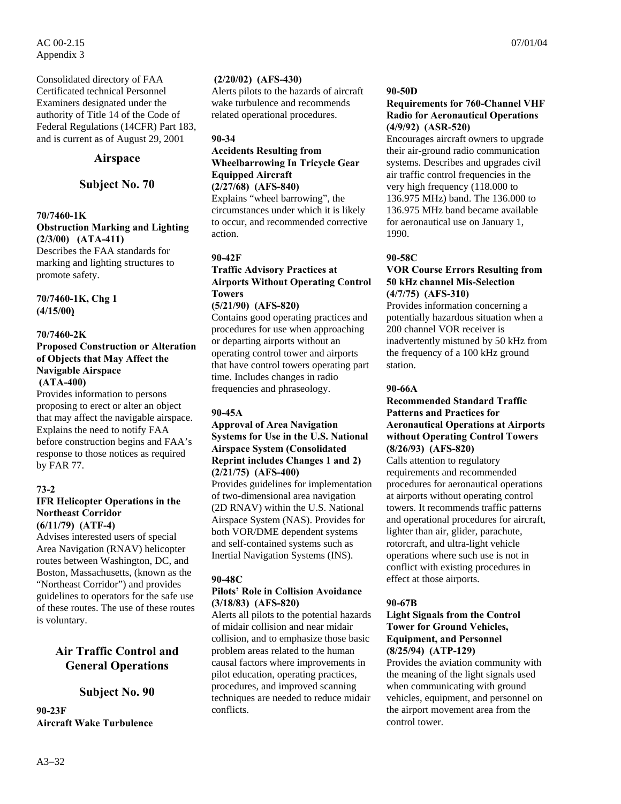Consolidated directory of FAA Certificated technical Personnel Examiners designated under the authority of Title 14 of the Code of Federal Regulations (14CFR) Part 183, and is current as of August 29, 2001

# **Airspace**

# **Subject No. 70**

**70/7460-1K Obstruction Marking and Lighting (2/3/00) (ATA-411)**  Describes the FAA standards for marking and lighting structures to promote safety.

**70/7460-1K, Chg 1 (4/15/00)** 

# **70/7460-2K**

## **Proposed Construction or Alteration of Objects that May Affect the Navigable Airspace (ATA-400)**

Provides information to persons proposing to erect or alter an object that may affect the navigable airspace. Explains the need to notify FAA before construction begins and FAA's response to those notices as required by FAR 77.

# **73-2**

## **IFR Helicopter Operations in the Northeast Corridor (6/11/79) (ATF-4)**

Advises interested users of special Area Navigation (RNAV) helicopter routes between Washington, DC, and Boston, Massachusetts, (known as the "Northeast Corridor") and provides guidelines to operators for the safe use of these routes. The use of these routes is voluntary.

# **Air Traffic Control and General Operations**

# **Subject No. 90**

**90-23F Aircraft Wake Turbulence** 

### **(2/20/02) (AFS-430)**

Alerts pilots to the hazards of aircraft wake turbulence and recommends related operational procedures.

## **90-34**

## **Accidents Resulting from Wheelbarrowing In Tricycle Gear Equipped Aircraft (2/27/68) (AFS-840)**

Explains "wheel barrowing", the circumstances under which it is likely to occur, and recommended corrective action.

### **90-42F**

# **Traffic Advisory Practices at Airports Without Operating Control Towers**

**(5/21/90) (AFS-820)**  Contains good operating practices and

procedures for use when approaching or departing airports without an operating control tower and airports that have control towers operating part time. Includes changes in radio frequencies and phraseology.

# **90-45A**

## **Approval of Area Navigation Systems for Use in the U.S. National Airspace System (Consolidated Reprint includes Changes 1 and 2) (2/21/75) (AFS-400)**

Provides guidelines for implementation of two-dimensional area navigation (2D RNAV) within the U.S. National Airspace System (NAS). Provides for both VOR/DME dependent systems and self-contained systems such as Inertial Navigation Systems (INS).

### **90-48C**

## **Pilots' Role in Collision Avoidance (3/18/83) (AFS-820)**

Alerts all pilots to the potential hazards of midair collision and near midair collision, and to emphasize those basic problem areas related to the human causal factors where improvements in pilot education, operating practices, procedures, and improved scanning techniques are needed to reduce midair conflicts.

#### **90-50D**

# **Requirements for 760-Channel VHF Radio for Aeronautical Operations (4/9/92) (ASR-520)**

Encourages aircraft owners to upgrade their air-ground radio communication systems. Describes and upgrades civil air traffic control frequencies in the very high frequency (118.000 to 136.975 MHz) band. The 136.000 to 136.975 MHz band became available for aeronautical use on January 1, 1990.

## **90-58C**

#### **VOR Course Errors Resulting from 50 kHz channel Mis-Selection (4/7/75) (AFS-310)**

Provides information concerning a potentially hazardous situation when a 200 channel VOR receiver is inadvertently mistuned by 50 kHz from the frequency of a 100 kHz ground station.

#### **90-66A**

## **Recommended Standard Traffic Patterns and Practices for Aeronautical Operations at Airports without Operating Control Towers (8/26/93) (AFS-820)**

Calls attention to regulatory requirements and recommended procedures for aeronautical operations at airports without operating control towers. It recommends traffic patterns and operational procedures for aircraft, lighter than air, glider, parachute, rotorcraft, and ultra-light vehicle operations where such use is not in conflict with existing procedures in effect at those airports.

# **90-67B**

## **Light Signals from the Control Tower for Ground Vehicles, Equipment, and Personnel (8/25/94) (ATP-129)**

Provides the aviation community with the meaning of the light signals used when communicating with ground vehicles, equipment, and personnel on the airport movement area from the control tower.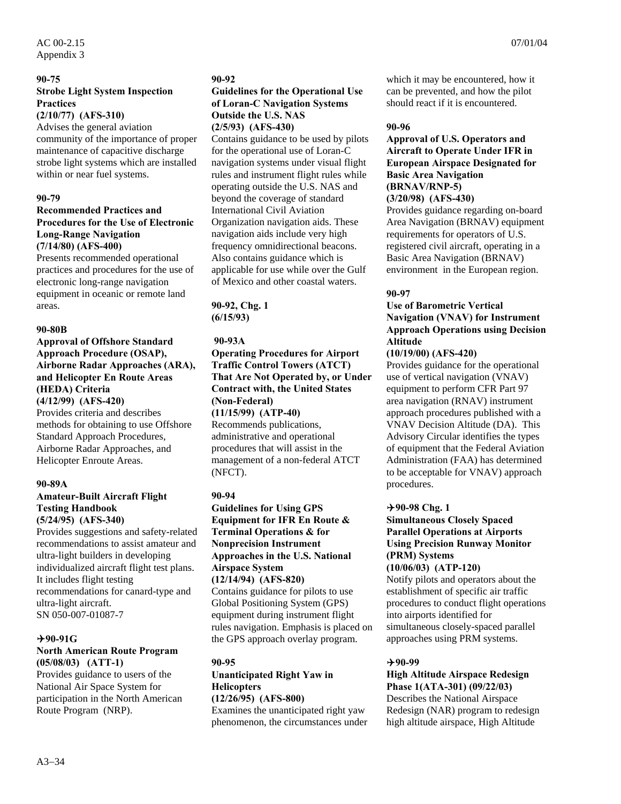#### **90-75**

# **Strobe Light System Inspection Practices**

**(2/10/77) (AFS-310)**  Advises the general aviation community of the importance of proper maintenance of capacitive discharge strobe light systems which are installed within or near fuel systems.

#### **90-79**

## **Recommended Practices and Procedures for the Use of Electronic Long-Range Navigation (7/14/80) (AFS-400)**

Presents recommended operational practices and procedures for the use of electronic long-range navigation equipment in oceanic or remote land areas.

#### **90-80B**

**Approval of Offshore Standard Approach Procedure (OSAP), Airborne Radar Approaches (ARA), and Helicopter En Route Areas (HEDA) Criteria (4/12/99) (AFS-420)** 

Provides criteria and describes methods for obtaining to use Offshore Standard Approach Procedures, Airborne Radar Approaches, and Helicopter Enroute Areas.

#### **90-89A**

## **Amateur-Built Aircraft Flight Testing Handbook (5/24/95) (AFS-340)**

Provides suggestions and safety-related recommendations to assist amateur and ultra-light builders in developing individualized aircraft flight test plans. It includes flight testing recommendations for canard-type and ultra-light aircraft. SN 050-007-01087-7

### 4**90-91G**

# **North American Route Program (05/08/03) (ATT-1)**

Provides guidance to users of the National Air Space System for participation in the North American Route Program (NRP).

## **90-92**

# **Guidelines for the Operational Use of Loran-C Navigation Systems Outside the U.S. NAS**

**(2/5/93) (AFS-430)**  Contains guidance to be used by pilots for the operational use of Loran-C navigation systems under visual flight rules and instrument flight rules while operating outside the U.S. NAS and beyond the coverage of standard International Civil Aviation Organization navigation aids. These navigation aids include very high frequency omnidirectional beacons. Also contains guidance which is applicable for use while over the Gulf of Mexico and other coastal waters.

**90-92, Chg. 1 (6/15/93)** 

### **90-93A**

**Operating Procedures for Airport Traffic Control Towers (ATCT) That Are Not Operated by, or Under Contract with, the United States (Non-Federal) (11/15/99) (ATP-40)**  Recommends publications, administrative and operational procedures that will assist in the management of a non-federal ATCT (NFCT).

### **90-94**

**Guidelines for Using GPS Equipment for IFR En Route & Terminal Operations & for Nonprecision Instrument Approaches in the U.S. National Airspace System (12/14/94) (AFS-820)**  Contains guidance for pilots to use Global Positioning System (GPS) equipment during instrument flight rules navigation. Emphasis is placed on the GPS approach overlay program.

# **90-95**

## **Unanticipated Right Yaw in Helicopters (12/26/95) (AFS-800)**  Examines the unanticipated right yaw phenomenon, the circumstances under

which it may be encountered, how it can be prevented, and how the pilot should react if it is encountered.

#### **90-96**

**Approval of U.S. Operators and Aircraft to Operate Under IFR in European Airspace Designated for Basic Area Navigation (BRNAV/RNP-5) (3/20/98) (AFS-430)** 

Provides guidance regarding on-board Area Navigation (BRNAV) equipment requirements for operators of U.S. registered civil aircraft, operating in a Basic Area Navigation (BRNAV) environment in the European region.

#### **90-97**

# **Use of Barometric Vertical Navigation (VNAV) for Instrument Approach Operations using Decision Altitude**

#### **(10/19/00) (AFS-420)**

Provides guidance for the operational use of vertical navigation (VNAV) equipment to perform CFR Part 97 area navigation (RNAV) instrument approach procedures published with a VNAV Decision Altitude (DA). This Advisory Circular identifies the types of equipment that the Federal Aviation Administration (FAA) has determined to be acceptable for VNAV) approach procedures.

# 4**90-98 Chg. 1**

# **Simultaneous Closely Spaced Parallel Operations at Airports Using Precision Runway Monitor (PRM) Systems**

**(10/06/03) (ATP-120)**  Notify pilots and operators about the establishment of specific air traffic procedures to conduct flight operations into airports identified for simultaneous closely-spaced parallel approaches using PRM systems.

### 4**90-99**

# **High Altitude Airspace Redesign Phase 1(ATA-301) (09/22/03)**

Describes the National Airspace Redesign (NAR) program to redesign high altitude airspace, High Altitude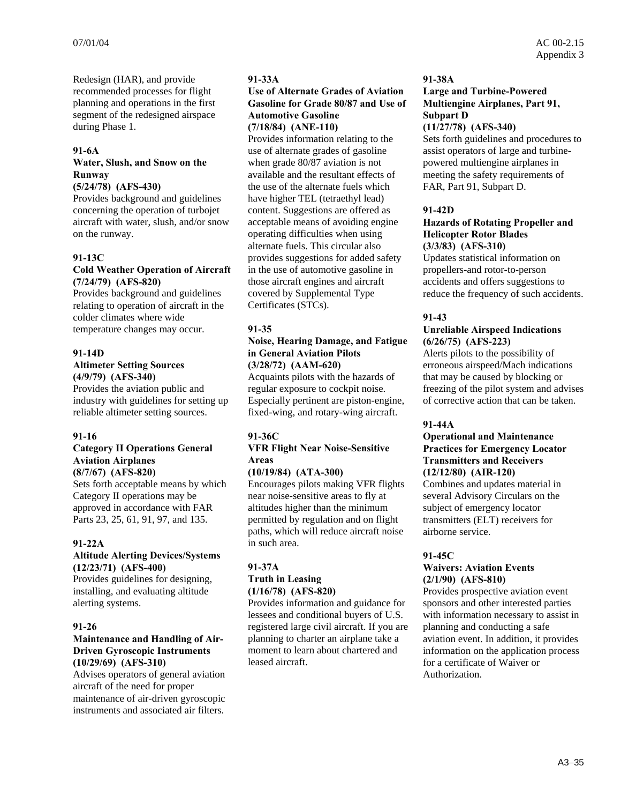Redesign (HAR), and provide recommended processes for flight planning and operations in the first segment of the redesigned airspace during Phase 1.

# **91-6A**

# **Water, Slush, and Snow on the Runway**

### **(5/24/78) (AFS-430)**

Provides background and guidelines concerning the operation of turbojet aircraft with water, slush, and/or snow on the runway.

# **91-13C**

# **Cold Weather Operation of Aircraft (7/24/79) (AFS-820)**

Provides background and guidelines relating to operation of aircraft in the colder climates where wide temperature changes may occur.

# **91-14D**

### **Altimeter Setting Sources (4/9/79) (AFS-340)**

Provides the aviation public and industry with guidelines for setting up reliable altimeter setting sources.

# **91-16**

## **Category II Operations General Aviation Airplanes (8/7/67) (AFS-820)**

Sets forth acceptable means by which Category II operations may be approved in accordance with FAR Parts 23, 25, 61, 91, 97, and 135.

# **91-22A**

# **Altitude Alerting Devices/Systems (12/23/71) (AFS-400)**

Provides guidelines for designing, installing, and evaluating altitude alerting systems.

### **91-26**

# **Maintenance and Handling of Air-Driven Gyroscopic Instruments (10/29/69) (AFS-310)**

Advises operators of general aviation aircraft of the need for proper maintenance of air-driven gyroscopic instruments and associated air filters.

# **91-33A**

# **Use of Alternate Grades of Aviation Gasoline for Grade 80/87 and Use of Automotive Gasoline**

**(7/18/84) (ANE-110)**  Provides information relating to the use of alternate grades of gasoline when grade 80/87 aviation is not available and the resultant effects of the use of the alternate fuels which have higher TEL (tetraethyl lead) content. Suggestions are offered as acceptable means of avoiding engine operating difficulties when using alternate fuels. This circular also provides suggestions for added safety in the use of automotive gasoline in those aircraft engines and aircraft covered by Supplemental Type Certificates (STCs).

# **91-35**

#### **Noise, Hearing Damage, and Fatigue in General Aviation Pilots (3/28/72) (AAM-620)**

Acquaints pilots with the hazards of regular exposure to cockpit noise. Especially pertinent are piston-engine, fixed-wing, and rotary-wing aircraft.

# **91-36C**

# **VFR Flight Near Noise-Sensitive Areas**

## **(10/19/84) (ATA-300)**  Encourages pilots making VFR flights

near noise-sensitive areas to fly at altitudes higher than the minimum permitted by regulation and on flight paths, which will reduce aircraft noise in such area.

## **91-37A Truth in Leasing (1/16/78) (AFS-820)**

Provides information and guidance for lessees and conditional buyers of U.S. registered large civil aircraft. If you are planning to charter an airplane take a moment to learn about chartered and leased aircraft.

## **91-38A**

# **Large and Turbine-Powered Multiengine Airplanes, Part 91, Subpart D**

## **(11/27/78) (AFS-340)**

Sets forth guidelines and procedures to assist operators of large and turbinepowered multiengine airplanes in meeting the safety requirements of FAR, Part 91, Subpart D.

## **91-42D**

## **Hazards of Rotating Propeller and Helicopter Rotor Blades (3/3/83) (AFS-310)**

Updates statistical information on propellers-and rotor-to-person accidents and offers suggestions to reduce the frequency of such accidents.

# **91-43**

### **Unreliable Airspeed Indications (6/26/75) (AFS-223)**

Alerts pilots to the possibility of erroneous airspeed/Mach indications that may be caused by blocking or freezing of the pilot system and advises of corrective action that can be taken.

# **91-44A**

# **Operational and Maintenance Practices for Emergency Locator Transmitters and Receivers (12/12/80) (AIR-120)**

Combines and updates material in several Advisory Circulars on the subject of emergency locator transmitters (ELT) receivers for airborne service.

# **91-45C**

# **Waivers: Aviation Events (2/1/90) (AFS-810)**

Provides prospective aviation event sponsors and other interested parties with information necessary to assist in planning and conducting a safe aviation event. In addition, it provides information on the application process for a certificate of Waiver or Authorization.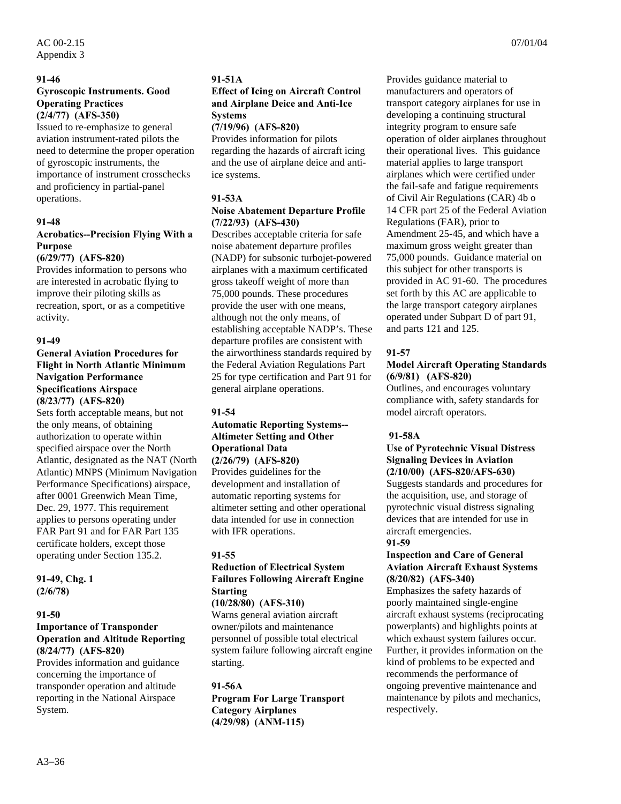### **91-46**

# **Gyroscopic Instruments. Good Operating Practices (2/4/77) (AFS-350)**

Issued to re-emphasize to general aviation instrument-rated pilots the need to determine the proper operation of gyroscopic instruments, the importance of instrument crosschecks and proficiency in partial-panel operations.

### **91-48**

# **Acrobatics--Precision Flying With a Purpose**

# **(6/29/77) (AFS-820)**

Provides information to persons who are interested in acrobatic flying to improve their piloting skills as recreation, sport, or as a competitive activity.

### **91-49**

# **General Aviation Procedures for Flight in North Atlantic Minimum Navigation Performance Specifications Airspace (8/23/77) (AFS-820)**  Sets forth acceptable means, but not the only means, of obtaining authorization to operate within specified airspace over the North Atlantic, designated as the NAT (North Atlantic) MNPS (Minimum Navigation Performance Specifications) airspace, after 0001 Greenwich Mean Time, Dec. 29, 1977. This requirement applies to persons operating under FAR Part 91 and for FAR Part 135 certificate holders, except those operating under Section 135.2.

## **91-49, Chg. 1 (2/6/78)**

### **91-50**

## **Importance of Transponder Operation and Altitude Reporting (8/24/77) (AFS-820)**

Provides information and guidance concerning the importance of transponder operation and altitude reporting in the National Airspace System.

# **91-51A**

## **Effect of Icing on Aircraft Control and Airplane Deice and Anti-Ice Systems**

**(7/19/96) (AFS-820)**  Provides information for pilots regarding the hazards of aircraft icing and the use of airplane deice and antiice systems.

## **91-53A**

### **Noise Abatement Departure Profile (7/22/93) (AFS-430)**

Describes acceptable criteria for safe noise abatement departure profiles (NADP) for subsonic turbojet-powered airplanes with a maximum certificated gross takeoff weight of more than 75,000 pounds. These procedures provide the user with one means, although not the only means, of establishing acceptable NADP's. These departure profiles are consistent with the airworthiness standards required by the Federal Aviation Regulations Part 25 for type certification and Part 91 for general airplane operations.

### **91-54**

## **Automatic Reporting Systems-- Altimeter Setting and Other Operational Data (2/26/79) (AFS-820)**

Provides guidelines for the development and installation of automatic reporting systems for altimeter setting and other operational data intended for use in connection with IFR operations.

#### **91-55**

# **Reduction of Electrical System Failures Following Aircraft Engine Starting**

**(10/28/80) (AFS-310)**  Warns general aviation aircraft owner/pilots and maintenance personnel of possible total electrical system failure following aircraft engine starting.

# **91-56A**

# **Program For Large Transport Category Airplanes (4/29/98) (ANM-115)**

Provides guidance material to manufacturers and operators of transport category airplanes for use in developing a continuing structural integrity program to ensure safe operation of older airplanes throughout their operational lives. This guidance material applies to large transport airplanes which were certified under the fail-safe and fatigue requirements of Civil Air Regulations (CAR) 4b o 14 CFR part 25 of the Federal Aviation Regulations (FAR), prior to Amendment 25-45, and which have a maximum gross weight greater than 75,000 pounds. Guidance material on this subject for other transports is provided in AC 91-60. The procedures set forth by this AC are applicable to the large transport category airplanes operated under Subpart D of part 91, and parts 121 and 125.

## **91-57**

## **Model Aircraft Operating Standards (6/9/81) (AFS-820)**

Outlines, and encourages voluntary compliance with, safety standards for model aircraft operators.

# **91-58A**

## **Use of Pyrotechnic Visual Distress Signaling Devices in Aviation (2/10/00) (AFS-820/AFS-630)**  Suggests standards and procedures for

the acquisition, use, and storage of pyrotechnic visual distress signaling devices that are intended for use in aircraft emergencies.

# **91-59**

## **Inspection and Care of General Aviation Aircraft Exhaust Systems (8/20/82) (AFS-340)**

Emphasizes the safety hazards of poorly maintained single-engine aircraft exhaust systems (reciprocating powerplants) and highlights points at which exhaust system failures occur. Further, it provides information on the kind of problems to be expected and recommends the performance of ongoing preventive maintenance and maintenance by pilots and mechanics, respectively.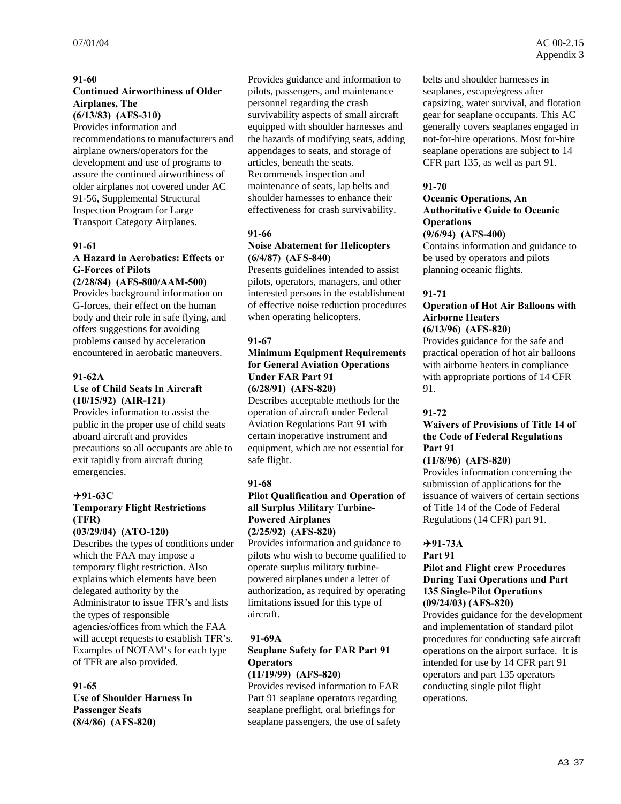## **91-60**

# **Continued Airworthiness of Older Airplanes, The**

**(6/13/83) (AFS-310)**  Provides information and recommendations to manufacturers and airplane owners/operators for the development and use of programs to assure the continued airworthiness of older airplanes not covered under AC 91-56, Supplemental Structural Inspection Program for Large Transport Category Airplanes.

## **91-61**

# **A Hazard in Aerobatics: Effects or G-Forces of Pilots**

**(2/28/84) (AFS-800/AAM-500)**  Provides background information on G-forces, their effect on the human body and their role in safe flying, and offers suggestions for avoiding problems caused by acceleration encountered in aerobatic maneuvers.

## **91-62A**

# **Use of Child Seats In Aircraft (10/15/92) (AIR-121)**

Provides information to assist the public in the proper use of child seats aboard aircraft and provides precautions so all occupants are able to exit rapidly from aircraft during emergencies.

## 4**91-63C Temporary Flight Restrictions (TFR)**

# **(03/29/04) (ATO-120)**

Describes the types of conditions under which the FAA may impose a temporary flight restriction. Also explains which elements have been delegated authority by the Administrator to issue TFR's and lists the types of responsible agencies/offices from which the FAA will accept requests to establish TFR's. Examples of NOTAM's for each type of TFR are also provided.

### **91-65**

**Use of Shoulder Harness In Passenger Seats (8/4/86) (AFS-820)** 

Provides guidance and information to pilots, passengers, and maintenance personnel regarding the crash survivability aspects of small aircraft equipped with shoulder harnesses and the hazards of modifying seats, adding appendages to seats, and storage of articles, beneath the seats. Recommends inspection and maintenance of seats, lap belts and shoulder harnesses to enhance their effectiveness for crash survivability.

### **91-66**

# **Noise Abatement for Helicopters (6/4/87) (AFS-840)**

Presents guidelines intended to assist pilots, operators, managers, and other interested persons in the establishment of effective noise reduction procedures when operating helicopters.

## **91-67**

## **Minimum Equipment Requirements for General Aviation Operations Under FAR Part 91 (6/28/91) (AFS-820)**

Describes acceptable methods for the operation of aircraft under Federal Aviation Regulations Part 91 with certain inoperative instrument and equipment, which are not essential for safe flight.

# **91-68**

## **Pilot Qualification and Operation of all Surplus Military Turbine-Powered Airplanes (2/25/92) (AFS-820)**

Provides information and guidance to pilots who wish to become qualified to operate surplus military turbinepowered airplanes under a letter of authorization, as required by operating limitations issued for this type of aircraft.

# **91-69A**

## **Seaplane Safety for FAR Part 91 Operators (11/19/99) (AFS-820)**

Provides revised information to FAR Part 91 seaplane operators regarding seaplane preflight, oral briefings for seaplane passengers, the use of safety belts and shoulder harnesses in seaplanes, escape/egress after capsizing, water survival, and flotation gear for seaplane occupants. This AC generally covers seaplanes engaged in not-for-hire operations. Most for-hire seaplane operations are subject to 14 CFR part 135, as well as part 91.

## **91-70**

# **Oceanic Operations, An Authoritative Guide to Oceanic Operations**

# **(9/6/94) (AFS-400)**

Contains information and guidance to be used by operators and pilots planning oceanic flights.

# **91-71**

## **Operation of Hot Air Balloons with Airborne Heaters (6/13/96) (AFS-820)**

Provides guidance for the safe and practical operation of hot air balloons with airborne heaters in compliance with appropriate portions of 14 CFR 91.

# **91-72**

# **Waivers of Provisions of Title 14 of the Code of Federal Regulations Part 91**

**(11/8/96) (AFS-820)** 

Provides information concerning the submission of applications for the issuance of waivers of certain sections of Title 14 of the Code of Federal Regulations (14 CFR) part 91.

# 4**91-73A**

# **Part 91**

# **Pilot and Flight crew Procedures During Taxi Operations and Part 135 Single-Pilot Operations (09/24/03) (AFS-820)**

Provides guidance for the development and implementation of standard pilot procedures for conducting safe aircraft operations on the airport surface. It is intended for use by 14 CFR part 91 operators and part 135 operators conducting single pilot flight operations.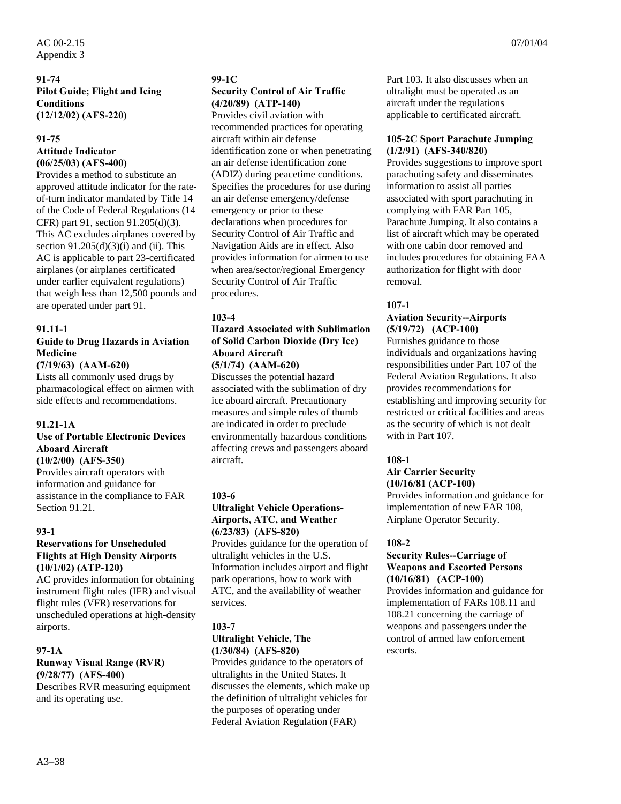## **91-74 Pilot Guide; Flight and Icing Conditions (12/12/02) (AFS-220)**

## **91-75**

# **Attitude Indicator (06/25/03) (AFS-400)**

Provides a method to substitute an approved attitude indicator for the rateof-turn indicator mandated by Title 14 of the Code of Federal Regulations (14 CFR) part 91, section 91.205(d)(3). This AC excludes airplanes covered by section  $91.205(d)(3)(i)$  and (ii). This AC is applicable to part 23-certificated airplanes (or airplanes certificated under earlier equivalent regulations) that weigh less than 12,500 pounds and are operated under part 91.

# **91.11-1**

# **Guide to Drug Hazards in Aviation Medicine**

## **(7/19/63) (AAM-620)**

Lists all commonly used drugs by pharmacological effect on airmen with side effects and recommendations.

# **91.21-1A**

## **Use of Portable Electronic Devices Aboard Aircraft (10/2/00) (AFS-350)**

Provides aircraft operators with information and guidance for assistance in the compliance to FAR Section 91.21.

### **93-1**

# **Reservations for Unscheduled Flights at High Density Airports (10/1/02) (ATP-120)**

AC provides information for obtaining instrument flight rules (IFR) and visual flight rules (VFR) reservations for unscheduled operations at high-density airports.

### **97-1A**

# **Runway Visual Range (RVR) (9/28/77) (AFS-400)**  Describes RVR measuring equipment and its operating use.

# **99-1C Security Control of Air Traffic (4/20/89) (ATP-140)**

Provides civil aviation with recommended practices for operating aircraft within air defense identification zone or when penetrating an air defense identification zone (ADIZ) during peacetime conditions. Specifies the procedures for use during an air defense emergency/defense emergency or prior to these declarations when procedures for Security Control of Air Traffic and Navigation Aids are in effect. Also provides information for airmen to use when area/sector/regional Emergency Security Control of Air Traffic procedures.

## **103-4**

## **Hazard Associated with Sublimation of Solid Carbon Dioxide (Dry Ice) Aboard Aircraft (5/1/74) (AAM-620)**

Discusses the potential hazard associated with the sublimation of dry ice aboard aircraft. Precautionary measures and simple rules of thumb are indicated in order to preclude environmentally hazardous conditions affecting crews and passengers aboard aircraft.

# **103-6**

# **Ultralight Vehicle Operations-Airports, ATC, and Weather (6/23/83) (AFS-820)**

Provides guidance for the operation of ultralight vehicles in the U.S. Information includes airport and flight park operations, how to work with ATC, and the availability of weather services.

# **103-7**

# **Ultralight Vehicle, The (1/30/84) (AFS-820)**

Provides guidance to the operators of ultralights in the United States. It discusses the elements, which make up the definition of ultralight vehicles for the purposes of operating under Federal Aviation Regulation (FAR)

Part 103. It also discusses when an ultralight must be operated as an aircraft under the regulations applicable to certificated aircraft.

## **105-2C Sport Parachute Jumping (1/2/91) (AFS-340/820)**

Provides suggestions to improve sport parachuting safety and disseminates information to assist all parties associated with sport parachuting in complying with FAR Part 105, Parachute Jumping. It also contains a list of aircraft which may be operated with one cabin door removed and includes procedures for obtaining FAA authorization for flight with door removal.

# **107-1**

# **Aviation Security--Airports (5/19/72) (ACP-100)**

Furnishes guidance to those individuals and organizations having responsibilities under Part 107 of the Federal Aviation Regulations. It also provides recommendations for establishing and improving security for restricted or critical facilities and areas as the security of which is not dealt with in Part 107.

# **108-1**

# **Air Carrier Security (10/16/81 (ACP-100)**

Provides information and guidance for implementation of new FAR 108, Airplane Operator Security.

# **108-2**

# **Security Rules--Carriage of Weapons and Escorted Persons (10/16/81) (ACP-100)**

Provides information and guidance for implementation of FARs 108.11 and 108.21 concerning the carriage of weapons and passengers under the control of armed law enforcement escorts.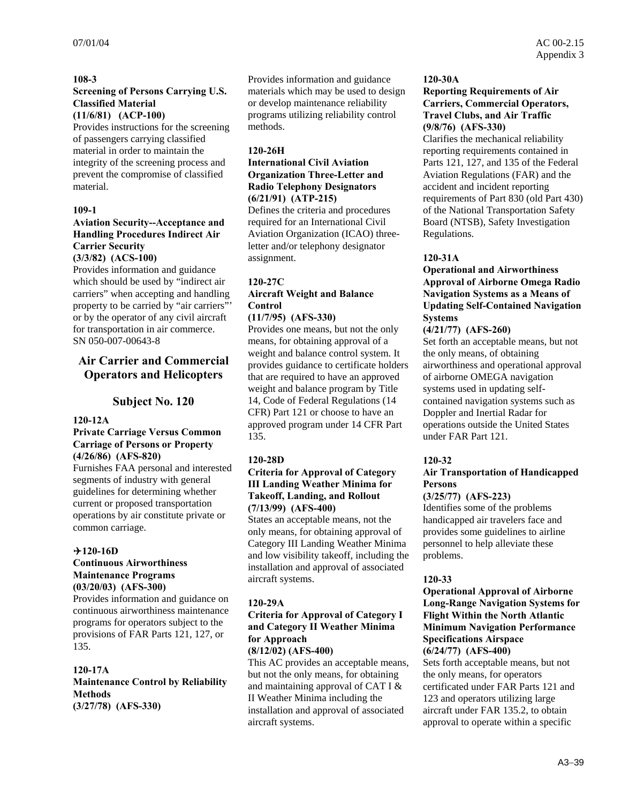### **108-3**

### **Screening of Persons Carrying U.S. Classified Material (11/6/81) (ACP-100)**

Provides instructions for the screening of passengers carrying classified material in order to maintain the integrity of the screening process and prevent the compromise of classified material.

#### **109-1**

## **Aviation Security--Acceptance and Handling Procedures Indirect Air Carrier Security (3/3/82) (ACS-100)**

Provides information and guidance which should be used by "indirect air carriers" when accepting and handling property to be carried by "air carriers"' or by the operator of any civil aircraft for transportation in air commerce. SN 050-007-00643-8

# **Air Carrier and Commercial Operators and Helicopters**

# **Subject No. 120**

### **120-12A**

## **Private Carriage Versus Common Carriage of Persons or Property (4/26/86) (AFS-820)**

Furnishes FAA personal and interested segments of industry with general guidelines for determining whether current or proposed transportation operations by air constitute private or common carriage.

# 4**120-16D**

### **Continuous Airworthiness Maintenance Programs (03/20/03) (AFS-300)**

Provides information and guidance on continuous airworthiness maintenance programs for operators subject to the provisions of FAR Parts 121, 127, or 135.

# **120-17A**

# **Maintenance Control by Reliability Methods (3/27/78) (AFS-330)**

Provides information and guidance materials which may be used to design or develop maintenance reliability programs utilizing reliability control methods.

### **120-26H**

# **International Civil Aviation Organization Three-Letter and Radio Telephony Designators (6/21/91) (ATP-215)**

Defines the criteria and procedures required for an International Civil Aviation Organization (ICAO) threeletter and/or telephony designator assignment.

# **120-27C**

## **Aircraft Weight and Balance Control (11/7/95) (AFS-330)**

# Provides one means, but not the only means, for obtaining approval of a weight and balance control system. It provides guidance to certificate holders that are required to have an approved weight and balance program by Title 14, Code of Federal Regulations (14 CFR) Part 121 or choose to have an approved program under 14 CFR Part 135.

### **120-28D**

## **Criteria for Approval of Category III Landing Weather Minima for Takeoff, Landing, and Rollout (7/13/99) (AFS-400)**

States an acceptable means, not the only means, for obtaining approval of Category III Landing Weather Minima and low visibility takeoff, including the installation and approval of associated aircraft systems.

### **120-29A**

## **Criteria for Approval of Category I and Category II Weather Minima for Approach (8/12/02) (AFS-400)**

This AC provides an acceptable means, but not the only means, for obtaining and maintaining approval of CAT I & II Weather Minima including the installation and approval of associated aircraft systems.

#### **120-30A**

# **Reporting Requirements of Air Carriers, Commercial Operators, Travel Clubs, and Air Traffic (9/8/76) (AFS-330)**

Clarifies the mechanical reliability reporting requirements contained in Parts 121, 127, and 135 of the Federal Aviation Regulations (FAR) and the accident and incident reporting requirements of Part 830 (old Part 430) of the National Transportation Safety Board (NTSB), Safety Investigation Regulations.

## **120-31A**

## **Operational and Airworthiness Approval of Airborne Omega Radio Navigation Systems as a Means of Updating Self-Contained Navigation Systems**

### **(4/21/77) (AFS-260)**

Set forth an acceptable means, but not the only means, of obtaining airworthiness and operational approval of airborne OMEGA navigation systems used in updating selfcontained navigation systems such as Doppler and Inertial Radar for operations outside the United States under FAR Part 121.

### **120-32**

# **Air Transportation of Handicapped Persons**

## **(3/25/77) (AFS-223)**

Identifies some of the problems handicapped air travelers face and provides some guidelines to airline personnel to help alleviate these problems.

### **120-33**

## **Operational Approval of Airborne Long-Range Navigation Systems for Flight Within the North Atlantic Minimum Navigation Performance Specifications Airspace (6/24/77) (AFS-400)**

Sets forth acceptable means, but not the only means, for operators certificated under FAR Parts 121 and 123 and operators utilizing large aircraft under FAR 135.2, to obtain approval to operate within a specific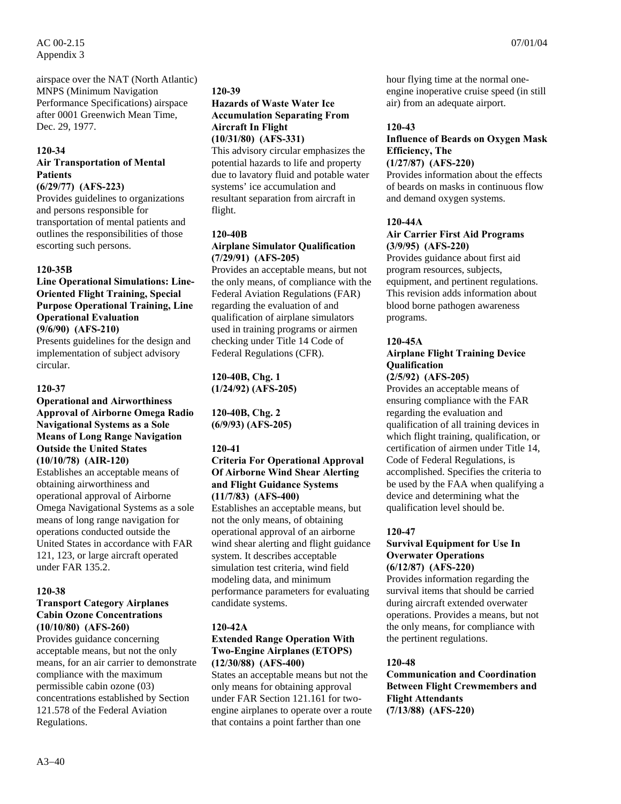airspace over the NAT (North Atlantic) MNPS (Minimum Navigation Performance Specifications) airspace after 0001 Greenwich Mean Time, Dec. 29, 1977.

## **120-34**

# **Air Transportation of Mental Patients**

**(6/29/77) (AFS-223)** 

Provides guidelines to organizations and persons responsible for transportation of mental patients and outlines the responsibilities of those escorting such persons.

# **120-35B**

## **Line Operational Simulations: Line-Oriented Flight Training, Special Purpose Operational Training, Line Operational Evaluation (9/6/90) (AFS-210)**

Presents guidelines for the design and implementation of subject advisory circular.

# **120-37**

# **Operational and Airworthiness Approval of Airborne Omega Radio Navigational Systems as a Sole Means of Long Range Navigation Outside the United States (10/10/78) (AIR-120)**

Establishes an acceptable means of obtaining airworthiness and operational approval of Airborne Omega Navigational Systems as a sole means of long range navigation for operations conducted outside the United States in accordance with FAR 121, 123, or large aircraft operated under FAR 135.2.

### **120-38**

# **Transport Category Airplanes Cabin Ozone Concentrations (10/10/80) (AFS-260)**

Provides guidance concerning acceptable means, but not the only means, for an air carrier to demonstrate compliance with the maximum permissible cabin ozone (03) concentrations established by Section 121.578 of the Federal Aviation Regulations.

# **120-39**

# **Hazards of Waste Water Ice Accumulation Separating From Aircraft In Flight (10/31/80) (AFS-331)**

This advisory circular emphasizes the potential hazards to life and property due to lavatory fluid and potable water systems' ice accumulation and resultant separation from aircraft in flight.

## **120-40B**

### **Airplane Simulator Qualification (7/29/91) (AFS-205)**

Provides an acceptable means, but not the only means, of compliance with the Federal Aviation Regulations (FAR) regarding the evaluation of and qualification of airplane simulators used in training programs or airmen checking under Title 14 Code of Federal Regulations (CFR).

#### **120-40B, Chg. 1 (1/24/92) (AFS-205)**

**120-40B, Chg. 2 (6/9/93) (AFS-205)** 

### **120-41**

# **Criteria For Operational Approval Of Airborne Wind Shear Alerting and Flight Guidance Systems (11/7/83) (AFS-400)**

Establishes an acceptable means, but not the only means, of obtaining operational approval of an airborne wind shear alerting and flight guidance system. It describes acceptable simulation test criteria, wind field modeling data, and minimum performance parameters for evaluating candidate systems.

# **120-42A**

# **Extended Range Operation With Two-Engine Airplanes (ETOPS) (12/30/88) (AFS-400)**

States an acceptable means but not the only means for obtaining approval under FAR Section 121.161 for twoengine airplanes to operate over a route that contains a point farther than one

hour flying time at the normal oneengine inoperative cruise speed (in still air) from an adequate airport.

# **120-43**

## **Influence of Beards on Oxygen Mask Efficiency, The (1/27/87) (AFS-220)**

Provides information about the effects of beards on masks in continuous flow and demand oxygen systems.

## **120-44A**

# **Air Carrier First Aid Programs (3/9/95) (AFS-220)**

Provides guidance about first aid program resources, subjects, equipment, and pertinent regulations. This revision adds information about blood borne pathogen awareness programs.

# **120-45A**

# **Airplane Flight Training Device Qualification (2/5/92) (AFS-205)**

Provides an acceptable means of ensuring compliance with the FAR regarding the evaluation and qualification of all training devices in which flight training, qualification, or certification of airmen under Title 14, Code of Federal Regulations, is accomplished. Specifies the criteria to be used by the FAA when qualifying a device and determining what the qualification level should be.

### **120-47**

## **Survival Equipment for Use In Overwater Operations (6/12/87) (AFS-220)**

Provides information regarding the survival items that should be carried during aircraft extended overwater operations. Provides a means, but not the only means, for compliance with the pertinent regulations.

# **120-48**

**Communication and Coordination Between Flight Crewmembers and Flight Attendants (7/13/88) (AFS-220)**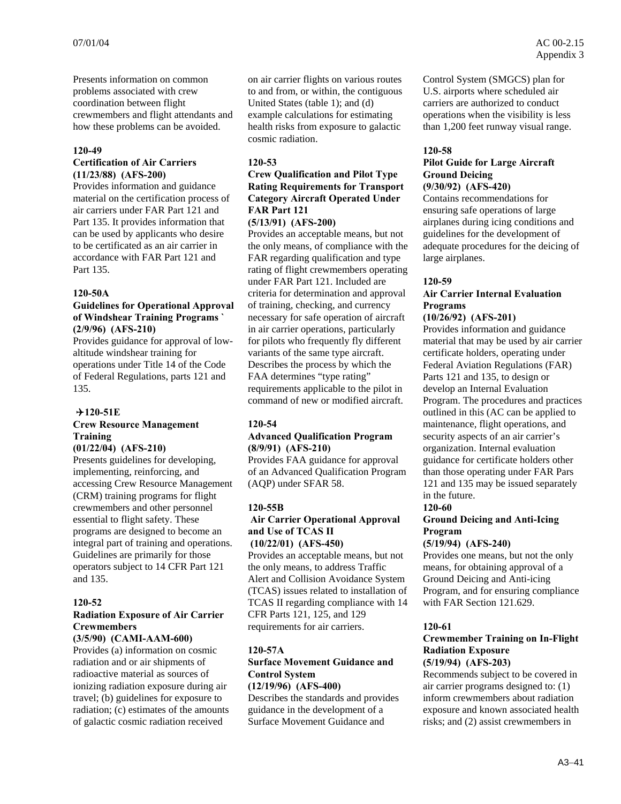Presents information on common problems associated with crew coordination between flight crewmembers and flight attendants and how these problems can be avoided.

### **120-49**

### **Certification of Air Carriers (11/23/88) (AFS-200)**

Provides information and guidance material on the certification process of air carriers under FAR Part 121 and Part 135. It provides information that can be used by applicants who desire to be certificated as an air carrier in accordance with FAR Part 121 and Part 135.

### **120-50A**

### **Guidelines for Operational Approval of Windshear Training Programs ` (2/9/96) (AFS-210)**

Provides guidance for approval of lowaltitude windshear training for operations under Title 14 of the Code of Federal Regulations, parts 121 and 135.

#### 4**120-51E**

# **Crew Resource Management Training**

# **(01/22/04) (AFS-210)**

Presents guidelines for developing, implementing, reinforcing, and accessing Crew Resource Management (CRM) training programs for flight crewmembers and other personnel essential to flight safety. These programs are designed to become an integral part of training and operations. Guidelines are primarily for those operators subject to 14 CFR Part 121 and 135.

### **120-52**

# **Radiation Exposure of Air Carrier Crewmembers**

# **(3/5/90) (CAMI-AAM-600)**

Provides (a) information on cosmic radiation and or air shipments of radioactive material as sources of ionizing radiation exposure during air travel; (b) guidelines for exposure to radiation; (c) estimates of the amounts of galactic cosmic radiation received

on air carrier flights on various routes to and from, or within, the contiguous United States (table 1); and (d) example calculations for estimating health risks from exposure to galactic cosmic radiation.

### **120-53**

# **Crew Qualification and Pilot Type Rating Requirements for Transport Category Aircraft Operated Under FAR Part 121**

**(5/13/91) (AFS-200)** 

Provides an acceptable means, but not the only means, of compliance with the FAR regarding qualification and type rating of flight crewmembers operating under FAR Part 121. Included are criteria for determination and approval of training, checking, and currency necessary for safe operation of aircraft in air carrier operations, particularly for pilots who frequently fly different variants of the same type aircraft. Describes the process by which the FAA determines "type rating" requirements applicable to the pilot in command of new or modified aircraft.

# **120-54**

## **Advanced Qualification Program (8/9/91) (AFS-210)**

Provides FAA guidance for approval of an Advanced Qualification Program (AQP) under SFAR 58.

# **120-55B**

## **Air Carrier Operational Approval and Use of TCAS II (10/22/01) (AFS-450)**

Provides an acceptable means, but not the only means, to address Traffic Alert and Collision Avoidance System (TCAS) issues related to installation of TCAS II regarding compliance with 14 CFR Parts 121, 125, and 129 requirements for air carriers.

#### **120-57A**

## **Surface Movement Guidance and Control System (12/19/96) (AFS-400)**

Describes the standards and provides guidance in the development of a Surface Movement Guidance and

Control System (SMGCS) plan for U.S. airports where scheduled air carriers are authorized to conduct operations when the visibility is less than 1,200 feet runway visual range.

### **120-58**

## **Pilot Guide for Large Aircraft Ground Deicing (9/30/92) (AFS-420)**

Contains recommendations for ensuring safe operations of large airplanes during icing conditions and guidelines for the development of adequate procedures for the deicing of large airplanes.

#### **120-59**

# **Air Carrier Internal Evaluation Programs**

# **(10/26/92) (AFS-201)**

Provides information and guidance material that may be used by air carrier certificate holders, operating under Federal Aviation Regulations (FAR) Parts 121 and 135, to design or develop an Internal Evaluation Program. The procedures and practices outlined in this (AC can be applied to maintenance, flight operations, and security aspects of an air carrier's organization. Internal evaluation guidance for certificate holders other than those operating under FAR Pars 121 and 135 may be issued separately in the future.

## **120-60**

# **Ground Deicing and Anti-Icing Program**

# **(5/19/94) (AFS-240)**

Provides one means, but not the only means, for obtaining approval of a Ground Deicing and Anti-icing Program, and for ensuring compliance with FAR Section 121.629.

### **120-61**

## **Crewmember Training on In-Flight Radiation Exposure (5/19/94) (AFS-203)**

Recommends subject to be covered in air carrier programs designed to: (1) inform crewmembers about radiation exposure and known associated health risks; and (2) assist crewmembers in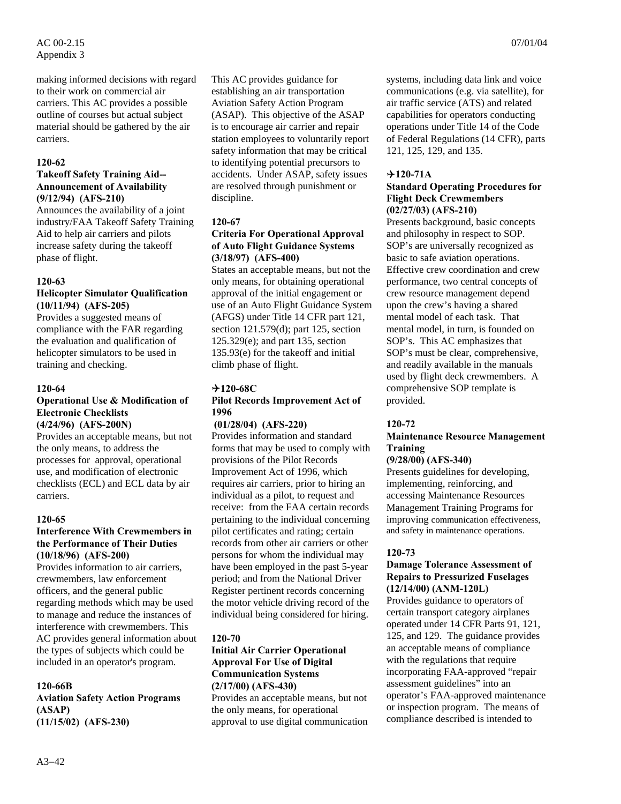making informed decisions with regard to their work on commercial air carriers. This AC provides a possible outline of courses but actual subject material should be gathered by the air carriers.

### **120-62**

### **Takeoff Safety Training Aid-- Announcement of Availability (9/12/94) (AFS-210)**

Announces the availability of a joint industry/FAA Takeoff Safety Training Aid to help air carriers and pilots increase safety during the takeoff phase of flight.

## **120-63**

# **Helicopter Simulator Qualification (10/11/94) (AFS-205)**

Provides a suggested means of compliance with the FAR regarding the evaluation and qualification of helicopter simulators to be used in training and checking.

## **120-64**

# **Operational Use & Modification of Electronic Checklists (4/24/96) (AFS-200N)**

Provides an acceptable means, but not the only means, to address the processes for approval, operational use, and modification of electronic checklists (ECL) and ECL data by air carriers.

# **120-65**

## **Interference With Crewmembers in the Performance of Their Duties (10/18/96) (AFS-200)**

Provides information to air carriers, crewmembers, law enforcement officers, and the general public regarding methods which may be used to manage and reduce the instances of interference with crewmembers. This AC provides general information about the types of subjects which could be included in an operator's program.

### **120-66B**

**Aviation Safety Action Programs (ASAP) (11/15/02) (AFS-230)** 

This AC provides guidance for establishing an air transportation Aviation Safety Action Program (ASAP). This objective of the ASAP is to encourage air carrier and repair station employees to voluntarily report safety information that may be critical to identifying potential precursors to accidents. Under ASAP, safety issues are resolved through punishment or discipline.

### **120-67**

## **Criteria For Operational Approval of Auto Flight Guidance Systems (3/18/97) (AFS-400)**

States an acceptable means, but not the only means, for obtaining operational approval of the initial engagement or use of an Auto Flight Guidance System (AFGS) under Title 14 CFR part 121, section 121.579(d); part 125, section 125.329(e); and part 135, section 135.93(e) for the takeoff and initial climb phase of flight.

### 4**120-68C**

#### **Pilot Records Improvement Act of 1996**

### **(01/28/04) (AFS-220)**

Provides information and standard forms that may be used to comply with provisions of the Pilot Records Improvement Act of 1996, which requires air carriers, prior to hiring an individual as a pilot, to request and receive: from the FAA certain records pertaining to the individual concerning pilot certificates and rating; certain records from other air carriers or other persons for whom the individual may have been employed in the past 5-year period; and from the National Driver Register pertinent records concerning the motor vehicle driving record of the individual being considered for hiring.

### **120-70**

# **Initial Air Carrier Operational Approval For Use of Digital Communication Systems (2/17/00) (AFS-430)**

Provides an acceptable means, but not the only means, for operational approval to use digital communication systems, including data link and voice communications (e.g. via satellite), for air traffic service (ATS) and related capabilities for operators conducting operations under Title 14 of the Code of Federal Regulations (14 CFR), parts 121, 125, 129, and 135.

## 4**120-71A**

# **Standard Operating Procedures for Flight Deck Crewmembers (02/27/03) (AFS-210)**

Presents background, basic concepts and philosophy in respect to SOP. SOP's are universally recognized as basic to safe aviation operations. Effective crew coordination and crew performance, two central concepts of crew resource management depend upon the crew's having a shared mental model of each task. That mental model, in turn, is founded on SOP's. This AC emphasizes that SOP's must be clear, comprehensive, and readily available in the manuals used by flight deck crewmembers. A comprehensive SOP template is provided.

### **120-72**

# **Maintenance Resource Management Training**

### **(9/28/00) (AFS-340)**

Presents guidelines for developing, implementing, reinforcing, and accessing Maintenance Resources Management Training Programs for improving communication effectiveness, and safety in maintenance operations.

# **120-73**

## **Damage Tolerance Assessment of Repairs to Pressurized Fuselages (12/14/00) (ANM-120L)**

Provides guidance to operators of certain transport category airplanes operated under 14 CFR Parts 91, 121, 125, and 129. The guidance provides an acceptable means of compliance with the regulations that require incorporating FAA-approved "repair assessment guidelines" into an operator's FAA-approved maintenance or inspection program. The means of compliance described is intended to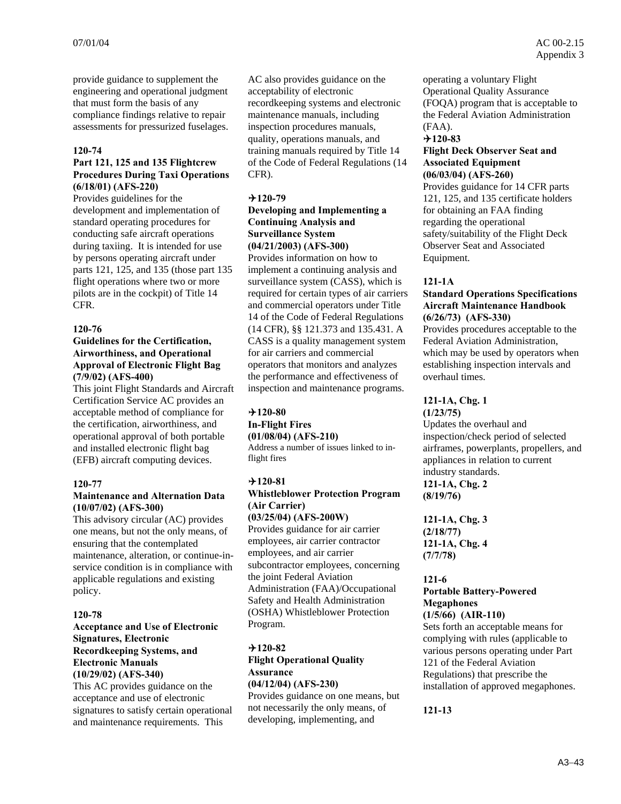provide guidance to supplement the engineering and operational judgment that must form the basis of any compliance findings relative to repair assessments for pressurized fuselages.

### **120-74**

## **Part 121, 125 and 135 Flightcrew Procedures During Taxi Operations (6/18/01) (AFS-220)**

Provides guidelines for the development and implementation of standard operating procedures for conducting safe aircraft operations during taxiing. It is intended for use by persons operating aircraft under parts 121, 125, and 135 (those part 135 flight operations where two or more pilots are in the cockpit) of Title 14 CFR.

### **120-76**

## **Guidelines for the Certification, Airworthiness, and Operational Approval of Electronic Flight Bag (7/9/02) (AFS-400)**

This joint Flight Standards and Aircraft Certification Service AC provides an acceptable method of compliance for the certification, airworthiness, and operational approval of both portable and installed electronic flight bag (EFB) aircraft computing devices.

### **120-77**

### **Maintenance and Alternation Data (10/07/02) (AFS-300)**

This advisory circular (AC) provides one means, but not the only means, of ensuring that the contemplated maintenance, alteration, or continue-inservice condition is in compliance with applicable regulations and existing policy.

### **120-78**

# **Acceptance and Use of Electronic Signatures, Electronic Recordkeeping Systems, and Electronic Manuals (10/29/02) (AFS-340)**

This AC provides guidance on the acceptance and use of electronic signatures to satisfy certain operational and maintenance requirements. This

AC also provides guidance on the acceptability of electronic recordkeeping systems and electronic maintenance manuals, including inspection procedures manuals, quality, operations manuals, and training manuals required by Title 14 of the Code of Federal Regulations (14 CFR).

## $+120-79$

# **Developing and Implementing a Continuing Analysis and Surveillance System (04/21/2003) (AFS-300)**

Provides information on how to implement a continuing analysis and surveillance system (CASS), which is required for certain types of air carriers and commercial operators under Title 14 of the Code of Federal Regulations (14 CFR), §§ 121.373 and 135.431. A CASS is a quality management system for air carriers and commercial operators that monitors and analyzes the performance and effectiveness of inspection and maintenance programs.

# 4**120-80**

## **In-Flight Fires (01/08/04) (AFS-210)**

Address a number of issues linked to inflight fires

### 4**120-81**

# **Whistleblower Protection Program (Air Carrier)**

**(03/25/04) (AFS-200W)**  Provides guidance for air carrier employees, air carrier contractor employees, and air carrier subcontractor employees, concerning the joint Federal Aviation Administration (FAA)/Occupational Safety and Health Administration (OSHA) Whistleblower Protection Program.

### $+120-82$

# **Flight Operational Quality Assurance (04/12/04) (AFS-230)**

Provides guidance on one means, but not necessarily the only means, of developing, implementing, and

operating a voluntary Flight Operational Quality Assurance (FOQA) program that is acceptable to the Federal Aviation Administration (FAA).

## 4**120-83**

### **Flight Deck Observer Seat and Associated Equipment (06/03/04) (AFS-260)**

Provides guidance for 14 CFR parts 121, 125, and 135 certificate holders for obtaining an FAA finding regarding the operational safety/suitability of the Flight Deck Observer Seat and Associated Equipment.

# **121-1A**

# **Standard Operations Specifications Aircraft Maintenance Handbook (6/26/73) (AFS-330)**

Provides procedures acceptable to the Federal Aviation Administration, which may be used by operators when establishing inspection intervals and overhaul times.

# **121-1A, Chg. 1**

**(1/23/75)**  Updates the overhaul and inspection/check period of selected airframes, powerplants, propellers, and appliances in relation to current industry standards. **121-1A, Chg. 2 (8/19/76)** 

**121-1A, Chg. 3 (2/18/77) 121-1A, Chg. 4 (7/7/78)** 

## **121-6 Portable Battery-Powered Megaphones (1/5/66) (AIR-110)**

Sets forth an acceptable means for complying with rules (applicable to various persons operating under Part 121 of the Federal Aviation Regulations) that prescribe the installation of approved megaphones.

**121-13**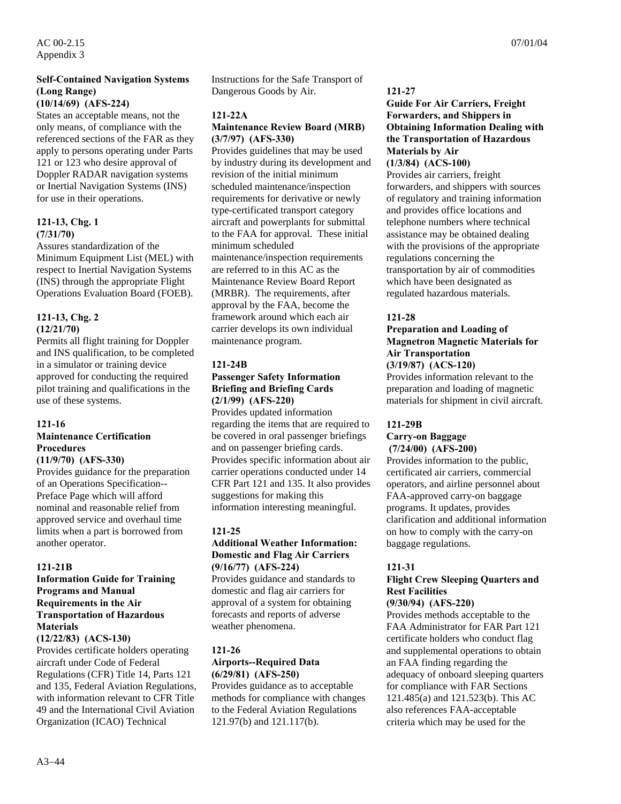### **Self-Contained Navigation Systems (Long Range) (10/14/69) (AFS-224)**

States an acceptable means, not the only means, of compliance with the referenced sections of the FAR as they apply to persons operating under Parts 121 or 123 who desire approval of Doppler RADAR navigation systems or Inertial Navigation Systems (INS) for use in their operations.

# **121-13, Chg. 1 (7/31/70)**

Assures standardization of the Minimum Equipment List (MEL) with respect to Inertial Navigation Systems (INS) through the appropriate Flight Operations Evaluation Board (FOEB).

# **121-13, Chg. 2 (12/21/70)**

Permits all flight training for Doppler and INS qualification, to be completed in a simulator or training device approved for conducting the required pilot training and qualifications in the use of these systems.

# **121-16**

# **Maintenance Certification Procedures (11/9/70) (AFS-330)**

Provides guidance for the preparation of an Operations Specification-- Preface Page which will afford nominal and reasonable relief from approved service and overhaul time limits when a part is borrowed from another operator.

# **121-21B**

## **Information Guide for Training Programs and Manual Requirements in the Air Transportation of Hazardous Materials (12/22/83) (ACS-130)**

Provides certificate holders operating aircraft under Code of Federal Regulations (CFR) Title 14, Parts 121 and 135, Federal Aviation Regulations, with information relevant to CFR Title 49 and the International Civil Aviation Organization (ICAO) Technical

Instructions for the Safe Transport of Dangerous Goods by Air.

### **121-22A Maintenance Review Board (MRB) (3/7/97) (AFS-330)**

Provides guidelines that may be used by industry during its development and revision of the initial minimum scheduled maintenance/inspection requirements for derivative or newly type-certificated transport category aircraft and powerplants for submittal to the FAA for approval. These initial minimum scheduled maintenance/inspection requirements are referred to in this AC as the Maintenance Review Board Report (MRBR). The requirements, after approval by the FAA, become the framework around which each air carrier develops its own individual maintenance program.

# **121-24B**

## **Passenger Safety Information Briefing and Briefing Cards (2/1/99) (AFS-220)**

Provides updated information regarding the items that are required to be covered in oral passenger briefings and on passenger briefing cards. Provides specific information about air carrier operations conducted under 14 CFR Part 121 and 135. It also provides suggestions for making this information interesting meaningful.

# **121-25**

## **Additional Weather Information: Domestic and Flag Air Carriers (9/16/77) (AFS-224)**

Provides guidance and standards to domestic and flag air carriers for approval of a system for obtaining forecasts and reports of adverse weather phenomena.

# **121-26 Airports--Required Data (6/29/81) (AFS-250)**

Provides guidance as to acceptable methods for compliance with changes to the Federal Aviation Regulations 121.97(b) and 121.117(b).

# **121-27**

**Guide For Air Carriers, Freight Forwarders, and Shippers in Obtaining Information Dealing with the Transportation of Hazardous Materials by Air (1/3/84) (ACS-100)** 

Provides air carriers, freight forwarders, and shippers with sources of regulatory and training information and provides office locations and telephone numbers where technical assistance may be obtained dealing with the provisions of the appropriate regulations concerning the transportation by air of commodities which have been designated as regulated hazardous materials.

## **121-28**

## **Preparation and Loading of Magnetron Magnetic Materials for Air Transportation (3/19/87) (ACS-120)**  Provides information relevant to the

preparation and loading of magnetic materials for shipment in civil aircraft.

# **121-29B**

### **Carry-on Baggage (7/24/00) (AFS-200)**

Provides information to the public, certificated air carriers, commercial operators, and airline personnel about FAA-approved carry-on baggage programs. It updates, provides clarification and additional information on how to comply with the carry-on baggage regulations.

# **121-31**

# **Flight Crew Sleeping Quarters and Rest Facilities**

**(9/30/94) (AFS-220)**  Provides methods acceptable to the FAA Administrator for FAR Part 121 certificate holders who conduct flag and supplemental operations to obtain an FAA finding regarding the adequacy of onboard sleeping quarters for compliance with FAR Sections 121.485(a) and 121.523(b). This AC also references FAA-acceptable

criteria which may be used for the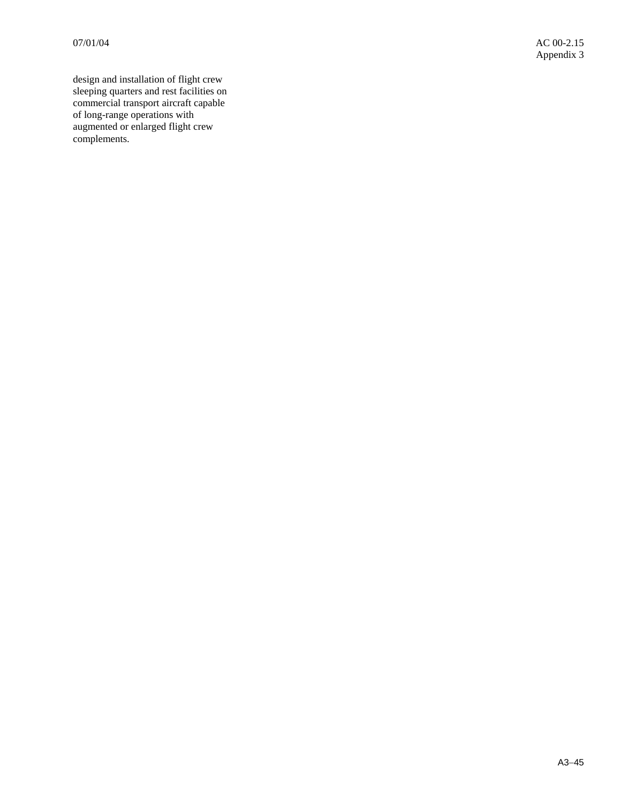design and installation of flight crew sleeping quarters and rest facilities on commercial transport aircraft capable of long-range operations with augmented or enlarged flight crew complements.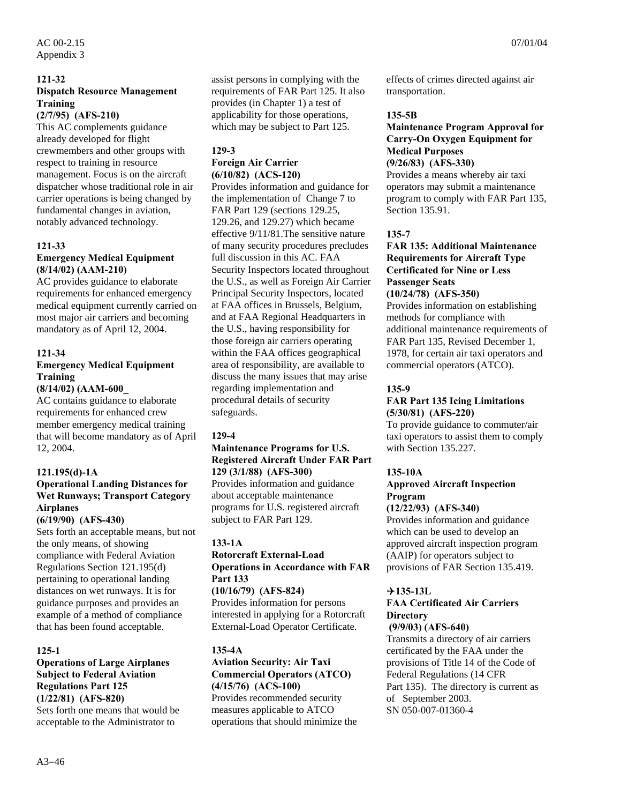## **121-32 Dispatch Resource Management Training**

**(2/7/95) (AFS-210)** 

This AC complements guidance already developed for flight crewmembers and other groups with respect to training in resource management. Focus is on the aircraft dispatcher whose traditional role in air carrier operations is being changed by fundamental changes in aviation, notably advanced technology.

# **121-33**

# **Emergency Medical Equipment (8/14/02) (AAM-210)**

AC provides guidance to elaborate requirements for enhanced emergency medical equipment currently carried on most major air carriers and becoming mandatory as of April 12, 2004.

# **121-34**

# **Emergency Medical Equipment Training**

**(8/14/02) (AAM-600\_**  AC contains guidance to elaborate

requirements for enhanced crew member emergency medical training that will become mandatory as of April 12, 2004.

# **121.195(d)-1A**

# **Operational Landing Distances for Wet Runways; Transport Category Airplanes**

**(6/19/90) (AFS-430)**  Sets forth an acceptable means, but not the only means, of showing compliance with Federal Aviation Regulations Section 121.195(d) pertaining to operational landing distances on wet runways. It is for guidance purposes and provides an example of a method of compliance that has been found acceptable.

# **125-1**

# **Operations of Large Airplanes Subject to Federal Aviation Regulations Part 125 (1/22/81) (AFS-820)**

Sets forth one means that would be acceptable to the Administrator to

assist persons in complying with the requirements of FAR Part 125. It also provides (in Chapter 1) a test of applicability for those operations, which may be subject to Part 125.

# **129-3**

# **Foreign Air Carrier (6/10/82) (ACS-120)**

Provides information and guidance for the implementation of Change 7 to FAR Part 129 (sections 129.25, 129.26, and 129.27) which became effective 9/11/81.The sensitive nature of many security procedures precludes full discussion in this AC. FAA Security Inspectors located throughout the U.S., as well as Foreign Air Carrier Principal Security Inspectors, located at FAA offices in Brussels, Belgium, and at FAA Regional Headquarters in the U.S., having responsibility for those foreign air carriers operating within the FAA offices geographical area of responsibility, are available to discuss the many issues that may arise regarding implementation and procedural details of security safeguards.

# **129-4**

# **Maintenance Programs for U.S. Registered Aircraft Under FAR Part 129 (3/1/88) (AFS-300)**

Provides information and guidance about acceptable maintenance programs for U.S. registered aircraft subject to FAR Part 129.

# **133-1A**

# **Rotorcraft External-Load Operations in Accordance with FAR Part 133 (10/16/79) (AFS-824)**

Provides information for persons interested in applying for a Rotorcraft External-Load Operator Certificate.

# **135-4A**

### **Aviation Security: Air Taxi Commercial Operators (ATCO) (4/15/76) (ACS-100)**

Provides recommended security measures applicable to ATCO operations that should minimize the effects of crimes directed against air transportation.

# **135-5B**

## **Maintenance Program Approval for Carry-On Oxygen Equipment for Medical Purposes (9/26/83) (AFS-330)**

Provides a means whereby air taxi operators may submit a maintenance program to comply with FAR Part 135, Section 135.91.

# **135-7**

# **FAR 135: Additional Maintenance Requirements for Aircraft Type Certificated for Nine or Less Passenger Seats**

**(10/24/78) (AFS-350)**  Provides information on establishing methods for compliance with additional maintenance requirements of FAR Part 135, Revised December 1, 1978, for certain air taxi operators and commercial operators (ATCO).

# **135-9**

# **FAR Part 135 Icing Limitations (5/30/81) (AFS-220)**

To provide guidance to commuter/air taxi operators to assist them to comply with Section 135.227.

# **135-10A**

# **Approved Aircraft Inspection Program**

**(12/22/93) (AFS-340)** 

Provides information and guidance which can be used to develop an approved aircraft inspection program (AAIP) for operators subject to provisions of FAR Section 135.419.

# 4**135-13L**

## **FAA Certificated Air Carriers Directory (9/9/03) (AFS-640)**

Transmits a directory of air carriers certificated by the FAA under the provisions of Title 14 of the Code of Federal Regulations (14 CFR Part 135). The directory is current as of September 2003. SN 050-007-01360-4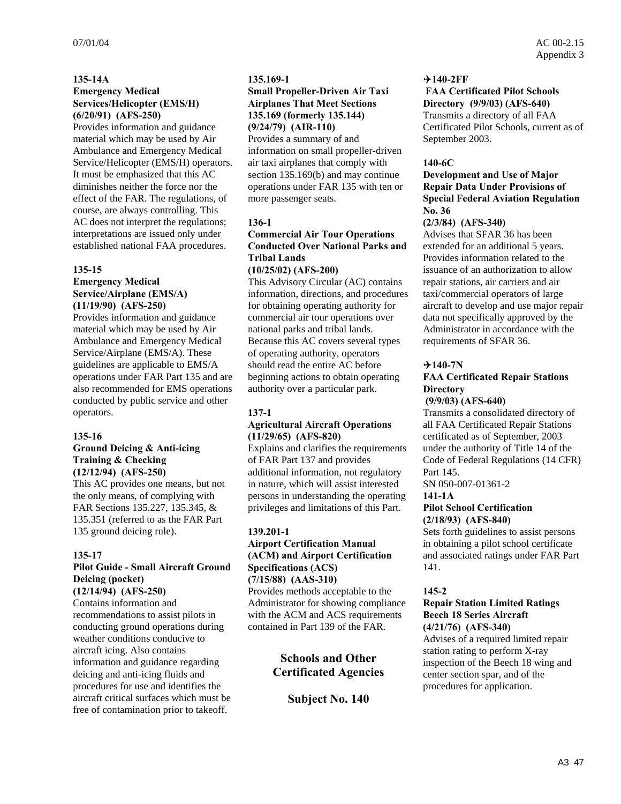# **135-14A**

## **Emergency Medical Services/Helicopter (EMS/H) (6/20/91) (AFS-250)**

Provides information and guidance material which may be used by Air Ambulance and Emergency Medical Service/Helicopter (EMS/H) operators. It must be emphasized that this AC diminishes neither the force nor the effect of the FAR. The regulations, of course, are always controlling. This AC does not interpret the regulations; interpretations are issued only under established national FAA procedures.

# **135-15**

# **Emergency Medical Service/Airplane (EMS/A) (11/19/90) (AFS-250)**

Provides information and guidance material which may be used by Air Ambulance and Emergency Medical Service/Airplane (EMS/A). These guidelines are applicable to EMS/A operations under FAR Part 135 and are also recommended for EMS operations conducted by public service and other operators.

### **135-16**

### **Ground Deicing & Anti-icing Training & Checking (12/12/94) (AFS-250)**

This AC provides one means, but not the only means, of complying with FAR Sections 135.227, 135.345, & 135.351 (referred to as the FAR Part 135 ground deicing rule).

### **135-17**

# **Pilot Guide - Small Aircraft Ground Deicing (pocket)**

**(12/14/94) (AFS-250)**  Contains information and recommendations to assist pilots in conducting ground operations during weather conditions conducive to aircraft icing. Also contains information and guidance regarding deicing and anti-icing fluids and procedures for use and identifies the aircraft critical surfaces which must be

free of contamination prior to takeoff.

# **135.169-1**

## **Small Propeller-Driven Air Taxi Airplanes That Meet Sections 135.169 (formerly 135.144) (9/24/79) (AIR-110)**

Provides a summary of and information on small propeller-driven air taxi airplanes that comply with section 135.169(b) and may continue operations under FAR 135 with ten or more passenger seats.

### **136-1**

## **Commercial Air Tour Operations Conducted Over National Parks and Tribal Lands (10/25/02) (AFS-200)**

This Advisory Circular (AC) contains information, directions, and procedures for obtaining operating authority for commercial air tour operations over national parks and tribal lands. Because this AC covers several types of operating authority, operators should read the entire AC before beginning actions to obtain operating authority over a particular park.

# **137-1**

# **Agricultural Aircraft Operations (11/29/65) (AFS-820)**

Explains and clarifies the requirements of FAR Part 137 and provides additional information, not regulatory in nature, which will assist interested persons in understanding the operating privileges and limitations of this Part.

### **139.201-1**

## **Airport Certification Manual (ACM) and Airport Certification Specifications (ACS) (7/15/88) (AAS-310)**

Provides methods acceptable to the Administrator for showing compliance with the ACM and ACS requirements contained in Part 139 of the FAR.

# **Schools and Other Certificated Agencies**

**Subject No. 140** 

# 4**140-2FF**

### **FAA Certificated Pilot Schools Directory (9/9/03) (AFS-640)**

Transmits a directory of all FAA Certificated Pilot Schools, current as of September 2003.

# **140-6C**

# **Development and Use of Major Repair Data Under Provisions of Special Federal Aviation Regulation No. 36**

## **(2/3/84) (AFS-340)**

Advises that SFAR 36 has been extended for an additional 5 years. Provides information related to the issuance of an authorization to allow repair stations, air carriers and air taxi/commercial operators of large aircraft to develop and use major repair data not specifically approved by the Administrator in accordance with the requirements of SFAR 36.

#### $+140-7N$

# **FAA Certificated Repair Stations Directory**

#### **(9/9/03) (AFS-640)**

Transmits a consolidated directory of all FAA Certificated Repair Stations certificated as of September, 2003 under the authority of Title 14 of the Code of Federal Regulations (14 CFR) Part 145.

SN 050-007-01361-2

# **141-1A**

### **Pilot School Certification (2/18/93) (AFS-840)**

Sets forth guidelines to assist persons in obtaining a pilot school certificate and associated ratings under FAR Part 141.

### **145-2**

#### **Repair Station Limited Ratings Beech 18 Series Aircraft (4/21/76) (AFS-340)**

Advises of a required limited repair station rating to perform X-ray inspection of the Beech 18 wing and center section spar, and of the procedures for application.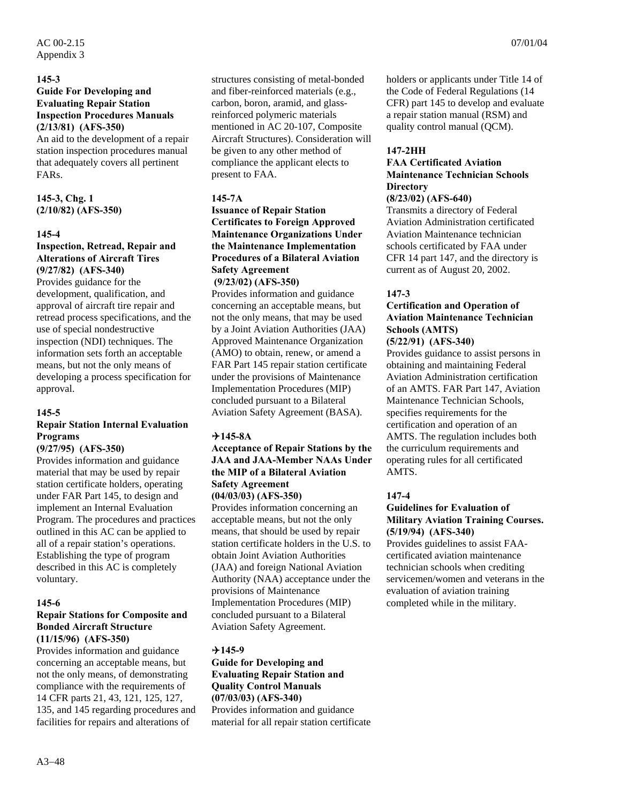# **145-3**

**Guide For Developing and Evaluating Repair Station Inspection Procedures Manuals (2/13/81) (AFS-350)**  An aid to the development of a repair station inspection procedures manual

that adequately covers all pertinent FARs.

**145-3, Chg. 1 (2/10/82) (AFS-350)** 

## **145-4**

## **Inspection, Retread, Repair and Alterations of Aircraft Tires (9/27/82) (AFS-340)**

Provides guidance for the development, qualification, and approval of aircraft tire repair and retread process specifications, and the use of special nondestructive inspection (NDI) techniques. The information sets forth an acceptable means, but not the only means of developing a process specification for approval.

### **145-5**

# **Repair Station Internal Evaluation Programs**

**(9/27/95) (AFS-350)** 

Provides information and guidance material that may be used by repair station certificate holders, operating under FAR Part 145, to design and implement an Internal Evaluation Program. The procedures and practices outlined in this AC can be applied to all of a repair station's operations. Establishing the type of program described in this AC is completely voluntary.

# **145-6**

## **Repair Stations for Composite and Bonded Aircraft Structure (11/15/96) (AFS-350)**

Provides information and guidance concerning an acceptable means, but not the only means, of demonstrating compliance with the requirements of 14 CFR parts 21, 43, 121, 125, 127, 135, and 145 regarding procedures and facilities for repairs and alterations of

structures consisting of metal-bonded and fiber-reinforced materials (e.g., carbon, boron, aramid, and glassreinforced polymeric materials mentioned in AC 20-107, Composite Aircraft Structures). Consideration will be given to any other method of compliance the applicant elects to present to FAA.

# **145-7A**

## **Issuance of Repair Station Certificates to Foreign Approved Maintenance Organizations Under the Maintenance Implementation Procedures of a Bilateral Aviation Safety Agreement (9/23/02) (AFS-350)**

Provides information and guidance concerning an acceptable means, but not the only means, that may be used by a Joint Aviation Authorities (JAA) Approved Maintenance Organization (AMO) to obtain, renew, or amend a FAR Part 145 repair station certificate under the provisions of Maintenance Implementation Procedures (MIP) concluded pursuant to a Bilateral Aviation Safety Agreement (BASA).

# 4**145-8A**

## **Acceptance of Repair Stations by the JAA and JAA-Member NAAs Under the MIP of a Bilateral Aviation Safety Agreement (04/03/03) (AFS-350)**

Provides information concerning an acceptable means, but not the only means, that should be used by repair station certificate holders in the U.S. to obtain Joint Aviation Authorities (JAA) and foreign National Aviation Authority (NAA) acceptance under the provisions of Maintenance Implementation Procedures (MIP) concluded pursuant to a Bilateral Aviation Safety Agreement.

# $+145-9$

# **Guide for Developing and Evaluating Repair Station and Quality Control Manuals (07/03/03) (AFS-340)**

Provides information and guidance material for all repair station certificate holders or applicants under Title 14 of the Code of Federal Regulations (14 CFR) part 145 to develop and evaluate a repair station manual (RSM) and quality control manual (QCM).

# **147-2HH**

# **FAA Certificated Aviation Maintenance Technician Schools Directory**

# **(8/23/02) (AFS-640)**

Transmits a directory of Federal Aviation Administration certificated Aviation Maintenance technician schools certificated by FAA under CFR 14 part 147, and the directory is current as of August 20, 2002.

# **147-3**

## **Certification and Operation of Aviation Maintenance Technician Schools (AMTS) (5/22/91) (AFS-340)**

Provides guidance to assist persons in obtaining and maintaining Federal Aviation Administration certification of an AMTS. FAR Part 147, Aviation Maintenance Technician Schools, specifies requirements for the certification and operation of an AMTS. The regulation includes both the curriculum requirements and operating rules for all certificated AMTS.

# **147-4**

# **Guidelines for Evaluation of Military Aviation Training Courses. (5/19/94) (AFS-340)**

Provides guidelines to assist FAAcertificated aviation maintenance technician schools when crediting servicemen/women and veterans in the evaluation of aviation training completed while in the military.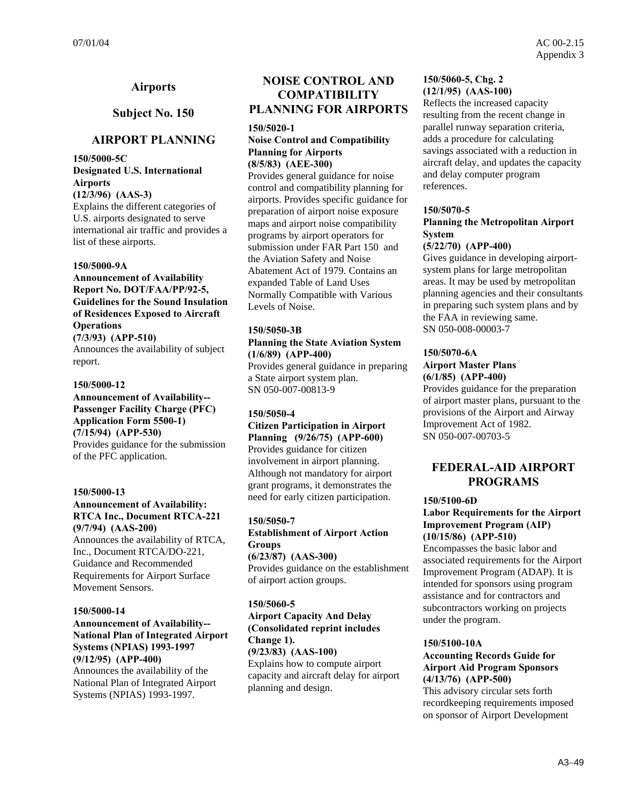# **Airports**

# **Subject No. 150**

# **AIRPORT PLANNING**

# **150/5000-5C Designated U.S. International Airports**

**(12/3/96) (AAS-3)**  Explains the different categories of U.S. airports designated to serve international air traffic and provides a list of these airports.

## **150/5000-9A**

**Announcement of Availability Report No. DOT/FAA/PP/92-5, Guidelines for the Sound Insulation of Residences Exposed to Aircraft Operations (7/3/93) (APP-510)**  Announces the availability of subject report.

# **150/5000-12**

**Announcement of Availability-- Passenger Facility Charge (PFC) Application Form 5500-1) (7/15/94) (APP-530)**  Provides guidance for the submission of the PFC application.

# **150/5000-13**

# **Announcement of Availability: RTCA Inc., Document RTCA-221 (9/7/94) (AAS-200)**

Announces the availability of RTCA, Inc., Document RTCA/DO-221, Guidance and Recommended Requirements for Airport Surface Movement Sensors.

# **150/5000-14**

**Announcement of Availability-- National Plan of Integrated Airport Systems (NPIAS) 1993-1997 (9/12/95) (APP-400)**  Announces the availability of the National Plan of Integrated Airport Systems (NPIAS) 1993-1997.

# **NOISE CONTROL AND COMPATIBILITY PLANNING FOR AIRPORTS**

## **150/5020-1 Noise Control and Compatibility Planning for Airports (8/5/83) (AEE-300)**

Provides general guidance for noise control and compatibility planning for airports. Provides specific guidance for preparation of airport noise exposure maps and airport noise compatibility programs by airport operators for submission under FAR Part 150 and the Aviation Safety and Noise Abatement Act of 1979. Contains an expanded Table of Land Uses Normally Compatible with Various Levels of Noise.

# **150/5050-3B**

**Planning the State Aviation System (1/6/89) (APP-400)**  Provides general guidance in preparing

a State airport system plan. SN 050-007-00813-9

# **150/5050-4**

# **Citizen Participation in Airport Planning (9/26/75) (APP-600)**  Provides guidance for citizen involvement in airport planning.

Although not mandatory for airport grant programs, it demonstrates the need for early citizen participation.

# **150/5050-7**

## **Establishment of Airport Action Groups (6/23/87) (AAS-300)**  Provides guidance on the establishment of airport action groups.

# **150/5060-5**

**Airport Capacity And Delay (Consolidated reprint includes Change 1). (9/23/83) (AAS-100)**  Explains how to compute airport capacity and aircraft delay for airport planning and design.

# **150/5060-5, Chg. 2 (12/1/95) (AAS-100)**

Reflects the increased capacity resulting from the recent change in parallel runway separation criteria, adds a procedure for calculating savings associated with a reduction in aircraft delay, and updates the capacity and delay computer program references.

# **150/5070-5**

# **Planning the Metropolitan Airport System**

## **(5/22/70) (APP-400)**

Gives guidance in developing airportsystem plans for large metropolitan areas. It may be used by metropolitan planning agencies and their consultants in preparing such system plans and by the FAA in reviewing same. SN 050-008-00003-7

## **150/5070-6A Airport Master Plans (6/1/85) (APP-400)**

Provides guidance for the preparation of airport master plans, pursuant to the provisions of the Airport and Airway Improvement Act of 1982. SN 050-007-00703-5

# **FEDERAL-AID AIRPORT PROGRAMS**

# **150/5100-6D**

# **Labor Requirements for the Airport Improvement Program (AIP) (10/15/86) (APP-510)**

Encompasses the basic labor and associated requirements for the Airport Improvement Program (ADAP). It is intended for sponsors using program assistance and for contractors and subcontractors working on projects under the program.

# **150/5100-10A**

# **Accounting Records Guide for Airport Aid Program Sponsors (4/13/76) (APP-500)**

This advisory circular sets forth recordkeeping requirements imposed on sponsor of Airport Development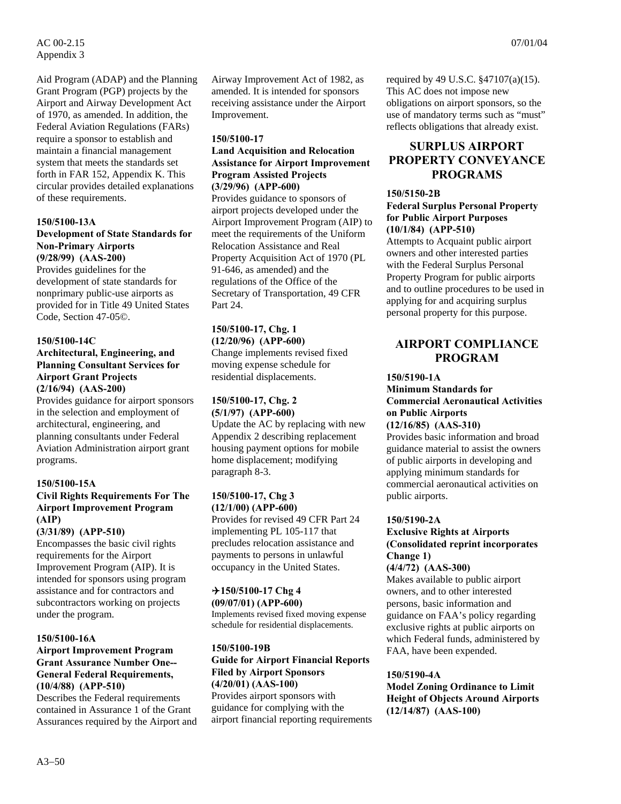Aid Program (ADAP) and the Planning Grant Program (PGP) projects by the Airport and Airway Development Act of 1970, as amended. In addition, the Federal Aviation Regulations (FARs) require a sponsor to establish and maintain a financial management system that meets the standards set forth in FAR 152, Appendix K. This circular provides detailed explanations of these requirements.

### **150/5100-13A**

### **Development of State Standards for Non-Primary Airports (9/28/99) (AAS-200)**

Provides guidelines for the development of state standards for nonprimary public-use airports as provided for in Title 49 United States Code, Section 47-05©.

### **150/5100-14C**

## **Architectural, Engineering, and Planning Consultant Services for Airport Grant Projects (2/16/94) (AAS-200)**

Provides guidance for airport sponsors in the selection and employment of architectural, engineering, and planning consultants under Federal Aviation Administration airport grant programs.

### **150/5100-15A**

# **Civil Rights Requirements For The Airport Improvement Program (AIP)**

**(3/31/89) (APP-510)**  Encompasses the basic civil rights requirements for the Airport Improvement Program (AIP). It is intended for sponsors using program assistance and for contractors and subcontractors working on projects under the program.

### **150/5100-16A**

# **Airport Improvement Program Grant Assurance Number One-- General Federal Requirements, (10/4/88) (APP-510)**

Describes the Federal requirements contained in Assurance 1 of the Grant Assurances required by the Airport and Airway Improvement Act of 1982, as amended. It is intended for sponsors receiving assistance under the Airport Improvement.

# **150/5100-17**

## **Land Acquisition and Relocation Assistance for Airport Improvement Program Assisted Projects (3/29/96) (APP-600)**

Provides guidance to sponsors of airport projects developed under the Airport Improvement Program (AIP) to meet the requirements of the Uniform Relocation Assistance and Real Property Acquisition Act of 1970 (PL 91-646, as amended) and the regulations of the Office of the Secretary of Transportation, 49 CFR Part 24.

#### **150/5100-17, Chg. 1 (12/20/96) (APP-600)**

Change implements revised fixed moving expense schedule for residential displacements.

#### **150/5100-17, Chg. 2 (5/1/97) (APP-600)**

Update the AC by replacing with new Appendix 2 describing replacement housing payment options for mobile home displacement; modifying paragraph 8-3.

## **150/5100-17, Chg 3 (12/1/00) (APP-600)**

Provides for revised 49 CFR Part 24 implementing PL 105-117 that precludes relocation assistance and payments to persons in unlawful occupancy in the United States.

#### 4**150/5100-17 Chg 4 (09/07/01) (APP-600)**

Implements revised fixed moving expense schedule for residential displacements.

# **150/5100-19B**

**Guide for Airport Financial Reports Filed by Airport Sponsors (4/20/01) (AAS-100)**  Provides airport sponsors with guidance for complying with the airport financial reporting requirements required by 49 U.S.C. §47107(a)(15). This AC does not impose new obligations on airport sponsors, so the use of mandatory terms such as "must" reflects obligations that already exist.

# **SURPLUS AIRPORT PROPERTY CONVEYANCE PROGRAMS**

### **150/5150-2B**

# **Federal Surplus Personal Property for Public Airport Purposes (10/1/84) (APP-510)**

Attempts to Acquaint public airport owners and other interested parties with the Federal Surplus Personal Property Program for public airports and to outline procedures to be used in applying for and acquiring surplus personal property for this purpose.

# **AIRPORT COMPLIANCE PROGRAM**

### **150/5190-1A**

**Minimum Standards for Commercial Aeronautical Activities on Public Airports** 

# **(12/16/85) (AAS-310)**

Provides basic information and broad guidance material to assist the owners of public airports in developing and applying minimum standards for commercial aeronautical activities on public airports.

### **150/5190-2A**

**Exclusive Rights at Airports (Consolidated reprint incorporates Change 1)** 

**(4/4/72) (AAS-300)**  Makes available to public airport owners, and to other interested persons, basic information and guidance on FAA's policy regarding exclusive rights at public airports on which Federal funds, administered by FAA, have been expended.

# **150/5190-4A**

**Model Zoning Ordinance to Limit Height of Objects Around Airports (12/14/87) (AAS-100)**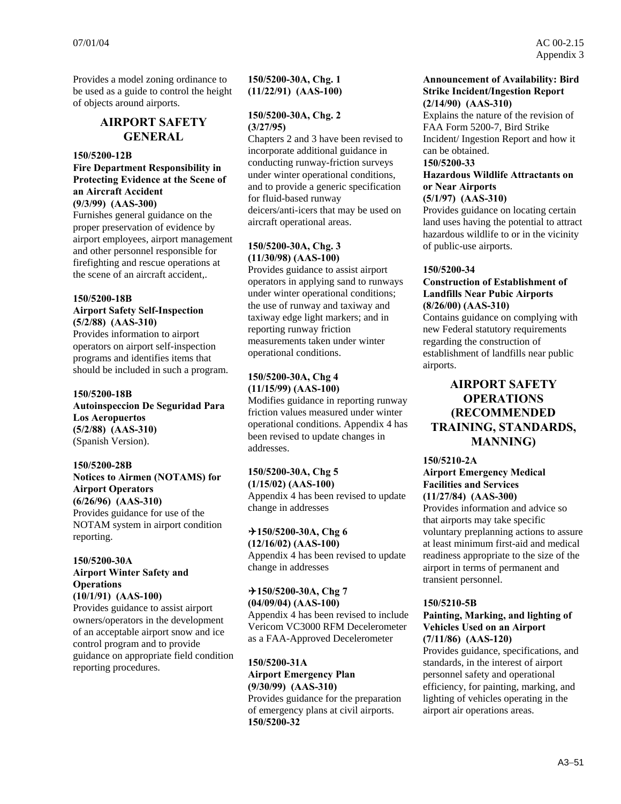Provides a model zoning ordinance to be used as a guide to control the height of objects around airports.

# **AIRPORT SAFETY GENERAL**

# **150/5200-12B**

**Fire Department Responsibility in Protecting Evidence at the Scene of an Aircraft Accident (9/3/99) (AAS-300)** 

Furnishes general guidance on the proper preservation of evidence by airport employees, airport management and other personnel responsible for firefighting and rescue operations at the scene of an aircraft accident,.

# **150/5200-18B**

### **Airport Safety Self-Inspection (5/2/88) (AAS-310)**

Provides information to airport operators on airport self-inspection programs and identifies items that should be included in such a program.

# **150/5200-18B**

**Autoinspeccion De Seguridad Para Los Aeropuertos (5/2/88) (AAS-310)**  (Spanish Version).

# **150/5200-28B**

**Notices to Airmen (NOTAMS) for Airport Operators (6/26/96) (AAS-310)**  Provides guidance for use of the NOTAM system in airport condition reporting.

# **150/5200-30A Airport Winter Safety and Operations**

**(10/1/91) (AAS-100)**  Provides guidance to assist airport

owners/operators in the development of an acceptable airport snow and ice control program and to provide guidance on appropriate field condition reporting procedures.

# **150/5200-30A, Chg. 1 (11/22/91) (AAS-100)**

# **150/5200-30A, Chg. 2 (3/27/95)**

Chapters 2 and 3 have been revised to incorporate additional guidance in conducting runway-friction surveys under winter operational conditions, and to provide a generic specification for fluid-based runway deicers/anti-icers that may be used on aircraft operational areas.

## **150/5200-30A, Chg. 3 (11/30/98) (AAS-100)**

Provides guidance to assist airport operators in applying sand to runways under winter operational conditions; the use of runway and taxiway and taxiway edge light markers; and in reporting runway friction measurements taken under winter operational conditions.

# **150/5200-30A, Chg 4 (11/15/99) (AAS-100)**

Modifies guidance in reporting runway friction values measured under winter operational conditions. Appendix 4 has been revised to update changes in addresses.

# **150/5200-30A, Chg 5 (1/15/02) (AAS-100)**  Appendix 4 has been revised to update change in addresses

4**150/5200-30A, Chg 6 (12/16/02) (AAS-100)**  Appendix 4 has been revised to update

change in addresses

# 4**150/5200-30A, Chg 7 (04/09/04) (AAS-100)**  Appendix 4 has been revised to include

Vericom VC3000 RFM Decelerometer as a FAA-Approved Decelerometer

## **150/5200-31A Airport Emergency Plan**

**(9/30/99) (AAS-310)**  Provides guidance for the preparation of emergency plans at civil airports. **150/5200-32** 

## **Announcement of Availability: Bird Strike Incident/Ingestion Report (2/14/90) (AAS-310)**

Explains the nature of the revision of FAA Form 5200-7, Bird Strike Incident/ Ingestion Report and how it can be obtained.

# **150/5200-33**

### **Hazardous Wildlife Attractants on or Near Airports (5/1/97) (AAS-310)**

Provides guidance on locating certain land uses having the potential to attract hazardous wildlife to or in the vicinity of public-use airports.

# **150/5200-34**

# **Construction of Establishment of Landfills Near Pubic Airports (8/26/00) (AAS-310)**

Contains guidance on complying with new Federal statutory requirements regarding the construction of establishment of landfills near public airports.

# **AIRPORT SAFETY OPERATIONS (RECOMMENDED TRAINING, STANDARDS, MANNING)**

**150/5210-2A Airport Emergency Medical Facilities and Services (11/27/84) (AAS-300)** 

Provides information and advice so that airports may take specific voluntary preplanning actions to assure at least minimum first-aid and medical readiness appropriate to the size of the airport in terms of permanent and transient personnel.

# **150/5210-5B**

## **Painting, Marking, and lighting of Vehicles Used on an Airport (7/11/86) (AAS-120)**

Provides guidance, specifications, and standards, in the interest of airport personnel safety and operational efficiency, for painting, marking, and lighting of vehicles operating in the airport air operations areas.

# A3−51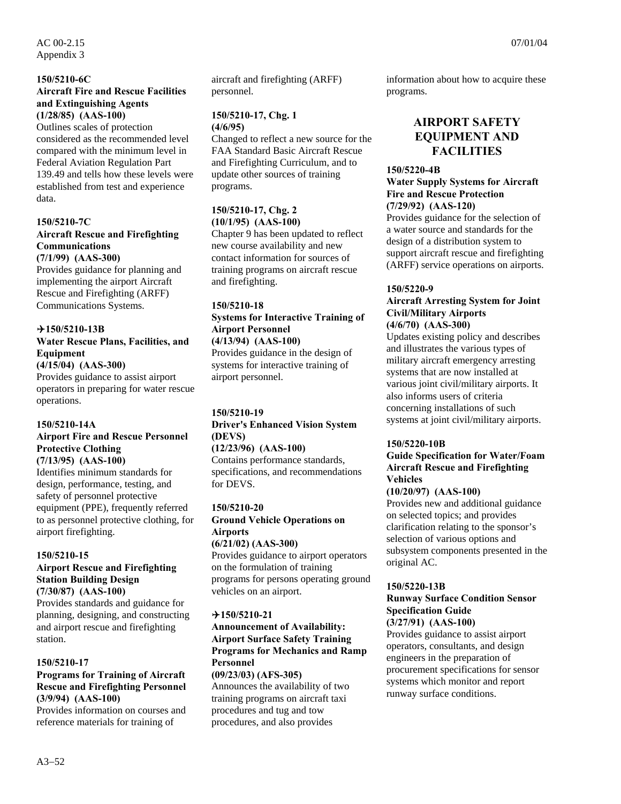### **150/5210-6C**

## **Aircraft Fire and Rescue Facilities and Extinguishing Agents (1/28/85) (AAS-100)**

Outlines scales of protection considered as the recommended level compared with the minimum level in Federal Aviation Regulation Part 139.49 and tells how these levels were established from test and experience data.

#### **150/5210-7C**

## **Aircraft Rescue and Firefighting Communications (7/1/99) (AAS-300)**

Provides guidance for planning and implementing the airport Aircraft Rescue and Firefighting (ARFF) Communications Systems.

### 4**150/5210-13B**

# **Water Rescue Plans, Facilities, and Equipment**

**(4/15/04) (AAS-300)**  Provides guidance to assist airport operators in preparing for water rescue operations.

### **150/5210-14A**

## **Airport Fire and Rescue Personnel Protective Clothing (7/13/95) (AAS-100)**

Identifies minimum standards for design, performance, testing, and safety of personnel protective equipment (PPE), frequently referred to as personnel protective clothing, for airport firefighting.

# **150/5210-15**

# **Airport Rescue and Firefighting Station Building Design (7/30/87) (AAS-100)**

Provides standards and guidance for planning, designing, and constructing and airport rescue and firefighting station.

# **150/5210-17**

# **Programs for Training of Aircraft Rescue and Firefighting Personnel (3/9/94) (AAS-100)**

Provides information on courses and reference materials for training of

aircraft and firefighting (ARFF) personnel.

# **150/5210-17, Chg. 1 (4/6/95)**

Changed to reflect a new source for the FAA Standard Basic Aircraft Rescue and Firefighting Curriculum, and to update other sources of training programs.

# **150/5210-17, Chg. 2 (10/1/95) (AAS-100)**

Chapter 9 has been updated to reflect new course availability and new contact information for sources of training programs on aircraft rescue and firefighting.

## **150/5210-18**

# **Systems for Interactive Training of Airport Personnel**

**(4/13/94) (AAS-100)**  Provides guidance in the design of systems for interactive training of airport personnel.

### **150/5210-19**

# **Driver's Enhanced Vision System (DEVS)**

**(12/23/96) (AAS-100)**  Contains performance standards, specifications, and recommendations for DEVS.

# **150/5210-20 Ground Vehicle Operations on Airports (6/21/02) (AAS-300)**

Provides guidance to airport operators on the formulation of training programs for persons operating ground vehicles on an airport.

# 4**150/5210-21**

## **Announcement of Availability: Airport Surface Safety Training Programs for Mechanics and Ramp Personnel**

**(09/23/03) (AFS-305)**  Announces the availability of two training programs on aircraft taxi procedures and tug and tow procedures, and also provides

information about how to acquire these programs.

# **AIRPORT SAFETY EQUIPMENT AND FACILITIES**

# **150/5220-4B**

### **Water Supply Systems for Aircraft Fire and Rescue Protection (7/29/92) (AAS-120)**

Provides guidance for the selection of a water source and standards for the design of a distribution system to support aircraft rescue and firefighting (ARFF) service operations on airports.

## **150/5220-9**

## **Aircraft Arresting System for Joint Civil/Military Airports (4/6/70) (AAS-300)**

Updates existing policy and describes and illustrates the various types of military aircraft emergency arresting systems that are now installed at various joint civil/military airports. It also informs users of criteria concerning installations of such systems at joint civil/military airports.

# **150/5220-10B**

# **Guide Specification for Water/Foam Aircraft Rescue and Firefighting Vehicles**

# **(10/20/97) (AAS-100)**

Provides new and additional guidance on selected topics; and provides clarification relating to the sponsor's selection of various options and subsystem components presented in the original AC.

# **150/5220-13B**

# **Runway Surface Condition Sensor Specification Guide**

**(3/27/91) (AAS-100)** 

Provides guidance to assist airport operators, consultants, and design engineers in the preparation of procurement specifications for sensor systems which monitor and report runway surface conditions.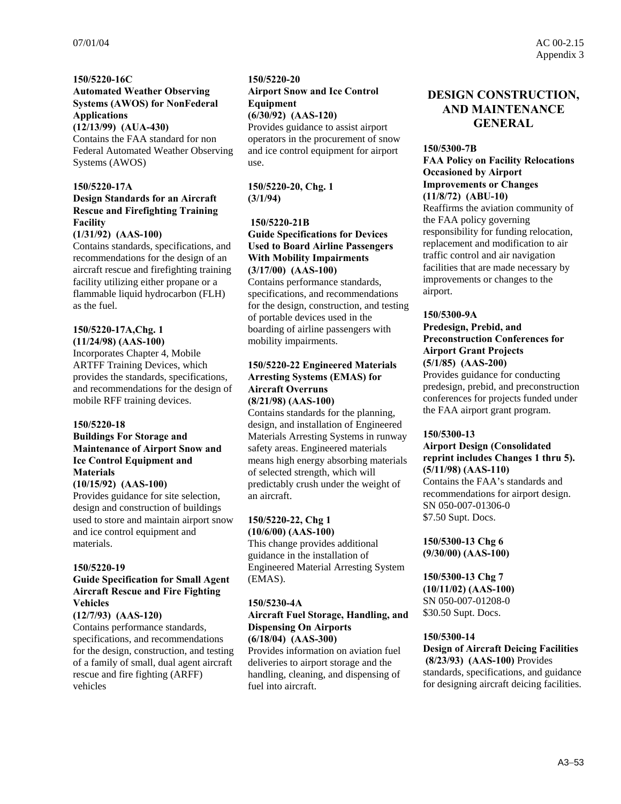# **150/5220-16C Automated Weather Observing Systems (AWOS) for NonFederal Applications**

**(12/13/99) (AUA-430)**  Contains the FAA standard for non Federal Automated Weather Observing Systems (AWOS)

## **150/5220-17A**

# **Design Standards for an Aircraft Rescue and Firefighting Training Facility**

**(1/31/92) (AAS-100)** 

Contains standards, specifications, and recommendations for the design of an aircraft rescue and firefighting training facility utilizing either propane or a flammable liquid hydrocarbon (FLH) as the fuel.

#### **150/5220-17A,Chg. 1 (11/24/98) (AAS-100)**

Incorporates Chapter 4, Mobile ARTFF Training Devices, which provides the standards, specifications, and recommendations for the design of mobile RFF training devices.

### **150/5220-18**

# **Buildings For Storage and Maintenance of Airport Snow and Ice Control Equipment and Materials**

**(10/15/92) (AAS-100)**  Provides guidance for site selection, design and construction of buildings used to store and maintain airport snow and ice control equipment and materials.

### **150/5220-19**

# **Guide Specification for Small Agent Aircraft Rescue and Fire Fighting Vehicles**

**(12/7/93) (AAS-120)**  Contains performance standards, specifications, and recommendations for the design, construction, and testing of a family of small, dual agent aircraft rescue and fire fighting (ARFF) vehicles

## **150/5220-20**

# **Airport Snow and Ice Control Equipment (6/30/92) (AAS-120)**

Provides guidance to assist airport operators in the procurement of snow and ice control equipment for airport use.

**150/5220-20, Chg. 1 (3/1/94)** 

### **150/5220-21B**

# **Guide Specifications for Devices Used to Board Airline Passengers With Mobility Impairments (3/17/00) (AAS-100)**

Contains performance standards, specifications, and recommendations for the design, construction, and testing of portable devices used in the boarding of airline passengers with mobility impairments.

## **150/5220-22 Engineered Materials Arresting Systems (EMAS) for Aircraft Overruns (8/21/98) (AAS-100)**

Contains standards for the planning, design, and installation of Engineered Materials Arresting Systems in runway safety areas. Engineered materials means high energy absorbing materials of selected strength, which will predictably crush under the weight of an aircraft.

#### **150/5220-22, Chg 1 (10/6/00) (AAS-100)**

This change provides additional guidance in the installation of Engineered Material Arresting System (EMAS).

### **150/5230-4A**

## **Aircraft Fuel Storage, Handling, and Dispensing On Airports (6/18/04) (AAS-300)**  Provides information on aviation fuel

deliveries to airport storage and the handling, cleaning, and dispensing of fuel into aircraft.

# **DESIGN CONSTRUCTION, AND MAINTENANCE GENERAL**

### **150/5300-7B**

# **FAA Policy on Facility Relocations Occasioned by Airport Improvements or Changes (11/8/72) (ABU-10)**

Reaffirms the aviation community of the FAA policy governing responsibility for funding relocation, replacement and modification to air traffic control and air navigation facilities that are made necessary by improvements or changes to the airport.

### **150/5300-9A**

## **Predesign, Prebid, and Preconstruction Conferences for Airport Grant Projects (5/1/85) (AAS-200)**

Provides guidance for conducting predesign, prebid, and preconstruction conferences for projects funded under the FAA airport grant program.

### **150/5300-13**

## **Airport Design (Consolidated reprint includes Changes 1 thru 5). (5/11/98) (AAS-110)**

Contains the FAA's standards and recommendations for airport design. SN 050-007-01306-0 \$7.50 Supt. Docs.

**150/5300-13 Chg 6 (9/30/00) (AAS-100)** 

# **150/5300-13 Chg 7 (10/11/02) (AAS-100)**  SN 050-007-01208-0

\$30.50 Supt. Docs.

# **150/5300-14**

**Design of Aircraft Deicing Facilities (8/23/93) (AAS-100)** Provides standards, specifications, and guidance for designing aircraft deicing facilities.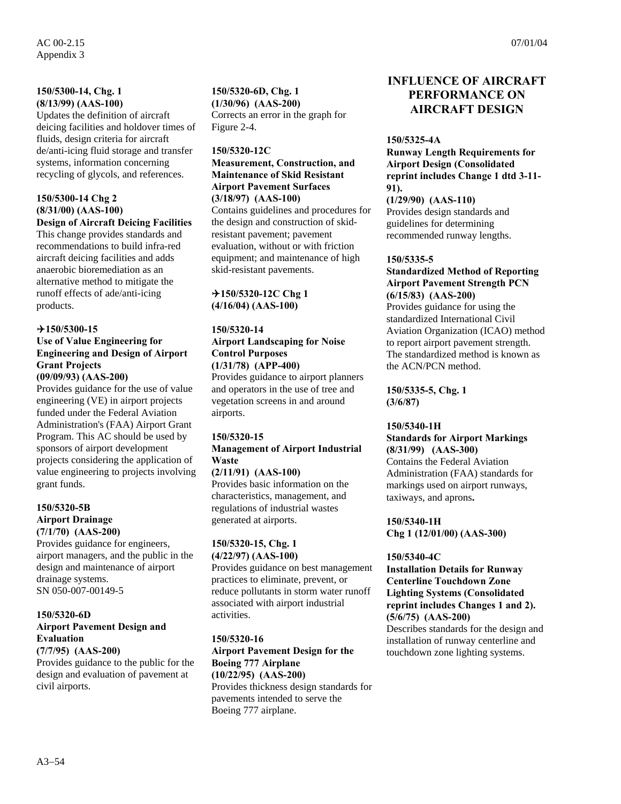# **150/5300-14, Chg. 1 (8/13/99) (AAS-100)**

Updates the definition of aircraft deicing facilities and holdover times of fluids, design criteria for aircraft de/anti-icing fluid storage and transfer systems, information concerning recycling of glycols, and references.

# **150/5300-14 Chg 2 (8/31/00) (AAS-100) Design of Aircraft Deicing Facilities**

This change provides standards and recommendations to build infra-red aircraft deicing facilities and adds anaerobic bioremediation as an alternative method to mitigate the runoff effects of ade/anti-icing products.

# 4**150/5300-15**

# **Use of Value Engineering for Engineering and Design of Airport Grant Projects (09/09/93) (AAS-200)**

Provides guidance for the use of value engineering (VE) in airport projects funded under the Federal Aviation Administration's (FAA) Airport Grant Program. This AC should be used by sponsors of airport development projects considering the application of value engineering to projects involving grant funds.

# **150/5320-5B Airport Drainage (7/1/70) (AAS-200)**

Provides guidance for engineers, airport managers, and the public in the design and maintenance of airport drainage systems. SN 050-007-00149-5

# **150/5320-6D**

## **Airport Pavement Design and Evaluation (7/7/95) (AAS-200)**

Provides guidance to the public for the design and evaluation of pavement at civil airports.

**150/5320-6D, Chg. 1 (1/30/96) (AAS-200)** 

Corrects an error in the graph for Figure 2-4.

# **150/5320-12C**

## **Measurement, Construction, and Maintenance of Skid Resistant Airport Pavement Surfaces (3/18/97) (AAS-100)**

Contains guidelines and procedures for the design and construction of skidresistant pavement; pavement evaluation, without or with friction equipment; and maintenance of high skid-resistant pavements.

# 4**150/5320-12C Chg 1 (4/16/04) (AAS-100)**

# **150/5320-14 Airport Landscaping for Noise Control Purposes (1/31/78) (APP-400)**

Provides guidance to airport planners and operators in the use of tree and vegetation screens in and around airports.

## **150/5320-15 Management of Airport Industrial Waste**

**(2/11/91) (AAS-100)**  Provides basic information on the characteristics, management, and regulations of industrial wastes generated at airports.

# **150/5320-15, Chg. 1 (4/22/97) (AAS-100)**

Provides guidance on best management practices to eliminate, prevent, or reduce pollutants in storm water runoff associated with airport industrial activities.

# **150/5320-16**

# **Airport Pavement Design for the Boeing 777 Airplane (10/22/95) (AAS-200)**  Provides thickness design standards for pavements intended to serve the Boeing 777 airplane.

# **INFLUENCE OF AIRCRAFT PERFORMANCE ON AIRCRAFT DESIGN**

# **150/5325-4A**

**Runway Length Requirements for Airport Design (Consolidated reprint includes Change 1 dtd 3-11- 91).** 

**(1/29/90) (AAS-110)**  Provides design standards and guidelines for determining recommended runway lengths.

# **150/5335-5**

# **Standardized Method of Reporting Airport Pavement Strength PCN (6/15/83) (AAS-200)**

Provides guidance for using the standardized International Civil Aviation Organization (ICAO) method to report airport pavement strength. The standardized method is known as the ACN/PCN method.

**150/5335-5, Chg. 1 (3/6/87)** 

# **150/5340-1H Standards for Airport Markings (8/31/99) (AAS-300)**

Contains the Federal Aviation Administration (FAA) standards for markings used on airport runways, taxiways, and aprons**.** 

**150/5340-1H Chg 1 (12/01/00) (AAS-300)** 

# **150/5340-4C**

# **Installation Details for Runway Centerline Touchdown Zone Lighting Systems (Consolidated reprint includes Changes 1 and 2). (5/6/75) (AAS-200)**  Describes standards for the design and installation of runway centerline and touchdown zone lighting systems.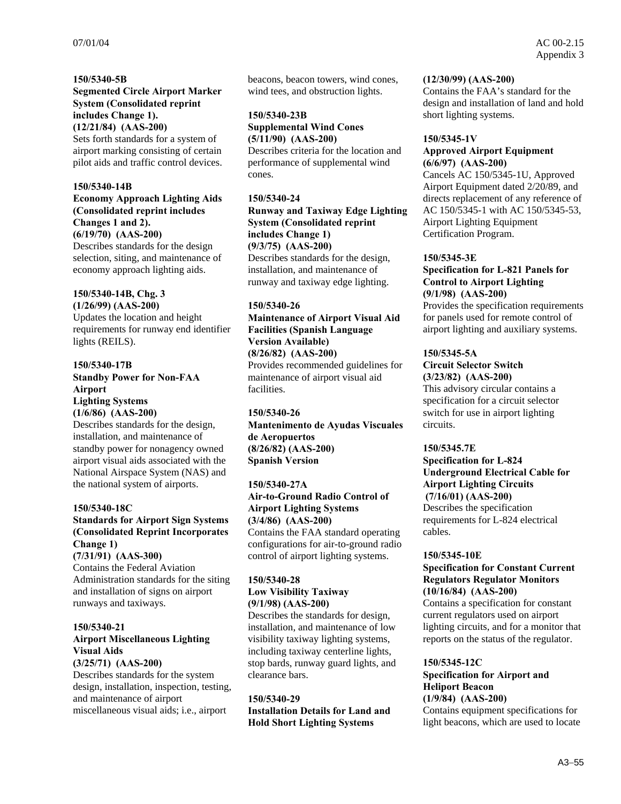# **150/5340-5B Segmented Circle Airport Marker System (Consolidated reprint includes Change 1). (12/21/84) (AAS-200)**  Sets forth standards for a system of

airport marking consisting of certain pilot aids and traffic control devices.

**150/5340-14B Economy Approach Lighting Aids (Consolidated reprint includes Changes 1 and 2). (6/19/70) (AAS-200)**  Describes standards for the design selection, siting, and maintenance of economy approach lighting aids.

# **150/5340-14B, Chg. 3**

**(1/26/99) (AAS-200)**  Updates the location and height requirements for runway end identifier lights (REILS).

**150/5340-17B Standby Power for Non-FAA Airport Lighting Systems (1/6/86) (AAS-200)** 

Describes standards for the design, installation, and maintenance of standby power for nonagency owned airport visual aids associated with the National Airspace System (NAS) and the national system of airports.

# **150/5340-18C Standards for Airport Sign Systems (Consolidated Reprint Incorporates Change 1)**

**(7/31/91) (AAS-300)**  Contains the Federal Aviation Administration standards for the siting and installation of signs on airport runways and taxiways.

# **150/5340-21 Airport Miscellaneous Lighting Visual Aids**

**(3/25/71) (AAS-200)**  Describes standards for the system design, installation, inspection, testing, and maintenance of airport miscellaneous visual aids; i.e., airport

beacons, beacon towers, wind cones, wind tees, and obstruction lights.

# **150/5340-23B Supplemental Wind Cones (5/11/90) (AAS-200)**  Describes criteria for the location and performance of supplemental wind cones.

## **150/5340-24**

**Runway and Taxiway Edge Lighting System (Consolidated reprint includes Change 1) (9/3/75) (AAS-200)**  Describes standards for the design, installation, and maintenance of runway and taxiway edge lighting.

## **150/5340-26**

**Maintenance of Airport Visual Aid Facilities (Spanish Language Version Available) (8/26/82) (AAS-200)**  Provides recommended guidelines for maintenance of airport visual aid facilities.

# **150/5340-26**

**Mantenimento de Ayudas Viscuales de Aeropuertos (8/26/82) (AAS-200) Spanish Version** 

### **150/5340-27A**

**Air-to-Ground Radio Control of Airport Lighting Systems (3/4/86) (AAS-200)**  Contains the FAA standard operating configurations for air-to-ground radio control of airport lighting systems.

## **150/5340-28 Low Visibility Taxiway (9/1/98) (AAS-200)**

Describes the standards for design, installation, and maintenance of low visibility taxiway lighting systems, including taxiway centerline lights, stop bards, runway guard lights, and clearance bars.

# **150/5340-29**

**Installation Details for Land and Hold Short Lighting Systems** 

# **(12/30/99) (AAS-200)**

Contains the FAA's standard for the design and installation of land and hold short lighting systems.

## **150/5345-1V Approved Airport Equipment (6/6/97) (AAS-200)**

Cancels AC 150/5345-1U, Approved Airport Equipment dated 2/20/89, and directs replacement of any reference of AC 150/5345-1 with AC 150/5345-53, Airport Lighting Equipment Certification Program.

# **150/5345-3E**

# **Specification for L-821 Panels for Control to Airport Lighting (9/1/98) (AAS-200)**

Provides the specification requirements for panels used for remote control of airport lighting and auxiliary systems.

## **150/5345-5A**

### **Circuit Selector Switch (3/23/82) (AAS-200)**

This advisory circular contains a specification for a circuit selector switch for use in airport lighting circuits.

### **150/5345.7E**

**Specification for L-824 Underground Electrical Cable for Airport Lighting Circuits (7/16/01) (AAS-200)**  Describes the specification requirements for L-824 electrical cables.

# **150/5345-10E**

# **Specification for Constant Current Regulators Regulator Monitors (10/16/84) (AAS-200)**

Contains a specification for constant current regulators used on airport lighting circuits, and for a monitor that reports on the status of the regulator.

### **150/5345-12C**

# **Specification for Airport and Heliport Beacon (1/9/84) (AAS-200)**

Contains equipment specifications for light beacons, which are used to locate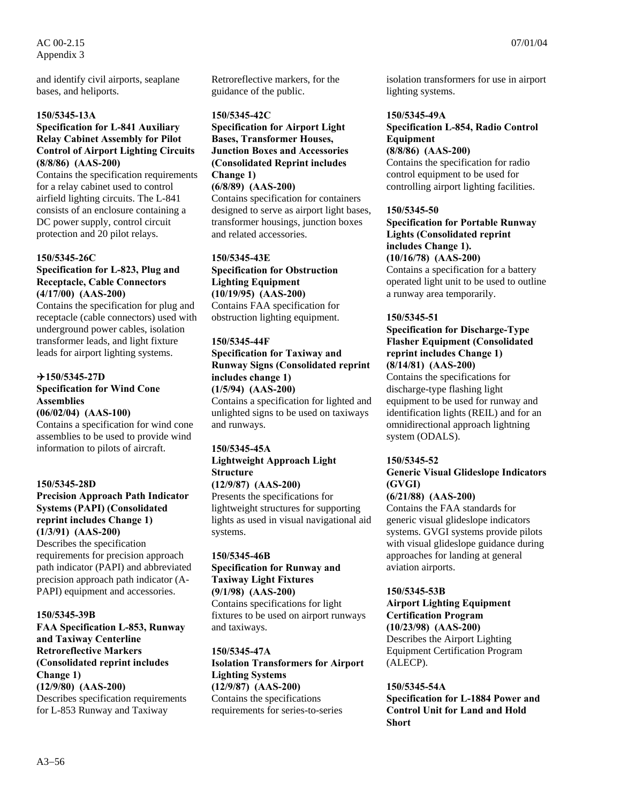and identify civil airports, seaplane bases, and heliports.

## **150/5345-13A**

# **Specification for L-841 Auxiliary Relay Cabinet Assembly for Pilot Control of Airport Lighting Circuits (8/8/86) (AAS-200)**

Contains the specification requirements for a relay cabinet used to control airfield lighting circuits. The L-841 consists of an enclosure containing a DC power supply, control circuit protection and 20 pilot relays.

### **150/5345-26C**

# **Specification for L-823, Plug and Receptacle, Cable Connectors (4/17/00) (AAS-200)**

Contains the specification for plug and receptacle (cable connectors) used with underground power cables, isolation transformer leads, and light fixture leads for airport lighting systems.

# 4**150/5345-27D**

# **Specification for Wind Cone Assemblies**

**(06/02/04) (AAS-100)**  Contains a specification for wind cone assemblies to be used to provide wind information to pilots of aircraft.

# **150/5345-28D**

**Precision Approach Path Indicator Systems (PAPI) (Consolidated reprint includes Change 1) (1/3/91) (AAS-200)**  Describes the specification requirements for precision approach path indicator (PAPI) and abbreviated precision approach path indicator (A-PAPI) equipment and accessories.

# **150/5345-39B**

**FAA Specification L-853, Runway and Taxiway Centerline Retroreflective Markers (Consolidated reprint includes Change 1) (12/9/80) (AAS-200)**  Describes specification requirements for L-853 Runway and Taxiway

Retroreflective markers, for the guidance of the public.

**150/5345-42C Specification for Airport Light Bases, Transformer Houses, Junction Boxes and Accessories (Consolidated Reprint includes Change 1) (6/8/89) (AAS-200)**  Contains specification for containers designed to serve as airport light bases, transformer housings, junction boxes and related accessories.

# **150/5345-43E Specification for Obstruction Lighting Equipment (10/19/95) (AAS-200)**  Contains FAA specification for obstruction lighting equipment.

## **150/5345-44F**

**Specification for Taxiway and Runway Signs (Consolidated reprint includes change 1) (1/5/94) (AAS-200)**  Contains a specification for lighted and unlighted signs to be used on taxiways and runways.

# **150/5345-45A**

# **Lightweight Approach Light Structure**

**(12/9/87) (AAS-200)**  Presents the specifications for lightweight structures for supporting lights as used in visual navigational aid systems.

## **150/5345-46B Specification for Runway and Taxiway Light Fixtures (9/1/98) (AAS-200)**  Contains specifications for light

fixtures to be used on airport runways and taxiways.

**150/5345-47A Isolation Transformers for Airport Lighting Systems (12/9/87) (AAS-200)**  Contains the specifications requirements for series-to-series

isolation transformers for use in airport lighting systems.

## **150/5345-49A**

## **Specification L-854, Radio Control Equipment (8/8/86) (AAS-200)**

Contains the specification for radio control equipment to be used for controlling airport lighting facilities.

### **150/5345-50**

**Specification for Portable Runway Lights (Consolidated reprint includes Change 1). (10/16/78) (AAS-200)**  Contains a specification for a battery operated light unit to be used to outline

## **150/5345-51**

# **Specification for Discharge-Type Flasher Equipment (Consolidated reprint includes Change 1) (8/14/81) (AAS-200)**

a runway area temporarily.

Contains the specifications for discharge-type flashing light equipment to be used for runway and identification lights (REIL) and for an omnidirectional approach lightning system (ODALS).

### **150/5345-52**

# **Generic Visual Glideslope Indicators (GVGI)**

# **(6/21/88) (AAS-200)**

Contains the FAA standards for generic visual glideslope indicators systems. GVGI systems provide pilots with visual glideslope guidance during approaches for landing at general aviation airports.

# **150/5345-53B**

# **Airport Lighting Equipment Certification Program (10/23/98) (AAS-200)**  Describes the Airport Lighting

Equipment Certification Program (ALECP).

# **150/5345-54A**

**Specification for L-1884 Power and Control Unit for Land and Hold Short**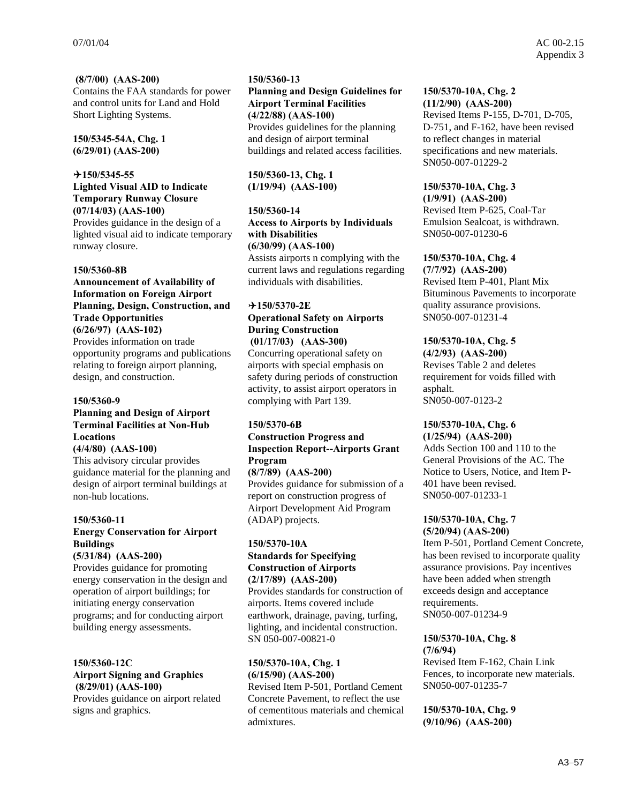**150/5345-54A, Chg. 1 (6/29/01) (AAS-200)** 

# 4**150/5345-55**

# **Lighted Visual AID to Indicate Temporary Runway Closure (07/14/03) (AAS-100)**

Provides guidance in the design of a lighted visual aid to indicate temporary runway closure.

## **150/5360-8B**

# **Announcement of Availability of Information on Foreign Airport Planning, Design, Construction, and Trade Opportunities**

**(6/26/97) (AAS-102)**  Provides information on trade opportunity programs and publications relating to foreign airport planning, design, and construction.

### **150/5360-9**

## **Planning and Design of Airport Terminal Facilities at Non-Hub Locations (4/4/80) (AAS-100)**

This advisory circular provides guidance material for the planning and design of airport terminal buildings at non-hub locations.

# **150/5360-11 Energy Conservation for Airport Buildings**

### **(5/31/84) (AAS-200)**

Provides guidance for promoting energy conservation in the design and operation of airport buildings; for initiating energy conservation programs; and for conducting airport building energy assessments.

# **150/5360-12C Airport Signing and Graphics (8/29/01) (AAS-100)**

Provides guidance on airport related signs and graphics.

## **150/5360-13**

**Planning and Design Guidelines for Airport Terminal Facilities (4/22/88) (AAS-100)**  Provides guidelines for the planning and design of airport terminal buildings and related access facilities.

**150/5360-13, Chg. 1 (1/19/94) (AAS-100)** 

### **150/5360-14**

# **Access to Airports by Individuals with Disabilities (6/30/99) (AAS-100)**

Assists airports n complying with the current laws and regulations regarding individuals with disabilities.

## 4**150/5370-2E Operational Safety on Airports During Construction (01/17/03) (AAS-300)**

Concurring operational safety on airports with special emphasis on safety during periods of construction activity, to assist airport operators in complying with Part 139.

# **150/5370-6B**

# **Construction Progress and Inspection Report--Airports Grant Program**

**(8/7/89) (AAS-200)**  Provides guidance for submission of a report on construction progress of Airport Development Aid Program (ADAP) projects.

## **150/5370-10A Standards for Specifying Construction of Airports (2/17/89) (AAS-200)**

Provides standards for construction of airports. Items covered include earthwork, drainage, paving, turfing, lighting, and incidental construction. SN 050-007-00821-0

# **150/5370-10A, Chg. 1 (6/15/90) (AAS-200)**

Revised Item P-501, Portland Cement Concrete Pavement, to reflect the use of cementitous materials and chemical admixtures.

### **150/5370-10A, Chg. 2 (11/2/90) (AAS-200)**

Revised Items P-155, D-701, D-705, D-751, and F-162, have been revised to reflect changes in material specifications and new materials. SN050-007-01229-2

# **150/5370-10A, Chg. 3**

**(1/9/91) (AAS-200)**  Revised Item P-625, Coal-Tar Emulsion Sealcoat, is withdrawn. SN050-007-01230-6

## **150/5370-10A, Chg. 4**

**(7/7/92) (AAS-200)**  Revised Item P-401, Plant Mix Bituminous Pavements to incorporate quality assurance provisions. SN050-007-01231-4

# **150/5370-10A, Chg. 5**

**(4/2/93) (AAS-200)**  Revises Table 2 and deletes requirement for voids filled with asphalt. SN050-007-0123-2

**150/5370-10A, Chg. 6 (1/25/94) (AAS-200)** 

Adds Section 100 and 110 to the General Provisions of the AC. The Notice to Users, Notice, and Item P-401 have been revised. SN050-007-01233-1

## **150/5370-10A, Chg. 7 (5/20/94) (AAS-200)**

Item P-501, Portland Cement Concrete, has been revised to incorporate quality assurance provisions. Pay incentives have been added when strength exceeds design and acceptance requirements. SN050-007-01234-9

# **150/5370-10A, Chg. 8**

**(7/6/94)**  Revised Item F-162, Chain Link Fences, to incorporate new materials. SN050-007-01235-7

**150/5370-10A, Chg. 9 (9/10/96) (AAS-200)** 

# 07/01/04 AC 00-2.15 Appendix 3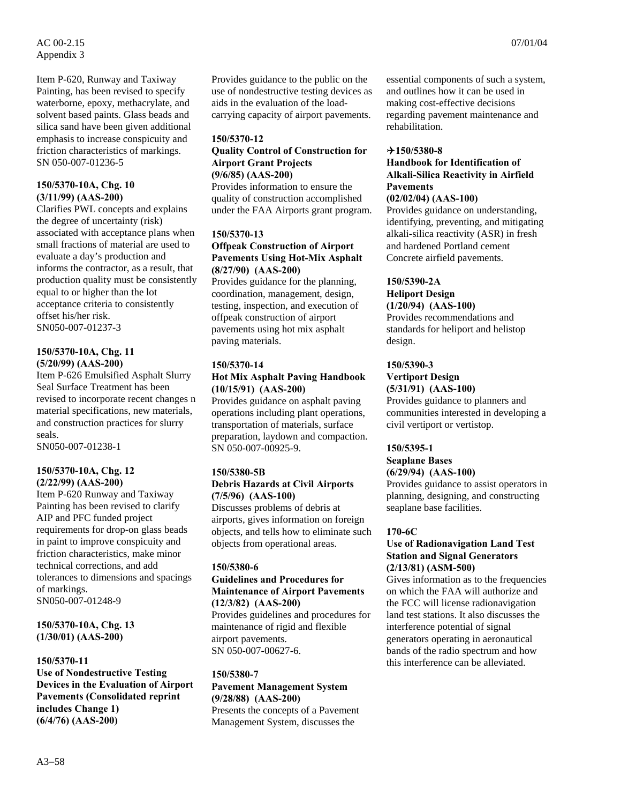Item P-620, Runway and Taxiway Painting, has been revised to specify waterborne, epoxy, methacrylate, and solvent based paints. Glass beads and silica sand have been given additional emphasis to increase conspicuity and friction characteristics of markings. SN 050-007-01236-5

## **150/5370-10A, Chg. 10 (3/11/99) (AAS-200)**

Clarifies PWL concepts and explains the degree of uncertainty (risk) associated with acceptance plans when small fractions of material are used to evaluate a day's production and informs the contractor, as a result, that production quality must be consistently equal to or higher than the lot acceptance criteria to consistently offset his/her risk. SN050-007-01237-3

# **150/5370-10A, Chg. 11 (5/20/99) (AAS-200)**

Item P-626 Emulsified Asphalt Slurry Seal Surface Treatment has been revised to incorporate recent changes n material specifications, new materials, and construction practices for slurry seals.

SN050-007-01238-1

# **150/5370-10A, Chg. 12 (2/22/99) (AAS-200)**

Item P-620 Runway and Taxiway Painting has been revised to clarify AIP and PFC funded project requirements for drop-on glass beads in paint to improve conspicuity and friction characteristics, make minor technical corrections, and add tolerances to dimensions and spacings of markings. SN050-007-01248-9

**150/5370-10A, Chg. 13 (1/30/01) (AAS-200)** 

# **150/5370-11**

**Use of Nondestructive Testing Devices in the Evaluation of Airport Pavements (Consolidated reprint includes Change 1) (6/4/76) (AAS-200)** 

Provides guidance to the public on the use of nondestructive testing devices as aids in the evaluation of the loadcarrying capacity of airport pavements.

# **150/5370-12 Quality Control of Construction for Airport Grant Projects**

**(9/6/85) (AAS-200)**  Provides information to ensure the quality of construction accomplished under the FAA Airports grant program.

# **150/5370-13**

# **Offpeak Construction of Airport Pavements Using Hot-Mix Asphalt (8/27/90) (AAS-200)**

Provides guidance for the planning, coordination, management, design, testing, inspection, and execution of offpeak construction of airport pavements using hot mix asphalt paving materials.

### **150/5370-14 Hot Mix Asphalt Paving Handbook (10/15/91) (AAS-200)**

Provides guidance on asphalt paving operations including plant operations, transportation of materials, surface preparation, laydown and compaction. SN 050-007-00925-9.

# **150/5380-5B Debris Hazards at Civil Airports (7/5/96) (AAS-100)**

Discusses problems of debris at airports, gives information on foreign objects, and tells how to eliminate such objects from operational areas.

# **150/5380-6**

## **Guidelines and Procedures for Maintenance of Airport Pavements (12/3/82) (AAS-200)**

Provides guidelines and procedures for maintenance of rigid and flexible airport pavements. SN 050-007-00627-6.

### **150/5380-7**

# **Pavement Management System (9/28/88) (AAS-200)**

Presents the concepts of a Pavement Management System, discusses the

essential components of such a system, and outlines how it can be used in making cost-effective decisions regarding pavement maintenance and rehabilitation.

## 4**150/5380-8**

**Handbook for Identification of Alkali-Silica Reactivity in Airfield Pavements** 

# **(02/02/04) (AAS-100)**

Provides guidance on understanding, identifying, preventing, and mitigating alkali-silica reactivity (ASR) in fresh and hardened Portland cement Concrete airfield pavements.

# **150/5390-2A**

**Heliport Design (1/20/94) (AAS-100)**  Provides recommendations and standards for heliport and helistop design.

# **150/5390-3**

#### **Vertiport Design (5/31/91) (AAS-100)**

Provides guidance to planners and communities interested in developing a civil vertiport or vertistop.

# **150/5395-1**

## **Seaplane Bases (6/29/94) (AAS-100)**  Provides guidance to assist operators in planning, designing, and constructing seaplane base facilities.

# **170-6C**

# **Use of Radionavigation Land Test Station and Signal Generators (2/13/81) (ASM-500)**

Gives information as to the frequencies on which the FAA will authorize and the FCC will license radionavigation land test stations. It also discusses the interference potential of signal generators operating in aeronautical bands of the radio spectrum and how this interference can be alleviated.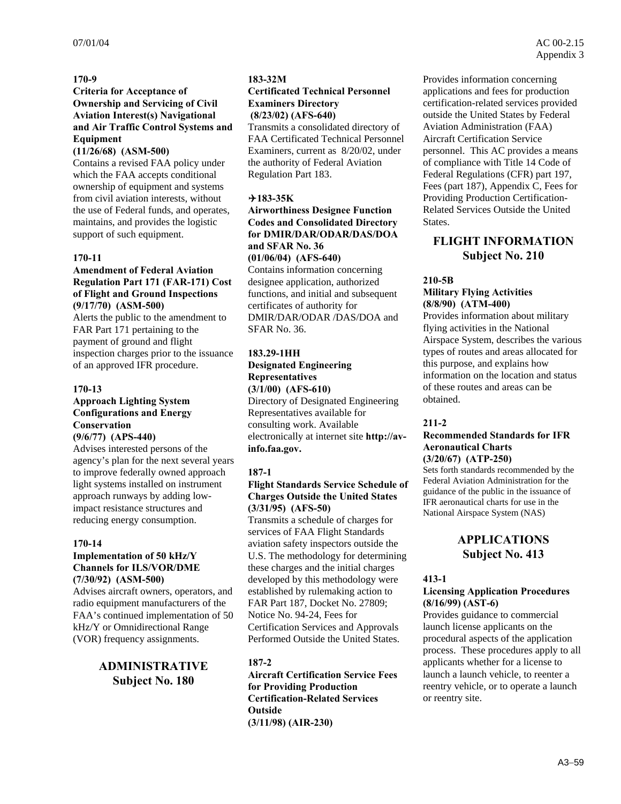# **Criteria for Acceptance of Ownership and Servicing of Civil Aviation Interest(s) Navigational and Air Traffic Control Systems and Equipment**

### **(11/26/68) (ASM-500)**

Contains a revised FAA policy under which the FAA accepts conditional ownership of equipment and systems from civil aviation interests, without the use of Federal funds, and operates, maintains, and provides the logistic support of such equipment.

### **170-11**

## **Amendment of Federal Aviation Regulation Part 171 (FAR-171) Cost of Flight and Ground Inspections (9/17/70) (ASM-500)**

Alerts the public to the amendment to FAR Part 171 pertaining to the payment of ground and flight inspection charges prior to the issuance of an approved IFR procedure.

#### **170-13**

## **Approach Lighting System Configurations and Energy Conservation (9/6/77) (APS-440)**

Advises interested persons of the agency's plan for the next several years to improve federally owned approach light systems installed on instrument approach runways by adding lowimpact resistance structures and reducing energy consumption.

### **170-14**

# **Implementation of 50 kHz/Y Channels for ILS/VOR/DME (7/30/92) (ASM-500)**

Advises aircraft owners, operators, and radio equipment manufacturers of the FAA's continued implementation of 50 kHz/Y or Omnidirectional Range (VOR) frequency assignments.

# **ADMINISTRATIVE Subject No. 180**

### **183-32M**

## **Certificated Technical Personnel Examiners Directory (8/23/02) (AFS-640)**

Transmits a consolidated directory of FAA Certificated Technical Personnel Examiners, current as 8/20/02, under the authority of Federal Aviation Regulation Part 183.

### 4**183-35K**

**Airworthiness Designee Function Codes and Consolidated Directory for DMIR/DAR/ODAR/DAS/DOA and SFAR No. 36 (01/06/04) (AFS-640)**  Contains information concerning designee application, authorized functions, and initial and subsequent certificates of authority for DMIR/DAR/ODAR /DAS/DOA and SFAR No. 36.

# **183.29-1HH**

### **Designated Engineering Representatives (3/1/00) (AFS-610)**

Directory of Designated Engineering Representatives available for consulting work. Available electronically at internet site **http://avinfo.faa.gov.** 

### **187-1**

# **Flight Standards Service Schedule of Charges Outside the United States (3/31/95) (AFS-50)**

Transmits a schedule of charges for services of FAA Flight Standards aviation safety inspectors outside the U.S. The methodology for determining these charges and the initial charges developed by this methodology were established by rulemaking action to FAR Part 187, Docket No. 27809; Notice No. 94-24, Fees for Certification Services and Approvals Performed Outside the United States.

### **187-2**

**Aircraft Certification Service Fees for Providing Production Certification-Related Services Outside (3/11/98) (AIR-230)** 

Provides information concerning applications and fees for production certification-related services provided outside the United States by Federal Aviation Administration (FAA) Aircraft Certification Service personnel. This AC provides a means of compliance with Title 14 Code of Federal Regulations (CFR) part 197, Fees (part 187), Appendix C, Fees for Providing Production Certification-Related Services Outside the United **States** 

# **FLIGHT INFORMATION Subject No. 210**

### **210-5B Military Flying Activities (8/8/90) (ATM-400)**

Provides information about military flying activities in the National Airspace System, describes the various types of routes and areas allocated for this purpose, and explains how information on the location and status of these routes and areas can be obtained.

### **211-2**

### **Recommended Standards for IFR Aeronautical Charts (3/20/67) (ATP-250)**

Sets forth standards recommended by the Federal Aviation Administration for the guidance of the public in the issuance of IFR aeronautical charts for use in the National Airspace System (NAS)

# **APPLICATIONS Subject No. 413**

## **413-1**

## **Licensing Application Procedures (8/16/99) (AST-6)**

Provides guidance to commercial launch license applicants on the procedural aspects of the application process. These procedures apply to all applicants whether for a license to launch a launch vehicle, to reenter a reentry vehicle, or to operate a launch or reentry site.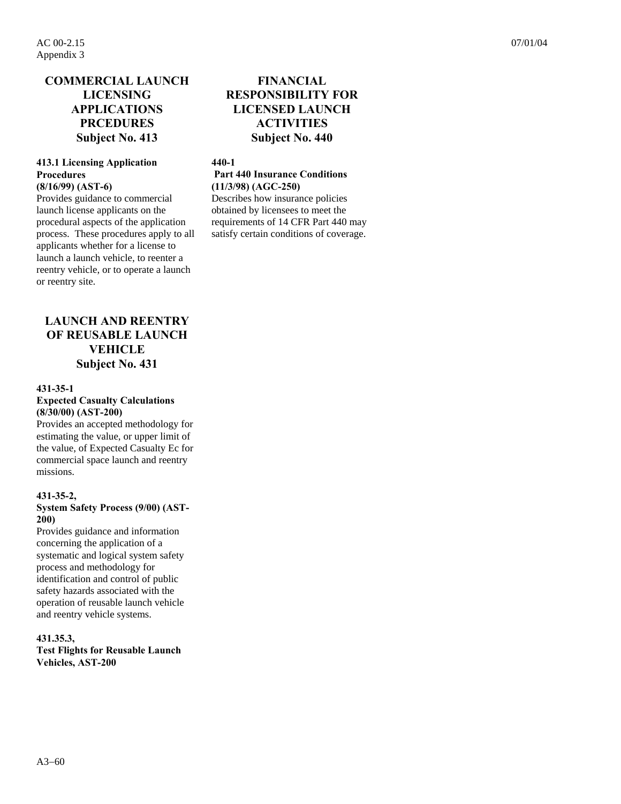# **COMMERCIAL LAUNCH LICENSING APPLICATIONS PRCEDURES Subject No. 413**

### **413.1 Licensing Application Procedures (8/16/99) (AST-6)**

Provides guidance to commercial launch license applicants on the procedural aspects of the application process. These procedures apply to all applicants whether for a license to launch a launch vehicle, to reenter a reentry vehicle, or to operate a launch or reentry site.

# **LAUNCH AND REENTRY OF REUSABLE LAUNCH VEHICLE Subject No. 431**

#### **431-35-1**

## **Expected Casualty Calculations (8/30/00) (AST-200)**

Provides an accepted methodology for estimating the value, or upper limit of the value, of Expected Casualty Ec for commercial space launch and reentry missions.

# **431-35-2,**

## **System Safety Process (9/00) (AST-200)**

Provides guidance and information concerning the application of a systematic and logical system safety process and methodology for identification and control of public safety hazards associated with the operation of reusable launch vehicle and reentry vehicle systems.

**431.35.3, Test Flights for Reusable Launch Vehicles, AST-200** 

# **FINANCIAL RESPONSIBILITY FOR LICENSED LAUNCH ACTIVITIES Subject No. 440**

# **440-1 Part 440 Insurance Conditions (11/3/98) (AGC-250)**

Describes how insurance policies obtained by licensees to meet the requirements of 14 CFR Part 440 may satisfy certain conditions of coverage.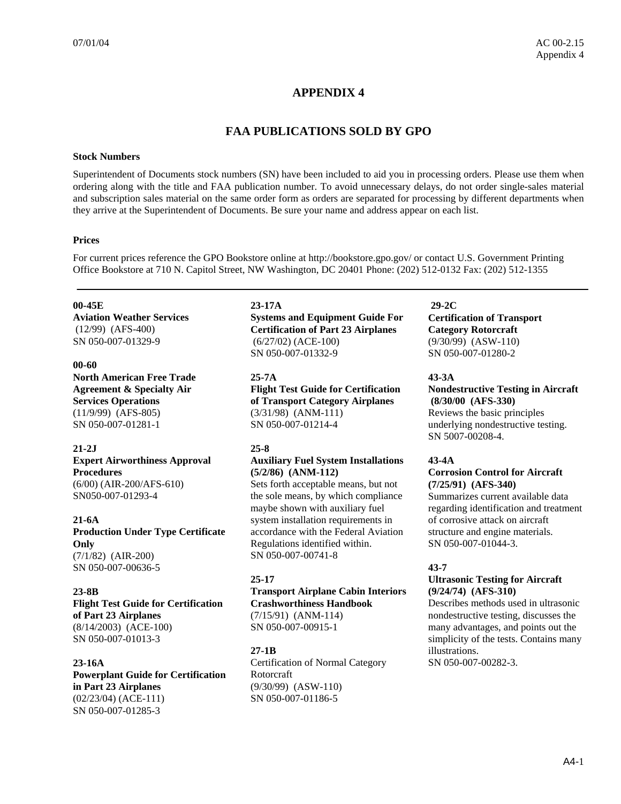# **APPENDIX 4**

# **FAA PUBLICATIONS SOLD BY GPO**

## **Stock Numbers**

Superintendent of Documents stock numbers (SN) have been included to aid you in processing orders. Please use them when ordering along with the title and FAA publication number. To avoid unnecessary delays, do not order single-sales material and subscription sales material on the same order form as orders are separated for processing by different departments when they arrive at the Superintendent of Documents. Be sure your name and address appear on each list.

# **Prices**

For current prices reference the GPO Bookstore online at http://bookstore.gpo.gov/ or contact U.S. Government Printing Office Bookstore at 710 N. Capitol Street, NW Washington, DC 20401 Phone: (202) 512-0132 Fax: (202) 512-1355

## **00-45E**

**Aviation Weather Services**  (12/99) (AFS-400) SN 050-007-01329-9

## **00-60**

**North American Free Trade Agreement & Specialty Air Services Operations**  (11/9/99) (AFS-805) SN 050-007-01281-1

# **21-2J**

# **Expert Airworthiness Approval Procedures**  (6/00) (AIR-200/AFS-610)

SN050-007-01293-4 **21-6A** 

**Production Under Type Certificate Only**  (7/1/82) (AIR-200) SN 050-007-00636-5

### **23-8B Flight Test Guide for Certification of Part 23 Airplanes**  (8/14/2003) (ACE-100) SN 050-007-01013-3

**23-16A Powerplant Guide for Certification in Part 23 Airplanes**  (02/23/04) (ACE-111) SN 050-007-01285-3

## **23-17A Systems and Equipment Guide For Certification of Part 23 Airplanes**  (6/27/02) (ACE-100) SN 050-007-01332-9

**25-7A Flight Test Guide for Certification of Transport Category Airplanes**  (3/31/98) (ANM-111) SN 050-007-01214-4

# **25-8**

# **Auxiliary Fuel System Installations (5/2/86) (ANM-112)**

Sets forth acceptable means, but not the sole means, by which compliance maybe shown with auxiliary fuel system installation requirements in accordance with the Federal Aviation Regulations identified within. SN 050-007-00741-8

# **25-17**

# **Transport Airplane Cabin Interiors Crashworthiness Handbook**  (7/15/91) (ANM-114)

SN 050-007-00915-1

## **27-1B**  Certification of Normal Category Rotorcraft (9/30/99) (ASW-110) SN 050-007-01186-5

## **29-2C Certification of Transport Category Rotorcraft**  (9/30/99) (ASW-110) SN 050-007-01280-2

## **43-3A**

## **Nondestructive Testing in Aircraft (8/30/00 (AFS-330)**

Reviews the basic principles underlying nondestructive testing. SN 5007-00208-4.

# **43-4A**

## **Corrosion Control for Aircraft (7/25/91) (AFS-340)**

Summarizes current available data regarding identification and treatment of corrosive attack on aircraft structure and engine materials. SN 050-007-01044-3.

# **43-7**

## **Ultrasonic Testing for Aircraft (9/24/74) (AFS-310)**

Describes methods used in ultrasonic nondestructive testing, discusses the many advantages, and points out the simplicity of the tests. Contains many illustrations.

SN 050-007-00282-3.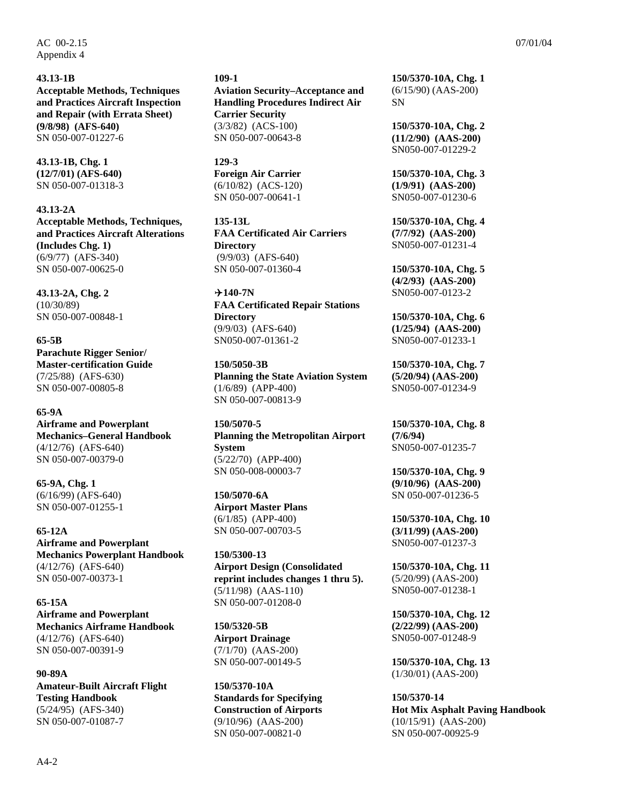$AC$  00-2.15 07/01/04 Appendix 4

### **43.13-1B**

**Acceptable Methods, Techniques and Practices Aircraft Inspection and Repair (with Errata Sheet) (9/8/98) (AFS-640)** SN 050-007-01227-6

**43.13-1B, Chg. 1 (12/7/01) (AFS-640)**  SN 050-007-01318-3

**43.13-2A Acceptable Methods, Techniques, and Practices Aircraft Alterations (Includes Chg. 1)**  (6/9/77) (AFS-340) SN 050-007-00625-0

**43.13-2A, Chg. 2**  (10/30/89) SN 050-007-00848-1

**65-5B Parachute Rigger Senior/ Master-certification Guide**  (7/25/88) (AFS-630) SN 050-007-00805-8

### **65-9A**

**Airframe and Powerplant Mechanics–General Handbook**  (4/12/76) (AFS-640) SN 050-007-00379-0

**65-9A, Chg. 1**  (6/16/99) (AFS-640) SN 050-007-01255-1

**65-12A Airframe and Powerplant Mechanics Powerplant Handbook**  (4/12/76) (AFS-640) SN 050-007-00373-1

**65-15A Airframe and Powerplant Mechanics Airframe Handbook**  (4/12/76) (AFS-640) SN 050-007-00391-9

**90-89A Amateur-Built Aircraft Flight Testing Handbook**  (5/24/95) (AFS-340) SN 050-007-01087-7

### **109-1**

**Aviation Security–Acceptance and Handling Procedures Indirect Air Carrier Security**  (3/3/82) (ACS-100) SN 050-007-00643-8

**129-3 Foreign Air Carrier**  (6/10/82) (ACS-120) SN 050-007-00641-1

**135-13L FAA Certificated Air Carriers Directory**  (9/9/03) (AFS-640) SN 050-007-01360-4

 $+140-7N$ **FAA Certificated Repair Stations Directory**  (9/9/03) (AFS-640) SN050-007-01361-2

**150/5050-3B Planning the State Aviation System**  (1/6/89) (APP-400) SN 050-007-00813-9

**150/5070-5 Planning the Metropolitan Airport System**  (5/22/70) (APP-400) SN 050-008-00003-7

**150/5070-6A Airport Master Plans**  (6/1/85) (APP-400) SN 050-007-00703-5

**150/5300-13 Airport Design (Consolidated reprint includes changes 1 thru 5).**  (5/11/98) (AAS-110) SN 050-007-01208-0

**150/5320-5B Airport Drainage**  (7/1/70) (AAS-200) SN 050-007-00149-5

**150/5370-10A Standards for Specifying Construction of Airports**  (9/10/96) (AAS-200) SN 050-007-00821-0

**150/5370-10A, Chg. 1**  (6/15/90) (AAS-200) SN

**150/5370-10A, Chg. 2 (11/2/90) (AAS-200)**  SN050-007-01229-2

**150/5370-10A, Chg. 3 (1/9/91) (AAS-200)**  SN050-007-01230-6

**150/5370-10A, Chg. 4 (7/7/92) (AAS-200)**  SN050-007-01231-4

**150/5370-10A, Chg. 5 (4/2/93) (AAS-200)**  SN050-007-0123-2

**150/5370-10A, Chg. 6 (1/25/94) (AAS-200)**  SN050-007-01233-1

**150/5370-10A, Chg. 7 (5/20/94) (AAS-200)**  SN050-007-01234-9

**150/5370-10A, Chg. 8 (7/6/94)**  SN050-007-01235-7

**150/5370-10A, Chg. 9 (9/10/96) (AAS-200)**  SN 050-007-01236-5

**150/5370-10A, Chg. 10 (3/11/99) (AAS-200)** SN050-007-01237-3

**150/5370-10A, Chg. 11**  (5/20/99) (AAS-200) SN050-007-01238-1

**150/5370-10A, Chg. 12 (2/22/99) (AAS-200)**  SN050-007-01248-9

**150/5370-10A, Chg. 13**  (1/30/01) (AAS-200)

**150/5370-14 Hot Mix Asphalt Paving Handbook**  (10/15/91) (AAS-200) SN 050-007-00925-9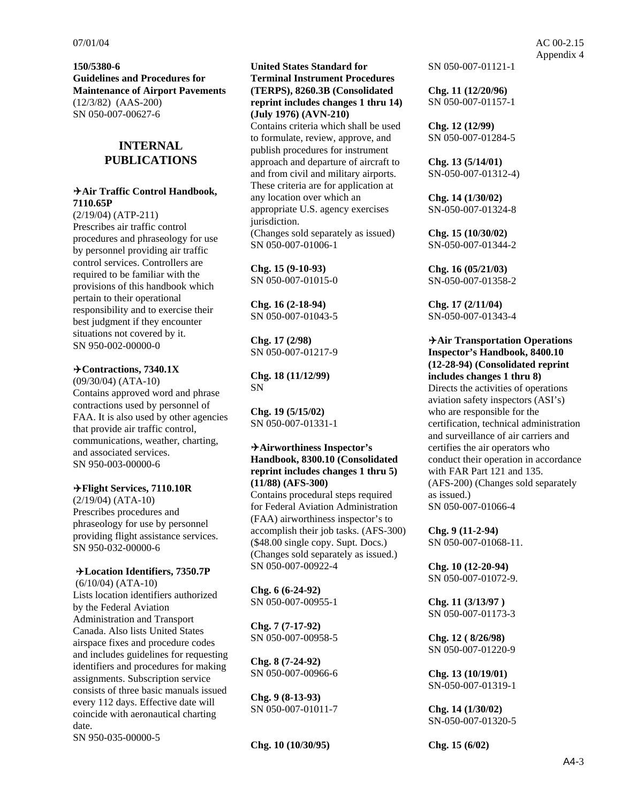**150/5380-6 Guidelines and Procedures for Maintenance of Airport Pavements**  (12/3/82) (AAS-200) SN 050-007-00627-6

# **INTERNAL PUBLICATIONS**

# 4**Air Traffic Control Handbook, 7110.65P**

(2/19/04) (ATP-211) Prescribes air traffic control procedures and phraseology for use by personnel providing air traffic control services. Controllers are required to be familiar with the provisions of this handbook which pertain to their operational responsibility and to exercise their best judgment if they encounter situations not covered by it. SN 950-002-00000-0

# 4**Contractions, 7340.1X**

(09/30/04) (ATA-10) Contains approved word and phrase contractions used by personnel of FAA. It is also used by other agencies that provide air traffic control, communications, weather, charting, and associated services. SN 950-003-00000-6

### 4**Flight Services, 7110.10R**

(2/19/04) (ATA-10) Prescribes procedures and phraseology for use by personnel providing flight assistance services. SN 950-032-00000-6

### 4**Location Identifiers, 7350.7P**

 (6/10/04) (ATA-10) Lists location identifiers authorized by the Federal Aviation Administration and Transport Canada. Also lists United States airspace fixes and procedure codes and includes guidelines for requesting identifiers and procedures for making assignments. Subscription service consists of three basic manuals issued every 112 days. Effective date will coincide with aeronautical charting date.

SN 950-035-00000-5

## **United States Standard for Terminal Instrument Procedures (TERPS), 8260.3B (Consolidated reprint includes changes 1 thru 14) (July 1976) (AVN-210)**

Contains criteria which shall be used to formulate, review, approve, and publish procedures for instrument approach and departure of aircraft to and from civil and military airports. These criteria are for application at any location over which an appropriate U.S. agency exercises jurisdiction. (Changes sold separately as issued) SN 050-007-01006-1

**Chg. 15 (9-10-93)** SN 050-007-01015-0

**Chg. 16 (2-18-94)** SN 050-007-01043-5

**Chg. 17 (2/98)**  SN 050-007-01217-9

**Chg. 18 (11/12/99)**  SN

**Chg. 19 (5/15/02)**  SN 050-007-01331-1

## 4**Airworthiness Inspector's Handbook, 8300.10 (Consolidated reprint includes changes 1 thru 5) (11/88) (AFS-300)**

Contains procedural steps required for Federal Aviation Administration (FAA) airworthiness inspector's to accomplish their job tasks. (AFS-300) (\$48.00 single copy. Supt. Docs.) (Changes sold separately as issued.) SN 050-007-00922-4

**Chg. 6 (6-24-92)** SN 050-007-00955-1

**Chg. 7 (7-17-92)** SN 050-007-00958-5

**Chg. 8 (7-24-92)** SN 050-007-00966-6

**Chg. 9 (8-13-93)** SN 050-007-01011-7

**Chg. 10 (10/30/95)** 

SN 050-007-01121-1

**Chg. 11 (12/20/96)**  SN 050-007-01157-1

**Chg. 12 (12/99)**  SN 050-007-01284-5

**Chg. 13 (5/14/01)**  SN-050-007-01312-4)

**Chg. 14 (1/30/02)**  SN-050-007-01324-8

**Chg. 15 (10/30/02)**  SN-050-007-01344-2

**Chg. 16 (05/21/03)**  SN-050-007-01358-2

**Chg. 17 (2/11/04)**  SN-050-007-01343-4

4**Air Transportation Operations Inspector's Handbook, 8400.10 (12-28-94) (Consolidated reprint includes changes 1 thru 8)**  Directs the activities of operations aviation safety inspectors (ASI's) who are responsible for the certification, technical administration and surveillance of air carriers and certifies the air operators who conduct their operation in accordance with FAR Part 121 and 135. (AFS-200) (Changes sold separately as issued.) SN 050-007-01066-4

**Chg. 9 (11-2-94)** SN 050-007-01068-11.

**Chg. 10 (12-20-94)**  SN 050-007-01072-9.

**Chg. 11 (3/13/97 )**  SN 050-007-01173-3

**Chg. 12 ( 8/26/98)**  SN 050-007-01220-9

**Chg. 13 (10/19/01)**  SN-050-007-01319-1

**Chg. 14 (1/30/02)**  SN-050-007-01320-5

**Chg. 15 (6/02)**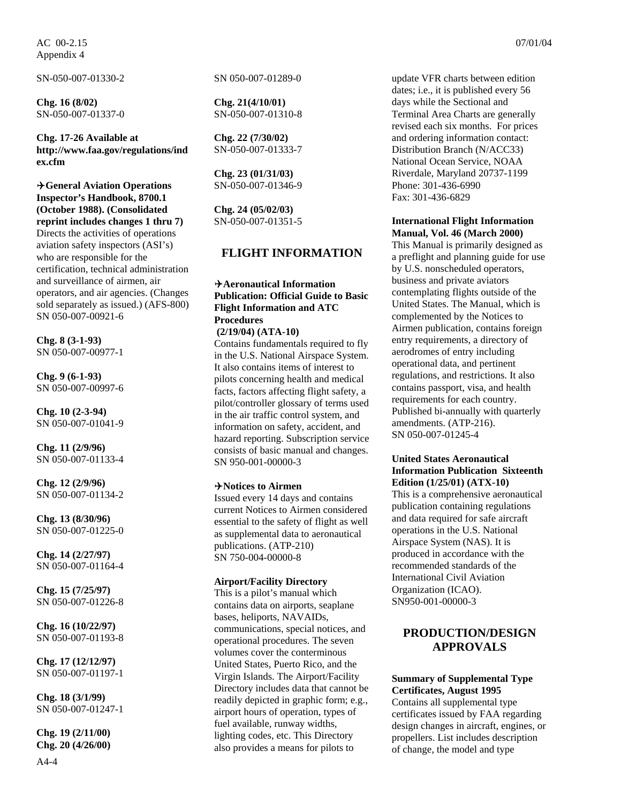$AC$  00-2.15 07/01/04 Appendix 4

#### SN-050-007-01330-2

**Chg. 16 (8/02)**  SN-050-007-01337-0

**Chg. 17-26 Available at http://www.faa.gov/regulations/ind ex.cfm**

4**General Aviation Operations Inspector's Handbook, 8700.1 (October 1988). (Consolidated reprint includes changes 1 thru 7)**  Directs the activities of operations aviation safety inspectors (ASI's) who are responsible for the certification, technical administration and surveillance of airmen, air operators, and air agencies. (Changes sold separately as issued.) (AFS-800) SN 050-007-00921-6

**Chg. 8 (3-1-93)** SN 050-007-00977-1

**Chg. 9 (6-1-93)**  SN 050-007-00997-6

**Chg. 10 (2-3-94)**  SN 050-007-01041-9

**Chg. 11 (2/9/96)**  SN 050-007-01133-4

**Chg. 12 (2/9/96)**  SN 050-007-01134-2

**Chg. 13 (8/30/96)**  SN 050-007-01225-0

**Chg. 14 (2/27/97)**  SN 050-007-01164-4

**Chg. 15 (7/25/97)**  SN 050-007-01226-8

**Chg. 16 (10/22/97)**  SN 050-007-01193-8

**Chg. 17 (12/12/97)**  SN 050-007-01197-1

**Chg. 18 (3/1/99)** SN 050-007-01247-1

**Chg. 19 (2/11/00) Chg. 20 (4/26/00)**

SN 050-007-01289-0

**Chg. 21(4/10/01)**  SN-050-007-01310-8

**Chg. 22 (7/30/02)**  SN-050-007-01333-7

**Chg. 23 (01/31/03)**  SN-050-007-01346-9

**Chg. 24 (05/02/03)** SN-050-007-01351-5

# **FLIGHT INFORMATION**

## 4**Aeronautical Information Publication: Official Guide to Basic Flight Information and ATC Procedures (2/19/04) (ATA-10)**

Contains fundamentals required to fly in the U.S. National Airspace System. It also contains items of interest to pilots concerning health and medical facts, factors affecting flight safety, a pilot/controller glossary of terms used in the air traffic control system, and information on safety, accident, and hazard reporting. Subscription service consists of basic manual and changes. SN 950-001-00000-3

## 4**Notices to Airmen**

Issued every 14 days and contains current Notices to Airmen considered essential to the safety of flight as well as supplemental data to aeronautical publications. (ATP-210) SN 750-004-00000-8

### **Airport/Facility Directory**

This is a pilot's manual which contains data on airports, seaplane bases, heliports, NAVAIDs, communications, special notices, and operational procedures. The seven volumes cover the conterminous United States, Puerto Rico, and the Virgin Islands. The Airport/Facility Directory includes data that cannot be readily depicted in graphic form; e.g., airport hours of operation, types of fuel available, runway widths, lighting codes, etc. This Directory also provides a means for pilots to

update VFR charts between edition dates; i.e., it is published every 56 days while the Sectional and Terminal Area Charts are generally revised each six months. For prices and ordering information contact: Distribution Branch (N/ACC33) National Ocean Service, NOAA Riverdale, Maryland 20737-1199 Phone: 301-436-6990 Fax: 301-436-6829

**International Flight Information Manual, Vol. 46 (March 2000)** 

This Manual is primarily designed as a preflight and planning guide for use by U.S. nonscheduled operators, business and private aviators contemplating flights outside of the United States. The Manual, which is complemented by the Notices to Airmen publication, contains foreign entry requirements, a directory of aerodromes of entry including operational data, and pertinent regulations, and restrictions. It also contains passport, visa, and health requirements for each country. Published bi-annually with quarterly amendments. (ATP-216). SN 050-007-01245-4

## **United States Aeronautical Information Publication Sixteenth Edition (1/25/01) (ATX-10)**

This is a comprehensive aeronautical publication containing regulations and data required for safe aircraft operations in the U.S. National Airspace System (NAS). It is produced in accordance with the recommended standards of the International Civil Aviation Organization (ICAO). SN950-001-00000-3

# **PRODUCTION/DESIGN APPROVALS**

# **Summary of Supplemental Type Certificates, August 1995**

Contains all supplemental type certificates issued by FAA regarding design changes in aircraft, engines, or propellers. List includes description of change, the model and type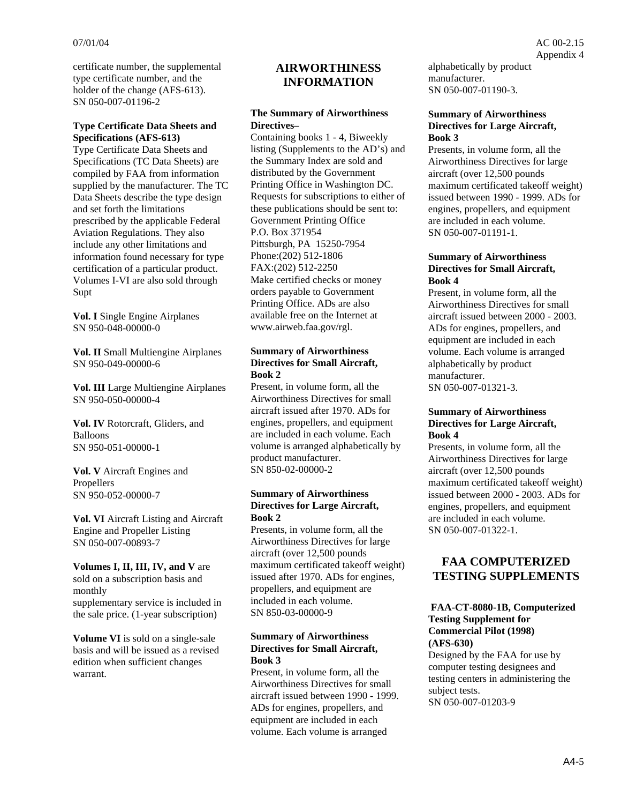certificate number, the supplemental type certificate number, and the holder of the change (AFS-613). SN 050-007-01196-2

# **Type Certificate Data Sheets and Specifications (AFS-613)**

Type Certificate Data Sheets and Specifications (TC Data Sheets) are compiled by FAA from information supplied by the manufacturer. The TC Data Sheets describe the type design and set forth the limitations prescribed by the applicable Federal Aviation Regulations. They also include any other limitations and information found necessary for type certification of a particular product. Volumes I-VI are also sold through Supt

**Vol. I** Single Engine Airplanes SN 950-048-00000-0

**Vol. II** Small Multiengine Airplanes SN 950-049-00000-6

**Vol. III** Large Multiengine Airplanes SN 950-050-00000-4

**Vol. IV** Rotorcraft, Gliders, and Balloons SN 950-051-00000-1

**Vol. V** Aircraft Engines and **Propellers** SN 950-052-00000-7

**Vol. VI** Aircraft Listing and Aircraft Engine and Propeller Listing SN 050-007-00893-7

# **Volumes I, II, III, IV, and V** are

sold on a subscription basis and monthly supplementary service is included in the sale price. (1-year subscription)

**Volume VI** is sold on a single-sale basis and will be issued as a revised edition when sufficient changes warrant.

# **AIRWORTHINESS INFORMATION**

# **The Summary of Airworthiness Directives–**

Containing books 1 - 4, Biweekly listing (Supplements to the AD's) and the Summary Index are sold and distributed by the Government Printing Office in Washington DC. Requests for subscriptions to either of these publications should be sent to: Government Printing Office P.O. Box 371954 Pittsburgh, PA 15250-7954 Phone:(202) 512-1806 FAX:(202) 512-2250 Make certified checks or money orders payable to Government Printing Office. ADs are also available free on the Internet at www.airweb.faa.gov/rgl.

#### **Summary of Airworthiness Directives for Small Aircraft, Book 2**

Present, in volume form, all the Airworthiness Directives for small aircraft issued after 1970. ADs for engines, propellers, and equipment are included in each volume. Each volume is arranged alphabetically by product manufacturer. SN 850-02-00000-2

#### **Summary of Airworthiness Directives for Large Aircraft, Book 2**

Presents, in volume form, all the Airworthiness Directives for large aircraft (over 12,500 pounds maximum certificated takeoff weight) issued after 1970. ADs for engines, propellers, and equipment are included in each volume. SN 850-03-00000-9

#### **Summary of Airworthiness Directives for Small Aircraft, Book 3**

Present, in volume form, all the Airworthiness Directives for small aircraft issued between 1990 - 1999. ADs for engines, propellers, and equipment are included in each volume. Each volume is arranged

alphabetically by product manufacturer. SN 050-007-01190-3.

### **Summary of Airworthiness Directives for Large Aircraft, Book 3**

Presents, in volume form, all the Airworthiness Directives for large aircraft (over 12,500 pounds maximum certificated takeoff weight) issued between 1990 - 1999. ADs for engines, propellers, and equipment are included in each volume. SN 050-007-01191-1.

#### **Summary of Airworthiness Directives for Small Aircraft, Book 4**

Present, in volume form, all the Airworthiness Directives for small aircraft issued between 2000 - 2003. ADs for engines, propellers, and equipment are included in each volume. Each volume is arranged alphabetically by product manufacturer. SN 050-007-01321-3.

### **Summary of Airworthiness Directives for Large Aircraft, Book 4**

Presents, in volume form, all the Airworthiness Directives for large aircraft (over 12,500 pounds maximum certificated takeoff weight) issued between 2000 - 2003. ADs for engines, propellers, and equipment are included in each volume. SN 050-007-01322-1.

# **FAA COMPUTERIZED TESTING SUPPLEMENTS**

### **FAA-CT-8080-1B, Computerized Testing Supplement for Commercial Pilot (1998) (AFS-630)**

Designed by the FAA for use by computer testing designees and testing centers in administering the subject tests. SN 050-007-01203-9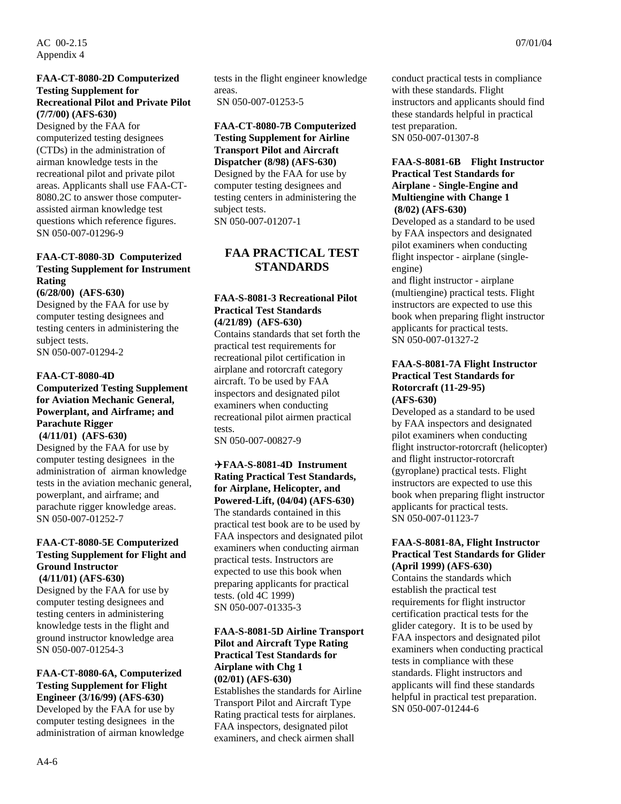# **FAA-CT-8080-2D Computerized Testing Supplement for Recreational Pilot and Private Pilot (7/7/00) (AFS-630)**  Designed by the FAA for

computerized testing designees (CTDs) in the administration of airman knowledge tests in the recreational pilot and private pilot areas. Applicants shall use FAA-CT-8080.2C to answer those computerassisted airman knowledge test questions which reference figures. SN 050-007-01296-9

# **FAA-CT-8080-3D Computerized Testing Supplement for Instrument Rating**

**(6/28/00) (AFS-630)**  Designed by the FAA for use by computer testing designees and testing centers in administering the subject tests. SN 050-007-01294-2

# **FAA-CT-8080-4D**

**Computerized Testing Supplement for Aviation Mechanic General, Powerplant, and Airframe; and Parachute Rigger (4/11/01) (AFS-630)** 

Designed by the FAA for use by computer testing designees in the administration of airman knowledge tests in the aviation mechanic general, powerplant, and airframe; and parachute rigger knowledge areas. SN 050-007-01252-7

#### **FAA-CT-8080-5E Computerized Testing Supplement for Flight and Ground Instructor (4/11/01) (AFS-630)**

Designed by the FAA for use by computer testing designees and testing centers in administering knowledge tests in the flight and ground instructor knowledge area SN 050-007-01254-3

### **FAA-CT-8080-6A, Computerized Testing Supplement for Flight Engineer (3/16/99) (AFS-630)**

Developed by the FAA for use by computer testing designees in the administration of airman knowledge tests in the flight engineer knowledge areas. SN 050-007-01253-5

# **FAA-CT-8080-7B Computerized Testing Supplement for Airline Transport Pilot and Aircraft Dispatcher (8/98) (AFS-630)**  Designed by the FAA for use by computer testing designees and testing centers in administering the subject tests.

SN 050-007-01207-1

# **FAA PRACTICAL TEST STANDARDS**

### **FAA-S-8081-3 Recreational Pilot Practical Test Standards (4/21/89) (AFS-630)**

Contains standards that set forth the practical test requirements for recreational pilot certification in airplane and rotorcraft category aircraft. To be used by FAA inspectors and designated pilot examiners when conducting recreational pilot airmen practical tests.

SN 050-007-00827-9

### 4**FAA-S-8081-4D Instrument Rating Practical Test Standards, for Airplane, Helicopter, and Powered-Lift, (04/04) (AFS-630)**  The standards contained in this practical test book are to be used by FAA inspectors and designated pilot examiners when conducting airman practical tests. Instructors are expected to use this book when preparing applicants for practical tests. (old 4C 1999) SN 050-007-01335-3

#### **FAA-S-8081-5D Airline Transport Pilot and Aircraft Type Rating Practical Test Standards for Airplane with Chg 1 (02/01) (AFS-630)**

Establishes the standards for Airline Transport Pilot and Aircraft Type Rating practical tests for airplanes. FAA inspectors, designated pilot examiners, and check airmen shall

conduct practical tests in compliance with these standards. Flight instructors and applicants should find these standards helpful in practical test preparation. SN 050-007-01307-8

# **FAA-S-8081-6B Flight Instructor Practical Test Standards for Airplane - Single-Engine and Multiengine with Change 1 (8/02) (AFS-630)**

Developed as a standard to be used by FAA inspectors and designated pilot examiners when conducting flight inspector - airplane (singleengine)

and flight instructor - airplane (multiengine) practical tests. Flight instructors are expected to use this book when preparing flight instructor applicants for practical tests. SN 050-007-01327-2

#### **FAA-S-8081-7A Flight Instructor Practical Test Standards for Rotorcraft (11-29-95) (AFS-630)**

Developed as a standard to be used by FAA inspectors and designated pilot examiners when conducting flight instructor-rotorcraft (helicopter) and flight instructor-rotorcraft (gyroplane) practical tests. Flight instructors are expected to use this book when preparing flight instructor applicants for practical tests. SN 050-007-01123-7

### **FAA-S-8081-8A, Flight Instructor Practical Test Standards for Glider (April 1999) (AFS-630)**

Contains the standards which establish the practical test requirements for flight instructor certification practical tests for the glider category. It is to be used by FAA inspectors and designated pilot examiners when conducting practical tests in compliance with these standards. Flight instructors and applicants will find these standards helpful in practical test preparation. SN 050-007-01244-6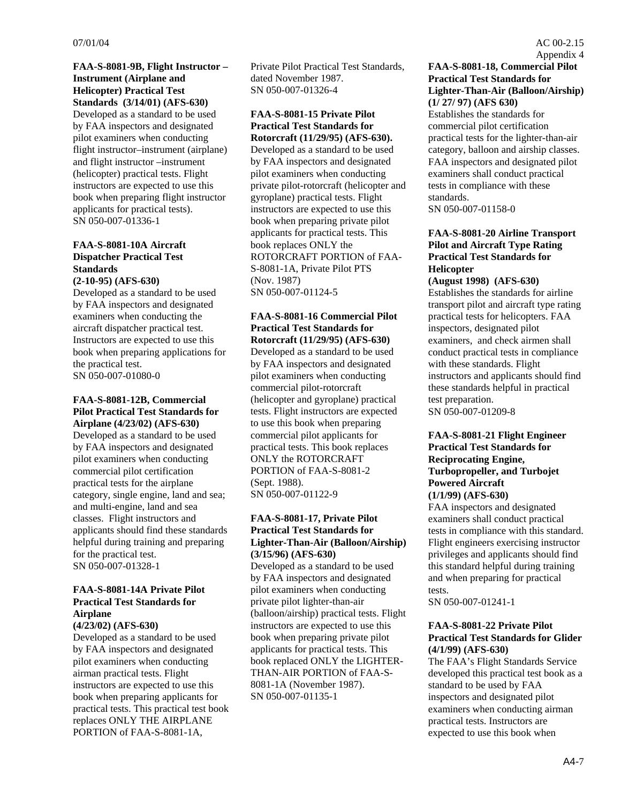### **FAA-S-8081-9B, Flight Instructor – Instrument (Airplane and Helicopter) Practical Test Standards (3/14/01) (AFS-630)**

Developed as a standard to be used by FAA inspectors and designated pilot examiners when conducting flight instructor–instrument (airplane) and flight instructor –instrument (helicopter) practical tests. Flight instructors are expected to use this book when preparing flight instructor applicants for practical tests). SN 050-007-01336-1

# **FAA-S-8081-10A Aircraft Dispatcher Practical Test Standards**

# **(2-10-95) (AFS-630)**

Developed as a standard to be used by FAA inspectors and designated examiners when conducting the aircraft dispatcher practical test. Instructors are expected to use this book when preparing applications for the practical test. SN 050-007-01080-0

### **FAA-S-8081-12B, Commercial Pilot Practical Test Standards for Airplane (4/23/02) (AFS-630)**

Developed as a standard to be used by FAA inspectors and designated pilot examiners when conducting commercial pilot certification practical tests for the airplane category, single engine, land and sea; and multi-engine, land and sea classes. Flight instructors and applicants should find these standards helpful during training and preparing for the practical test. SN 050-007-01328-1

#### **FAA-S-8081-14A Private Pilot Practical Test Standards for Airplane (4/23/02) (AFS-630)**

Developed as a standard to be used by FAA inspectors and designated pilot examiners when conducting airman practical tests. Flight instructors are expected to use this book when preparing applicants for practical tests. This practical test book replaces ONLY THE AIRPLANE PORTION of FAA-S-8081-1A,

Private Pilot Practical Test Standards, dated November 1987. SN 050-007-01326-4

### **FAA-S-8081-15 Private Pilot Practical Test Standards for Rotorcraft (11/29/95) (AFS-630).**

Developed as a standard to be used by FAA inspectors and designated pilot examiners when conducting private pilot-rotorcraft (helicopter and gyroplane) practical tests. Flight instructors are expected to use this book when preparing private pilot applicants for practical tests. This book replaces ONLY the ROTORCRAFT PORTION of FAA-S-8081-1A, Private Pilot PTS (Nov. 1987) SN 050-007-01124-5

### **FAA-S-8081-16 Commercial Pilot Practical Test Standards for Rotorcraft (11/29/95) (AFS-630)**

Developed as a standard to be used by FAA inspectors and designated pilot examiners when conducting commercial pilot-rotorcraft (helicopter and gyroplane) practical tests. Flight instructors are expected to use this book when preparing commercial pilot applicants for practical tests. This book replaces ONLY the ROTORCRAFT PORTION of FAA-S-8081-2 (Sept. 1988). SN 050-007-01122-9

### **FAA-S-8081-17, Private Pilot Practical Test Standards for Lighter-Than-Air (Balloon/Airship) (3/15/96) (AFS-630)**

Developed as a standard to be used by FAA inspectors and designated pilot examiners when conducting private pilot lighter-than-air (balloon/airship) practical tests. Flight instructors are expected to use this book when preparing private pilot applicants for practical tests. This book replaced ONLY the LIGHTER-THAN-AIR PORTION of FAA-S-8081-1A (November 1987). SN 050-007-01135-1

#### Appendix 4 **FAA-S-8081-18, Commercial Pilot Practical Test Standards for Lighter-Than-Air (Balloon/Airship) (1/ 27/ 97) (AFS 630)**

Establishes the standards for commercial pilot certification practical tests for the lighter-than-air category, balloon and airship classes. FAA inspectors and designated pilot examiners shall conduct practical tests in compliance with these standards.

SN 050-007-01158-0

## **FAA-S-8081-20 Airline Transport Pilot and Aircraft Type Rating Practical Test Standards for Helicopter**

### **(August 1998) (AFS-630)**  Establishes the standards for airline transport pilot and aircraft type rating practical tests for helicopters. FAA inspectors, designated pilot examiners, and check airmen shall conduct practical tests in compliance with these standards. Flight instructors and applicants should find these standards helpful in practical test preparation. SN 050-007-01209-8

### **FAA-S-8081-21 Flight Engineer Practical Test Standards for Reciprocating Engine, Turbopropeller, and Turbojet Powered Aircraft (1/1/99) (AFS-630)**

FAA inspectors and designated examiners shall conduct practical tests in compliance with this standard. Flight engineers exercising instructor privileges and applicants should find this standard helpful during training and when preparing for practical tests.

SN 050-007-01241-1

## **FAA-S-8081-22 Private Pilot Practical Test Standards for Glider (4/1/99) (AFS-630)**

The FAA's Flight Standards Service developed this practical test book as a standard to be used by FAA inspectors and designated pilot examiners when conducting airman practical tests. Instructors are expected to use this book when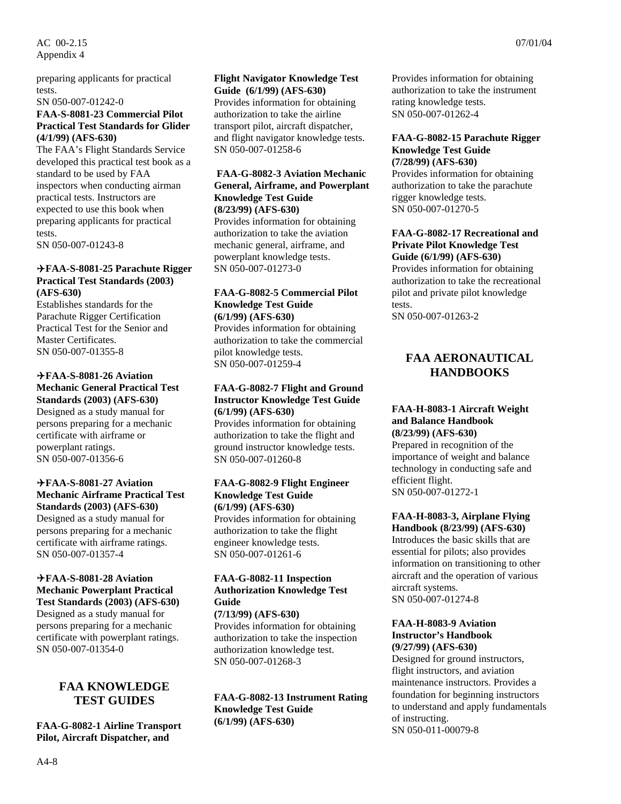$AC$  00-2.15 07/01/04 Appendix 4

preparing applicants for practical tests.

SN 050-007-01242-0

# **FAA-S-8081-23 Commercial Pilot Practical Test Standards for Glider (4/1/99) (AFS-630)**

The FAA's Flight Standards Service developed this practical test book as a standard to be used by FAA inspectors when conducting airman practical tests. Instructors are expected to use this book when preparing applicants for practical tests.

SN 050-007-01243-8

### 4**FAA-S-8081-25 Parachute Rigger Practical Test Standards (2003) (AFS-630)**

Establishes standards for the Parachute Rigger Certification Practical Test for the Senior and Master Certificates. SN 050-007-01355-8

# 4**FAA-S-8081-26 Aviation Mechanic General Practical Test Standards (2003) (AFS-630)**  Designed as a study manual for

persons preparing for a mechanic certificate with airframe or powerplant ratings. SN 050-007-01356-6

#### 4**FAA-S-8081-27 Aviation Mechanic Airframe Practical Test Standards (2003) (AFS-630)**

Designed as a study manual for persons preparing for a mechanic certificate with airframe ratings. SN 050-007-01357-4

### 4**FAA-S-8081-28 Aviation Mechanic Powerplant Practical Test Standards (2003) (AFS-630)**

Designed as a study manual for persons preparing for a mechanic certificate with powerplant ratings. SN 050-007-01354-0

# **FAA KNOWLEDGE TEST GUIDES**

**FAA-G-8082-1 Airline Transport Pilot, Aircraft Dispatcher, and** 

### **Flight Navigator Knowledge Test Guide (6/1/99) (AFS-630)**

Provides information for obtaining authorization to take the airline transport pilot, aircraft dispatcher, and flight navigator knowledge tests. SN 050-007-01258-6

#### **FAA-G-8082-3 Aviation Mechanic General, Airframe, and Powerplant Knowledge Test Guide (8/23/99) (AFS-630)**

Provides information for obtaining authorization to take the aviation mechanic general, airframe, and powerplant knowledge tests. SN 050-007-01273-0

#### **FAA-G-8082-5 Commercial Pilot Knowledge Test Guide (6/1/99) (AFS-630)**

Provides information for obtaining authorization to take the commercial pilot knowledge tests. SN 050-007-01259-4

## **FAA-G-8082-7 Flight and Ground Instructor Knowledge Test Guide (6/1/99) (AFS-630)**

Provides information for obtaining authorization to take the flight and ground instructor knowledge tests. SN 050-007-01260-8

#### **FAA-G-8082-9 Flight Engineer Knowledge Test Guide (6/1/99) (AFS-630)**

Provides information for obtaining authorization to take the flight engineer knowledge tests. SN 050-007-01261-6

# **FAA-G-8082-11 Inspection Authorization Knowledge Test Guide**

**(7/13/99) (AFS-630)**  Provides information for obtaining authorization to take the inspection authorization knowledge test. SN 050-007-01268-3

**FAA-G-8082-13 Instrument Rating Knowledge Test Guide (6/1/99) (AFS-630)** 

Provides information for obtaining authorization to take the instrument rating knowledge tests. SN 050-007-01262-4

#### **FAA-G-8082-15 Parachute Rigger Knowledge Test Guide (7/28/99) (AFS-630)**

Provides information for obtaining authorization to take the parachute rigger knowledge tests. SN 050-007-01270-5

### **FAA-G-8082-17 Recreational and Private Pilot Knowledge Test Guide (6/1/99) (AFS-630)**

Provides information for obtaining authorization to take the recreational pilot and private pilot knowledge tests. SN 050-007-01263-2

# **FAA AERONAUTICAL HANDBOOKS**

#### **FAA-H-8083-1 Aircraft Weight and Balance Handbook (8/23/99) (AFS-630)**

Prepared in recognition of the importance of weight and balance technology in conducting safe and efficient flight. SN 050-007-01272-1

# **FAA-H-8083-3, Airplane Flying Handbook (8/23/99) (AFS-630)**

Introduces the basic skills that are essential for pilots; also provides information on transitioning to other aircraft and the operation of various aircraft systems. SN 050-007-01274-8

#### **FAA-H-8083-9 Aviation Instructor's Handbook (9/27/99) (AFS-630)**

Designed for ground instructors, flight instructors, and aviation maintenance instructors. Provides a foundation for beginning instructors to understand and apply fundamentals of instructing. SN 050-011-00079-8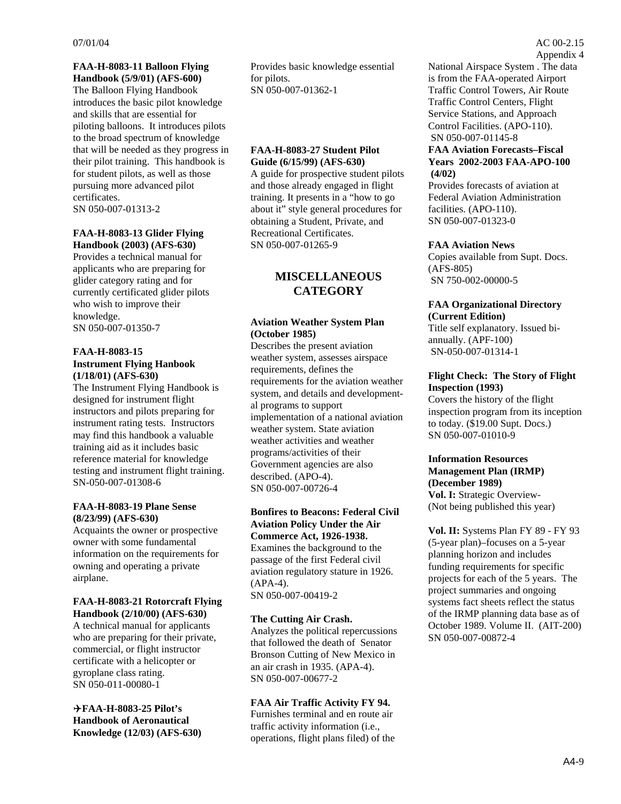### **FAA-H-8083-11 Balloon Flying Handbook (5/9/01) (AFS-600)**

The Balloon Flying Handbook introduces the basic pilot knowledge and skills that are essential for piloting balloons. It introduces pilots to the broad spectrum of knowledge that will be needed as they progress in their pilot training. This handbook is for student pilots, as well as those pursuing more advanced pilot certificates. SN 050-007-01313-2

#### **FAA-H-8083-13 Glider Flying Handbook (2003) (AFS-630)**

Provides a technical manual for applicants who are preparing for glider category rating and for currently certificated glider pilots who wish to improve their knowledge. SN 050-007-01350-7

#### **FAA-H-8083-15 Instrument Flying Hanbook (1/18/01) (AFS-630)**

The Instrument Flying Handbook is designed for instrument flight instructors and pilots preparing for instrument rating tests. Instructors may find this handbook a valuable training aid as it includes basic reference material for knowledge testing and instrument flight training. SN-050-007-01308-6

#### **FAA-H-8083-19 Plane Sense (8/23/99) (AFS-630)**

Acquaints the owner or prospective owner with some fundamental information on the requirements for owning and operating a private airplane.

#### **FAA-H-8083-21 Rotorcraft Flying Handbook (2/10/00) (AFS-630)**

A technical manual for applicants who are preparing for their private, commercial, or flight instructor certificate with a helicopter or gyroplane class rating. SN 050-011-00080-1

4**FAA-H-8083-25 Pilot's Handbook of Aeronautical Knowledge (12/03) (AFS-630)**  Provides basic knowledge essential for pilots. SN 050-007-01362-1

#### **FAA-H-8083-27 Student Pilot Guide (6/15/99) (AFS-630)**

A guide for prospective student pilots and those already engaged in flight training. It presents in a "how to go about it" style general procedures for obtaining a Student, Private, and Recreational Certificates. SN 050-007-01265-9

# **MISCELLANEOUS CATEGORY**

# **Aviation Weather System Plan (October 1985)**

Describes the present aviation weather system, assesses airspace requirements, defines the requirements for the aviation weather system, and details and developmental programs to support implementation of a national aviation weather system. State aviation weather activities and weather programs/activities of their Government agencies are also described. (APO-4). SN 050-007-00726-4

### **Bonfires to Beacons: Federal Civil Aviation Policy Under the Air Commerce Act, 1926-1938.**

Examines the background to the passage of the first Federal civil aviation regulatory stature in 1926. (APA-4). SN 050-007-00419-2

### **The Cutting Air Crash.**

Analyzes the political repercussions that followed the death of Senator Bronson Cutting of New Mexico in an air crash in 1935. (APA-4). SN 050-007-00677-2

# **FAA Air Traffic Activity FY 94.**  Furnishes terminal and en route air

traffic activity information (i.e., operations, flight plans filed) of the

 Appendix 4 National Airspace System . The data is from the FAA-operated Airport Traffic Control Towers, Air Route Traffic Control Centers, Flight Service Stations, and Approach Control Facilities. (APO-110). SN 050-007-01145-8

### **FAA Aviation Forecasts–Fiscal Years 2002-2003 FAA-APO-100 (4/02)**

Provides forecasts of aviation at Federal Aviation Administration facilities. (APO-110). SN 050-007-01323-0

# **FAA Aviation News**

Copies available from Supt. Docs. (AFS-805) SN 750-002-00000-5

#### **FAA Organizational Directory (Current Edition)**

Title self explanatory. Issued biannually. (APF-100) SN-050-007-01314-1

#### **Flight Check: The Story of Flight Inspection (1993)**

Covers the history of the flight inspection program from its inception to today. (\$19.00 Supt. Docs.) SN 050-007-01010-9

#### **Information Resources Management Plan (IRMP) (December 1989) Vol. I:** Strategic Overview-

(Not being published this year)

**Vol. II:** Systems Plan FY 89 - FY 93 (5-year plan)–focuses on a 5-year planning horizon and includes funding requirements for specific projects for each of the 5 years. The project summaries and ongoing systems fact sheets reflect the status of the IRMP planning data base as of October 1989. Volume II. (AIT-200) SN 050-007-00872-4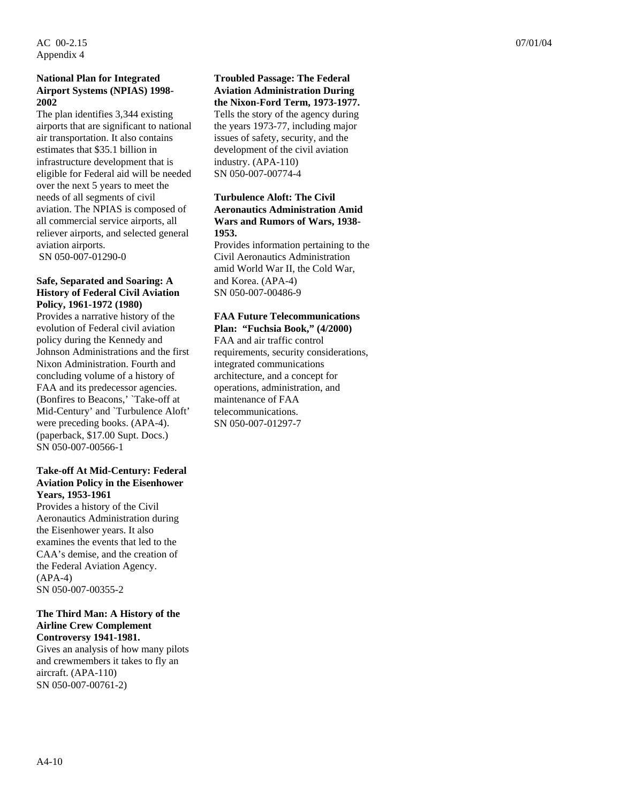#### **National Plan for Integrated Airport Systems (NPIAS) 1998- 2002**

The plan identifies 3,344 existing airports that are significant to national air transportation. It also contains estimates that \$35.1 billion in infrastructure development that is eligible for Federal aid will be needed over the next 5 years to meet the needs of all segments of civil aviation. The NPIAS is composed of all commercial service airports, all reliever airports, and selected general aviation airports. SN 050-007-01290-0

### **Safe, Separated and Soaring: A History of Federal Civil Aviation Policy, 1961-1972 (1980)**

Provides a narrative history of the evolution of Federal civil aviation policy during the Kennedy and Johnson Administrations and the first Nixon Administration. Fourth and concluding volume of a history of FAA and its predecessor agencies. (Bonfires to Beacons,' `Take-off at Mid-Century' and `Turbulence Aloft' were preceding books. (APA-4). (paperback, \$17.00 Supt. Docs.) SN 050-007-00566-1

### **Take-off At Mid-Century: Federal Aviation Policy in the Eisenhower Years, 1953-1961**

Provides a history of the Civil Aeronautics Administration during the Eisenhower years. It also examines the events that led to the CAA's demise, and the creation of the Federal Aviation Agency. (APA-4) SN 050-007-00355-2

### **The Third Man: A History of the Airline Crew Complement Controversy 1941-1981.**

Gives an analysis of how many pilots and crewmembers it takes to fly an aircraft. (APA-110) SN 050-007-00761-2)

# **Troubled Passage: The Federal Aviation Administration During the Nixon-Ford Term, 1973-1977.**

Tells the story of the agency during the years 1973-77, including major issues of safety, security, and the development of the civil aviation industry. (APA-110) SN 050-007-00774-4

#### **Turbulence Aloft: The Civil Aeronautics Administration Amid Wars and Rumors of Wars, 1938- 1953.**

Provides information pertaining to the Civil Aeronautics Administration amid World War II, the Cold War, and Korea. (APA-4) SN 050-007-00486-9

#### **FAA Future Telecommunications Plan: "Fuchsia Book," (4/2000)**

FAA and air traffic control requirements, security considerations, integrated communications architecture, and a concept for operations, administration, and maintenance of FAA telecommunications. SN 050-007-01297-7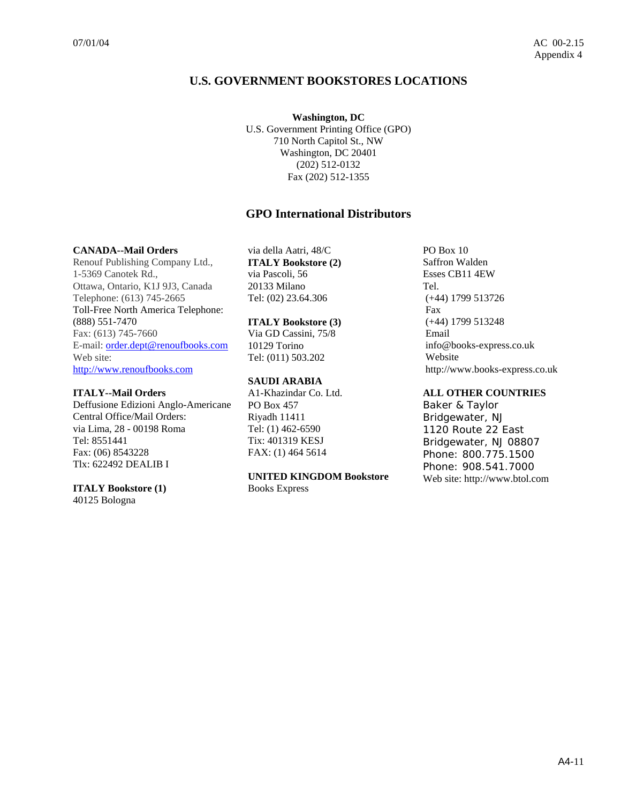# **U.S. GOVERNMENT BOOKSTORES LOCATIONS**

**Washington, DC**  U.S. Government Printing Office (GPO) 710 North Capitol St., NW Washington, DC 20401 (202) 512-0132 Fax (202) 512-1355

# **GPO International Distributors**

### **CANADA--Mail Orders**

Renouf Publishing Company Ltd., 1-5369 Canotek Rd., Ottawa, Ontario, K1J 9J3, Canada Telephone: (613) 745-2665 Toll-Free North America Telephone: (888) 551-7470 Fax: (613) 745-7660 E-mail: order.dept@renoufbooks.com Web site: http://www.renoufbooks.com

### **ITALY--Mail Orders**

Deffusione Edizioni Anglo-Americane Central Office/Mail Orders: via Lima, 28 - 00198 Roma Tel: 8551441 Fax: (06) 8543228 Tlx: 622492 DEALIB I

### **ITALY Bookstore (1)**

40125 Bologna

via della Aatri, 48/C **ITALY Bookstore (2)**  via Pascoli, 56 20133 Milano Tel: (02) 23.64.306

# **ITALY Bookstore (3)**

Via GD Cassini, 75/8 10129 Torino Tel: (011) 503.202

### **SAUDI ARABIA**

A1-Khazindar Co. Ltd. PO Box 457 Riyadh 11411 Tel: (1) 462-6590 Tix: 401319 KESJ FAX: (1) 464 5614

**UNITED KINGDOM Bookstore**  Books Express

PO Box 10 Saffron Walden Esses CB11 4EW Tel. (+44) 1799 513726 Fax (+44) 1799 513248 Email info@books-express.co.uk Website http://www.books-express.co.uk

# **ALL OTHER COUNTRIES**

Baker & Taylor Bridgewater, NJ 1120 Route 22 East Bridgewater, NJ 08807 Phone: 800.775.1500 Phone: 908.541.7000 Web site: http://www.btol.com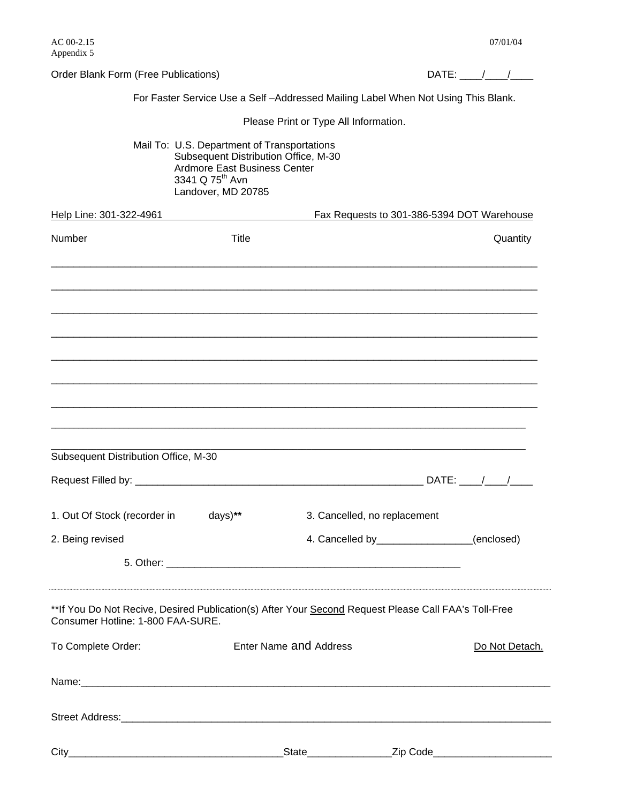| AC 00-2.15<br>Appendix 5                                                                                                                  |                                                                                                                                                                          |                                                                                   |                                            | 07/01/04       |
|-------------------------------------------------------------------------------------------------------------------------------------------|--------------------------------------------------------------------------------------------------------------------------------------------------------------------------|-----------------------------------------------------------------------------------|--------------------------------------------|----------------|
| Order Blank Form (Free Publications)                                                                                                      |                                                                                                                                                                          |                                                                                   | $DATE:$ $/$ $/$ $/$                        |                |
|                                                                                                                                           |                                                                                                                                                                          | For Faster Service Use a Self -Addressed Mailing Label When Not Using This Blank. |                                            |                |
|                                                                                                                                           |                                                                                                                                                                          | Please Print or Type All Information.                                             |                                            |                |
|                                                                                                                                           | Mail To: U.S. Department of Transportations<br>Subsequent Distribution Office, M-30<br>Ardmore East Business Center<br>3341 Q 75 <sup>th</sup> Avn<br>Landover, MD 20785 |                                                                                   |                                            |                |
| Help Line: 301-322-4961                                                                                                                   |                                                                                                                                                                          |                                                                                   | Fax Requests to 301-386-5394 DOT Warehouse |                |
| <b>Number</b>                                                                                                                             | Title                                                                                                                                                                    |                                                                                   |                                            | Quantity       |
| Subsequent Distribution Office, M-30                                                                                                      |                                                                                                                                                                          |                                                                                   |                                            | DATE: $/$ /    |
| 1. Out Of Stock (recorder in                                                                                                              | days)**                                                                                                                                                                  | 3. Cancelled, no replacement                                                      |                                            |                |
| 2. Being revised                                                                                                                          |                                                                                                                                                                          | 4. Cancelled by ________________(enclosed)                                        |                                            |                |
|                                                                                                                                           |                                                                                                                                                                          |                                                                                   |                                            |                |
| **If You Do Not Recive, Desired Publication(s) After Your Second Request Please Call FAA's Toll-Free<br>Consumer Hotline: 1-800 FAA-SURE. |                                                                                                                                                                          |                                                                                   |                                            |                |
|                                                                                                                                           |                                                                                                                                                                          | <b>Enter Name and Address</b>                                                     |                                            |                |
|                                                                                                                                           |                                                                                                                                                                          |                                                                                   |                                            |                |
|                                                                                                                                           |                                                                                                                                                                          |                                                                                   |                                            |                |
| To Complete Order:                                                                                                                        |                                                                                                                                                                          |                                                                                   |                                            | Do Not Detach. |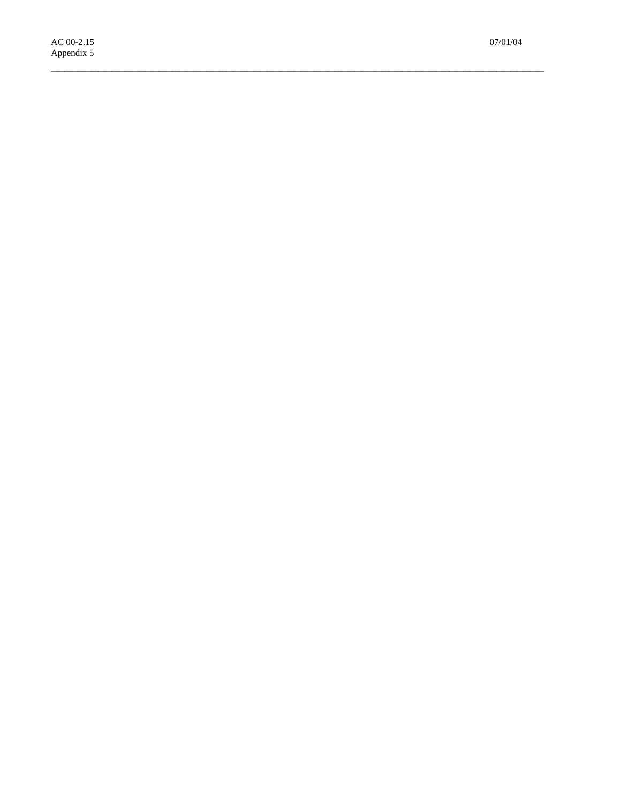AC 00-2.15 Appendix 5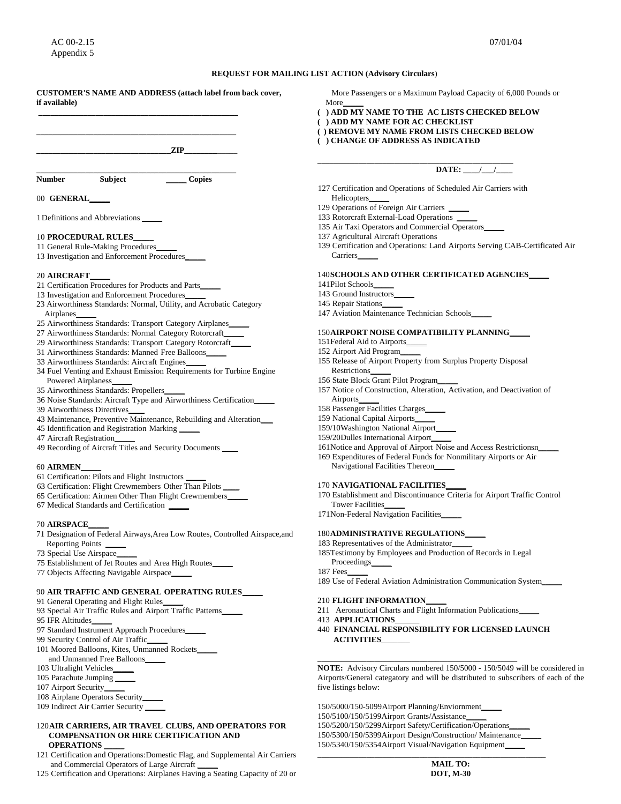#### **REQUEST FOR MAILING LIST ACTION (Advisory Circulars**)

#### **CUSTOMER'S NAME AND ADDRESS (attach label from back cover, if available)**

 **\_\_\_\_\_\_\_\_\_\_\_\_\_\_\_\_\_\_\_\_\_\_\_\_\_\_\_\_\_\_\_\_\_\_\_\_\_\_\_\_\_\_\_\_\_\_\_\_\_** 

**\_\_\_\_\_\_\_\_\_\_\_\_\_\_\_\_\_\_\_\_\_\_\_\_\_\_\_\_\_\_\_\_\_\_\_\_\_\_\_\_\_\_\_\_\_\_\_\_\_** 

**\_\_\_\_\_\_\_\_\_\_\_\_\_\_\_\_\_\_\_\_\_\_\_\_\_\_\_\_\_\_\_\_\_\_\_\_\_\_\_\_\_\_\_\_\_\_\_\_\_** 

 $\mathbb{ZIP}$ 

**Number Subject** \_\_\_\_\_ **Copies** 

#### 00 **GENERAL\_\_\_\_\_**

1 Definitions and Abbreviations \_\_\_\_\_

#### 10 **PROCEDURAL RULES**\_\_\_\_\_

- 11 General Rule-Making Procedures\_\_\_\_\_
- 13 Investigation and Enforcement Procedures\_

#### 20 **AIRCRAFT**\_\_\_\_\_

- 21 Certification Procedures for Products and Parts\_\_\_\_\_
- 13 Investigation and Enforcement Procedures
- 23 Airworthiness Standards: Normal, Utility, and Acrobatic Category Airplanes\_\_\_\_\_
- 25 Airworthiness Standards: Transport Category Airplanes\_\_\_\_\_
- 27 Airworthiness Standards: Normal Category Rotorcraft\_\_\_\_\_
- 29 Airworthiness Standards: Transport Category Rotorcraft\_\_\_\_\_
- 31 Airworthiness Standards: Manned Free Balloons\_\_\_\_\_ 33 Airworthiness Standards: Aircraft Engines\_\_\_\_\_
- 34 Fuel Venting and Exhaust Emission Requirements for Turbine Engine Powered Airplaness\_\_\_\_\_
- 35 Airworthiness Standards: Propellers\_\_\_\_\_
- 36 Noise Standards: Aircraft Type and Airworthiness Certification\_\_\_\_\_
- 39 Airworthiness Directives\_\_\_\_
- 43 Maintenance, Preventive Maintenance, Rebuilding and Alteration\_\_\_\_
- 45 Identification and Registration Marking
- 47 Aircraft Registration\_\_\_\_\_
- 49 Recording of Aircraft Titles and Security Documents \_\_\_\_

#### 60 **AIRMEN**\_\_\_\_\_

- 61 Certification: Pilots and Flight Instructors
- 63 Certification: Flight Crewmembers Other Than Pilots \_\_\_\_
- 65 Certification: Airmen Other Than Flight Crewmembers\_\_\_\_\_
- 67 Medical Standards and Certification

#### 70 **AIRSPACE**\_\_\_\_\_

- 71 Designation of Federal Airways,Area Low Routes, Controlled Airspace,and Reporting Points \_\_\_\_\_
- 73 Special Use Airspace\_\_\_\_\_
- 75 Establishment of Jet Routes and Area High Routes\_\_\_\_\_
- 77 Objects Affecting Navigable Airspace\_\_\_\_\_

#### 90 **AIR TRAFFIC AND GENERAL OPERATING RULES**\_\_\_\_\_

- 91 General Operating and Flight Rules\_
- 93 Special Air Traffic Rules and Airport Traffic Patterns\_\_\_\_\_
- 95 IFR Altitudes\_\_\_\_\_
- 97 Standard Instrument Approach Procedures\_
- 99 Security Control of Air Traffic\_\_\_\_\_
- 101 Moored Balloons, Kites, Unmanned Rockets\_\_\_\_\_ and Unmanned Free Balloons\_\_\_\_\_
- 103 Ultralight Vehicles\_\_\_\_\_
- 105 Parachute Jumping \_\_\_\_\_
- 107 Airport Security\_
- 108 Airplane Operators Security
- 109 Indirect Air Carrier Security \_\_\_\_\_

#### 120 **AIR CARRIERS, AIR TRAVEL CLUBS, AND OPERATORS FOR COMPENSATION OR HIRE CERTIFICATION AND OPERATIONS** \_\_\_\_\_

- 121 Certification and Operations: Domestic Flag, and Supplemental Air Carriers and Commercial Operators of Large Aircraft
- 125 Certification and Operations: Air planes Having a Seating Capacity of 20 or

 More Passengers or a Maximum Payload Capacity of 6,000 Pounds or More\_\_\_\_\_

- **( ) ADD MY NAME TO THE AC LISTS CHECKED BELOW**
- **( ) ADD MY NAME FOR AC CHECKLIST** 
	- **( ) REMOVE MY NAME FROM LISTS CHECKED BELOW**
- **( ) CHANGE OF ADDRESS AS INDICATED**



 127 Certification and Operations of Scheduled Air Carriers with Helicopters\_\_\_\_\_

**\_\_\_\_\_\_\_\_\_\_\_\_\_\_\_\_\_\_\_\_\_\_\_\_\_\_\_\_\_\_\_\_\_\_\_\_\_\_\_\_\_\_\_\_\_\_\_\_** 

- 129 Operations of Foreign Air Carriers
- 133 Rotorcraft External-Load Operations
- 135 Air Taxi Operators and Commercial Operators\_\_\_\_\_
- 137 Agricultural Aircraft Operations
- 139 Certification and Operations: Land Airports Serving CAB-Certificated Air Carriers\_\_\_\_\_

#### 140 **SCHOOLS AND OTHER CERTIFICATED AGENCIES**\_\_\_\_\_

- 141 Pilot Schools\_\_\_\_\_
- 143 Ground Instructors\_\_\_\_\_
- 145 Repair Stations
- 147 Aviation Maintenance Technician Schools\_

#### 150 **AIRPORT NOISE COMPATIBILITY PLANNING**\_\_\_\_\_

- 151 Federal Aid to Airports\_\_\_\_\_
- 152 Airport Aid Program\_\_\_\_\_
- 155 Release of Airport Property from Surplus Property Disposal Restrictions\_\_\_\_\_
- 156 State Block Grant Pilot Program\_\_\_\_\_
- 157 Notice of Construction, Alteration, Activation, and Deactivation of Airports\_\_\_\_\_
- 158 Passenger Facilities Charges\_\_\_\_\_
- 159 National Capital Airports\_\_\_\_\_
- 159/10 Washington National Airport\_\_\_\_\_
- 159/20 Dulles International Airport\_\_\_\_\_
- 161 Notice and Approval of Airport Noise and Access Restrictionsn\_\_\_\_\_
- 169 Expenditures of Federal Funds for Nonmilitary Airports or Air Navigational Facilities Thereon\_\_\_\_\_

#### 170 **NAVIGATIONAL FACILITIES**\_\_\_\_\_

- 170 Establishment and Discontinuance Criteria for Airport Traffic Control Tower Facilities\_\_\_\_\_
- 171 Non-Federal Navigation Facilities\_

#### 180 **ADMINISTRATIVE REGULATIONS**\_\_\_\_\_

- 183 Representatives of the Administrator\_\_\_\_\_
- 185 Testimony by Employees and Pro duction of Records in Legal Proceedings\_
- 187 Fees\_\_\_\_\_
- 189 Use of Federal Aviation Administration Communication System\_

#### 210 **FLIGHT INFORMATION**\_\_\_\_\_

211 Aeronautical Charts and Flight Information Publications\_\_\_\_\_

\_\_\_\_\_\_\_\_\_\_\_\_\_\_\_\_\_\_\_\_\_\_\_\_\_\_\_\_\_\_\_\_\_\_\_\_\_\_\_\_\_\_\_\_\_\_\_\_\_

- 413 **APPLICATIONS**\_\_\_\_\_\_
- 440 **FINANCIAL RESPONSIBILITY FOR LICENSED LAUNCH ACTIVITIES**\_\_\_\_\_\_\_

**NOTE:** Advisory Circulars numbered 150/5000 - 150/5049 will be considered in Airports/General categatory and will be distributed to subscribers of each of the five listings below:

 150/5000/150-5099 Airport Planning/Enviornment\_\_\_\_\_ 150/5100/150/5199 Airport Grants/Assistance\_\_\_\_\_ 150/5200/150/5299 Airport Safety/Certification/Operations\_\_\_\_\_ 150/5300/150/5399 Airport Design/Construction/ Maintenance\_\_\_\_\_ 150/5340/150/5354 Airport Visual/Navigation Equipment\_\_\_\_\_

\_\_\_\_\_\_\_\_\_\_\_\_\_\_\_\_\_\_\_\_\_\_\_\_\_\_\_\_\_\_\_\_\_\_\_\_\_\_\_\_\_\_\_\_\_\_\_\_\_\_\_\_\_\_\_\_

**MAIL TO: DOT, M-30**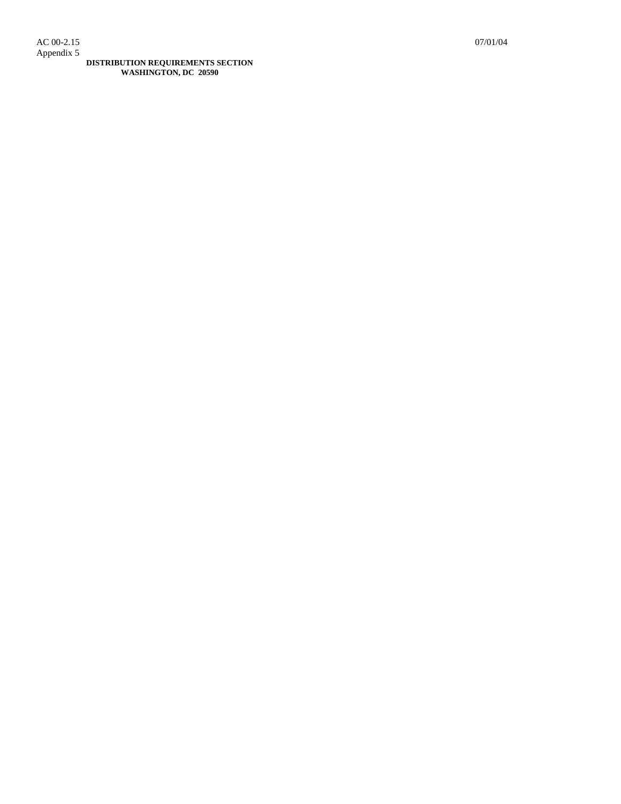#### **DISTRIBUTION REQUIREMENTS SECTION WASHINGTON, DC 20590**